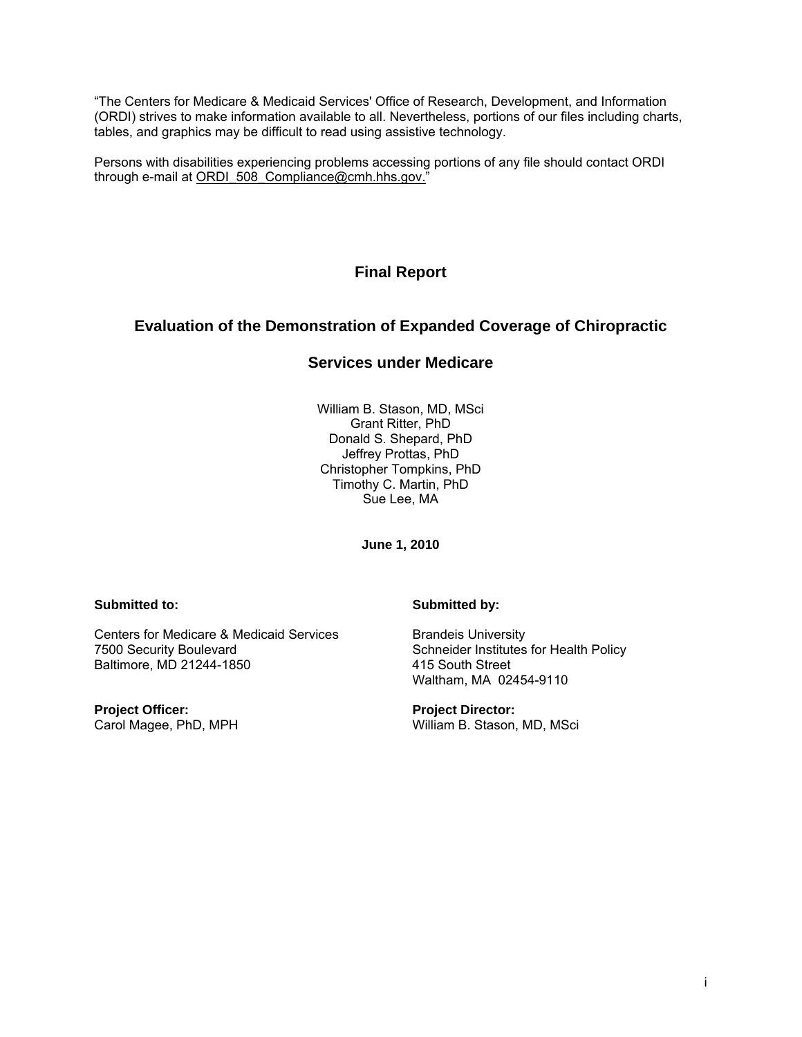"The Centers for Medicare & Medicaid Services' Office of Research, Development, and Information (ORDI) strives to make information available to all. Nevertheless, portions of our files including charts, tables, and graphics may be difficult to read using assistive technology.

Persons with disabilities experiencing problems accessing portions of any file should contact ORDI through e-mail at ORDI\_508\_Compliance@cmh.hhs.gov."

**Final Report** 

# **Evaluation of the Demonstration of Expanded Coverage of Chiropractic**

# **Services under Medicare**

William B. Stason, MD, MSci Grant Ritter, PhD Donald S. Shepard, PhD Jeffrey Prottas, PhD Christopher Tompkins, PhD Timothy C. Martin, PhD Sue Lee, MA

**June 1, 2010** 

Centers for Medicare & Medicaid Services<br>
7500 Security Boulevard<br>
Schneider Institutes Baltimore, MD 21244-1850 415 South Street

**Project Officer: Project Director: Project Director: Project Director: Carol Magee, PhD, MPH** 

## **Submitted to: Submitted by:**

Schneider Institutes for Health Policy Waltham, MA 02454-9110

William B. Stason, MD, MSci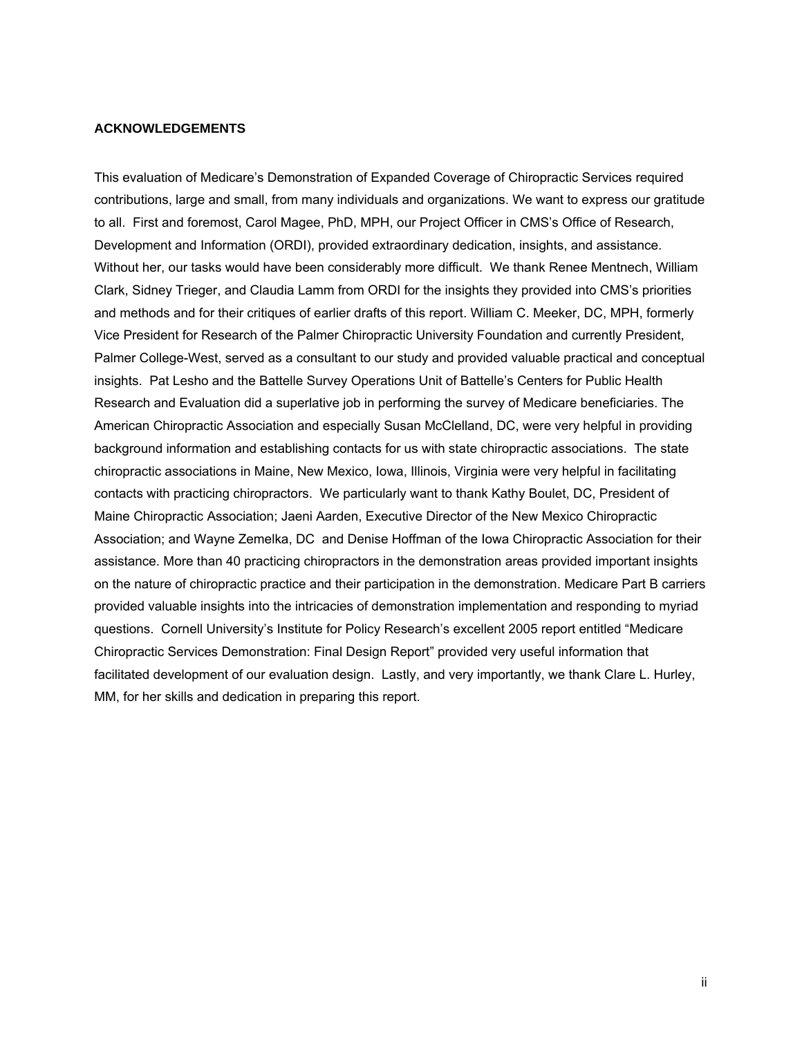#### <span id="page-1-0"></span>**ACKNOWLEDGEMENTS**

This evaluation of Medicare's Demonstration of Expanded Coverage of Chiropractic Services required contributions, large and small, from many individuals and organizations. We want to express our gratitude to all. First and foremost, Carol Magee, PhD, MPH, our Project Officer in CMS's Office of Research, Development and Information (ORDI), provided extraordinary dedication, insights, and assistance. Without her, our tasks would have been considerably more difficult. We thank Renee Mentnech, William Clark, Sidney Trieger, and Claudia Lamm from ORDI for the insights they provided into CMS's priorities and methods and for their critiques of earlier drafts of this report. William C. Meeker, DC, MPH, formerly Vice President for Research of the Palmer Chiropractic University Foundation and currently President, Palmer College-West, served as a consultant to our study and provided valuable practical and conceptual insights. Pat Lesho and the Battelle Survey Operations Unit of Battelle's Centers for Public Health Research and Evaluation did a superlative job in performing the survey of Medicare beneficiaries. The American Chiropractic Association and especially Susan McClelland, DC, were very helpful in providing background information and establishing contacts for us with state chiropractic associations. The state chiropractic associations in Maine, New Mexico, Iowa, Illinois, Virginia were very helpful in facilitating contacts with practicing chiropractors. We particularly want to thank Kathy Boulet, DC, President of Maine Chiropractic Association; Jaeni Aarden, Executive Director of the New Mexico Chiropractic Association; and Wayne Zemelka, DC and Denise Hoffman of the Iowa Chiropractic Association for their assistance. More than 40 practicing chiropractors in the demonstration areas provided important insights on the nature of chiropractic practice and their participation in the demonstration. Medicare Part B carriers provided valuable insights into the intricacies of demonstration implementation and responding to myriad questions. Cornell University's Institute for Policy Research's excellent 2005 report entitled "Medicare Chiropractic Services Demonstration: Final Design Report" provided very useful information that facilitated development of our evaluation design. Lastly, and very importantly, we thank Clare L. Hurley, MM, for her skills and dedication in preparing this report.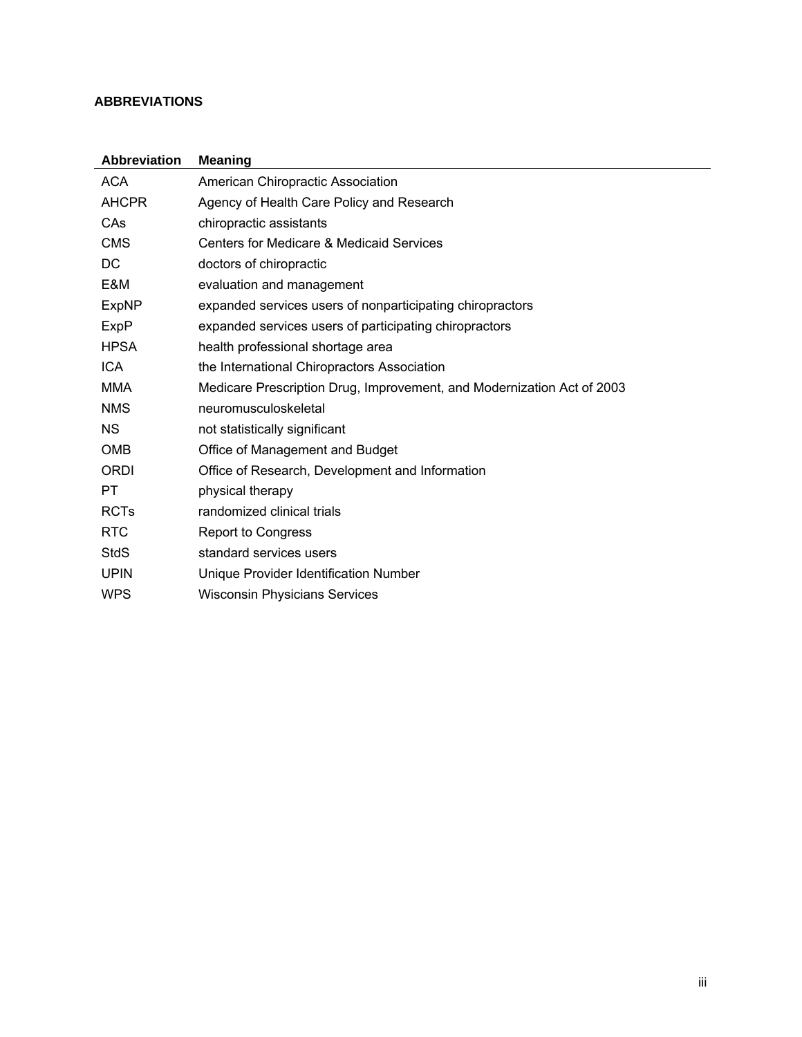## <span id="page-2-0"></span>**ABBREVIATIONS**

| <b>Abbreviation</b> | <b>Meaning</b>                                                         |
|---------------------|------------------------------------------------------------------------|
| <b>ACA</b>          | American Chiropractic Association                                      |
| <b>AHCPR</b>        | Agency of Health Care Policy and Research                              |
| CAs                 | chiropractic assistants                                                |
| <b>CMS</b>          | <b>Centers for Medicare &amp; Medicaid Services</b>                    |
| DC                  | doctors of chiropractic                                                |
| E&M                 | evaluation and management                                              |
| <b>ExpNP</b>        | expanded services users of nonparticipating chiropractors              |
| ExpP                | expanded services users of participating chiropractors                 |
| <b>HPSA</b>         | health professional shortage area                                      |
| <b>ICA</b>          | the International Chiropractors Association                            |
| MMA                 | Medicare Prescription Drug, Improvement, and Modernization Act of 2003 |
| <b>NMS</b>          | neuromusculoskeletal                                                   |
| <b>NS</b>           | not statistically significant                                          |
| <b>OMB</b>          | Office of Management and Budget                                        |
| <b>ORDI</b>         | Office of Research, Development and Information                        |
| PT                  | physical therapy                                                       |
| <b>RCTs</b>         | randomized clinical trials                                             |
| <b>RTC</b>          | <b>Report to Congress</b>                                              |
| StdS                | standard services users                                                |
| <b>UPIN</b>         | Unique Provider Identification Number                                  |
| <b>WPS</b>          | <b>Wisconsin Physicians Services</b>                                   |
|                     |                                                                        |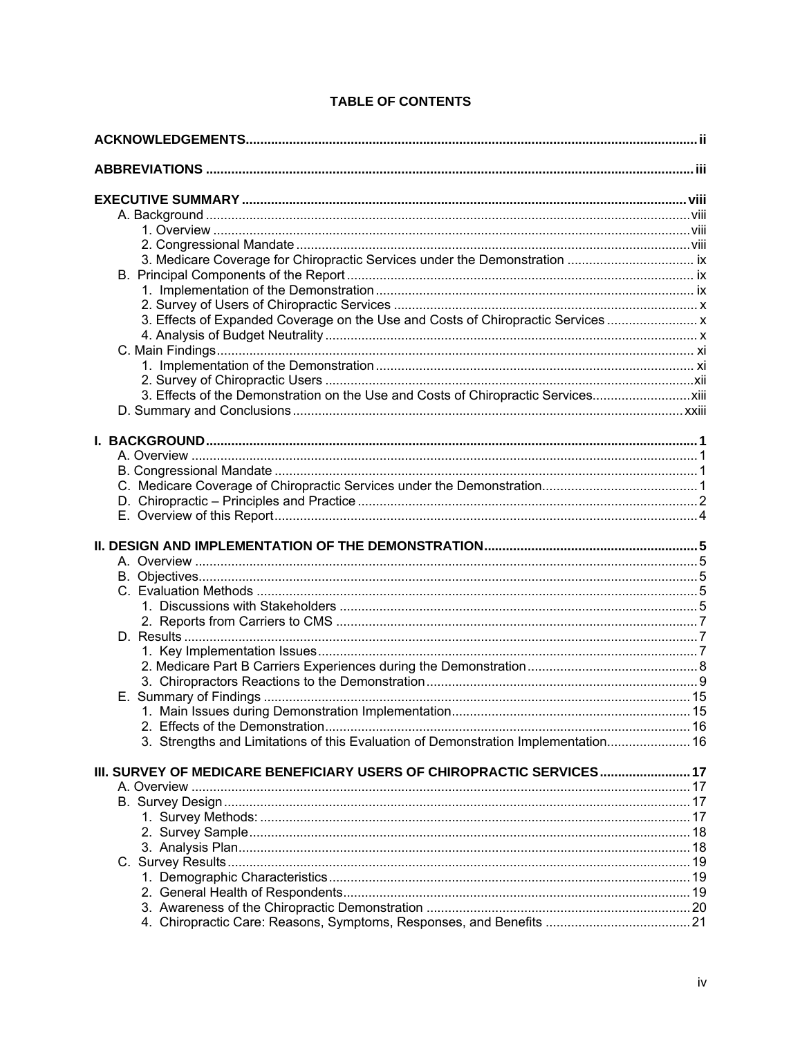| 3. Effects of Expanded Coverage on the Use and Costs of Chiropractic Services      |  |
|------------------------------------------------------------------------------------|--|
|                                                                                    |  |
|                                                                                    |  |
|                                                                                    |  |
|                                                                                    |  |
| 3. Effects of the Demonstration on the Use and Costs of Chiropractic Services      |  |
|                                                                                    |  |
|                                                                                    |  |
|                                                                                    |  |
|                                                                                    |  |
|                                                                                    |  |
|                                                                                    |  |
|                                                                                    |  |
|                                                                                    |  |
|                                                                                    |  |
|                                                                                    |  |
|                                                                                    |  |
|                                                                                    |  |
|                                                                                    |  |
|                                                                                    |  |
|                                                                                    |  |
|                                                                                    |  |
|                                                                                    |  |
|                                                                                    |  |
|                                                                                    |  |
|                                                                                    |  |
|                                                                                    |  |
| 3. Strengths and Limitations of this Evaluation of Demonstration Implementation 16 |  |
|                                                                                    |  |
| III. SURVEY OF MEDICARE BENEFICIARY USERS OF CHIROPRACTIC SERVICES 17              |  |
|                                                                                    |  |
|                                                                                    |  |
|                                                                                    |  |
|                                                                                    |  |
|                                                                                    |  |
|                                                                                    |  |
|                                                                                    |  |
|                                                                                    |  |

# TABLE OF CONTENTS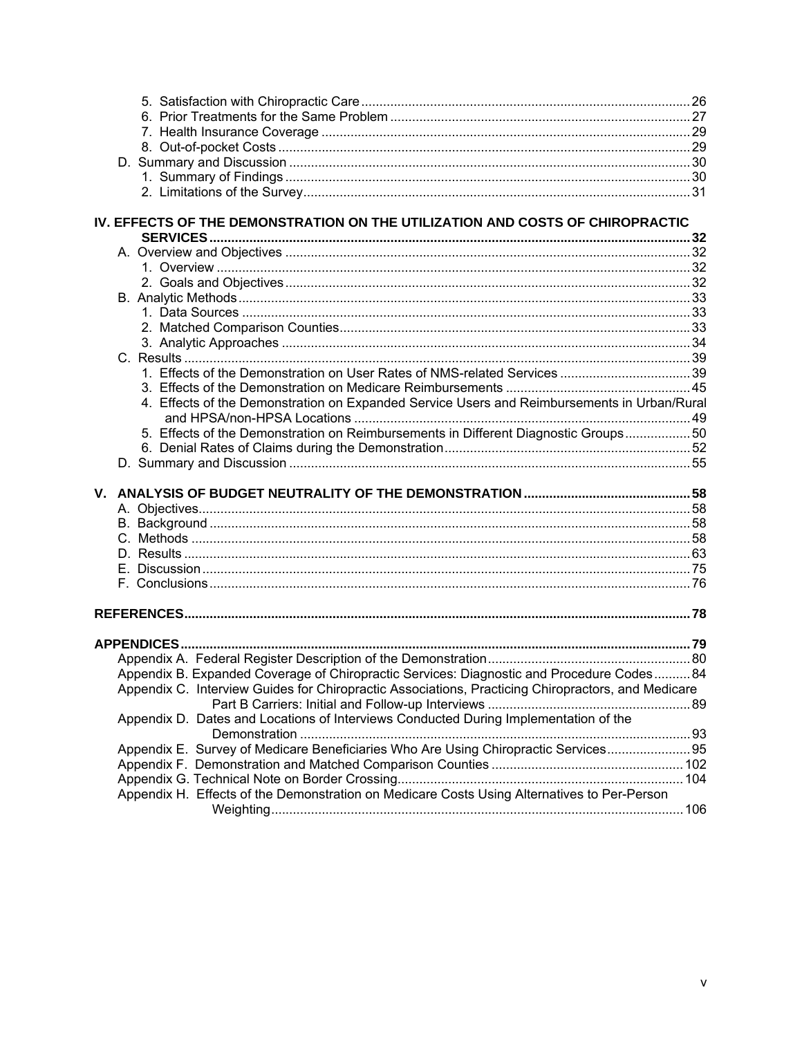|  | IV. EFFECTS OF THE DEMONSTRATION ON THE UTILIZATION AND COSTS OF CHIROPRACTIC                      |  |
|--|----------------------------------------------------------------------------------------------------|--|
|  |                                                                                                    |  |
|  |                                                                                                    |  |
|  |                                                                                                    |  |
|  |                                                                                                    |  |
|  |                                                                                                    |  |
|  |                                                                                                    |  |
|  |                                                                                                    |  |
|  |                                                                                                    |  |
|  |                                                                                                    |  |
|  |                                                                                                    |  |
|  |                                                                                                    |  |
|  | 4. Effects of the Demonstration on Expanded Service Users and Reimbursements in Urban/Rural        |  |
|  |                                                                                                    |  |
|  | 50. Effects of the Demonstration on Reimbursements in Different Diagnostic Groups 50               |  |
|  |                                                                                                    |  |
|  |                                                                                                    |  |
|  |                                                                                                    |  |
|  |                                                                                                    |  |
|  |                                                                                                    |  |
|  |                                                                                                    |  |
|  |                                                                                                    |  |
|  |                                                                                                    |  |
|  |                                                                                                    |  |
|  |                                                                                                    |  |
|  |                                                                                                    |  |
|  |                                                                                                    |  |
|  |                                                                                                    |  |
|  | Appendix B. Expanded Coverage of Chiropractic Services: Diagnostic and Procedure Codes 84          |  |
|  | Appendix C. Interview Guides for Chiropractic Associations, Practicing Chiropractors, and Medicare |  |
|  |                                                                                                    |  |
|  | Appendix D. Dates and Locations of Interviews Conducted During Implementation of the               |  |
|  |                                                                                                    |  |
|  | Appendix E. Survey of Medicare Beneficiaries Who Are Using Chiropractic Services 95                |  |
|  |                                                                                                    |  |
|  |                                                                                                    |  |
|  | Appendix H. Effects of the Demonstration on Medicare Costs Using Alternatives to Per-Person        |  |
|  |                                                                                                    |  |
|  |                                                                                                    |  |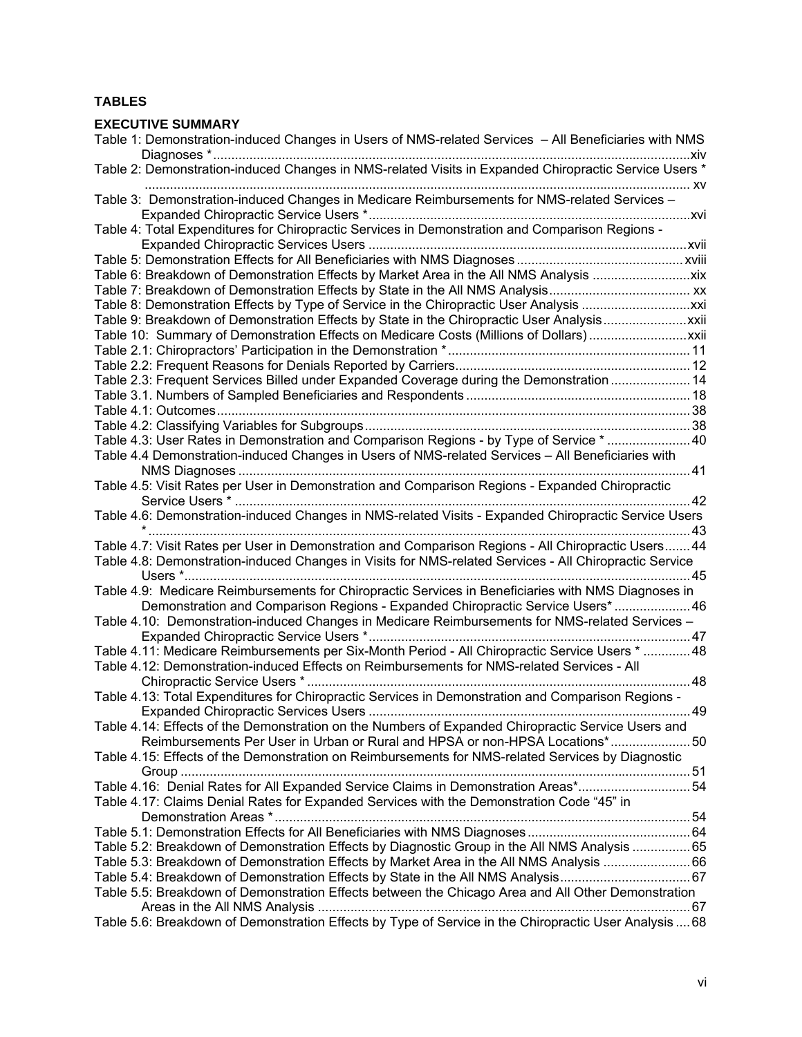## **TABLES**

| <b>EXECUTIVE SUMMARY</b>                                                                               |    |
|--------------------------------------------------------------------------------------------------------|----|
| Table 1: Demonstration-induced Changes in Users of NMS-related Services - All Beneficiaries with NMS   |    |
| * Table 2: Demonstration-induced Changes in NMS-related Visits in Expanded Chiropractic Service Users  |    |
| Table 3: Demonstration-induced Changes in Medicare Reimbursements for NMS-related Services -           |    |
| Table 4: Total Expenditures for Chiropractic Services in Demonstration and Comparison Regions -        |    |
|                                                                                                        |    |
| Table 6: Breakdown of Demonstration Effects by Market Area in the All NMS Analysis xix                 |    |
|                                                                                                        |    |
|                                                                                                        |    |
| Table 9: Breakdown of Demonstration Effects by State in the Chiropractic User Analysisxxii             |    |
|                                                                                                        |    |
|                                                                                                        |    |
|                                                                                                        |    |
| Table 2.3: Frequent Services Billed under Expanded Coverage during the Demonstration  14               |    |
|                                                                                                        |    |
|                                                                                                        |    |
|                                                                                                        |    |
| Table 4.3: User Rates in Demonstration and Comparison Regions - by Type of Service * 40                |    |
| Table 4.4 Demonstration-induced Changes in Users of NMS-related Services - All Beneficiaries with      |    |
|                                                                                                        |    |
| Table 4.5: Visit Rates per User in Demonstration and Comparison Regions - Expanded Chiropractic        |    |
| Table 4.6: Demonstration-induced Changes in NMS-related Visits - Expanded Chiropractic Service Users   |    |
| Table 4.7: Visit Rates per User in Demonstration and Comparison Regions - All Chiropractic Users 44    |    |
| Table 4.8: Demonstration-induced Changes in Visits for NMS-related Services - All Chiropractic Service |    |
| Users *                                                                                                | 45 |
| Table 4.9: Medicare Reimbursements for Chiropractic Services in Beneficiaries with NMS Diagnoses in    |    |
| Demonstration and Comparison Regions - Expanded Chiropractic Service Users*  46                        |    |
| Table 4.10: Demonstration-induced Changes in Medicare Reimbursements for NMS-related Services -        |    |
|                                                                                                        |    |
| Table 4.11: Medicare Reimbursements per Six-Month Period - All Chiropractic Service Users *  48        |    |
| Table 4.12: Demonstration-induced Effects on Reimbursements for NMS-related Services - All             |    |
| Table 4.13: Total Expenditures for Chiropractic Services in Demonstration and Comparison Regions -     |    |
|                                                                                                        |    |
| Table 4.14: Effects of the Demonstration on the Numbers of Expanded Chiropractic Service Users and     |    |
| Reimbursements Per User in Urban or Rural and HPSA or non-HPSA Locations* 50                           |    |
| Table 4.15: Effects of the Demonstration on Reimbursements for NMS-related Services by Diagnostic      |    |
| Table 4.16: Denial Rates for All Expanded Service Claims in Demonstration Areas*54                     |    |
| Table 4.17: Claims Denial Rates for Expanded Services with the Demonstration Code "45" in              |    |
|                                                                                                        |    |
| Table 5.2: Breakdown of Demonstration Effects by Diagnostic Group in the All NMS Analysis  65          |    |
|                                                                                                        |    |
| Table 5.4: Breakdown of Demonstration Effects by State in the All NMS Analysis67                       |    |
| Table 5.5: Breakdown of Demonstration Effects between the Chicago Area and All Other Demonstration     |    |
| Table 5.6: Breakdown of Demonstration Effects by Type of Service in the Chiropractic User Analysis  68 |    |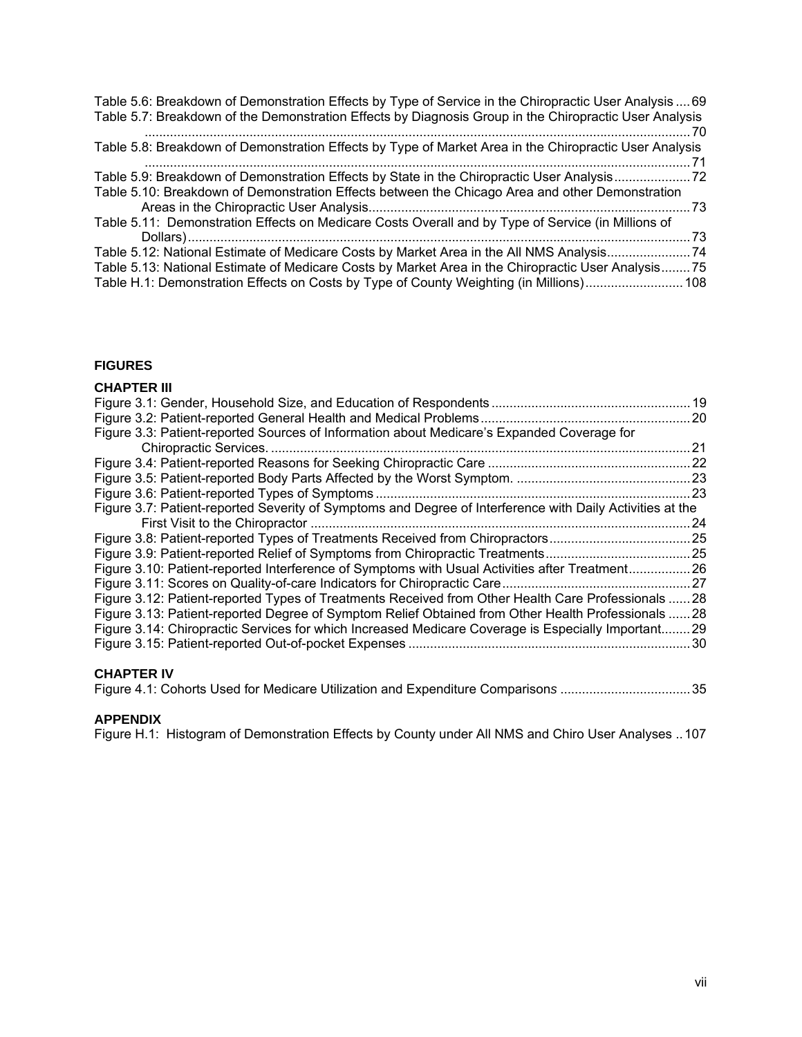| Table 5.6: Breakdown of Demonstration Effects by Type of Service in the Chiropractic User Analysis  69<br>Table 5.7: Breakdown of the Demonstration Effects by Diagnosis Group in the Chiropractic User Analysis |
|------------------------------------------------------------------------------------------------------------------------------------------------------------------------------------------------------------------|
| Table 5.8: Breakdown of Demonstration Effects by Type of Market Area in the Chiropractic User Analysis                                                                                                           |
| Table 5.9: Breakdown of Demonstration Effects by State in the Chiropractic User Analysis22                                                                                                                       |
| Table 5.10: Breakdown of Demonstration Effects between the Chicago Area and other Demonstration                                                                                                                  |
| Table 5.11: Demonstration Effects on Medicare Costs Overall and by Type of Service (in Millions of                                                                                                               |
| Table 5.12: National Estimate of Medicare Costs by Market Area in the All NMS Analysis 74                                                                                                                        |
| Table 5.13: National Estimate of Medicare Costs by Market Area in the Chiropractic User Analysis75                                                                                                               |
| Table H.1: Demonstration Effects on Costs by Type of County Weighting (in Millions) 108                                                                                                                          |

## **FIGURES**

| <b>CHAPTER III</b>                                                                                        |  |
|-----------------------------------------------------------------------------------------------------------|--|
|                                                                                                           |  |
|                                                                                                           |  |
| Figure 3.3: Patient-reported Sources of Information about Medicare's Expanded Coverage for                |  |
|                                                                                                           |  |
|                                                                                                           |  |
|                                                                                                           |  |
|                                                                                                           |  |
| Figure 3.7: Patient-reported Severity of Symptoms and Degree of Interference with Daily Activities at the |  |
|                                                                                                           |  |
| Figure 3.8: Patient-reported Types of Treatments Received from Chiropractors25                            |  |
|                                                                                                           |  |
| Figure 3.10: Patient-reported Interference of Symptoms with Usual Activities after Treatment26            |  |
|                                                                                                           |  |
| Figure 3.12: Patient-reported Types of Treatments Received from Other Health Care Professionals  28       |  |
| Figure 3.13: Patient-reported Degree of Symptom Relief Obtained from Other Health Professionals  28       |  |
| Figure 3.14: Chiropractic Services for which Increased Medicare Coverage is Especially Important29        |  |
|                                                                                                           |  |
|                                                                                                           |  |
| <b>CHAPTER IV</b>                                                                                         |  |
| Figure 4.1: Cohorts Used for Medicare Utilization and Expenditure Comparisons 35                          |  |
|                                                                                                           |  |

#### **APPENDIX**

[Figure H.1: Histogram of Demonstration Effects by County under All NMS and Chiro User Analyses ..107](#page-129-0)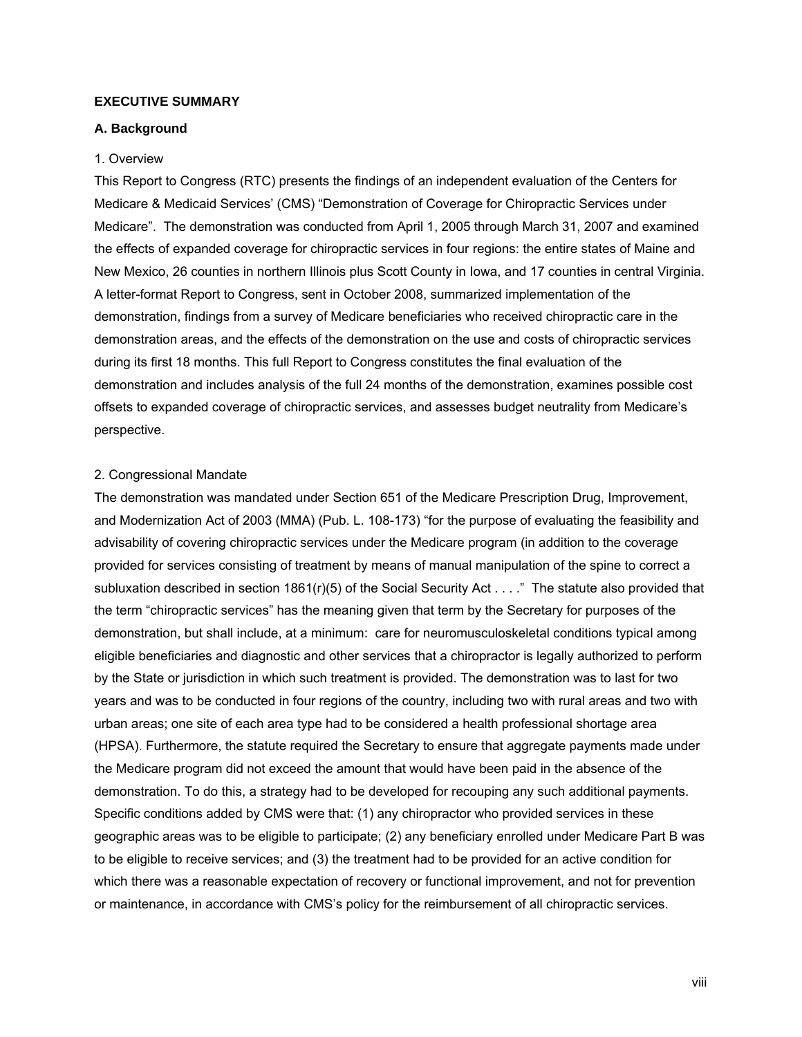#### <span id="page-7-0"></span>**EXECUTIVE SUMMARY**

#### <span id="page-7-1"></span>**A. Background**

#### <span id="page-7-2"></span>1. Overview

This Report to Congress (RTC) presents the findings of an independent evaluation of the Centers for Medicare & Medicaid Services' (CMS) "Demonstration of Coverage for Chiropractic Services under Medicare". The demonstration was conducted from April 1, 2005 through March 31, 2007 and examined the effects of expanded coverage for chiropractic services in four regions: the entire states of Maine and New Mexico, 26 counties in northern Illinois plus Scott County in Iowa, and 17 counties in central Virginia. A letter-format Report to Congress, sent in October 2008, summarized implementation of the demonstration, findings from a survey of Medicare beneficiaries who received chiropractic care in the demonstration areas, and the effects of the demonstration on the use and costs of chiropractic services during its first 18 months. This full Report to Congress constitutes the final evaluation of the demonstration and includes analysis of the full 24 months of the demonstration, examines possible cost offsets to expanded coverage of chiropractic services, and assesses budget neutrality from Medicare's perspective.

#### <span id="page-7-3"></span>2. Congressional Mandate

The demonstration was mandated under Section 651 of the Medicare Prescription Drug, Improvement, and Modernization Act of 2003 (MMA) (Pub. L. 108-173) "for the purpose of evaluating the feasibility and advisability of covering chiropractic services under the Medicare program (in addition to the coverage provided for services consisting of treatment by means of manual manipulation of the spine to correct a subluxation described in section 1861(r)(5) of the Social Security Act . . . ." The statute also provided that the term "chiropractic services" has the meaning given that term by the Secretary for purposes of the demonstration, but shall include, at a minimum: care for neuromusculoskeletal conditions typical among eligible beneficiaries and diagnostic and other services that a chiropractor is legally authorized to perform by the State or jurisdiction in which such treatment is provided. The demonstration was to last for two years and was to be conducted in four regions of the country, including two with rural areas and two with urban areas; one site of each area type had to be considered a health professional shortage area (HPSA). Furthermore, the statute required the Secretary to ensure that aggregate payments made under the Medicare program did not exceed the amount that would have been paid in the absence of the demonstration. To do this, a strategy had to be developed for recouping any such additional payments. Specific conditions added by CMS were that: (1) any chiropractor who provided services in these geographic areas was to be eligible to participate; (2) any beneficiary enrolled under Medicare Part B was to be eligible to receive services; and (3) the treatment had to be provided for an active condition for which there was a reasonable expectation of recovery or functional improvement, and not for prevention or maintenance, in accordance with CMS's policy for the reimbursement of all chiropractic services.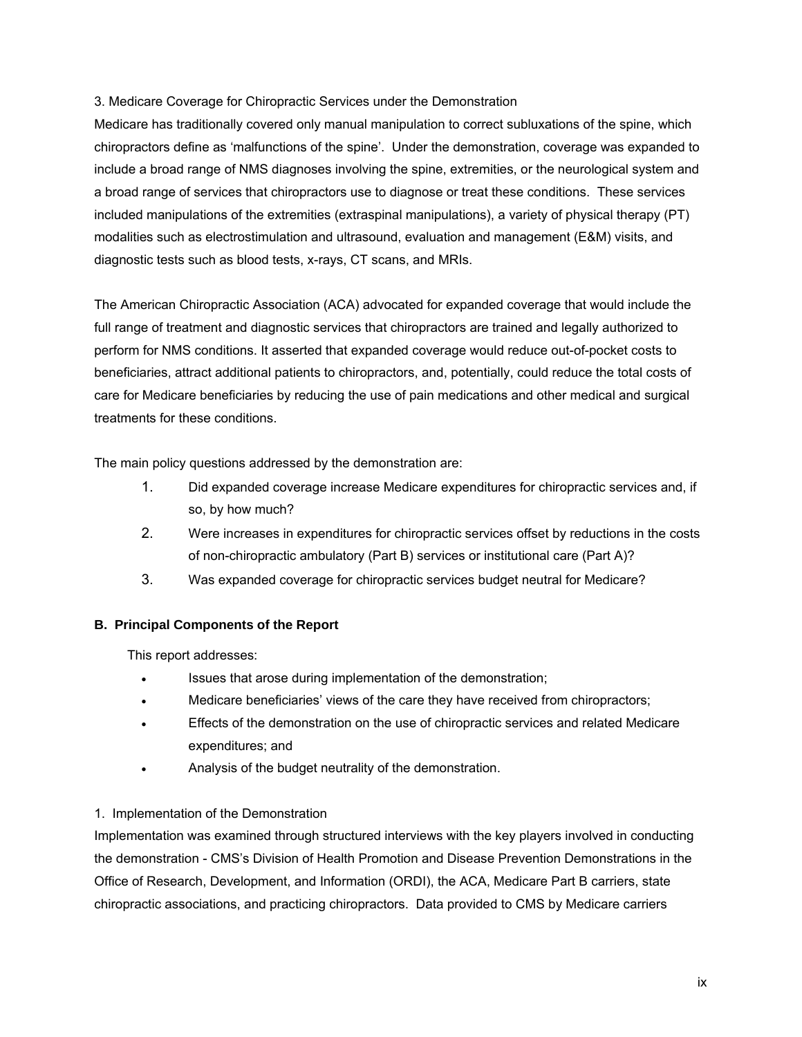## <span id="page-8-0"></span>3. Medicare Coverage for Chiropractic Services under the Demonstration

Medicare has traditionally covered only manual manipulation to correct subluxations of the spine, which chiropractors define as 'malfunctions of the spine'. Under the demonstration, coverage was expanded to include a broad range of NMS diagnoses involving the spine, extremities, or the neurological system and a broad range of services that chiropractors use to diagnose or treat these conditions. These services included manipulations of the extremities (extraspinal manipulations), a variety of physical therapy (PT) modalities such as electrostimulation and ultrasound, evaluation and management (E&M) visits, and diagnostic tests such as blood tests, x-rays, CT scans, and MRIs.

The American Chiropractic Association (ACA) advocated for expanded coverage that would include the full range of treatment and diagnostic services that chiropractors are trained and legally authorized to perform for NMS conditions. It asserted that expanded coverage would reduce out-of-pocket costs to beneficiaries, attract additional patients to chiropractors, and, potentially, could reduce the total costs of care for Medicare beneficiaries by reducing the use of pain medications and other medical and surgical treatments for these conditions.

The main policy questions addressed by the demonstration are:

- 1. Did expanded coverage increase Medicare expenditures for chiropractic services and, if so, by how much?
- 2. Were increases in expenditures for chiropractic services offset by reductions in the costs of non-chiropractic ambulatory (Part B) services or institutional care (Part A)?
- 3. Was expanded coverage for chiropractic services budget neutral for Medicare?

## <span id="page-8-1"></span>**B. Principal Components of the Report**

This report addresses:

- Issues that arose during implementation of the demonstration;
- Medicare beneficiaries' views of the care they have received from chiropractors;
- Effects of the demonstration on the use of chiropractic services and related Medicare expenditures; and
- Analysis of the budget neutrality of the demonstration.

## <span id="page-8-2"></span>1. Implementation of the Demonstration

Implementation was examined through structured interviews with the key players involved in conducting the demonstration - CMS's Division of Health Promotion and Disease Prevention Demonstrations in the Office of Research, Development, and Information (ORDI), the ACA, Medicare Part B carriers, state chiropractic associations, and practicing chiropractors. Data provided to CMS by Medicare carriers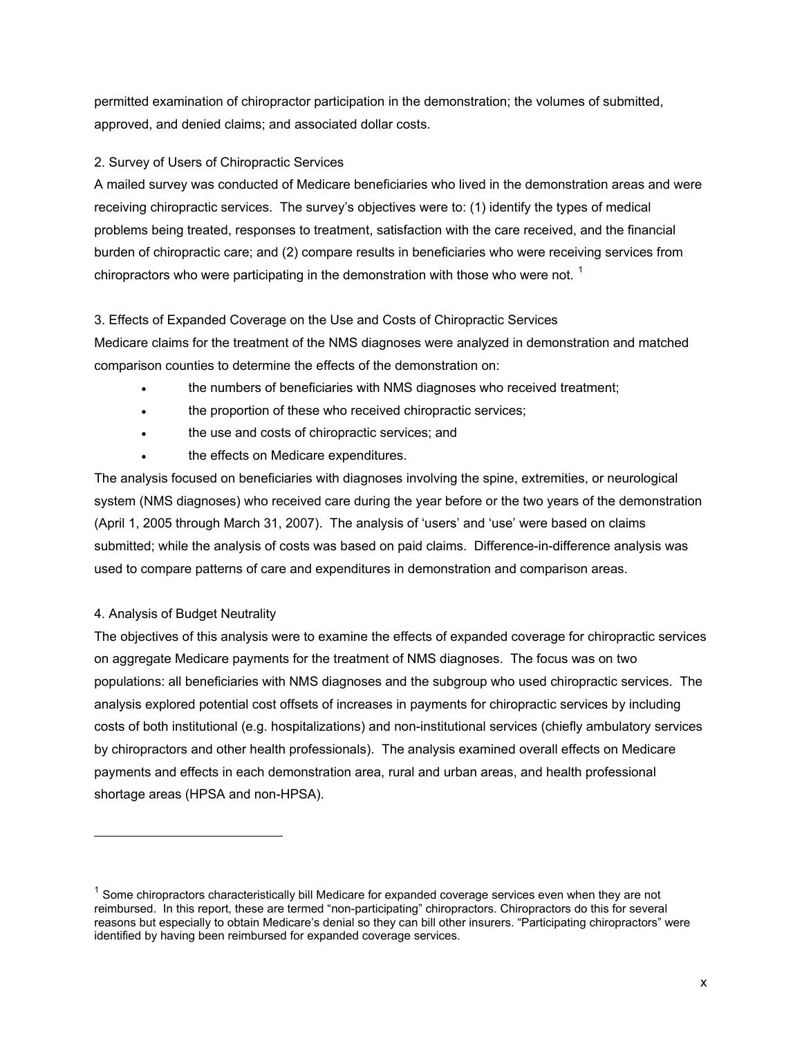permitted examination of chiropractor participation in the demonstration; the volumes of submitted, approved, and denied claims; and associated dollar costs.

# <span id="page-9-0"></span>2. Survey of Users of Chiropractic Services

A mailed survey was conducted of Medicare beneficiaries who lived in the demonstration areas and were receiving chiropractic services. The survey's objectives were to: (1) identify the types of medical problems being treated, responses to treatment, satisfaction with the care received, and the financial burden of chiropractic care; and (2) compare results in beneficiaries who were receiving services from chiropractors who were participating in the demonstration with those who were not.  $^1$  $^1$ 

# <span id="page-9-1"></span>3. Effects of Expanded Coverage on the Use and Costs of Chiropractic Services

Medicare claims for the treatment of the NMS diagnoses were analyzed in demonstration and matched comparison counties to determine the effects of the demonstration on:

- the numbers of beneficiaries with NMS diagnoses who received treatment;
- the proportion of these who received chiropractic services;
- the use and costs of chiropractic services; and
- the effects on Medicare expenditures.

The analysis focused on beneficiaries with diagnoses involving the spine, extremities, or neurological system (NMS diagnoses) who received care during the year before or the two years of the demonstration (April 1, 2005 through March 31, 2007). The analysis of 'users' and 'use' were based on claims submitted; while the analysis of costs was based on paid claims. Difference-in-difference analysis was used to compare patterns of care and expenditures in demonstration and comparison areas.

# <span id="page-9-2"></span>4. Analysis of Budget Neutrality

1

The objectives of this analysis were to examine the effects of expanded coverage for chiropractic services on aggregate Medicare payments for the treatment of NMS diagnoses. The focus was on two populations: all beneficiaries with NMS diagnoses and the subgroup who used chiropractic services. The analysis explored potential cost offsets of increases in payments for chiropractic services by including costs of both institutional (e.g. hospitalizations) and non-institutional services (chiefly ambulatory services by chiropractors and other health professionals). The analysis examined overall effects on Medicare payments and effects in each demonstration area, rural and urban areas, and health professional shortage areas (HPSA and non-HPSA).

<span id="page-9-3"></span> $1$  Some chiropractors characteristically bill Medicare for expanded coverage services even when they are not reimbursed. In this report, these are termed "non-participating" chiropractors. Chiropractors do this for several reasons but especially to obtain Medicare's denial so they can bill other insurers. "Participating chiropractors" were identified by having been reimbursed for expanded coverage services.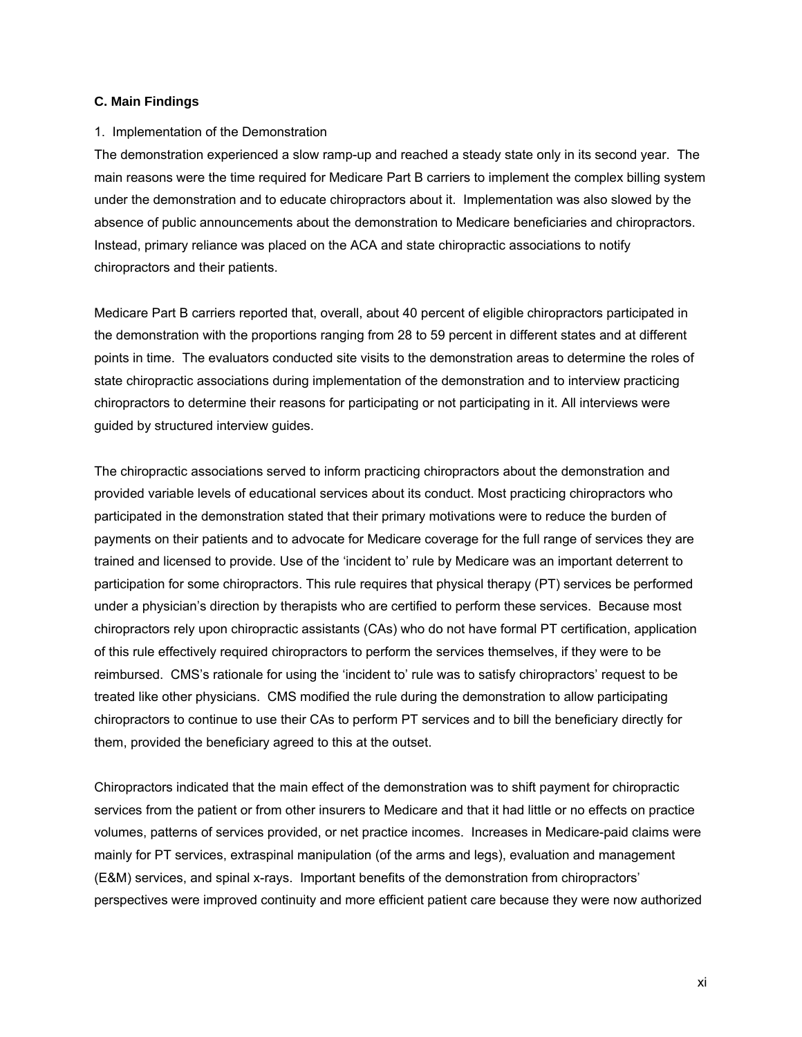#### <span id="page-10-0"></span>**C. Main Findings**

#### <span id="page-10-1"></span>1. Implementation of the Demonstration

The demonstration experienced a slow ramp-up and reached a steady state only in its second year. The main reasons were the time required for Medicare Part B carriers to implement the complex billing system under the demonstration and to educate chiropractors about it. Implementation was also slowed by the absence of public announcements about the demonstration to Medicare beneficiaries and chiropractors. Instead, primary reliance was placed on the ACA and state chiropractic associations to notify chiropractors and their patients.

Medicare Part B carriers reported that, overall, about 40 percent of eligible chiropractors participated in the demonstration with the proportions ranging from 28 to 59 percent in different states and at different points in time. The evaluators conducted site visits to the demonstration areas to determine the roles of state chiropractic associations during implementation of the demonstration and to interview practicing chiropractors to determine their reasons for participating or not participating in it. All interviews were guided by structured interview guides.

The chiropractic associations served to inform practicing chiropractors about the demonstration and provided variable levels of educational services about its conduct. Most practicing chiropractors who participated in the demonstration stated that their primary motivations were to reduce the burden of payments on their patients and to advocate for Medicare coverage for the full range of services they are trained and licensed to provide. Use of the 'incident to' rule by Medicare was an important deterrent to participation for some chiropractors. This rule requires that physical therapy (PT) services be performed under a physician's direction by therapists who are certified to perform these services. Because most chiropractors rely upon chiropractic assistants (CAs) who do not have formal PT certification, application of this rule effectively required chiropractors to perform the services themselves, if they were to be reimbursed. CMS's rationale for using the 'incident to' rule was to satisfy chiropractors' request to be treated like other physicians. CMS modified the rule during the demonstration to allow participating chiropractors to continue to use their CAs to perform PT services and to bill the beneficiary directly for them, provided the beneficiary agreed to this at the outset.

Chiropractors indicated that the main effect of the demonstration was to shift payment for chiropractic services from the patient or from other insurers to Medicare and that it had little or no effects on practice volumes, patterns of services provided, or net practice incomes. Increases in Medicare-paid claims were mainly for PT services, extraspinal manipulation (of the arms and legs), evaluation and management (E&M) services, and spinal x-rays. Important benefits of the demonstration from chiropractors' perspectives were improved continuity and more efficient patient care because they were now authorized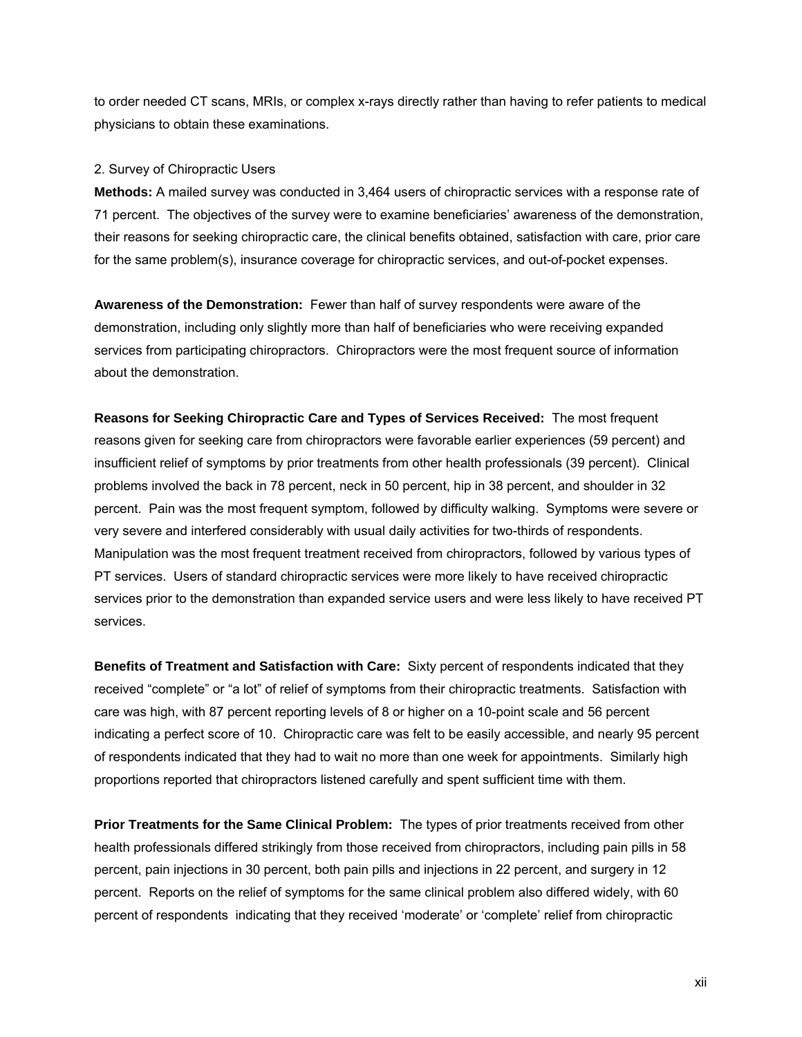to order needed CT scans, MRIs, or complex x-rays directly rather than having to refer patients to medical physicians to obtain these examinations.

#### <span id="page-11-0"></span>2. Survey of Chiropractic Users

**Methods:** A mailed survey was conducted in 3,464 users of chiropractic services with a response rate of 71 percent. The objectives of the survey were to examine beneficiaries' awareness of the demonstration, their reasons for seeking chiropractic care, the clinical benefits obtained, satisfaction with care, prior care for the same problem(s), insurance coverage for chiropractic services, and out-of-pocket expenses.

**Awareness of the Demonstration:** Fewer than half of survey respondents were aware of the demonstration, including only slightly more than half of beneficiaries who were receiving expanded services from participating chiropractors. Chiropractors were the most frequent source of information about the demonstration.

**Reasons for Seeking Chiropractic Care and Types of Services Received:** The most frequent reasons given for seeking care from chiropractors were favorable earlier experiences (59 percent) and insufficient relief of symptoms by prior treatments from other health professionals (39 percent). Clinical problems involved the back in 78 percent, neck in 50 percent, hip in 38 percent, and shoulder in 32 percent. Pain was the most frequent symptom, followed by difficulty walking. Symptoms were severe or very severe and interfered considerably with usual daily activities for two-thirds of respondents. Manipulation was the most frequent treatment received from chiropractors, followed by various types of PT services. Users of standard chiropractic services were more likely to have received chiropractic services prior to the demonstration than expanded service users and were less likely to have received PT services.

**Benefits of Treatment and Satisfaction with Care:** Sixty percent of respondents indicated that they received "complete" or "a lot" of relief of symptoms from their chiropractic treatments. Satisfaction with care was high, with 87 percent reporting levels of 8 or higher on a 10-point scale and 56 percent indicating a perfect score of 10. Chiropractic care was felt to be easily accessible, and nearly 95 percent of respondents indicated that they had to wait no more than one week for appointments. Similarly high proportions reported that chiropractors listened carefully and spent sufficient time with them.

**Prior Treatments for the Same Clinical Problem:** The types of prior treatments received from other health professionals differed strikingly from those received from chiropractors, including pain pills in 58 percent, pain injections in 30 percent, both pain pills and injections in 22 percent, and surgery in 12 percent. Reports on the relief of symptoms for the same clinical problem also differed widely, with 60 percent of respondents indicating that they received 'moderate' or 'complete' relief from chiropractic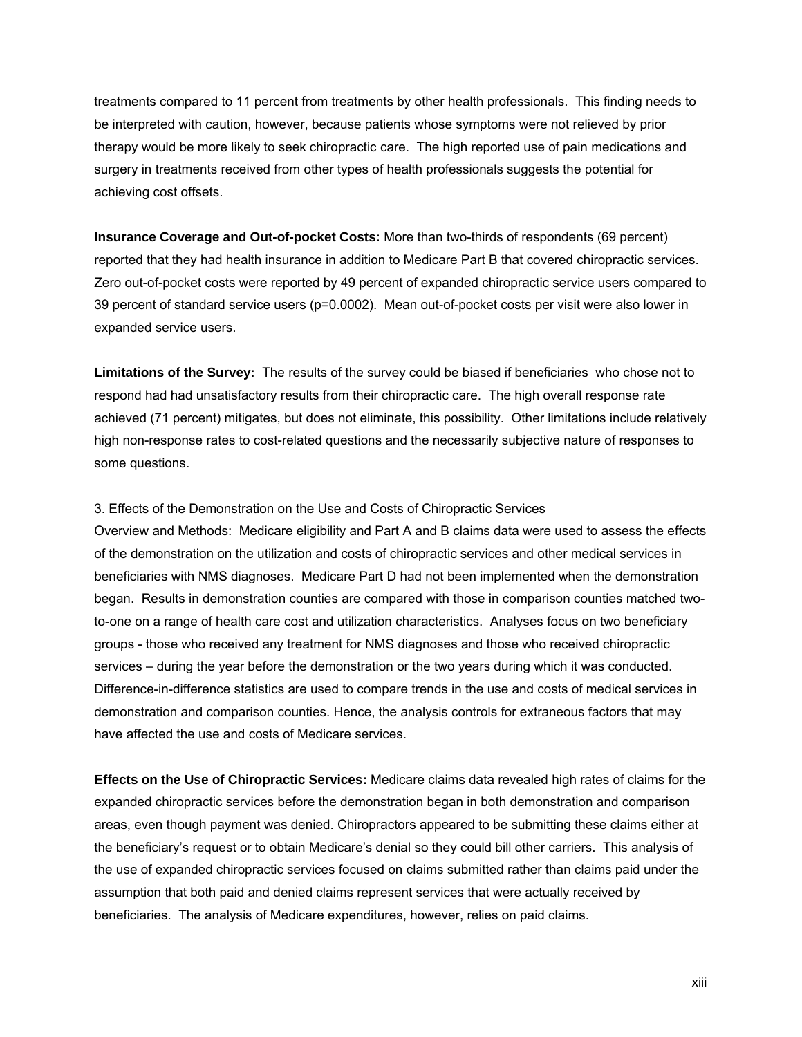treatments compared to 11 percent from treatments by other health professionals. This finding needs to be interpreted with caution, however, because patients whose symptoms were not relieved by prior therapy would be more likely to seek chiropractic care. The high reported use of pain medications and surgery in treatments received from other types of health professionals suggests the potential for achieving cost offsets.

**Insurance Coverage and Out-of-pocket Costs:** More than two-thirds of respondents (69 percent) reported that they had health insurance in addition to Medicare Part B that covered chiropractic services. Zero out-of-pocket costs were reported by 49 percent of expanded chiropractic service users compared to 39 percent of standard service users (p=0.0002). Mean out-of-pocket costs per visit were also lower in expanded service users.

**Limitations of the Survey:** The results of the survey could be biased if beneficiaries who chose not to respond had had unsatisfactory results from their chiropractic care. The high overall response rate achieved (71 percent) mitigates, but does not eliminate, this possibility. Other limitations include relatively high non-response rates to cost-related questions and the necessarily subjective nature of responses to some questions.

#### <span id="page-12-0"></span>3. Effects of the Demonstration on the Use and Costs of Chiropractic Services

Overview and Methods: Medicare eligibility and Part A and B claims data were used to assess the effects of the demonstration on the utilization and costs of chiropractic services and other medical services in beneficiaries with NMS diagnoses. Medicare Part D had not been implemented when the demonstration began. Results in demonstration counties are compared with those in comparison counties matched twoto-one on a range of health care cost and utilization characteristics. Analyses focus on two beneficiary groups - those who received any treatment for NMS diagnoses and those who received chiropractic services – during the year before the demonstration or the two years during which it was conducted. Difference-in-difference statistics are used to compare trends in the use and costs of medical services in demonstration and comparison counties. Hence, the analysis controls for extraneous factors that may have affected the use and costs of Medicare services.

**Effects on the Use of Chiropractic Services:** Medicare claims data revealed high rates of claims for the expanded chiropractic services before the demonstration began in both demonstration and comparison areas, even though payment was denied. Chiropractors appeared to be submitting these claims either at the beneficiary's request or to obtain Medicare's denial so they could bill other carriers. This analysis of the use of expanded chiropractic services focused on claims submitted rather than claims paid under the assumption that both paid and denied claims represent services that were actually received by beneficiaries. The analysis of Medicare expenditures, however, relies on paid claims.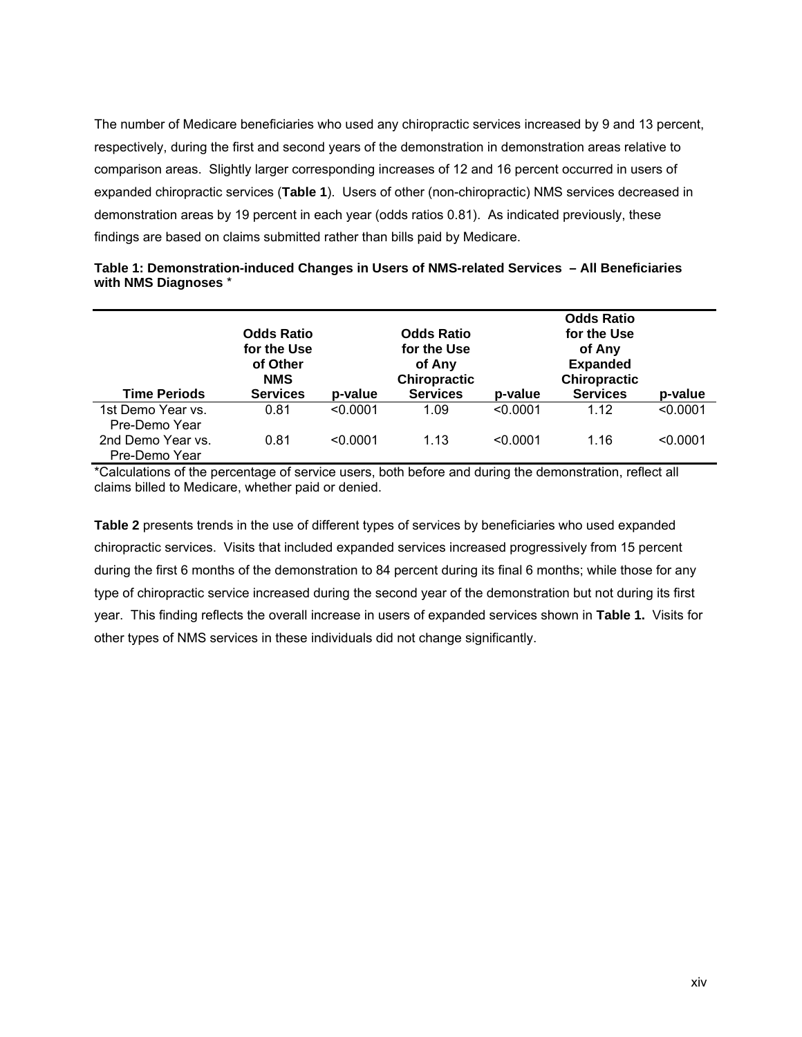The number of Medicare beneficiaries who used any chiropractic services increased by 9 and 13 percent, respectively, during the first and second years of the demonstration in demonstration areas relative to comparison areas. Slightly larger corresponding increases of 12 and 16 percent occurred in users of expanded chiropractic services (**Table 1**). Users of other (non-chiropractic) NMS services decreased in demonstration areas by 19 percent in each year (odds ratios 0.81). As indicated previously, these findings are based on claims submitted rather than bills paid by Medicare.

<span id="page-13-0"></span>

| Table 1: Demonstration-induced Changes in Users of NMS-related Services - All Beneficiaries |  |
|---------------------------------------------------------------------------------------------|--|
| with NMS Diagnoses *                                                                        |  |

|                                    | <b>Odds Ratio</b><br>for the Use<br>of Other<br><b>NMS</b> |          | <b>Odds Ratio</b><br>for the Use<br>of Any<br>Chiropractic |          | <b>Odds Ratio</b><br>for the Use<br>of Any<br><b>Expanded</b><br>Chiropractic |          |
|------------------------------------|------------------------------------------------------------|----------|------------------------------------------------------------|----------|-------------------------------------------------------------------------------|----------|
| <b>Time Periods</b>                | <b>Services</b>                                            | p-value  | <b>Services</b>                                            | p-value  | <b>Services</b>                                                               | p-value  |
| 1st Demo Year vs.<br>Pre-Demo Year | 0.81                                                       | < 0.0001 | 1.09                                                       | < 0.0001 | 1.12                                                                          | < 0.0001 |
| 2nd Demo Year vs.<br>Pre-Demo Year | 0.81                                                       | < 0.0001 | 1.13                                                       | < 0.0001 | 1.16                                                                          | < 0.0001 |

\*Calculations of the percentage of service users, both before and during the demonstration, reflect all claims billed to Medicare, whether paid or denied.

**Table 2** presents trends in the use of different types of services by beneficiaries who used expanded chiropractic services. Visits that included expanded services increased progressively from 15 percent during the first 6 months of the demonstration to 84 percent during its final 6 months; while those for any type of chiropractic service increased during the second year of the demonstration but not during its first year. This finding reflects the overall increase in users of expanded services shown in **Table 1.** Visits for other types of NMS services in these individuals did not change significantly.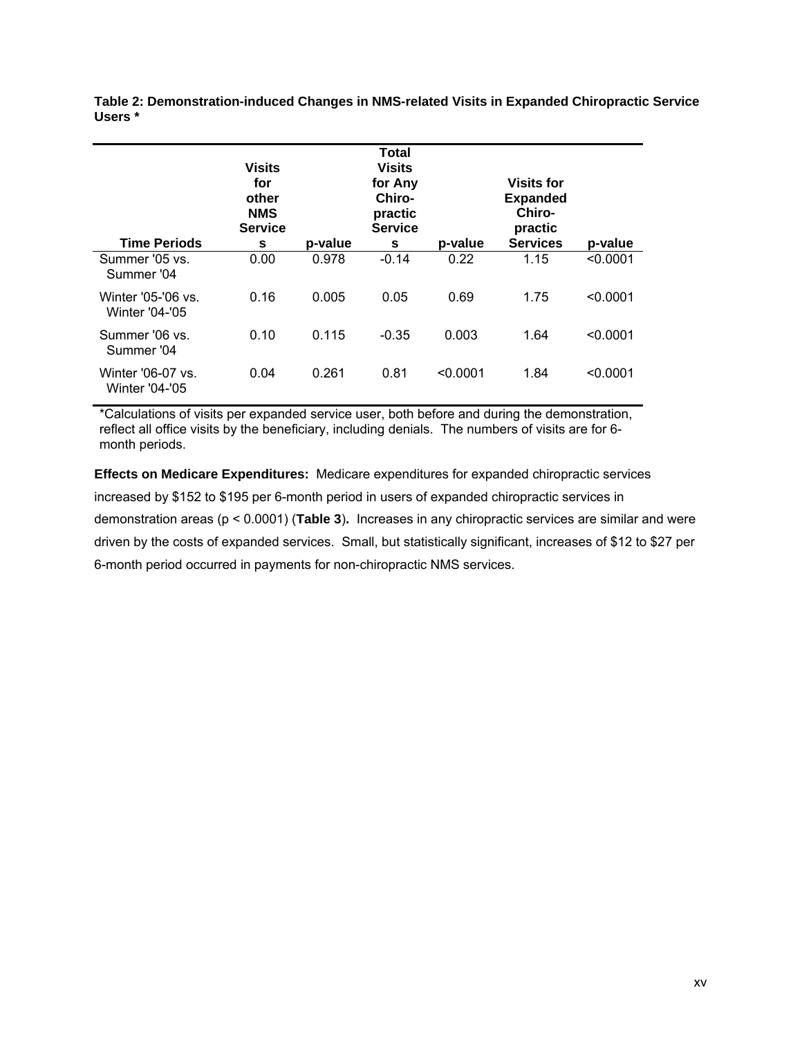<span id="page-14-0"></span>**Table 2: Demonstration-induced Changes in NMS-related Visits in Expanded Chiropractic Service Users \*** 

|                                             | <b>Visits</b><br>for<br>other<br><b>NMS</b><br><b>Service</b> |         | Total<br><b>Visits</b><br>for Any<br>Chiro-<br>practic<br><b>Service</b> |          | <b>Visits for</b><br><b>Expanded</b><br>Chiro-<br>practic |          |
|---------------------------------------------|---------------------------------------------------------------|---------|--------------------------------------------------------------------------|----------|-----------------------------------------------------------|----------|
| <b>Time Periods</b>                         | s                                                             | p-value | s                                                                        | p-value  | <b>Services</b>                                           | p-value  |
| Summer '05 vs.<br>Summer '04                | 0.00                                                          | 0.978   | $-0.14$                                                                  | 0.22     | 1.15                                                      | < 0.0001 |
| Winter '05-'06 vs.<br><b>Winter '04-'05</b> | 0.16                                                          | 0.005   | 0.05                                                                     | 0.69     | 1.75                                                      | < 0.0001 |
| Summer '06 vs.<br>Summer '04                | 0.10                                                          | 0.115   | $-0.35$                                                                  | 0.003    | 1.64                                                      | < 0.0001 |
| Winter '06-07 vs.<br><b>Winter '04-'05</b>  | 0.04                                                          | 0.261   | 0.81                                                                     | < 0.0001 | 1.84                                                      | < 0.0001 |

\*Calculations of visits per expanded service user, both before and during the demonstration, reflect all office visits by the beneficiary, including denials. The numbers of visits are for 6 month periods.

**Effects on Medicare Expenditures:** Medicare expenditures for expanded chiropractic services increased by \$152 to \$195 per 6-month period in users of expanded chiropractic services in demonstration areas (p < 0.0001) (**Table 3**)**.** Increases in any chiropractic services are similar and were driven by the costs of expanded services. Small, but statistically significant, increases of \$12 to \$27 per 6-month period occurred in payments for non-chiropractic NMS services.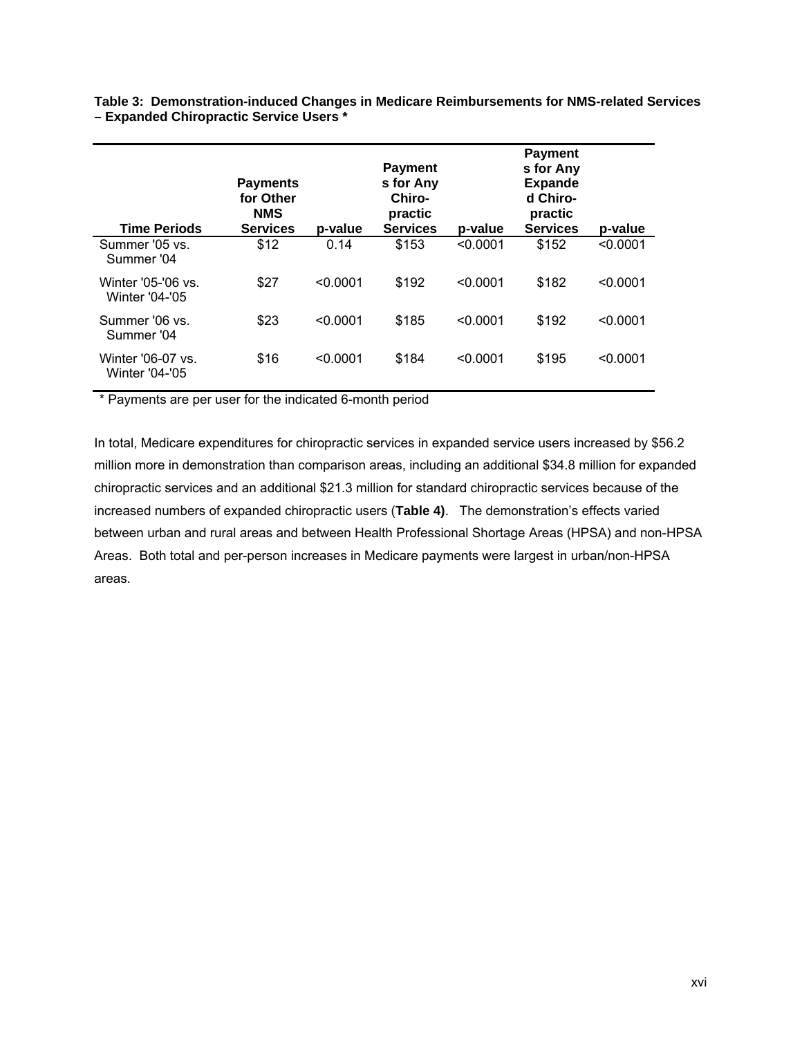| <b>Time Periods</b>                  | <b>Payments</b><br>for Other<br><b>NMS</b><br><b>Services</b> | p-value  | <b>Payment</b><br>s for Any<br>Chiro-<br>practic<br><b>Services</b> | p-value  | <b>Payment</b><br>s for Any<br><b>Expande</b><br>d Chiro-<br>practic<br><b>Services</b> | p-value  |
|--------------------------------------|---------------------------------------------------------------|----------|---------------------------------------------------------------------|----------|-----------------------------------------------------------------------------------------|----------|
| Summer '05 vs.<br>Summer '04         | \$12                                                          | 0.14     | \$153                                                               | < 0.0001 | \$152                                                                                   | < 0.0001 |
| Winter '05-'06 vs.<br>Winter '04-'05 | \$27                                                          | < 0.0001 | \$192                                                               | < 0.0001 | \$182                                                                                   | < 0.0001 |
| Summer '06 vs.<br>Summer '04         | \$23                                                          | < 0.0001 | \$185                                                               | < 0.0001 | \$192                                                                                   | < 0.0001 |
| Winter '06-07 vs.<br>Winter '04-'05  | \$16                                                          | < 0.0001 | \$184                                                               | < 0.0001 | \$195                                                                                   | < 0.0001 |

<span id="page-15-0"></span>**Table 3: Demonstration-induced Changes in Medicare Reimbursements for NMS-related Services – Expanded Chiropractic Service Users \*** 

\* Payments are per user for the indicated 6-month period

In total, Medicare expenditures for chiropractic services in expanded service users increased by \$56.2 million more in demonstration than comparison areas, including an additional \$34.8 million for expanded chiropractic services and an additional \$21.3 million for standard chiropractic services because of the increased numbers of expanded chiropractic users (**Table 4)**. The demonstration's effects varied between urban and rural areas and between Health Professional Shortage Areas (HPSA) and non-HPSA Areas. Both total and per-person increases in Medicare payments were largest in urban/non-HPSA areas.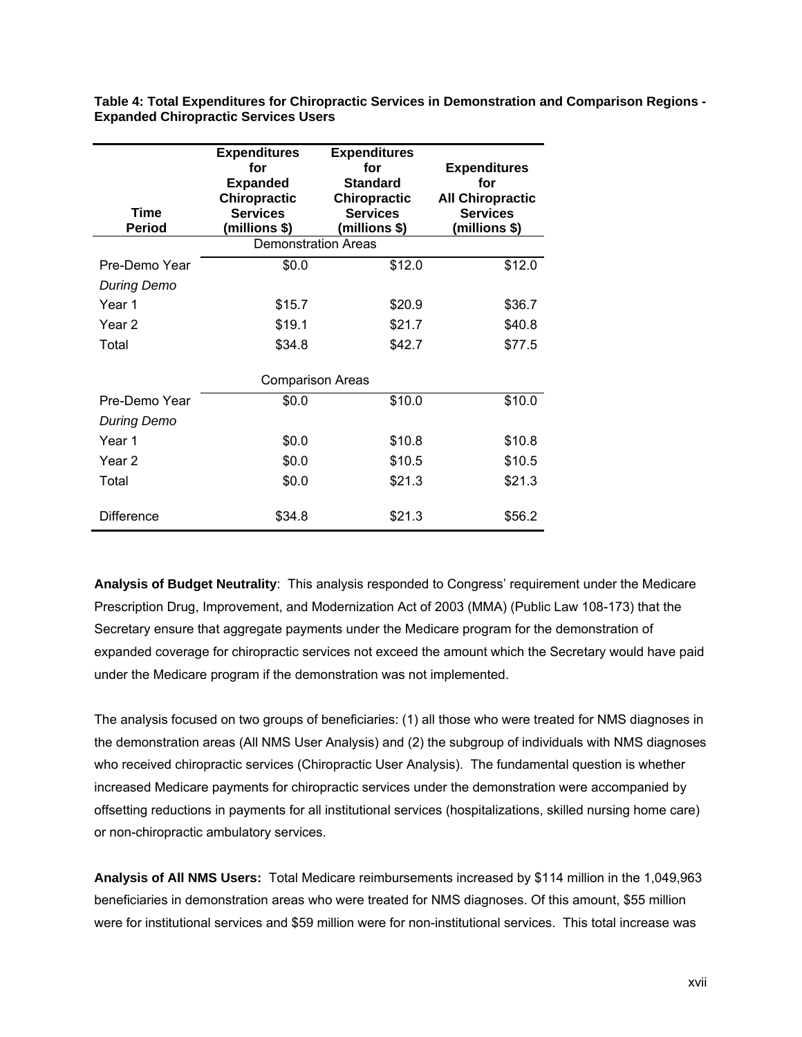| <b>Expenditures</b><br>for<br><b>Expanded</b><br><b>Chiropractic</b><br><b>Services</b><br><b>Time</b><br>(millions \$)<br><b>Period</b> |                            | <b>Expenditures</b><br>for<br><b>Standard</b><br><b>Chiropractic</b><br><b>Services</b><br>(millions \$) | <b>Expenditures</b><br>for<br><b>All Chiropractic</b><br><b>Services</b><br>(millions \$) |  |
|------------------------------------------------------------------------------------------------------------------------------------------|----------------------------|----------------------------------------------------------------------------------------------------------|-------------------------------------------------------------------------------------------|--|
|                                                                                                                                          | <b>Demonstration Areas</b> |                                                                                                          |                                                                                           |  |
| Pre-Demo Year                                                                                                                            | \$0.0                      | \$12.0                                                                                                   | \$12.0                                                                                    |  |
| <b>During Demo</b>                                                                                                                       |                            |                                                                                                          |                                                                                           |  |
| Year 1                                                                                                                                   | \$15.7                     | \$20.9                                                                                                   | \$36.7                                                                                    |  |
| Year 2                                                                                                                                   | \$19.1                     | \$21.7                                                                                                   | \$40.8                                                                                    |  |
| Total                                                                                                                                    | \$34.8                     | \$42.7                                                                                                   | \$77.5                                                                                    |  |
|                                                                                                                                          | <b>Comparison Areas</b>    |                                                                                                          |                                                                                           |  |
| Pre-Demo Year                                                                                                                            | \$0.0                      | \$10.0                                                                                                   | \$10.0                                                                                    |  |
| <b>During Demo</b>                                                                                                                       |                            |                                                                                                          |                                                                                           |  |
| Year 1                                                                                                                                   | \$0.0                      | \$10.8                                                                                                   | \$10.8                                                                                    |  |
| Year 2                                                                                                                                   | \$0.0                      | \$10.5                                                                                                   | \$10.5                                                                                    |  |
| Total                                                                                                                                    | \$0.0                      | \$21.3                                                                                                   | \$21.3                                                                                    |  |
| <b>Difference</b>                                                                                                                        | \$34.8                     | \$21.3                                                                                                   | \$56.2                                                                                    |  |

<span id="page-16-0"></span>**Table 4: Total Expenditures for Chiropractic Services in Demonstration and Comparison Regions - Expanded Chiropractic Services Users** 

**Analysis of Budget Neutrality**: This analysis responded to Congress' requirement under the Medicare Prescription Drug, Improvement, and Modernization Act of 2003 (MMA) (Public Law 108-173) that the Secretary ensure that aggregate payments under the Medicare program for the demonstration of expanded coverage for chiropractic services not exceed the amount which the Secretary would have paid under the Medicare program if the demonstration was not implemented.

The analysis focused on two groups of beneficiaries: (1) all those who were treated for NMS diagnoses in the demonstration areas (All NMS User Analysis) and (2) the subgroup of individuals with NMS diagnoses who received chiropractic services (Chiropractic User Analysis). The fundamental question is whether increased Medicare payments for chiropractic services under the demonstration were accompanied by offsetting reductions in payments for all institutional services (hospitalizations, skilled nursing home care) or non-chiropractic ambulatory services.

**Analysis of All NMS Users:** Total Medicare reimbursements increased by \$114 million in the 1,049,963 beneficiaries in demonstration areas who were treated for NMS diagnoses. Of this amount, \$55 million were for institutional services and \$59 million were for non-institutional services. This total increase was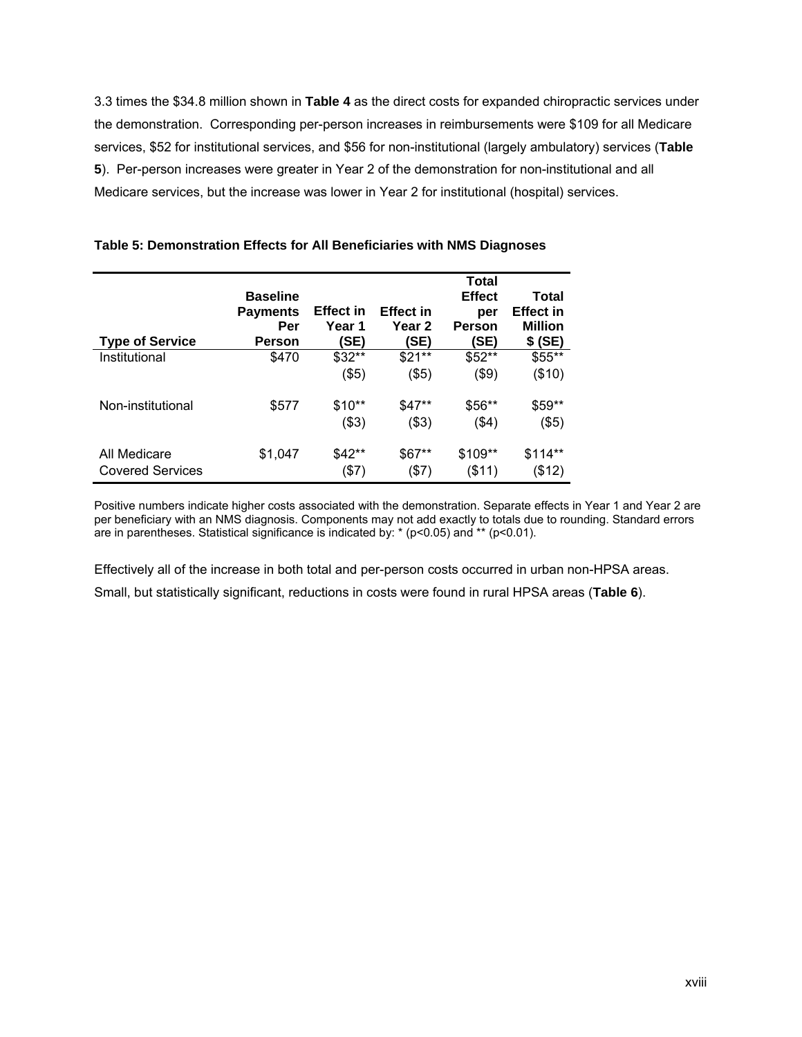3.3 times the \$34.8 million shown in **Table 4** as the direct costs for expanded chiropractic services under the demonstration. Corresponding per-person increases in reimbursements were \$109 for all Medicare services, \$52 for institutional services, and \$56 for non-institutional (largely ambulatory) services (**Table 5**). Per-person increases were greater in Year 2 of the demonstration for non-institutional and all Medicare services, but the increase was lower in Year 2 for institutional (hospital) services.

| <b>Type of Service</b>                  | <b>Baseline</b><br><b>Payments</b><br>Per<br>Person | <b>Effect</b> in<br>Year 1<br>(SE) | <b>Effect in</b><br>Year 2<br>(SE) | Total<br><b>Effect</b><br>per<br>Person<br>(SE) | Total<br><b>Effect in</b><br><b>Million</b><br>\$ (SE) |
|-----------------------------------------|-----------------------------------------------------|------------------------------------|------------------------------------|-------------------------------------------------|--------------------------------------------------------|
| Institutional                           | \$470                                               | $$32**$<br>$($ \$5)                | $$21**$<br>(\$5)                   | \$52**<br>(\$9)                                 | \$55**<br>(\$10)                                       |
| Non-institutional                       | \$577                                               | $$10**$<br>( \$3)                  | \$47**<br>(\$3)                    | \$56**<br>(\$4)                                 | \$59**<br>$($ \$5)                                     |
| All Medicare<br><b>Covered Services</b> | \$1,047                                             | $$42**$<br>(\$7)                   | \$67**<br>(\$7)                    | \$109**<br>(\$11)                               | $$114**$<br>(\$12)                                     |

## <span id="page-17-0"></span>**Table 5: Demonstration Effects for All Beneficiaries with NMS Diagnoses**

Positive numbers indicate higher costs associated with the demonstration. Separate effects in Year 1 and Year 2 are per beneficiary with an NMS diagnosis. Components may not add exactly to totals due to rounding. Standard errors are in parentheses. Statistical significance is indicated by: \* (p<0.05) and \*\* (p<0.01).

Effectively all of the increase in both total and per-person costs occurred in urban non-HPSA areas. Small, but statistically significant, reductions in costs were found in rural HPSA areas (**Table 6**).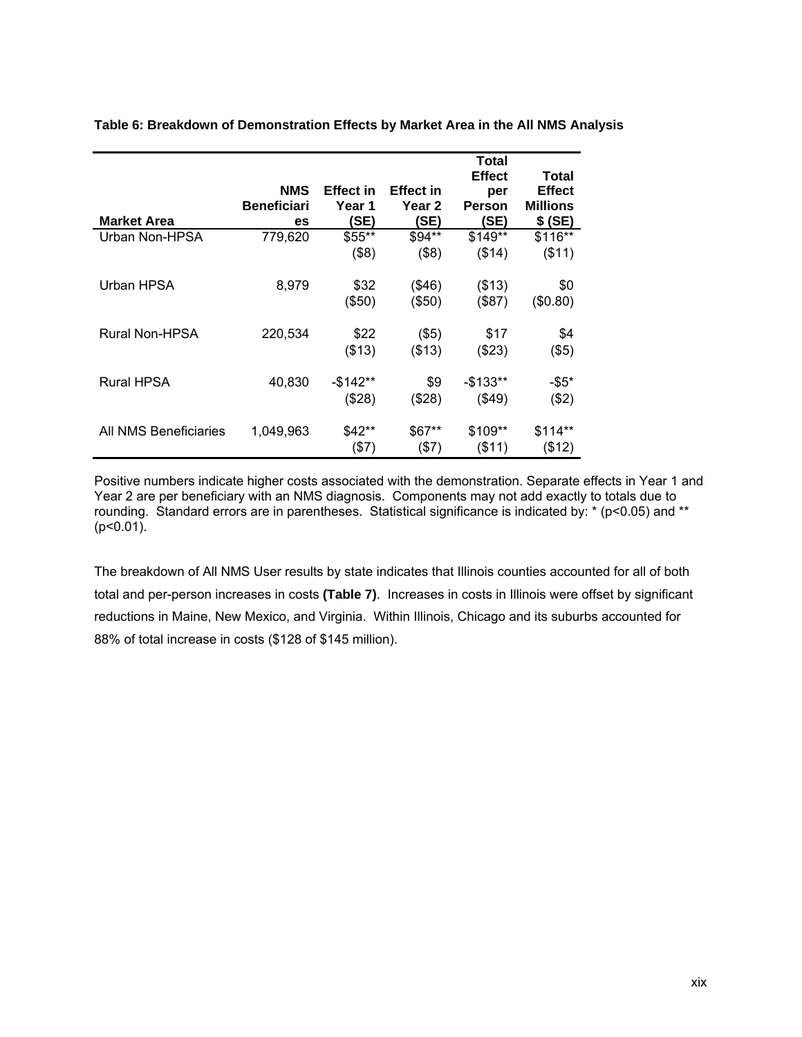|                       |                    |                  |                  | Total                |                        |
|-----------------------|--------------------|------------------|------------------|----------------------|------------------------|
|                       | <b>NMS</b>         | <b>Effect in</b> | <b>Effect in</b> | <b>Effect</b><br>per | Total<br><b>Effect</b> |
|                       | <b>Beneficiari</b> | Year 1           | Year 2           | Person               | <b>Millions</b>        |
| <b>Market Area</b>    | es                 | 'SE)             | (SE)             | (SE)                 | \$(SE)                 |
| Urban Non-HPSA        | 779,620            | \$55**           | \$94**           | \$149**              | \$116**                |
|                       |                    | (\$8)            | $($ \$8)         | (\$14)               | (\$11)                 |
| Urban HPSA            | 8,979              | \$32             | (\$46)           | (\$13)               | \$0                    |
|                       |                    | (\$50)           | (\$50)           | (\$87)               | (\$0.80)               |
| Rural Non-HPSA        | 220,534            | \$22             | $($ \$5)         | \$17                 | \$4                    |
|                       |                    | (\$13)           | ( \$13)          | (\$23)               | $($ \$5)               |
| <b>Rural HPSA</b>     | 40,830             | -\$142**         | \$9              | $-$133**$            | $-$ \$5*               |
|                       |                    | (\$28)           | (\$28)           | (\$49)               | (\$2)                  |
| All NMS Beneficiaries | 1,049,963          | \$42**           | \$67**           | \$109**              | $$114**$               |
|                       |                    | $($ \$7)         | (\$7)            | ( \$11)              | (\$12)                 |

<span id="page-18-0"></span>**Table 6: Breakdown of Demonstration Effects by Market Area in the All NMS Analysis** 

Positive numbers indicate higher costs associated with the demonstration. Separate effects in Year 1 and Year 2 are per beneficiary with an NMS diagnosis. Components may not add exactly to totals due to rounding. Standard errors are in parentheses. Statistical significance is indicated by: \* (p<0.05) and \*\*  $(p<0.01)$ .

The breakdown of All NMS User results by state indicates that Illinois counties accounted for all of both total and per-person increases in costs **(Table 7)**. Increases in costs in Illinois were offset by significant reductions in Maine, New Mexico, and Virginia. Within Illinois, Chicago and its suburbs accounted for 88% of total increase in costs (\$128 of \$145 million).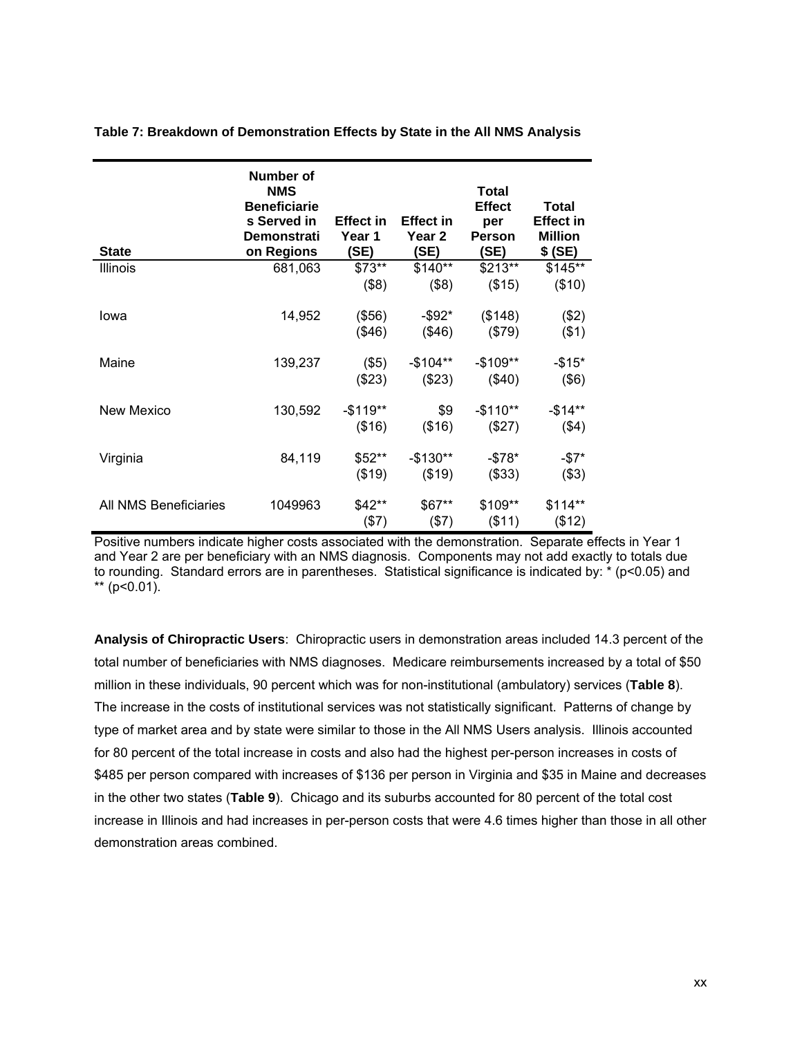| <b>State</b>          | Number of<br><b>NMS</b><br><b>Beneficiarie</b><br>s Served in<br><b>Demonstrati</b><br>on Regions | <b>Effect in</b><br>Year 1<br>(SE) | <b>Effect in</b><br>Year 2<br>(SE) | <b>Total</b><br><b>Effect</b><br>per<br><b>Person</b><br>(SE) | <b>Total</b><br>Effect in<br><b>Million</b><br>\$(SE) |
|-----------------------|---------------------------------------------------------------------------------------------------|------------------------------------|------------------------------------|---------------------------------------------------------------|-------------------------------------------------------|
| <b>Illinois</b>       | 681,063                                                                                           | $$73**$                            | \$140**                            | \$213**                                                       | \$145**                                               |
|                       |                                                                                                   | (\$8)                              | ( \$8)                             | (\$15)                                                        | (\$10)                                                |
| lowa                  | 14,952                                                                                            | (\$56)                             | $-$ \$92*                          | (\$148)                                                       | (\$2)                                                 |
|                       |                                                                                                   | (\$46)                             | (\$46)                             | (\$79)                                                        | $($ \$1)                                              |
| Maine                 | 139,237                                                                                           | (\$5)                              | $-$104**$                          | $-$109**$                                                     | $-$15*$                                               |
|                       |                                                                                                   | (\$23)                             | (\$23)                             | (\$40)                                                        | $($ \$6)                                              |
| <b>New Mexico</b>     | 130,592                                                                                           | $-$119**$                          | \$9                                | $-$110**$                                                     | $-$14**$                                              |
|                       |                                                                                                   | (\$16)                             | (\$16)                             | (\$27)                                                        | $($ \$4)                                              |
| Virginia              | 84,119                                                                                            | \$52**                             | $-$130**$                          | $-$ \$78*                                                     | $-\$7*$                                               |
|                       |                                                                                                   | (\$19)                             | (\$19)                             | ( \$33)                                                       | $($ \$3)                                              |
| All NMS Beneficiaries | 1049963                                                                                           | \$42**                             | \$67**                             | \$109**                                                       | $$114**$                                              |
|                       |                                                                                                   | (\$7)                              | (\$7)                              | ( \$11)                                                       | (\$12)                                                |

<span id="page-19-0"></span>**Table 7: Breakdown of Demonstration Effects by State in the All NMS Analysis** 

Positive numbers indicate higher costs associated with the demonstration. Separate effects in Year 1 and Year 2 are per beneficiary with an NMS diagnosis. Components may not add exactly to totals due to rounding. Standard errors are in parentheses. Statistical significance is indicated by: \* (p<0.05) and \*\*  $(p<0.01)$ .

**Analysis of Chiropractic Users**: Chiropractic users in demonstration areas included 14.3 percent of the total number of beneficiaries with NMS diagnoses. Medicare reimbursements increased by a total of \$50 million in these individuals, 90 percent which was for non-institutional (ambulatory) services (**Table 8**). The increase in the costs of institutional services was not statistically significant. Patterns of change by type of market area and by state were similar to those in the All NMS Users analysis. Illinois accounted for 80 percent of the total increase in costs and also had the highest per-person increases in costs of \$485 per person compared with increases of \$136 per person in Virginia and \$35 in Maine and decreases in the other two states (**Table 9**). Chicago and its suburbs accounted for 80 percent of the total cost increase in Illinois and had increases in per-person costs that were 4.6 times higher than those in all other demonstration areas combined.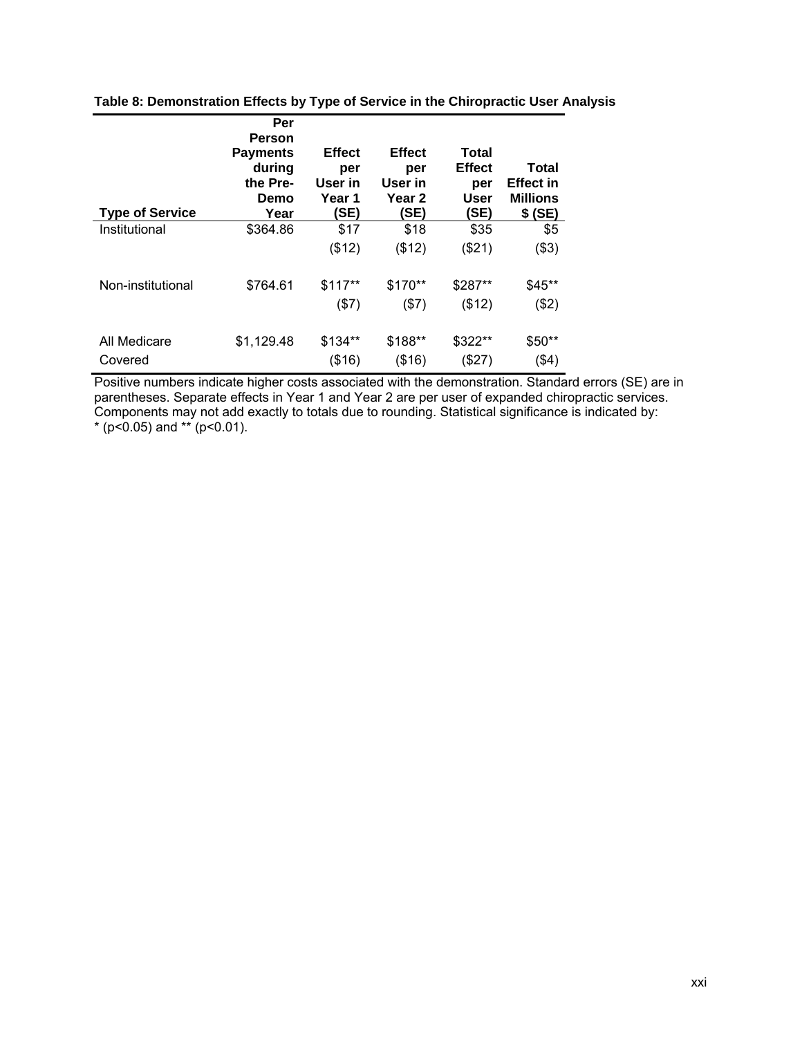| <b>Type of Service</b> | Per<br>Person<br><b>Payments</b><br>during<br>the Pre-<br>Demo<br>Year | <b>Effect</b><br>per<br>User in<br>Year 1<br>(SE) | <b>Effect</b><br>per<br>User in<br>Year <sub>2</sub><br>(SE) | Total<br><b>Effect</b><br>per<br>User<br>(SE) | Total<br><b>Effect in</b><br><b>Millions</b><br>\$(SE) |
|------------------------|------------------------------------------------------------------------|---------------------------------------------------|--------------------------------------------------------------|-----------------------------------------------|--------------------------------------------------------|
| Institutional          | \$364.86                                                               | \$17                                              | \$18                                                         | \$35                                          | \$5                                                    |
|                        |                                                                        | (\$12)                                            | (\$12)                                                       | (\$21)                                        | (\$3)                                                  |
| Non-institutional      | \$764.61                                                               | $$117**$                                          | \$170**                                                      | \$287**                                       | $$45**$                                                |
|                        |                                                                        | (\$7)                                             | (\$7)                                                        | (\$12)                                        | (\$2)                                                  |
| All Medicare           | \$1,129.48                                                             | \$134**                                           | \$188**                                                      | \$322**                                       | \$50**                                                 |
| Covered                |                                                                        | (\$16)                                            | (\$16)                                                       | (\$27)                                        | $($ \$4)                                               |

<span id="page-20-0"></span>**Table 8: Demonstration Effects by Type of Service in the Chiropractic User Analysis** 

Positive numbers indicate higher costs associated with the demonstration. Standard errors (SE) are in parentheses. Separate effects in Year 1 and Year 2 are per user of expanded chiropractic services. Components may not add exactly to totals due to rounding. Statistical significance is indicated by: \* ( $p$ <0.05) and \*\* ( $p$ <0.01).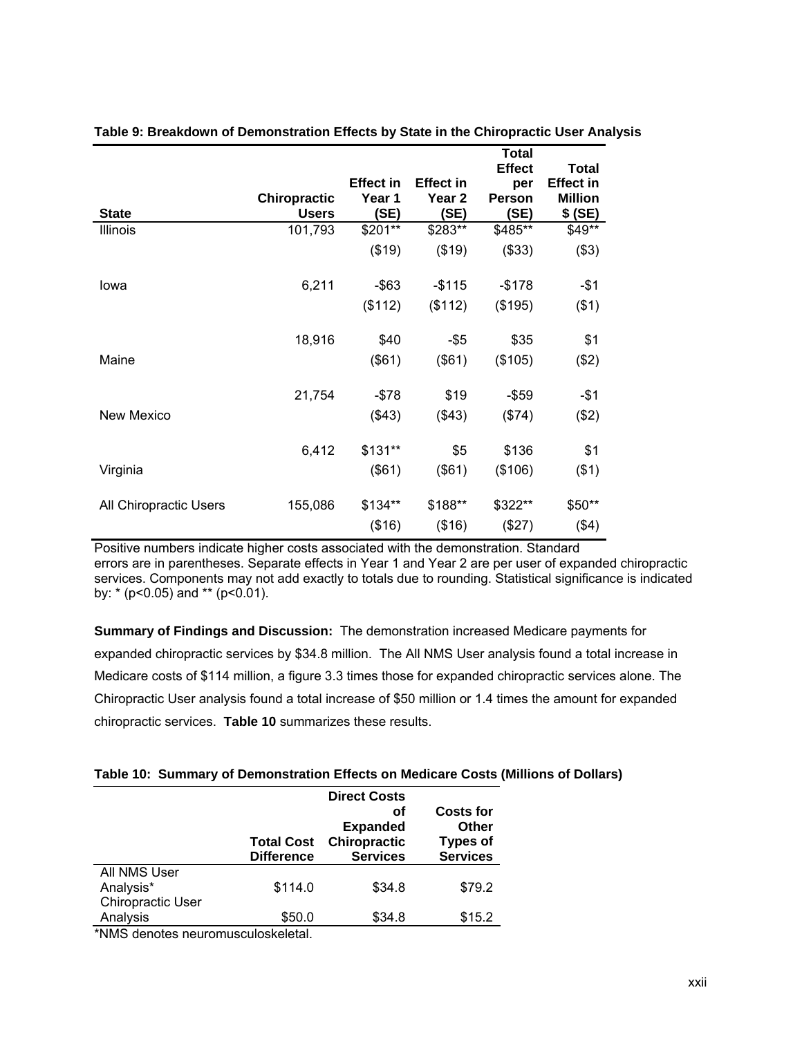|                        |                                     |                                    |                                               | Total<br><b>Effect</b>       | <b>Total</b>                                  |  |
|------------------------|-------------------------------------|------------------------------------|-----------------------------------------------|------------------------------|-----------------------------------------------|--|
| <b>State</b>           | <b>Chiropractic</b><br><b>Users</b> | <b>Effect in</b><br>Year 1<br>(SE) | <b>Effect in</b><br>Year <sub>2</sub><br>(SE) | per<br><b>Person</b><br>(SE) | <b>Effect in</b><br><b>Million</b><br>\$ (SE) |  |
| Illinois               | 101,793                             | \$201**                            | \$283**                                       | \$485**                      | \$49**                                        |  |
|                        |                                     | (\$19)                             | (\$19)                                        | (\$33)                       | (\$3)                                         |  |
| Iowa                   | 6,211                               | $-$ \$63                           | $-$115$                                       | $-$178$                      | $-$1$                                         |  |
|                        |                                     | (\$112)                            | (\$112)                                       | (\$195)                      | ( \$1)                                        |  |
|                        | 18,916                              | \$40                               | $-$ \$5                                       | \$35                         | \$1                                           |  |
| Maine                  |                                     | (\$61)                             | (\$61)                                        | (\$105)                      | (\$2)                                         |  |
|                        | 21,754                              | $- $78$                            | \$19                                          | $-$ \$59                     | $- $1$                                        |  |
| <b>New Mexico</b>      |                                     | (\$43)                             | (\$43)                                        | (\$74)                       | (\$2)                                         |  |
|                        | 6,412                               | $$131**$                           | \$5                                           | \$136                        | \$1                                           |  |
| Virginia               |                                     | (\$61)                             | (\$61)                                        | (\$106)                      | $($ \$1)                                      |  |
| All Chiropractic Users | 155,086                             | \$134**<br>(\$16)                  | \$188**<br>(\$16)                             | \$322**<br>(\$27)            | \$50**<br>( \$4)                              |  |
|                        |                                     |                                    |                                               |                              |                                               |  |

## <span id="page-21-0"></span>**Table 9: Breakdown of Demonstration Effects by State in the Chiropractic User Analysis**

Positive numbers indicate higher costs associated with the demonstration. Standard errors are in parentheses. Separate effects in Year 1 and Year 2 are per user of expanded chiropractic services. Components may not add exactly to totals due to rounding. Statistical significance is indicated by: \* (p<0.05) and \*\* (p<0.01).

**Summary of Findings and Discussion:** The demonstration increased Medicare payments for expanded chiropractic services by \$34.8 million. The All NMS User analysis found a total increase in Medicare costs of \$114 million, a figure 3.3 times those for expanded chiropractic services alone. The Chiropractic User analysis found a total increase of \$50 million or 1.4 times the amount for expanded chiropractic services. **Table 10** summarizes these results.

## <span id="page-21-1"></span>**Table 10: Summary of Demonstration Effects on Medicare Costs (Millions of Dollars)**

|                   | <b>Total Cost</b><br><b>Difference</b> | <b>Direct Costs</b><br>оf<br><b>Expanded</b><br>Chiropractic<br><b>Services</b> | <b>Costs for</b><br><b>Other</b><br><b>Types of</b><br><b>Services</b> |
|-------------------|----------------------------------------|---------------------------------------------------------------------------------|------------------------------------------------------------------------|
| All NMS User      |                                        |                                                                                 |                                                                        |
| Analysis*         | \$114.0                                | \$34.8                                                                          | \$79.2                                                                 |
| Chiropractic User |                                        |                                                                                 |                                                                        |
| Analysis          | \$50.0                                 | \$34.8                                                                          | \$15.2                                                                 |
| $\cdots$          | .                                      |                                                                                 |                                                                        |

\*NMS denotes neuromusculoskeletal.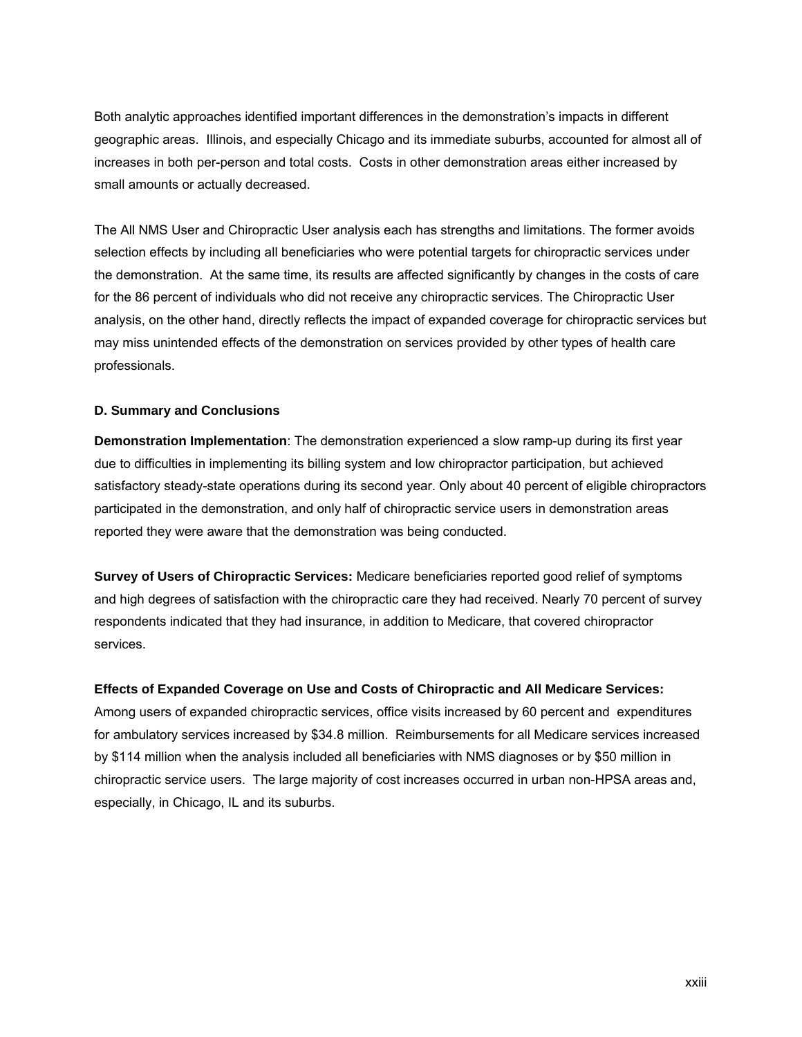Both analytic approaches identified important differences in the demonstration's impacts in different geographic areas. Illinois, and especially Chicago and its immediate suburbs, accounted for almost all of increases in both per-person and total costs. Costs in other demonstration areas either increased by small amounts or actually decreased.

The All NMS User and Chiropractic User analysis each has strengths and limitations. The former avoids selection effects by including all beneficiaries who were potential targets for chiropractic services under the demonstration. At the same time, its results are affected significantly by changes in the costs of care for the 86 percent of individuals who did not receive any chiropractic services. The Chiropractic User analysis, on the other hand, directly reflects the impact of expanded coverage for chiropractic services but may miss unintended effects of the demonstration on services provided by other types of health care professionals.

## <span id="page-22-0"></span>**D. Summary and Conclusions**

**Demonstration Implementation**: The demonstration experienced a slow ramp-up during its first year due to difficulties in implementing its billing system and low chiropractor participation, but achieved satisfactory steady-state operations during its second year. Only about 40 percent of eligible chiropractors participated in the demonstration, and only half of chiropractic service users in demonstration areas reported they were aware that the demonstration was being conducted.

**Survey of Users of Chiropractic Services:** Medicare beneficiaries reported good relief of symptoms and high degrees of satisfaction with the chiropractic care they had received. Nearly 70 percent of survey respondents indicated that they had insurance, in addition to Medicare, that covered chiropractor services.

#### **Effects of Expanded Coverage on Use and Costs of Chiropractic and All Medicare Services:**

Among users of expanded chiropractic services, office visits increased by 60 percent and expenditures for ambulatory services increased by \$34.8 million.Reimbursements for all Medicare services increased by \$114 million when the analysis included all beneficiaries with NMS diagnoses or by \$50 million in chiropractic service users. The large majority of cost increases occurred in urban non-HPSA areas and, especially, in Chicago, IL and its suburbs.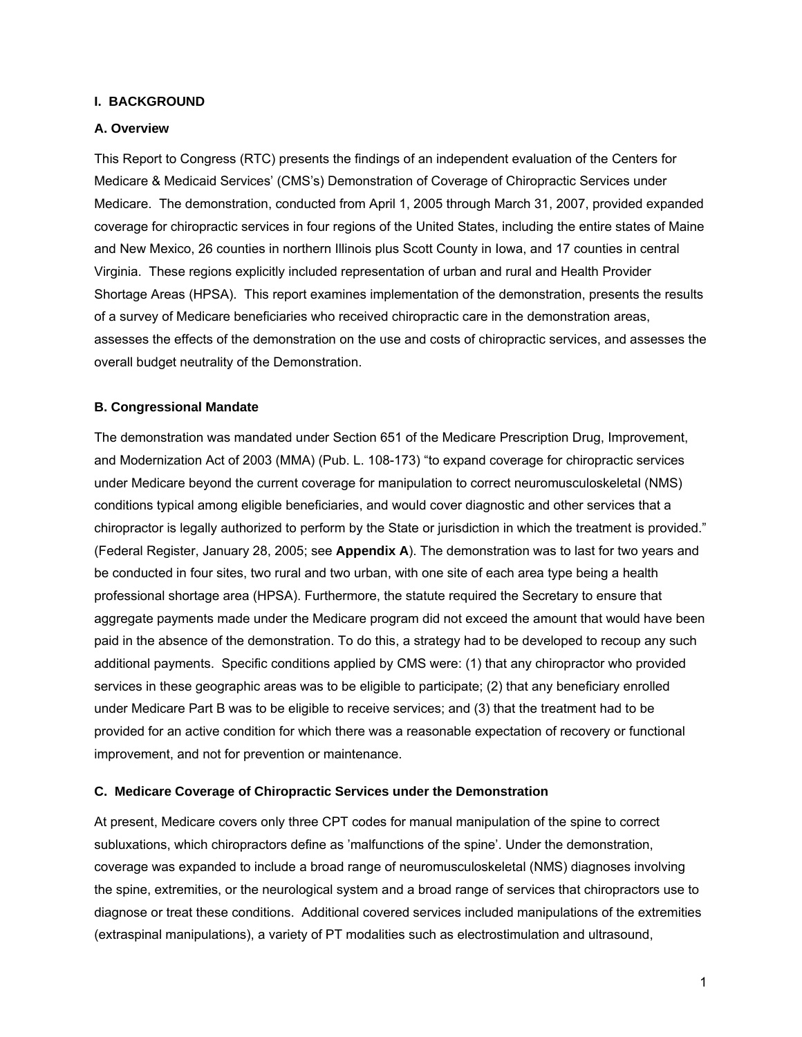## <span id="page-23-0"></span>**I. BACKGROUND**

## <span id="page-23-1"></span>**A. Overview**

This Report to Congress (RTC) presents the findings of an independent evaluation of the Centers for Medicare & Medicaid Services' (CMS's) Demonstration of Coverage of Chiropractic Services under Medicare. The demonstration, conducted from April 1, 2005 through March 31, 2007, provided expanded coverage for chiropractic services in four regions of the United States, including the entire states of Maine and New Mexico, 26 counties in northern Illinois plus Scott County in Iowa, and 17 counties in central Virginia. These regions explicitly included representation of urban and rural and Health Provider Shortage Areas (HPSA). This report examines implementation of the demonstration, presents the results of a survey of Medicare beneficiaries who received chiropractic care in the demonstration areas, assesses the effects of the demonstration on the use and costs of chiropractic services, and assesses the overall budget neutrality of the Demonstration.

## <span id="page-23-2"></span>**B. Congressional Mandate**

The demonstration was mandated under Section 651 of the Medicare Prescription Drug, Improvement, and Modernization Act of 2003 (MMA) (Pub. L. 108-173) "to expand coverage for chiropractic services under Medicare beyond the current coverage for manipulation to correct neuromusculoskeletal (NMS) conditions typical among eligible beneficiaries, and would cover diagnostic and other services that a chiropractor is legally authorized to perform by the State or jurisdiction in which the treatment is provided." (Federal Register, January 28, 2005; see **Appendix A**). The demonstration was to last for two years and be conducted in four sites, two rural and two urban, with one site of each area type being a health professional shortage area (HPSA). Furthermore, the statute required the Secretary to ensure that aggregate payments made under the Medicare program did not exceed the amount that would have been paid in the absence of the demonstration. To do this, a strategy had to be developed to recoup any such additional payments. Specific conditions applied by CMS were: (1) that any chiropractor who provided services in these geographic areas was to be eligible to participate; (2) that any beneficiary enrolled under Medicare Part B was to be eligible to receive services; and (3) that the treatment had to be provided for an active condition for which there was a reasonable expectation of recovery or functional improvement, and not for prevention or maintenance.

#### <span id="page-23-3"></span>**C. Medicare Coverage of Chiropractic Services under the Demonstration**

At present, Medicare covers only three CPT codes for manual manipulation of the spine to correct subluxations, which chiropractors define as 'malfunctions of the spine'. Under the demonstration, coverage was expanded to include a broad range of neuromusculoskeletal (NMS) diagnoses involving the spine, extremities, or the neurological system and a broad range of services that chiropractors use to diagnose or treat these conditions. Additional covered services included manipulations of the extremities (extraspinal manipulations), a variety of PT modalities such as electrostimulation and ultrasound,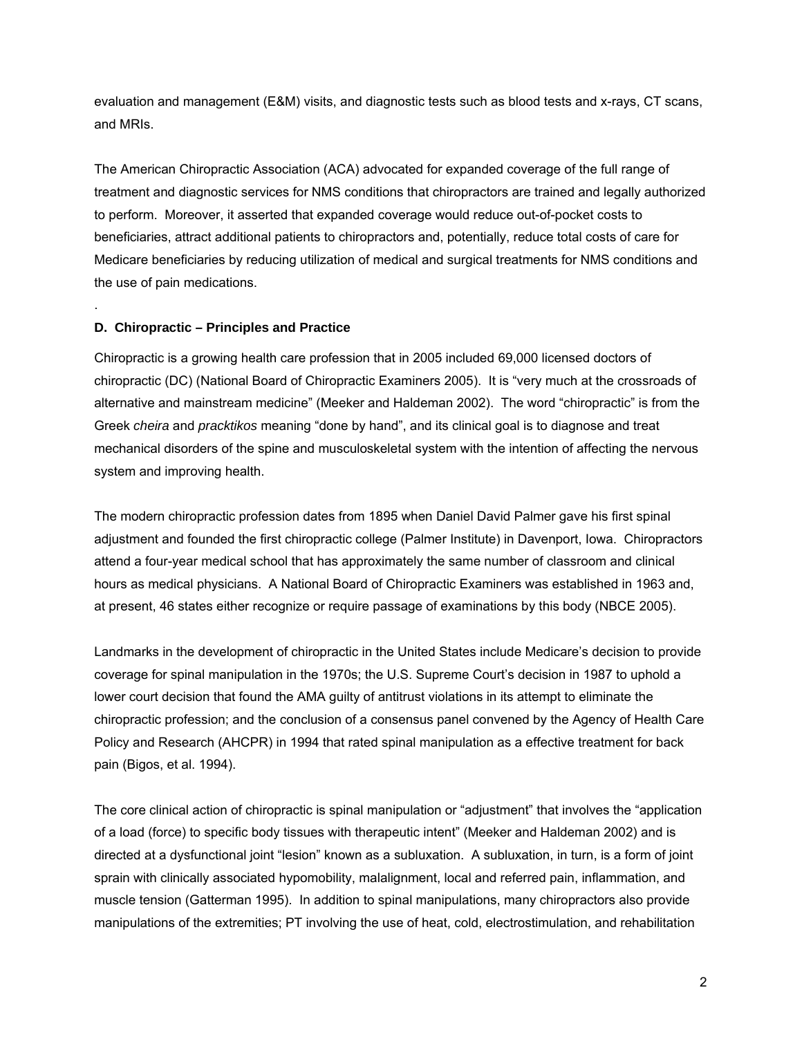evaluation and management (E&M) visits, and diagnostic tests such as blood tests and x-rays, CT scans, and MRIs.

The American Chiropractic Association (ACA) advocated for expanded coverage of the full range of treatment and diagnostic services for NMS conditions that chiropractors are trained and legally authorized to perform. Moreover, it asserted that expanded coverage would reduce out-of-pocket costs to beneficiaries, attract additional patients to chiropractors and, potentially, reduce total costs of care for Medicare beneficiaries by reducing utilization of medical and surgical treatments for NMS conditions and the use of pain medications.

## <span id="page-24-0"></span>**D. Chiropractic – Principles and Practice**

.

Chiropractic is a growing health care profession that in 2005 included 69,000 licensed doctors of chiropractic (DC) (National Board of Chiropractic Examiners 2005). It is "very much at the crossroads of alternative and mainstream medicine" (Meeker and Haldeman 2002). The word "chiropractic" is from the Greek *cheira* and *pracktikos* meaning "done by hand", and its clinical goal is to diagnose and treat mechanical disorders of the spine and musculoskeletal system with the intention of affecting the nervous system and improving health.

The modern chiropractic profession dates from 1895 when Daniel David Palmer gave his first spinal adjustment and founded the first chiropractic college (Palmer Institute) in Davenport, Iowa. Chiropractors attend a four-year medical school that has approximately the same number of classroom and clinical hours as medical physicians. A National Board of Chiropractic Examiners was established in 1963 and, at present, 46 states either recognize or require passage of examinations by this body (NBCE 2005).

Landmarks in the development of chiropractic in the United States include Medicare's decision to provide coverage for spinal manipulation in the 1970s; the U.S. Supreme Court's decision in 1987 to uphold a lower court decision that found the AMA guilty of antitrust violations in its attempt to eliminate the chiropractic profession; and the conclusion of a consensus panel convened by the Agency of Health Care Policy and Research (AHCPR) in 1994 that rated spinal manipulation as a effective treatment for back pain (Bigos, et al. 1994).

The core clinical action of chiropractic is spinal manipulation or "adjustment" that involves the "application of a load (force) to specific body tissues with therapeutic intent" (Meeker and Haldeman 2002) and is directed at a dysfunctional joint "lesion" known as a subluxation. A subluxation, in turn, is a form of joint sprain with clinically associated hypomobility, malalignment, local and referred pain, inflammation, and muscle tension (Gatterman 1995). In addition to spinal manipulations, many chiropractors also provide manipulations of the extremities; PT involving the use of heat, cold, electrostimulation, and rehabilitation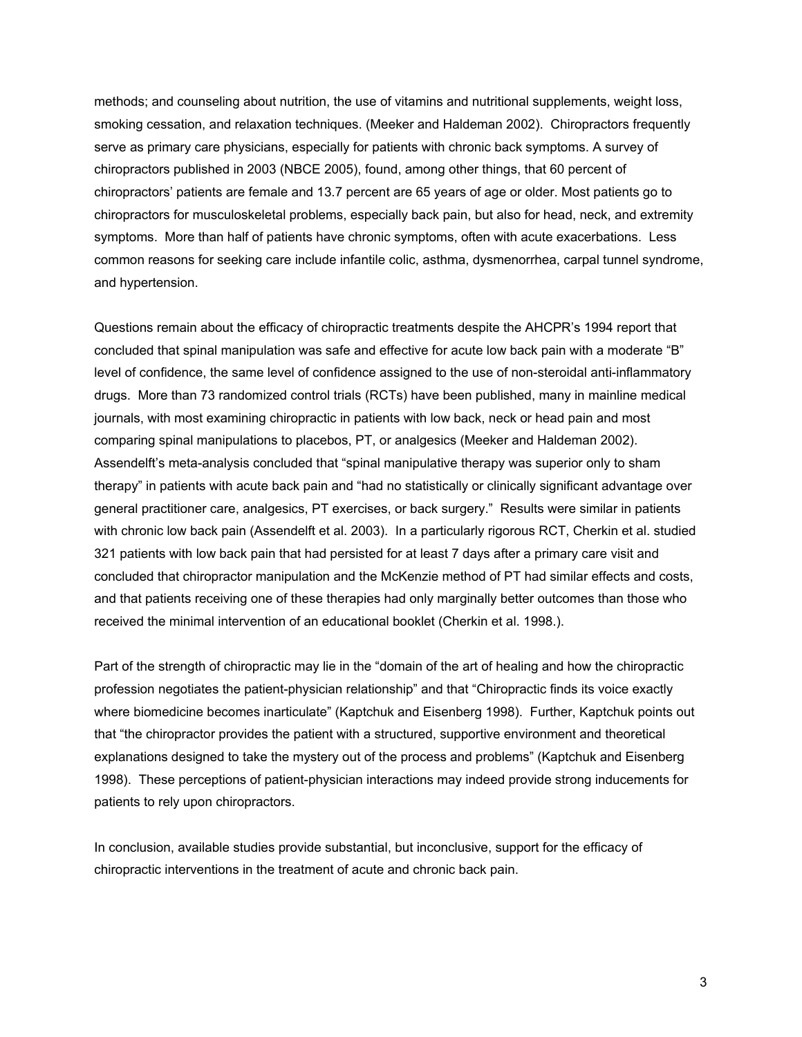methods; and counseling about nutrition, the use of vitamins and nutritional supplements, weight loss, smoking cessation, and relaxation techniques. (Meeker and Haldeman 2002). Chiropractors frequently serve as primary care physicians, especially for patients with chronic back symptoms. A survey of chiropractors published in 2003 (NBCE 2005), found, among other things, that 60 percent of chiropractors' patients are female and 13.7 percent are 65 years of age or older. Most patients go to chiropractors for musculoskeletal problems, especially back pain, but also for head, neck, and extremity symptoms. More than half of patients have chronic symptoms, often with acute exacerbations. Less common reasons for seeking care include infantile colic, asthma, dysmenorrhea, carpal tunnel syndrome, and hypertension.

Questions remain about the efficacy of chiropractic treatments despite the AHCPR's 1994 report that concluded that spinal manipulation was safe and effective for acute low back pain with a moderate "B" level of confidence, the same level of confidence assigned to the use of non-steroidal anti-inflammatory drugs. More than 73 randomized control trials (RCTs) have been published, many in mainline medical journals, with most examining chiropractic in patients with low back, neck or head pain and most comparing spinal manipulations to placebos, PT, or analgesics (Meeker and Haldeman 2002). Assendelft's meta-analysis concluded that "spinal manipulative therapy was superior only to sham therapy" in patients with acute back pain and "had no statistically or clinically significant advantage over general practitioner care, analgesics, PT exercises, or back surgery." Results were similar in patients with chronic low back pain (Assendelft et al. 2003). In a particularly rigorous RCT, Cherkin et al. studied 321 patients with low back pain that had persisted for at least 7 days after a primary care visit and concluded that chiropractor manipulation and the McKenzie method of PT had similar effects and costs, and that patients receiving one of these therapies had only marginally better outcomes than those who received the minimal intervention of an educational booklet (Cherkin et al. 1998.).

Part of the strength of chiropractic may lie in the "domain of the art of healing and how the chiropractic profession negotiates the patient-physician relationship" and that "Chiropractic finds its voice exactly where biomedicine becomes inarticulate" (Kaptchuk and Eisenberg 1998). Further, Kaptchuk points out that "the chiropractor provides the patient with a structured, supportive environment and theoretical explanations designed to take the mystery out of the process and problems" (Kaptchuk and Eisenberg 1998). These perceptions of patient-physician interactions may indeed provide strong inducements for patients to rely upon chiropractors.

In conclusion, available studies provide substantial, but inconclusive, support for the efficacy of chiropractic interventions in the treatment of acute and chronic back pain.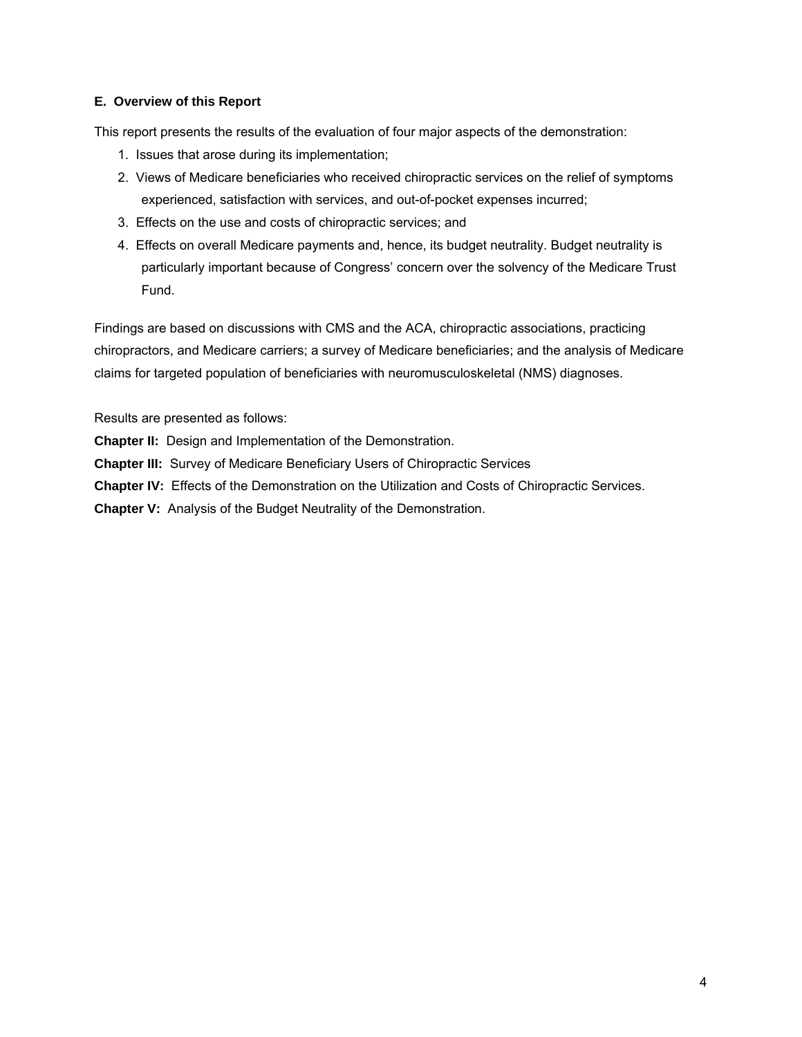## <span id="page-26-0"></span>**E. Overview of this Report**

This report presents the results of the evaluation of four major aspects of the demonstration:

- 1. Issues that arose during its implementation;
- 2. Views of Medicare beneficiaries who received chiropractic services on the relief of symptoms experienced, satisfaction with services, and out-of-pocket expenses incurred;
- 3. Effects on the use and costs of chiropractic services; and
- 4. Effects on overall Medicare payments and, hence, its budget neutrality. Budget neutrality is particularly important because of Congress' concern over the solvency of the Medicare Trust Fund.

Findings are based on discussions with CMS and the ACA, chiropractic associations, practicing chiropractors, and Medicare carriers; a survey of Medicare beneficiaries; and the analysis of Medicare claims for targeted population of beneficiaries with neuromusculoskeletal (NMS) diagnoses.

Results are presented as follows:

**Chapter II:** Design and Implementation of the Demonstration.

**Chapter III:** Survey of Medicare Beneficiary Users of Chiropractic Services

**Chapter IV:** Effects of the Demonstration on the Utilization and Costs of Chiropractic Services.

**Chapter V:** Analysis of the Budget Neutrality of the Demonstration.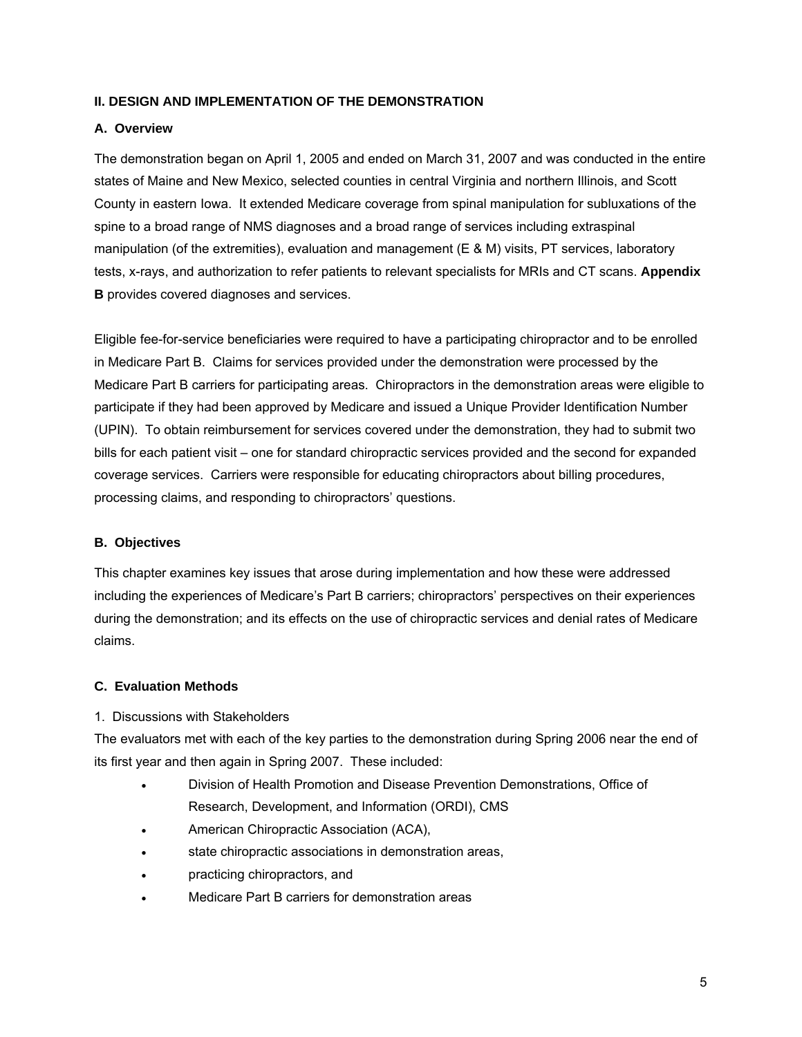## <span id="page-27-0"></span>**II. DESIGN AND IMPLEMENTATION OF THE DEMONSTRATION**

## <span id="page-27-1"></span>**A. Overview**

The demonstration began on April 1, 2005 and ended on March 31, 2007 and was conducted in the entire states of Maine and New Mexico, selected counties in central Virginia and northern Illinois, and Scott County in eastern Iowa. It extended Medicare coverage from spinal manipulation for subluxations of the spine to a broad range of NMS diagnoses and a broad range of services including extraspinal manipulation (of the extremities), evaluation and management (E & M) visits, PT services, laboratory tests, x-rays, and authorization to refer patients to relevant specialists for MRIs and CT scans. **Appendix B** provides covered diagnoses and services.

Eligible fee-for-service beneficiaries were required to have a participating chiropractor and to be enrolled in Medicare Part B. Claims for services provided under the demonstration were processed by the Medicare Part B carriers for participating areas. Chiropractors in the demonstration areas were eligible to participate if they had been approved by Medicare and issued a Unique Provider Identification Number (UPIN). To obtain reimbursement for services covered under the demonstration, they had to submit two bills for each patient visit – one for standard chiropractic services provided and the second for expanded coverage services. Carriers were responsible for educating chiropractors about billing procedures, processing claims, and responding to chiropractors' questions.

#### <span id="page-27-2"></span>**B. Objectives**

This chapter examines key issues that arose during implementation and how these were addressed including the experiences of Medicare's Part B carriers; chiropractors' perspectives on their experiences during the demonstration; and its effects on the use of chiropractic services and denial rates of Medicare claims.

## <span id="page-27-3"></span>**C. Evaluation Methods**

## <span id="page-27-4"></span>1. Discussions with Stakeholders

The evaluators met with each of the key parties to the demonstration during Spring 2006 near the end of its first year and then again in Spring 2007. These included:

- Division of Health Promotion and Disease Prevention Demonstrations, Office of Research, Development, and Information (ORDI), CMS
- American Chiropractic Association (ACA),
- state chiropractic associations in demonstration areas,
- practicing chiropractors, and
- Medicare Part B carriers for demonstration areas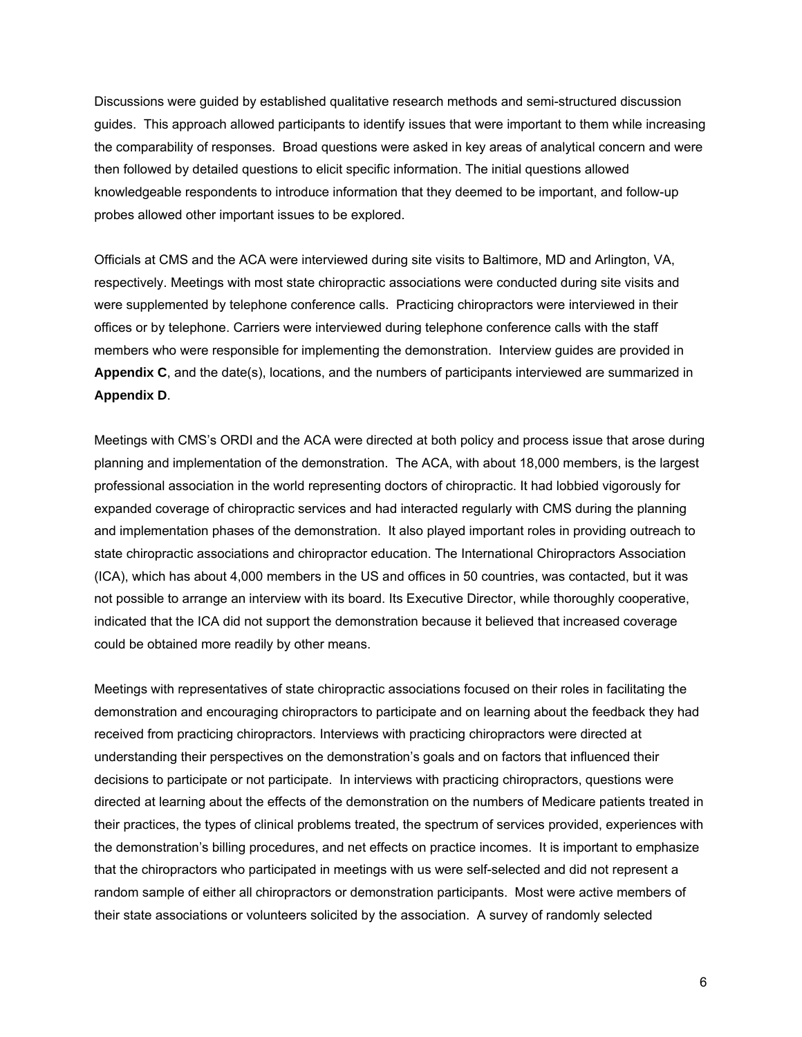Discussions were guided by established qualitative research methods and semi-structured discussion guides. This approach allowed participants to identify issues that were important to them while increasing the comparability of responses. Broad questions were asked in key areas of analytical concern and were then followed by detailed questions to elicit specific information. The initial questions allowed knowledgeable respondents to introduce information that they deemed to be important, and follow-up probes allowed other important issues to be explored.

Officials at CMS and the ACA were interviewed during site visits to Baltimore, MD and Arlington, VA, respectively. Meetings with most state chiropractic associations were conducted during site visits and were supplemented by telephone conference calls. Practicing chiropractors were interviewed in their offices or by telephone. Carriers were interviewed during telephone conference calls with the staff members who were responsible for implementing the demonstration. Interview guides are provided in **Appendix C**, and the date(s), locations, and the numbers of participants interviewed are summarized in **Appendix D**.

Meetings with CMS's ORDI and the ACA were directed at both policy and process issue that arose during planning and implementation of the demonstration. The ACA, with about 18,000 members, is the largest professional association in the world representing doctors of chiropractic. It had lobbied vigorously for expanded coverage of chiropractic services and had interacted regularly with CMS during the planning and implementation phases of the demonstration. It also played important roles in providing outreach to state chiropractic associations and chiropractor education. The International Chiropractors Association (ICA), which has about 4,000 members in the US and offices in 50 countries, was contacted, but it was not possible to arrange an interview with its board. Its Executive Director, while thoroughly cooperative, indicated that the ICA did not support the demonstration because it believed that increased coverage could be obtained more readily by other means.

Meetings with representatives of state chiropractic associations focused on their roles in facilitating the demonstration and encouraging chiropractors to participate and on learning about the feedback they had received from practicing chiropractors. Interviews with practicing chiropractors were directed at understanding their perspectives on the demonstration's goals and on factors that influenced their decisions to participate or not participate. In interviews with practicing chiropractors, questions were directed at learning about the effects of the demonstration on the numbers of Medicare patients treated in their practices, the types of clinical problems treated, the spectrum of services provided, experiences with the demonstration's billing procedures, and net effects on practice incomes. It is important to emphasize that the chiropractors who participated in meetings with us were self-selected and did not represent a random sample of either all chiropractors or demonstration participants. Most were active members of their state associations or volunteers solicited by the association. A survey of randomly selected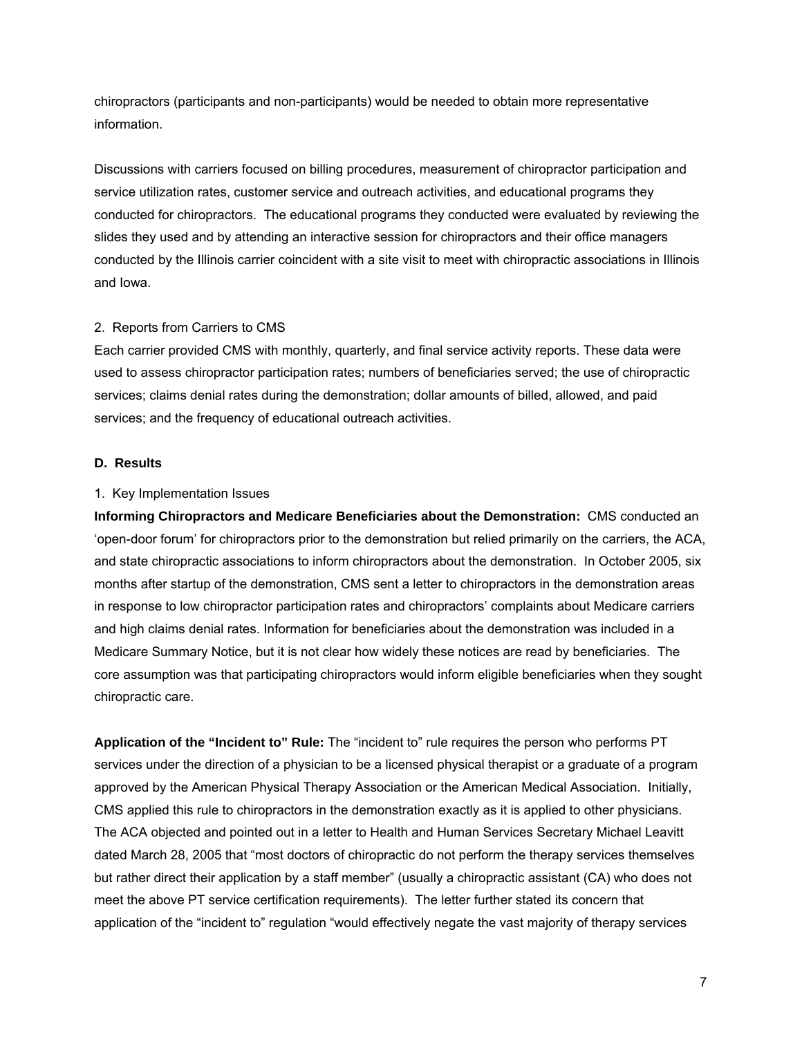chiropractors (participants and non-participants) would be needed to obtain more representative information.

Discussions with carriers focused on billing procedures, measurement of chiropractor participation and service utilization rates, customer service and outreach activities, and educational programs they conducted for chiropractors. The educational programs they conducted were evaluated by reviewing the slides they used and by attending an interactive session for chiropractors and their office managers conducted by the Illinois carrier coincident with a site visit to meet with chiropractic associations in Illinois and Iowa.

## <span id="page-29-0"></span>2. Reports from Carriers to CMS

Each carrier provided CMS with monthly, quarterly, and final service activity reports. These data were used to assess chiropractor participation rates; numbers of beneficiaries served; the use of chiropractic services; claims denial rates during the demonstration; dollar amounts of billed, allowed, and paid services; and the frequency of educational outreach activities.

## <span id="page-29-1"></span>**D. Results**

#### <span id="page-29-2"></span>1. Key Implementation Issues

**Informing Chiropractors and Medicare Beneficiaries about the Demonstration:** CMS conducted an 'open-door forum' for chiropractors prior to the demonstration but relied primarily on the carriers, the ACA, and state chiropractic associations to inform chiropractors about the demonstration. In October 2005, six months after startup of the demonstration, CMS sent a letter to chiropractors in the demonstration areas in response to low chiropractor participation rates and chiropractors' complaints about Medicare carriers and high claims denial rates. Information for beneficiaries about the demonstration was included in a Medicare Summary Notice, but it is not clear how widely these notices are read by beneficiaries. The core assumption was that participating chiropractors would inform eligible beneficiaries when they sought chiropractic care.

**Application of the "Incident to" Rule:** The "incident to" rule requires the person who performs PT services under the direction of a physician to be a licensed physical therapist or a graduate of a program approved by the American Physical Therapy Association or the American Medical Association. Initially, CMS applied this rule to chiropractors in the demonstration exactly as it is applied to other physicians. The ACA objected and pointed out in a letter to Health and Human Services Secretary Michael Leavitt dated March 28, 2005 that "most doctors of chiropractic do not perform the therapy services themselves but rather direct their application by a staff member" (usually a chiropractic assistant (CA) who does not meet the above PT service certification requirements). The letter further stated its concern that application of the "incident to" regulation "would effectively negate the vast majority of therapy services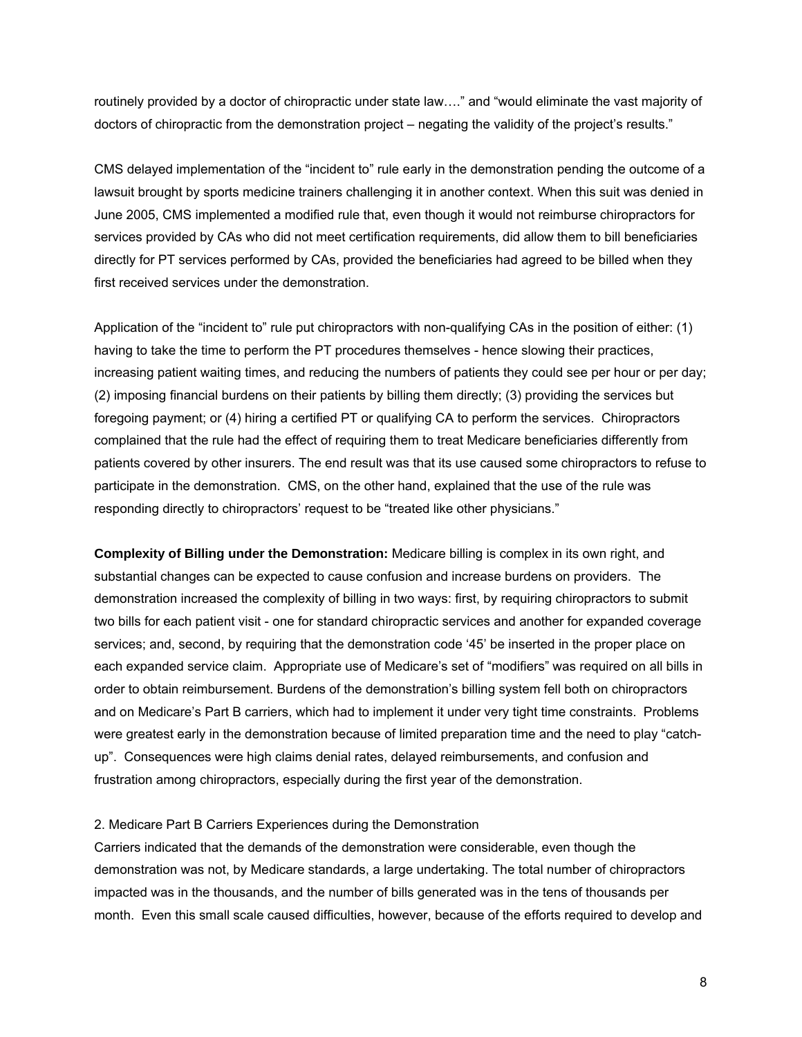routinely provided by a doctor of chiropractic under state law…." and "would eliminate the vast majority of doctors of chiropractic from the demonstration project – negating the validity of the project's results."

CMS delayed implementation of the "incident to" rule early in the demonstration pending the outcome of a lawsuit brought by sports medicine trainers challenging it in another context. When this suit was denied in June 2005, CMS implemented a modified rule that, even though it would not reimburse chiropractors for services provided by CAs who did not meet certification requirements, did allow them to bill beneficiaries directly for PT services performed by CAs, provided the beneficiaries had agreed to be billed when they first received services under the demonstration.

Application of the "incident to" rule put chiropractors with non-qualifying CAs in the position of either: (1) having to take the time to perform the PT procedures themselves - hence slowing their practices, increasing patient waiting times, and reducing the numbers of patients they could see per hour or per day; (2) imposing financial burdens on their patients by billing them directly; (3) providing the services but foregoing payment; or (4) hiring a certified PT or qualifying CA to perform the services. Chiropractors complained that the rule had the effect of requiring them to treat Medicare beneficiaries differently from patients covered by other insurers. The end result was that its use caused some chiropractors to refuse to participate in the demonstration. CMS, on the other hand, explained that the use of the rule was responding directly to chiropractors' request to be "treated like other physicians."

**Complexity of Billing under the Demonstration:** Medicare billing is complex in its own right, and substantial changes can be expected to cause confusion and increase burdens on providers. The demonstration increased the complexity of billing in two ways: first, by requiring chiropractors to submit two bills for each patient visit - one for standard chiropractic services and another for expanded coverage services; and, second, by requiring that the demonstration code '45' be inserted in the proper place on each expanded service claim. Appropriate use of Medicare's set of "modifiers" was required on all bills in order to obtain reimbursement. Burdens of the demonstration's billing system fell both on chiropractors and on Medicare's Part B carriers, which had to implement it under very tight time constraints. Problems were greatest early in the demonstration because of limited preparation time and the need to play "catchup". Consequences were high claims denial rates, delayed reimbursements, and confusion and frustration among chiropractors, especially during the first year of the demonstration.

#### <span id="page-30-0"></span>2. Medicare Part B Carriers Experiences during the Demonstration

Carriers indicated that the demands of the demonstration were considerable, even though the demonstration was not, by Medicare standards, a large undertaking. The total number of chiropractors impacted was in the thousands, and the number of bills generated was in the tens of thousands per month. Even this small scale caused difficulties, however, because of the efforts required to develop and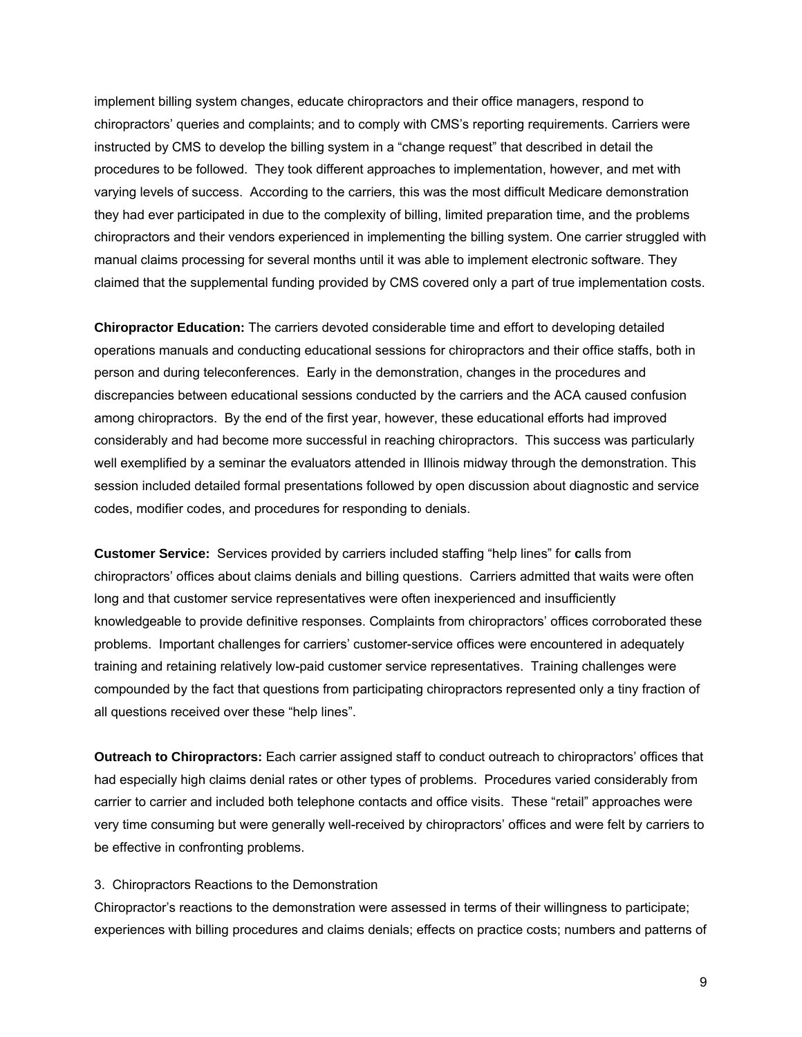implement billing system changes, educate chiropractors and their office managers, respond to chiropractors' queries and complaints; and to comply with CMS's reporting requirements. Carriers were instructed by CMS to develop the billing system in a "change request" that described in detail the procedures to be followed. They took different approaches to implementation, however, and met with varying levels of success. According to the carriers, this was the most difficult Medicare demonstration they had ever participated in due to the complexity of billing, limited preparation time, and the problems chiropractors and their vendors experienced in implementing the billing system. One carrier struggled with manual claims processing for several months until it was able to implement electronic software. They claimed that the supplemental funding provided by CMS covered only a part of true implementation costs.

**Chiropractor Education:** The carriers devoted considerable time and effort to developing detailed operations manuals and conducting educational sessions for chiropractors and their office staffs, both in person and during teleconferences. Early in the demonstration, changes in the procedures and discrepancies between educational sessions conducted by the carriers and the ACA caused confusion among chiropractors.By the end of the first year, however, these educational efforts had improved considerably and had become more successful in reaching chiropractors. This success was particularly well exemplified by a seminar the evaluators attended in Illinois midway through the demonstration. This session included detailed formal presentations followed by open discussion about diagnostic and service codes, modifier codes, and procedures for responding to denials.

**Customer Service:** Services provided by carriers included staffing "help lines" for **c**alls from chiropractors' offices about claims denials and billing questions. Carriers admitted that waits were often long and that customer service representatives were often inexperienced and insufficiently knowledgeable to provide definitive responses. Complaints from chiropractors' offices corroborated these problems. Important challenges for carriers' customer-service offices were encountered in adequately training and retaining relatively low-paid customer service representatives. Training challenges were compounded by the fact that questions from participating chiropractors represented only a tiny fraction of all questions received over these "help lines".

**Outreach to Chiropractors:** Each carrier assigned staff to conduct outreach to chiropractors' offices that had especially high claims denial rates or other types of problems. Procedures varied considerably from carrier to carrier and included both telephone contacts and office visits. These "retail" approaches were very time consuming but were generally well-received by chiropractors' offices and were felt by carriers to be effective in confronting problems.

#### <span id="page-31-0"></span>3. Chiropractors Reactions to the Demonstration

Chiropractor's reactions to the demonstration were assessed in terms of their willingness to participate; experiences with billing procedures and claims denials; effects on practice costs; numbers and patterns of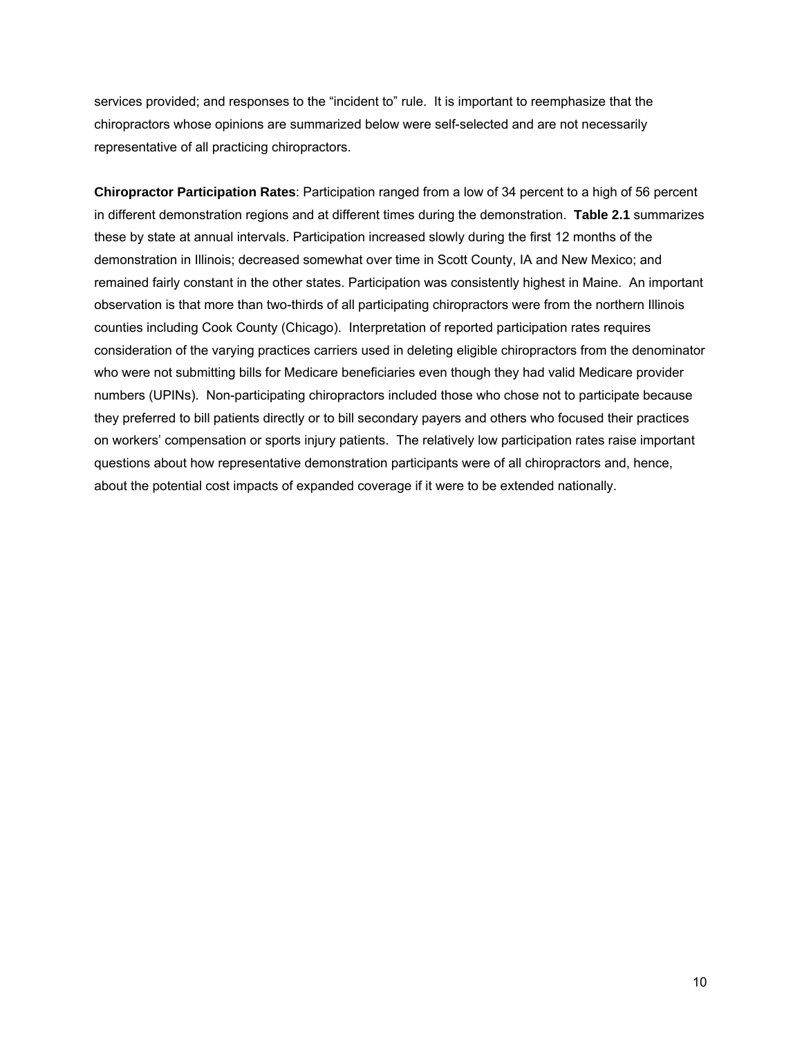services provided; and responses to the "incident to" rule. It is important to reemphasize that the chiropractors whose opinions are summarized below were self-selected and are not necessarily representative of all practicing chiropractors.

**Chiropractor Participation Rates**: Participation ranged from a low of 34 percent to a high of 56 percent in different demonstration regions and at different times during the demonstration. **Table 2.1** summarizes these by state at annual intervals. Participation increased slowly during the first 12 months of the demonstration in Illinois; decreased somewhat over time in Scott County, IA and New Mexico; and remained fairly constant in the other states. Participation was consistently highest in Maine. An important observation is that more than two-thirds of all participating chiropractors were from the northern Illinois counties including Cook County (Chicago). Interpretation of reported participation rates requires consideration of the varying practices carriers used in deleting eligible chiropractors from the denominator who were not submitting bills for Medicare beneficiaries even though they had valid Medicare provider numbers (UPINs). Non-participating chiropractors included those who chose not to participate because they preferred to bill patients directly or to bill secondary payers and others who focused their practices on workers' compensation or sports injury patients. The relatively low participation rates raise important questions about how representative demonstration participants were of all chiropractors and, hence, about the potential cost impacts of expanded coverage if it were to be extended nationally.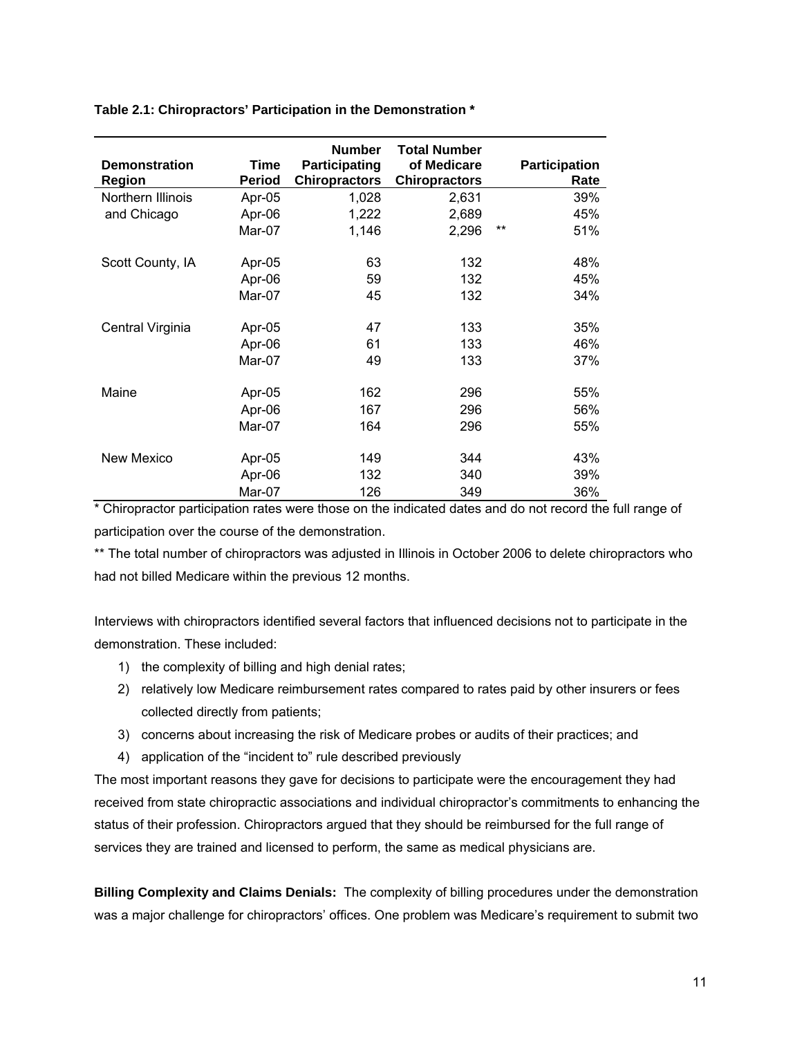<span id="page-33-0"></span>

|  | Table 2.1: Chiropractors' Participation in the Demonstration * |
|--|----------------------------------------------------------------|
|--|----------------------------------------------------------------|

| <b>Demonstration</b><br>Region | Time<br><b>Period</b> | <b>Number</b><br>Participating<br><b>Chiropractors</b> | <b>Total Number</b><br>of Medicare<br><b>Chiropractors</b> |       | <b>Participation</b><br>Rate |
|--------------------------------|-----------------------|--------------------------------------------------------|------------------------------------------------------------|-------|------------------------------|
| Northern Illinois              | Apr-05                | 1,028                                                  | 2,631                                                      |       | 39%                          |
| and Chicago                    | Apr-06                | 1,222                                                  | 2,689                                                      |       | 45%                          |
|                                | Mar-07                | 1,146                                                  | 2,296                                                      | $***$ | 51%                          |
| Scott County, IA               | Apr-05                | 63                                                     | 132                                                        |       | 48%                          |
|                                | Apr-06                | 59                                                     | 132                                                        |       | 45%                          |
|                                | Mar-07                | 45                                                     | 132                                                        |       | 34%                          |
| Central Virginia               | Apr-05                | 47                                                     | 133                                                        |       | 35%                          |
|                                | Apr-06                | 61                                                     | 133                                                        |       | 46%                          |
|                                | Mar-07                | 49                                                     | 133                                                        |       | 37%                          |
| Maine                          | Apr-05                | 162                                                    | 296                                                        |       | 55%                          |
|                                | Apr-06                | 167                                                    | 296                                                        |       | 56%                          |
|                                | Mar-07                | 164                                                    | 296                                                        |       | 55%                          |
| New Mexico                     | Apr-05                | 149                                                    | 344                                                        |       | 43%                          |
|                                | Apr-06                | 132                                                    | 340                                                        |       | 39%                          |
|                                | Mar-07                | 126                                                    | 349                                                        |       | 36%                          |

\* Chiropractor participation rates were those on the indicated dates and do not record the full range of participation over the course of the demonstration.

\*\* The total number of chiropractors was adjusted in Illinois in October 2006 to delete chiropractors who had not billed Medicare within the previous 12 months.

Interviews with chiropractors identified several factors that influenced decisions not to participate in the demonstration. These included:

- 1) the complexity of billing and high denial rates;
- 2) relatively low Medicare reimbursement rates compared to rates paid by other insurers or fees collected directly from patients;
- 3) concerns about increasing the risk of Medicare probes or audits of their practices; and
- 4) application of the "incident to" rule described previously

The most important reasons they gave for decisions to participate were the encouragement they had received from state chiropractic associations and individual chiropractor's commitments to enhancing the status of their profession. Chiropractors argued that they should be reimbursed for the full range of services they are trained and licensed to perform, the same as medical physicians are.

**Billing Complexity and Claims Denials:** The complexity of billing procedures under the demonstration was a major challenge for chiropractors' offices. One problem was Medicare's requirement to submit two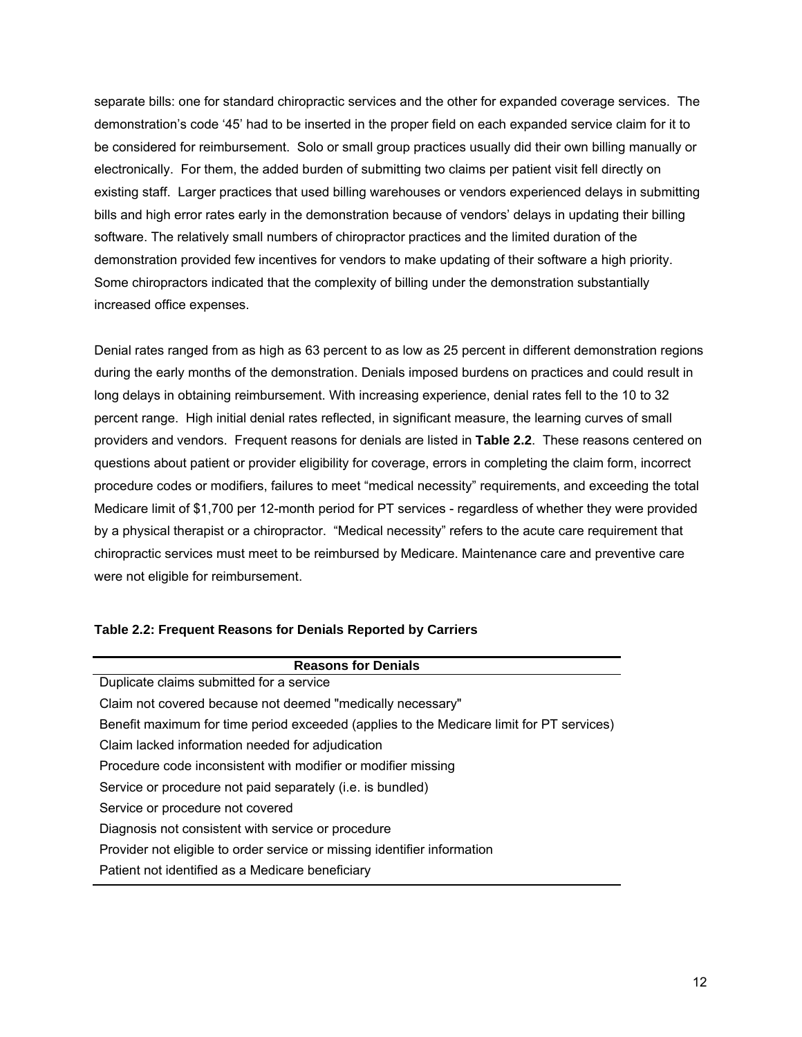separate bills: one for standard chiropractic services and the other for expanded coverage services. The demonstration's code '45' had to be inserted in the proper field on each expanded service claim for it to be considered for reimbursement. Solo or small group practices usually did their own billing manually or electronically. For them, the added burden of submitting two claims per patient visit fell directly on existing staff. Larger practices that used billing warehouses or vendors experienced delays in submitting bills and high error rates early in the demonstration because of vendors' delays in updating their billing software. The relatively small numbers of chiropractor practices and the limited duration of the demonstration provided few incentives for vendors to make updating of their software a high priority. Some chiropractors indicated that the complexity of billing under the demonstration substantially increased office expenses.

Denial rates ranged from as high as 63 percent to as low as 25 percent in different demonstration regions during the early months of the demonstration. Denials imposed burdens on practices and could result in long delays in obtaining reimbursement. With increasing experience, denial rates fell to the 10 to 32 percent range. High initial denial rates reflected, in significant measure, the learning curves of small providers and vendors. Frequent reasons for denials are listed in **Table 2.2**. These reasons centered on questions about patient or provider eligibility for coverage, errors in completing the claim form, incorrect procedure codes or modifiers, failures to meet "medical necessity" requirements, and exceeding the total Medicare limit of \$1,700 per 12-month period for PT services - regardless of whether they were provided by a physical therapist or a chiropractor. "Medical necessity" refers to the acute care requirement that chiropractic services must meet to be reimbursed by Medicare. Maintenance care and preventive care were not eligible for reimbursement.

## <span id="page-34-0"></span>**Table 2.2: Frequent Reasons for Denials Reported by Carriers**

| <b>Reasons for Denials</b>                                                               |
|------------------------------------------------------------------------------------------|
| Duplicate claims submitted for a service                                                 |
| Claim not covered because not deemed "medically necessary"                               |
| Benefit maximum for time period exceeded (applies to the Medicare limit for PT services) |
| Claim lacked information needed for adjudication                                         |
| Procedure code inconsistent with modifier or modifier missing                            |
| Service or procedure not paid separately (i.e. is bundled)                               |
| Service or procedure not covered                                                         |
| Diagnosis not consistent with service or procedure                                       |
| Provider not eligible to order service or missing identifier information                 |
| Patient not identified as a Medicare beneficiary                                         |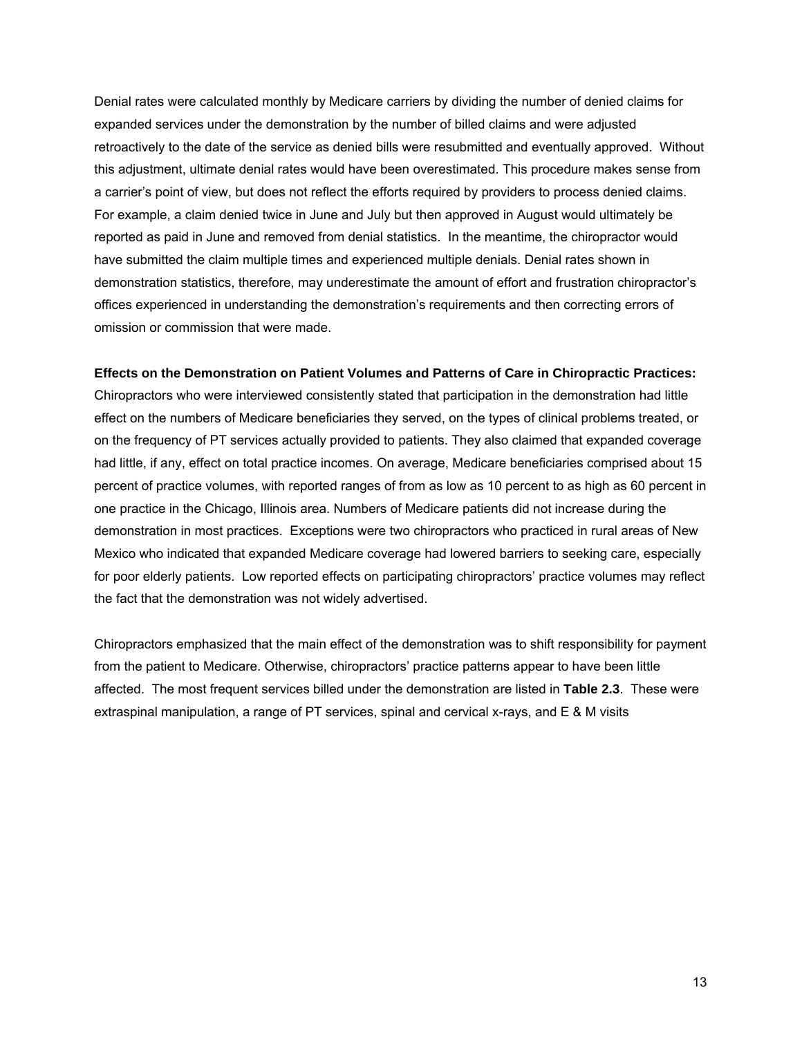Denial rates were calculated monthly by Medicare carriers by dividing the number of denied claims for expanded services under the demonstration by the number of billed claims and were adjusted retroactively to the date of the service as denied bills were resubmitted and eventually approved. Without this adjustment, ultimate denial rates would have been overestimated. This procedure makes sense from a carrier's point of view, but does not reflect the efforts required by providers to process denied claims. For example, a claim denied twice in June and July but then approved in August would ultimately be reported as paid in June and removed from denial statistics. In the meantime, the chiropractor would have submitted the claim multiple times and experienced multiple denials. Denial rates shown in demonstration statistics, therefore, may underestimate the amount of effort and frustration chiropractor's offices experienced in understanding the demonstration's requirements and then correcting errors of omission or commission that were made.

#### **Effects on the Demonstration on Patient Volumes and Patterns of Care in Chiropractic Practices:**

Chiropractors who were interviewed consistently stated that participation in the demonstration had little effect on the numbers of Medicare beneficiaries they served, on the types of clinical problems treated, or on the frequency of PT services actually provided to patients. They also claimed that expanded coverage had little, if any, effect on total practice incomes. On average, Medicare beneficiaries comprised about 15 percent of practice volumes, with reported ranges of from as low as 10 percent to as high as 60 percent in one practice in the Chicago, Illinois area. Numbers of Medicare patients did not increase during the demonstration in most practices. Exceptions were two chiropractors who practiced in rural areas of New Mexico who indicated that expanded Medicare coverage had lowered barriers to seeking care, especially for poor elderly patients. Low reported effects on participating chiropractors' practice volumes may reflect the fact that the demonstration was not widely advertised.

Chiropractors emphasized that the main effect of the demonstration was to shift responsibility for payment from the patient to Medicare. Otherwise, chiropractors' practice patterns appear to have been little affected. The most frequent services billed under the demonstration are listed in **Table 2.3**. These were extraspinal manipulation, a range of PT services, spinal and cervical x-rays, and E & M visits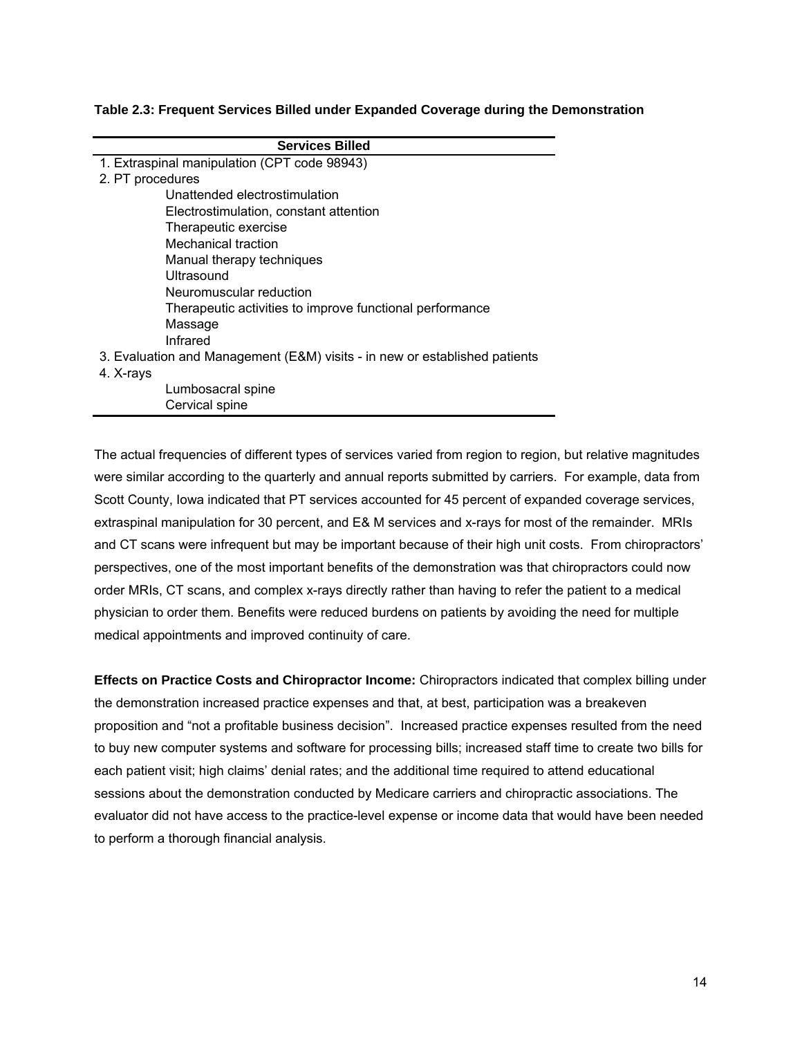#### **Table 2.3: Frequent Services Billed under Expanded Coverage during the Demonstration**

| <b>Services Billed</b>                                                     |  |  |  |  |  |  |  |  |
|----------------------------------------------------------------------------|--|--|--|--|--|--|--|--|
| 1. Extraspinal manipulation (CPT code 98943)                               |  |  |  |  |  |  |  |  |
| 2. PT procedures                                                           |  |  |  |  |  |  |  |  |
| Unattended electrostimulation                                              |  |  |  |  |  |  |  |  |
| Electrostimulation, constant attention                                     |  |  |  |  |  |  |  |  |
| Therapeutic exercise                                                       |  |  |  |  |  |  |  |  |
| Mechanical traction                                                        |  |  |  |  |  |  |  |  |
| Manual therapy techniques                                                  |  |  |  |  |  |  |  |  |
| Ultrasound                                                                 |  |  |  |  |  |  |  |  |
| Neuromuscular reduction                                                    |  |  |  |  |  |  |  |  |
| Therapeutic activities to improve functional performance                   |  |  |  |  |  |  |  |  |
| Massage                                                                    |  |  |  |  |  |  |  |  |
| Infrared                                                                   |  |  |  |  |  |  |  |  |
| 3. Evaluation and Management (E&M) visits - in new or established patients |  |  |  |  |  |  |  |  |
| 4. X-rays                                                                  |  |  |  |  |  |  |  |  |
| Lumbosacral spine                                                          |  |  |  |  |  |  |  |  |
| Cervical spine                                                             |  |  |  |  |  |  |  |  |

The actual frequencies of different types of services varied from region to region, but relative magnitudes were similar according to the quarterly and annual reports submitted by carriers. For example, data from Scott County, Iowa indicated that PT services accounted for 45 percent of expanded coverage services, extraspinal manipulation for 30 percent, and E& M services and x-rays for most of the remainder. MRIs and CT scans were infrequent but may be important because of their high unit costs. From chiropractors' perspectives, one of the most important benefits of the demonstration was that chiropractors could now order MRIs, CT scans, and complex x-rays directly rather than having to refer the patient to a medical physician to order them. Benefits were reduced burdens on patients by avoiding the need for multiple medical appointments and improved continuity of care.

**Effects on Practice Costs and Chiropractor Income:** Chiropractors indicated that complex billing under the demonstration increased practice expenses and that, at best, participation was a breakeven proposition and "not a profitable business decision". Increased practice expenses resulted from the need to buy new computer systems and software for processing bills; increased staff time to create two bills for each patient visit; high claims' denial rates; and the additional time required to attend educational sessions about the demonstration conducted by Medicare carriers and chiropractic associations. The evaluator did not have access to the practice-level expense or income data that would have been needed to perform a thorough financial analysis.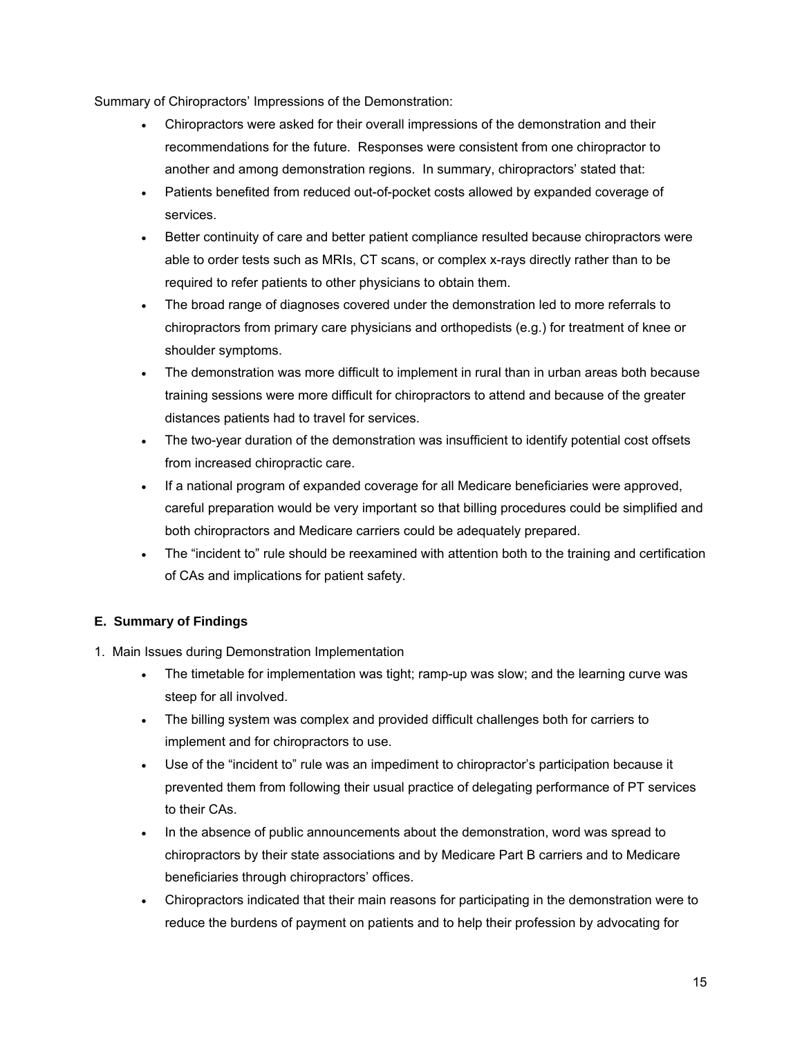Summary of Chiropractors' Impressions of the Demonstration:

- Chiropractors were asked for their overall impressions of the demonstration and their recommendations for the future. Responses were consistent from one chiropractor to another and among demonstration regions. In summary, chiropractors' stated that:
- Patients benefited from reduced out-of-pocket costs allowed by expanded coverage of services.
- Better continuity of care and better patient compliance resulted because chiropractors were able to order tests such as MRIs, CT scans, or complex x-rays directly rather than to be required to refer patients to other physicians to obtain them.
- The broad range of diagnoses covered under the demonstration led to more referrals to chiropractors from primary care physicians and orthopedists (e.g.) for treatment of knee or shoulder symptoms.
- The demonstration was more difficult to implement in rural than in urban areas both because training sessions were more difficult for chiropractors to attend and because of the greater distances patients had to travel for services.
- The two-year duration of the demonstration was insufficient to identify potential cost offsets from increased chiropractic care.
- If a national program of expanded coverage for all Medicare beneficiaries were approved, careful preparation would be very important so that billing procedures could be simplified and both chiropractors and Medicare carriers could be adequately prepared.
- The "incident to" rule should be reexamined with attention both to the training and certification of CAs and implications for patient safety.

# **E. Summary of Findings**

- 1. Main Issues during Demonstration Implementation
	- The timetable for implementation was tight; ramp-up was slow; and the learning curve was steep for all involved.
	- The billing system was complex and provided difficult challenges both for carriers to implement and for chiropractors to use.
	- Use of the "incident to" rule was an impediment to chiropractor's participation because it prevented them from following their usual practice of delegating performance of PT services to their CAs.
	- In the absence of public announcements about the demonstration, word was spread to chiropractors by their state associations and by Medicare Part B carriers and to Medicare beneficiaries through chiropractors' offices.
	- Chiropractors indicated that their main reasons for participating in the demonstration were to reduce the burdens of payment on patients and to help their profession by advocating for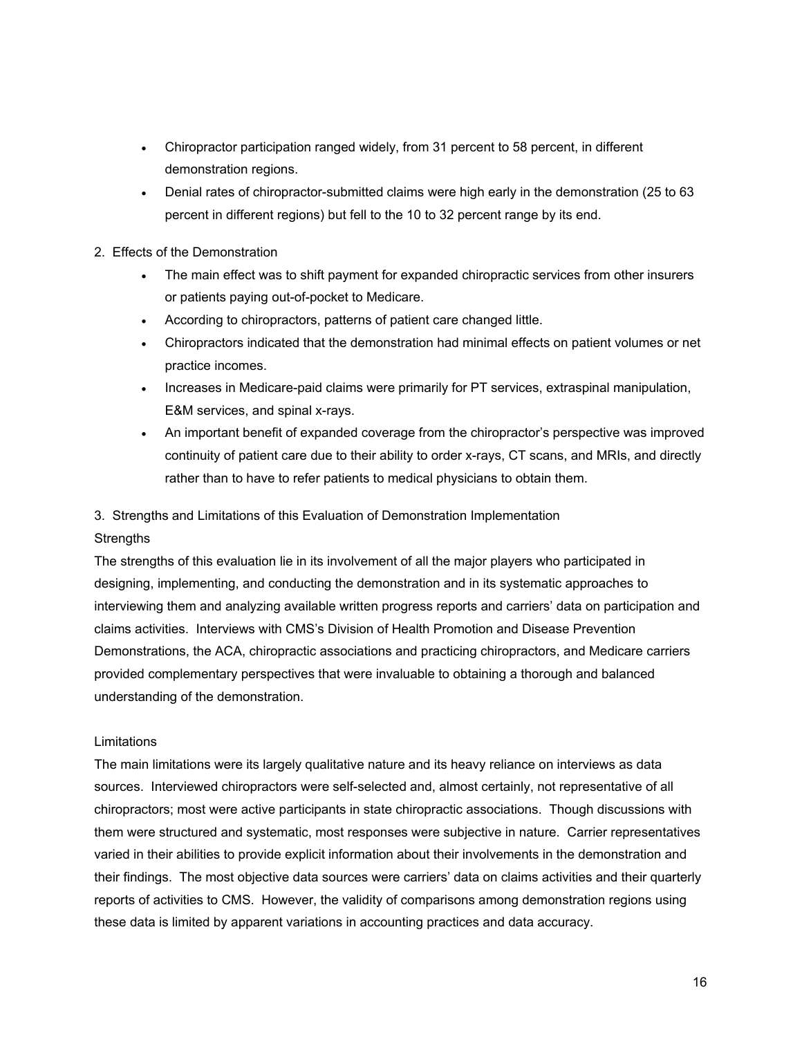- Chiropractor participation ranged widely, from 31 percent to 58 percent, in different demonstration regions.
- Denial rates of chiropractor-submitted claims were high early in the demonstration (25 to 63 percent in different regions) but fell to the 10 to 32 percent range by its end.
- 2. Effects of the Demonstration
	- The main effect was to shift payment for expanded chiropractic services from other insurers or patients paying out-of-pocket to Medicare.
	- According to chiropractors, patterns of patient care changed little.
	- Chiropractors indicated that the demonstration had minimal effects on patient volumes or net practice incomes.
	- Increases in Medicare-paid claims were primarily for PT services, extraspinal manipulation, E&M services, and spinal x-rays.
	- An important benefit of expanded coverage from the chiropractor's perspective was improved continuity of patient care due to their ability to order x-rays, CT scans, and MRIs, and directly rather than to have to refer patients to medical physicians to obtain them.

# 3. Strengths and Limitations of this Evaluation of Demonstration Implementation

# **Strengths**

The strengths of this evaluation lie in its involvement of all the major players who participated in designing, implementing, and conducting the demonstration and in its systematic approaches to interviewing them and analyzing available written progress reports and carriers' data on participation and claims activities. Interviews with CMS's Division of Health Promotion and Disease Prevention Demonstrations, the ACA, chiropractic associations and practicing chiropractors, and Medicare carriers provided complementary perspectives that were invaluable to obtaining a thorough and balanced understanding of the demonstration.

## Limitations

The main limitations were its largely qualitative nature and its heavy reliance on interviews as data sources. Interviewed chiropractors were self-selected and, almost certainly, not representative of all chiropractors; most were active participants in state chiropractic associations. Though discussions with them were structured and systematic, most responses were subjective in nature. Carrier representatives varied in their abilities to provide explicit information about their involvements in the demonstration and their findings. The most objective data sources were carriers' data on claims activities and their quarterly reports of activities to CMS. However, the validity of comparisons among demonstration regions using these data is limited by apparent variations in accounting practices and data accuracy.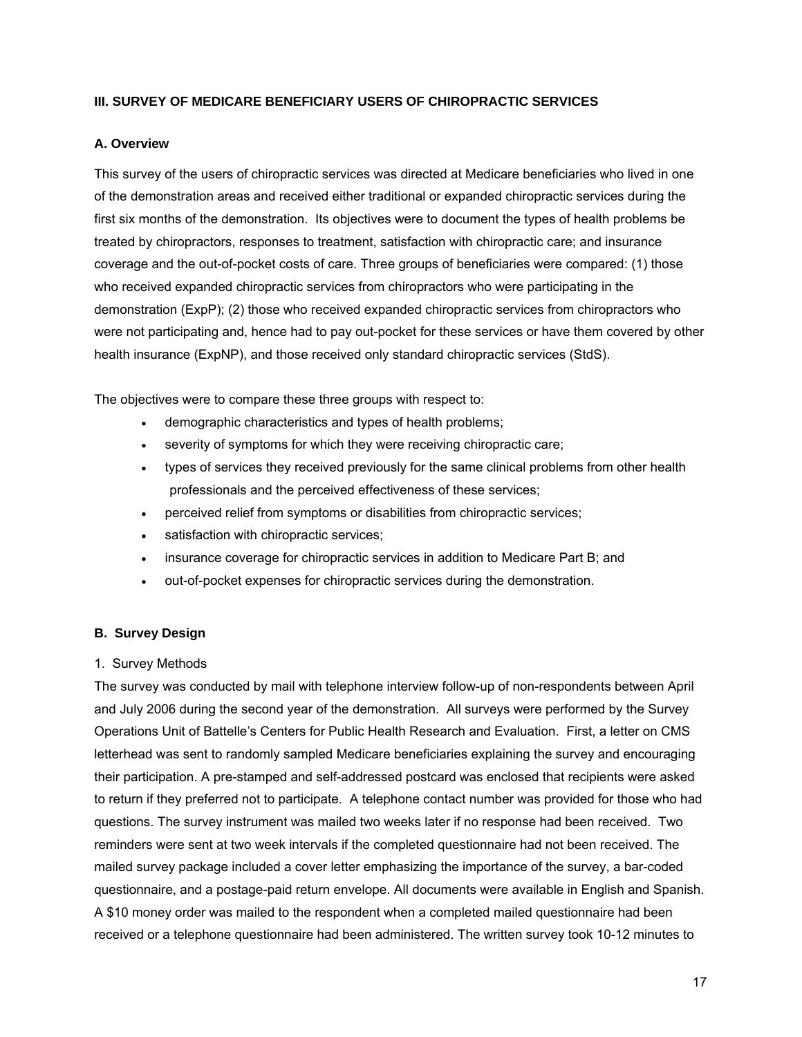# **III. SURVEY OF MEDICARE BENEFICIARY USERS OF CHIROPRACTIC SERVICES**

#### **A. Overview**

This survey of the users of chiropractic services was directed at Medicare beneficiaries who lived in one of the demonstration areas and received either traditional or expanded chiropractic services during the first six months of the demonstration. Its objectives were to document the types of health problems be treated by chiropractors, responses to treatment, satisfaction with chiropractic care; and insurance coverage and the out-of-pocket costs of care. Three groups of beneficiaries were compared: (1) those who received expanded chiropractic services from chiropractors who were participating in the demonstration (ExpP); (2) those who received expanded chiropractic services from chiropractors who were not participating and, hence had to pay out-pocket for these services or have them covered by other health insurance (ExpNP), and those received only standard chiropractic services (StdS).

The objectives were to compare these three groups with respect to:

- demographic characteristics and types of health problems;
- severity of symptoms for which they were receiving chiropractic care;
- types of services they received previously for the same clinical problems from other health professionals and the perceived effectiveness of these services;
- perceived relief from symptoms or disabilities from chiropractic services;
- satisfaction with chiropractic services;
- insurance coverage for chiropractic services in addition to Medicare Part B; and
- out-of-pocket expenses for chiropractic services during the demonstration.

# **B. Survey Design**

#### 1. Survey Methods

The survey was conducted by mail with telephone interview follow-up of non-respondents between April and July 2006 during the second year of the demonstration. All surveys were performed by the Survey Operations Unit of Battelle's Centers for Public Health Research and Evaluation. First, a letter on CMS letterhead was sent to randomly sampled Medicare beneficiaries explaining the survey and encouraging their participation. A pre-stamped and self-addressed postcard was enclosed that recipients were asked to return if they preferred not to participate. A telephone contact number was provided for those who had questions. The survey instrument was mailed two weeks later if no response had been received. Two reminders were sent at two week intervals if the completed questionnaire had not been received. The mailed survey package included a cover letter emphasizing the importance of the survey, a bar-coded questionnaire, and a postage-paid return envelope. All documents were available in English and Spanish. A \$10 money order was mailed to the respondent when a completed mailed questionnaire had been received or a telephone questionnaire had been administered. The written survey took 10-12 minutes to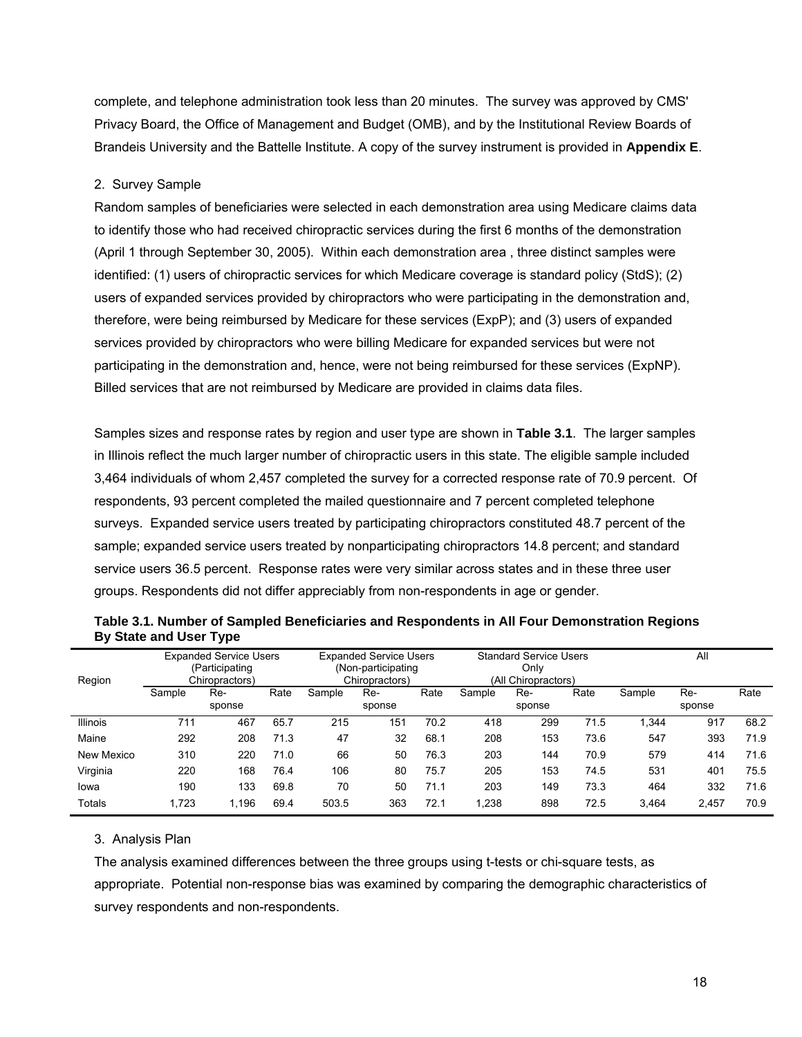complete, and telephone administration took less than 20 minutes. The survey was approved by CMS' Privacy Board, the Office of Management and Budget (OMB), and by the Institutional Review Boards of Brandeis University and the Battelle Institute. A copy of the survey instrument is provided in **Appendix E**.

#### 2. Survey Sample

Random samples of beneficiaries were selected in each demonstration area using Medicare claims data to identify those who had received chiropractic services during the first 6 months of the demonstration (April 1 through September 30, 2005). Within each demonstration area , three distinct samples were identified: (1) users of chiropractic services for which Medicare coverage is standard policy (StdS); (2) users of expanded services provided by chiropractors who were participating in the demonstration and, therefore, were being reimbursed by Medicare for these services (ExpP); and (3) users of expanded services provided by chiropractors who were billing Medicare for expanded services but were not participating in the demonstration and, hence, were not being reimbursed for these services (ExpNP). Billed services that are not reimbursed by Medicare are provided in claims data files.

Samples sizes and response rates by region and user type are shown in **Table 3.1**. The larger samples in Illinois reflect the much larger number of chiropractic users in this state. The eligible sample included 3,464 individuals of whom 2,457 completed the survey for a corrected response rate of 70.9 percent. Of respondents, 93 percent completed the mailed questionnaire and 7 percent completed telephone surveys. Expanded service users treated by participating chiropractors constituted 48.7 percent of the sample; expanded service users treated by nonparticipating chiropractors 14.8 percent; and standard service users 36.5 percent. Response rates were very similar across states and in these three user groups. Respondents did not differ appreciably from non-respondents in age or gender.

|                 | <b>Expanded Service Users</b><br>(Participating |                | <b>Expanded Service Users</b><br>(Non-participating |                | <b>Standard Service Users</b><br>Only |      | All                 |        |      |        |        |      |
|-----------------|-------------------------------------------------|----------------|-----------------------------------------------------|----------------|---------------------------------------|------|---------------------|--------|------|--------|--------|------|
| Region          |                                                 | Chiropractors) |                                                     | Chiropractors) |                                       |      | (All Chiropractors) |        |      |        |        |      |
|                 | Sample                                          | Re-            | Rate                                                | Sample         | Re-                                   | Rate | Sample              | Re-    | Rate | Sample | Re-    | Rate |
|                 |                                                 | sponse         |                                                     |                | sponse                                |      |                     | sponse |      |        | sponse |      |
| <b>Illinois</b> | 711                                             | 467            | 65.7                                                | 215            | 151                                   | 70.2 | 418                 | 299    | 71.5 | 1,344  | 917    | 68.2 |
| Maine           | 292                                             | 208            | 71.3                                                | 47             | 32                                    | 68.1 | 208                 | 153    | 73.6 | 547    | 393    | 71.9 |
| New Mexico      | 310                                             | 220            | 71.0                                                | 66             | 50                                    | 76.3 | 203                 | 144    | 70.9 | 579    | 414    | 71.6 |
| Virginia        | 220                                             | 168            | 76.4                                                | 106            | 80                                    | 75.7 | 205                 | 153    | 74.5 | 531    | 401    | 75.5 |
| lowa            | 190                                             | 133            | 69.8                                                | 70             | 50                                    | 71.1 | 203                 | 149    | 73.3 | 464    | 332    | 71.6 |
| Totals          | 1,723                                           | 1.196          | 69.4                                                | 503.5          | 363                                   | 72.1 | .238                | 898    | 72.5 | 3.464  | 2.457  | 70.9 |

**Table 3.1. Number of Sampled Beneficiaries and Respondents in All Four Demonstration Regions By State and User Type** 

#### 3. Analysis Plan

The analysis examined differences between the three groups using t-tests or chi-square tests, as appropriate. Potential non-response bias was examined by comparing the demographic characteristics of survey respondents and non-respondents.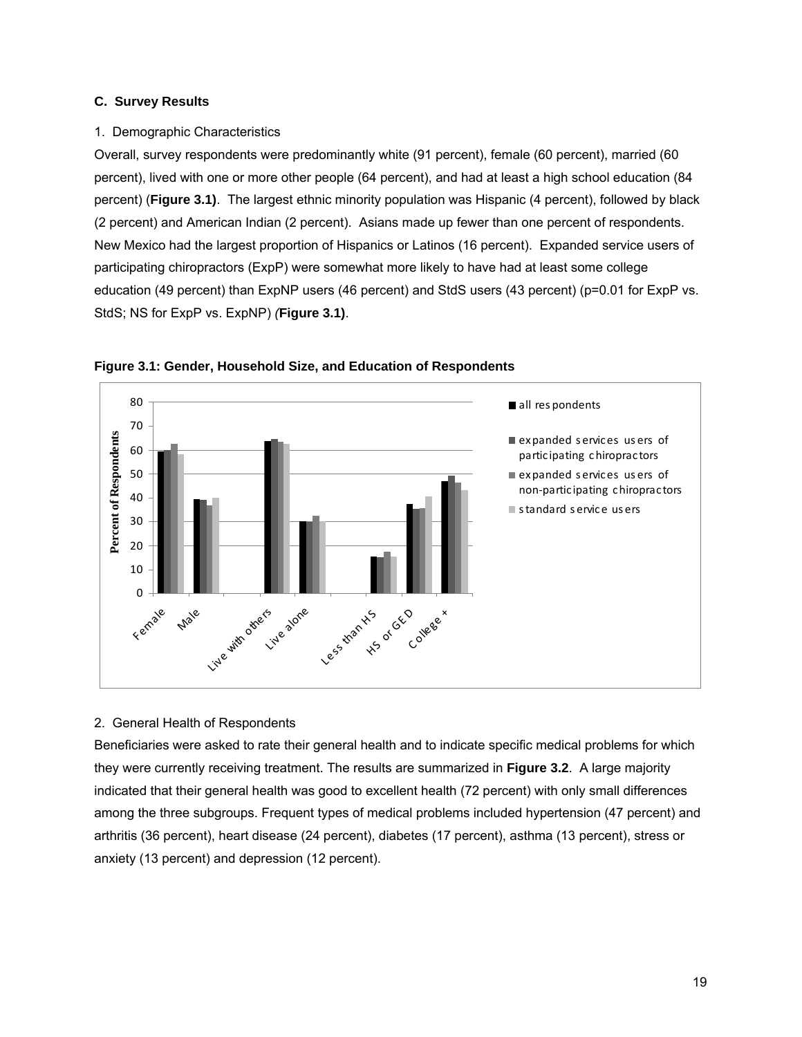#### **C. Survey Results**

#### 1. Demographic Characteristics

Overall, survey respondents were predominantly white (91 percent), female (60 percent), married (60 percent), lived with one or more other people (64 percent), and had at least a high school education (84 percent) (**Figure 3.1)**. The largest ethnic minority population was Hispanic (4 percent), followed by black (2 percent) and American Indian (2 percent). Asians made up fewer than one percent of respondents. New Mexico had the largest proportion of Hispanics or Latinos (16 percent). Expanded service users of participating chiropractors (ExpP) were somewhat more likely to have had at least some college education (49 percent) than ExpNP users (46 percent) and StdS users (43 percent) (p=0.01 for ExpP vs. StdS; NS for ExpP vs. ExpNP) *(***Figure 3.1)**.



**Figure 3.1: Gender, Household Size, and Education of Respondents** 

## 2. General Health of Respondents

Beneficiaries were asked to rate their general health and to indicate specific medical problems for which they were currently receiving treatment. The results are summarized in **Figure 3.2**. A large majority indicated that their general health was good to excellent health (72 percent) with only small differences among the three subgroups. Frequent types of medical problems included hypertension (47 percent) and arthritis (36 percent), heart disease (24 percent), diabetes (17 percent), asthma (13 percent), stress or anxiety (13 percent) and depression (12 percent).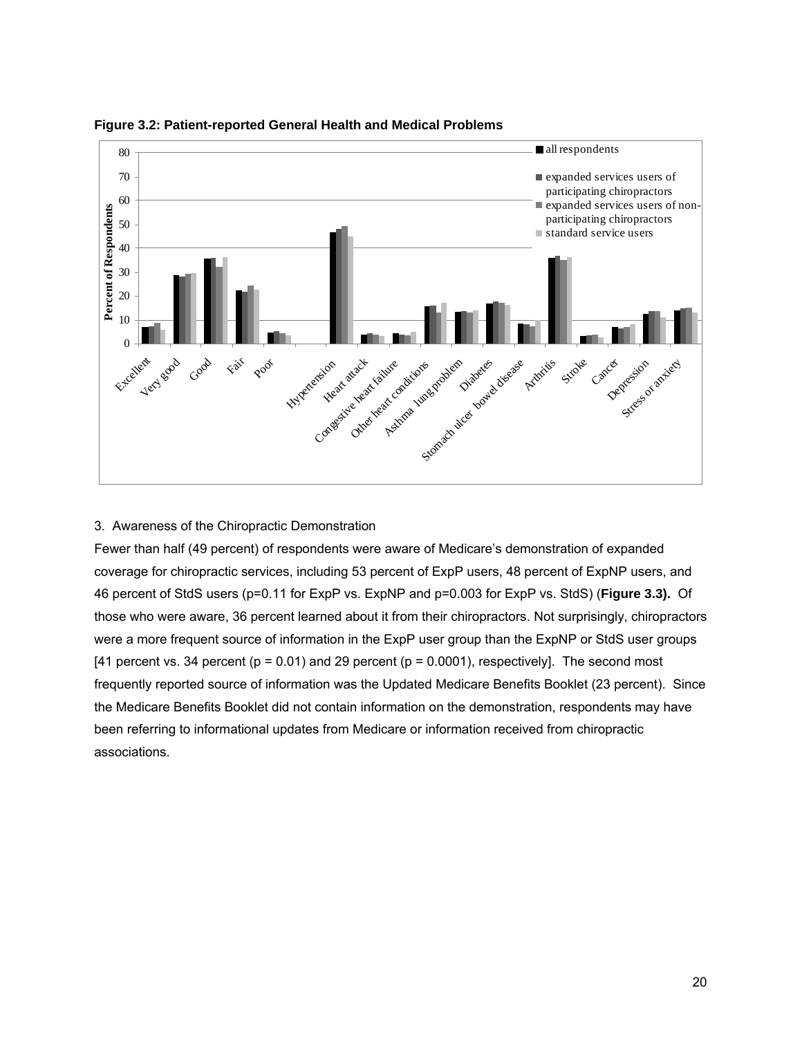

**Figure 3.2: Patient-reported General Health and Medical Problems** 

## 3. Awareness of the Chiropractic Demonstration

Fewer than half (49 percent) of respondents were aware of Medicare's demonstration of expanded coverage for chiropractic services, including 53 percent of ExpP users, 48 percent of ExpNP users, and 46 percent of StdS users (p=0.11 for ExpP vs. ExpNP and p=0.003 for ExpP vs. StdS) (**Figure 3.3).** Of those who were aware, 36 percent learned about it from their chiropractors. Not surprisingly, chiropractors were a more frequent source of information in the ExpP user group than the ExpNP or StdS user groups [41 percent vs. 34 percent ( $p = 0.01$ ) and 29 percent ( $p = 0.0001$ ), respectively]. The second most frequently reported source of information was the Updated Medicare Benefits Booklet (23 percent). Since the Medicare Benefits Booklet did not contain information on the demonstration, respondents may have been referring to informational updates from Medicare or information received from chiropractic associations.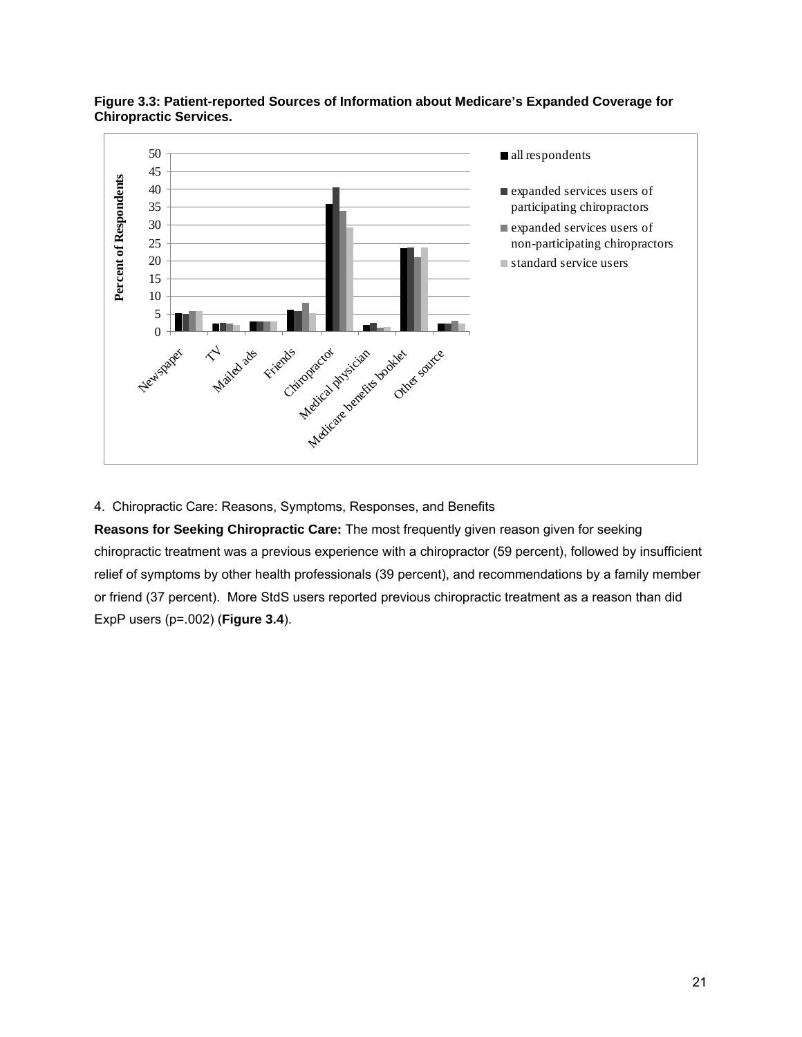

**Figure 3.3: Patient-reported Sources of Information about Medicare's Expanded Coverage for Chiropractic Services.** 

4. Chiropractic Care: Reasons, Symptoms, Responses, and Benefits

**Reasons for Seeking Chiropractic Care:** The most frequently given reason given for seeking chiropractic treatment was a previous experience with a chiropractor (59 percent), followed by insufficient relief of symptoms by other health professionals (39 percent), and recommendations by a family member or friend (37 percent). More StdS users reported previous chiropractic treatment as a reason than did ExpP users (p=.002) (**Figure 3.4**).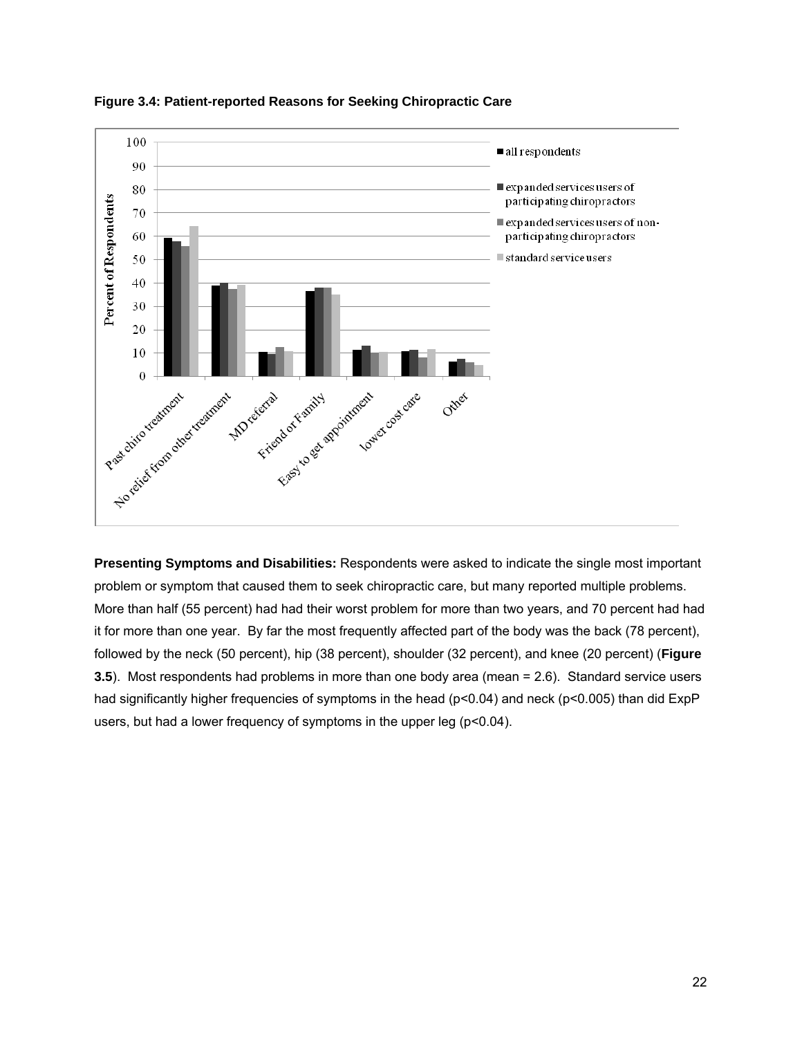

**Figure 3.4: Patient-reported Reasons for Seeking Chiropractic Care** 

**Presenting Symptoms and Disabilities:** Respondents were asked to indicate the single most important problem or symptom that caused them to seek chiropractic care, but many reported multiple problems. More than half (55 percent) had had their worst problem for more than two years, and 70 percent had had it for more than one year. By far the most frequently affected part of the body was the back (78 percent), followed by the neck (50 percent), hip (38 percent), shoulder (32 percent), and knee (20 percent) (**Figure 3.5**). Most respondents had problems in more than one body area (mean = 2.6). Standard service users had significantly higher frequencies of symptoms in the head (p<0.04) and neck (p<0.005) than did ExpP users, but had a lower frequency of symptoms in the upper leg (p<0.04).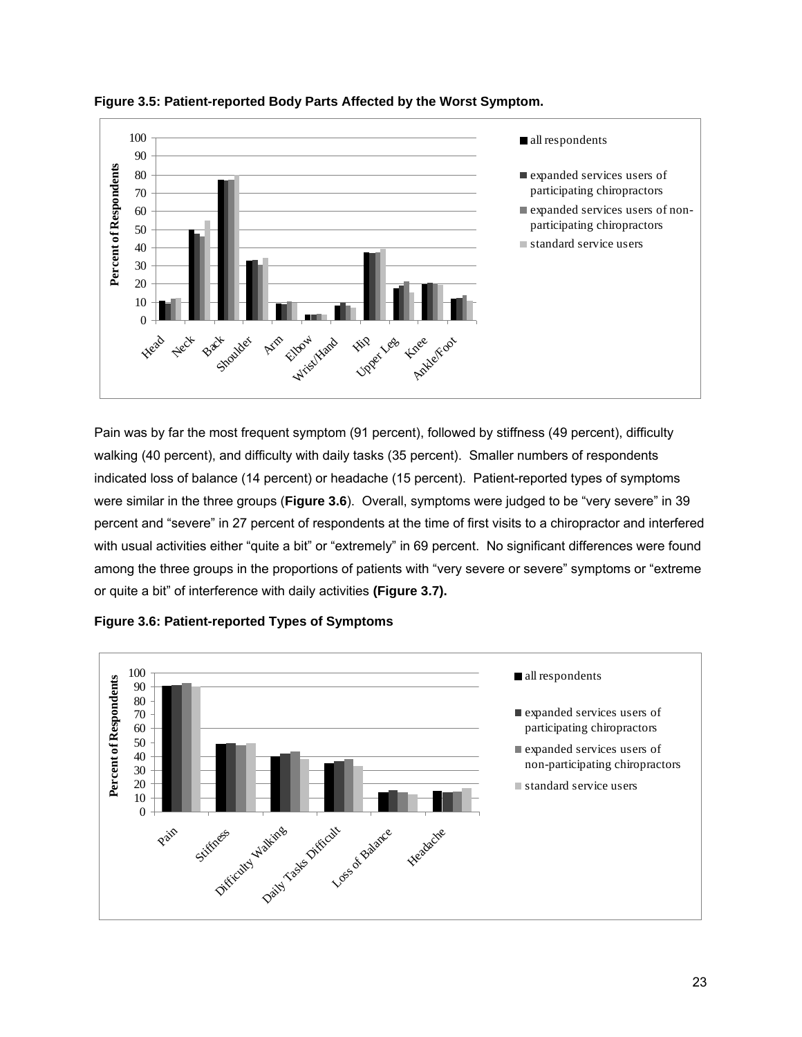

**Figure 3.5: Patient-reported Body Parts Affected by the Worst Symptom.** 

Pain was by far the most frequent symptom (91 percent), followed by stiffness (49 percent), difficulty walking (40 percent), and difficulty with daily tasks (35 percent). Smaller numbers of respondents indicated loss of balance (14 percent) or headache (15 percent). Patient-reported types of symptoms were similar in the three groups (**Figure 3.6**). Overall, symptoms were judged to be "very severe" in 39 percent and "severe" in 27 percent of respondents at the time of first visits to a chiropractor and interfered with usual activities either "quite a bit" or "extremely" in 69 percent. No significant differences were found among the three groups in the proportions of patients with "very severe or severe" symptoms or "extreme or quite a bit" of interference with daily activities **(Figure 3.7).** 



**Figure 3.6: Patient-reported Types of Symptoms**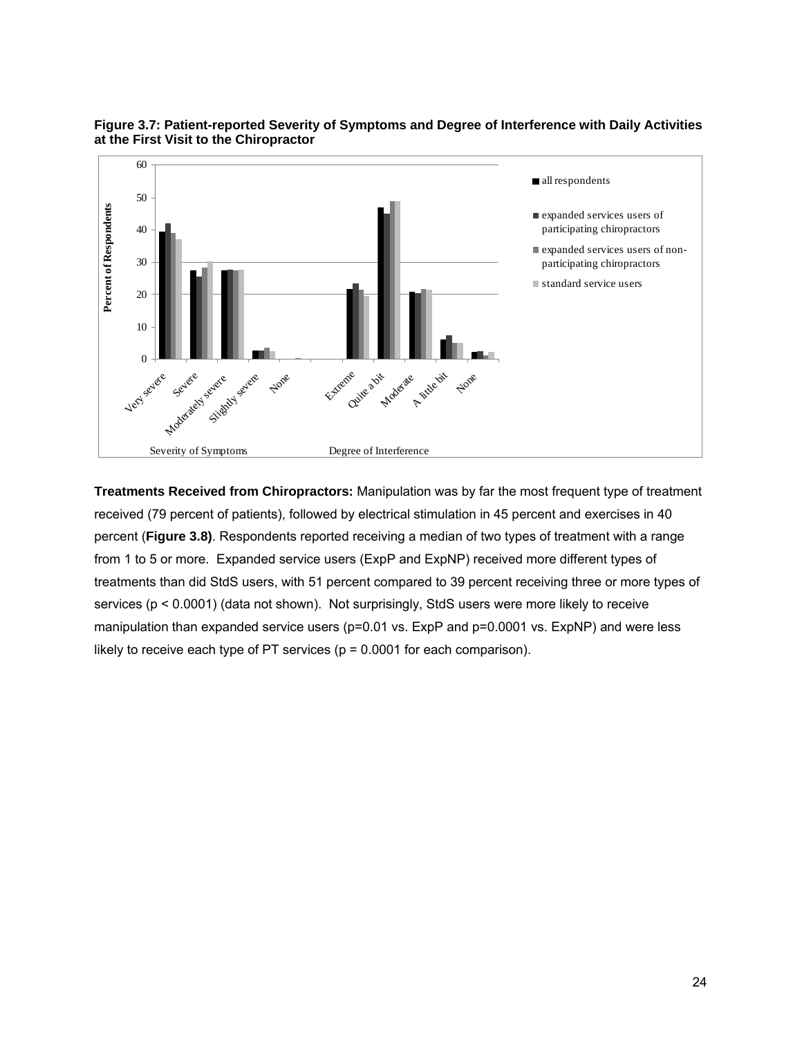

**Figure 3.7: Patient-reported Severity of Symptoms and Degree of Interference with Daily Activities at the First Visit to the Chiropractor** 

**Treatments Received from Chiropractors:** Manipulation was by far the most frequent type of treatment received (79 percent of patients), followed by electrical stimulation in 45 percent and exercises in 40 percent (**Figure 3.8)**. Respondents reported receiving a median of two types of treatment with a range from 1 to 5 or more. Expanded service users (ExpP and ExpNP) received more different types of treatments than did StdS users, with 51 percent compared to 39 percent receiving three or more types of services (p < 0.0001) (data not shown). Not surprisingly, StdS users were more likely to receive manipulation than expanded service users (p=0.01 vs. ExpP and p=0.0001 vs. ExpNP) and were less likely to receive each type of PT services ( $p = 0.0001$  for each comparison).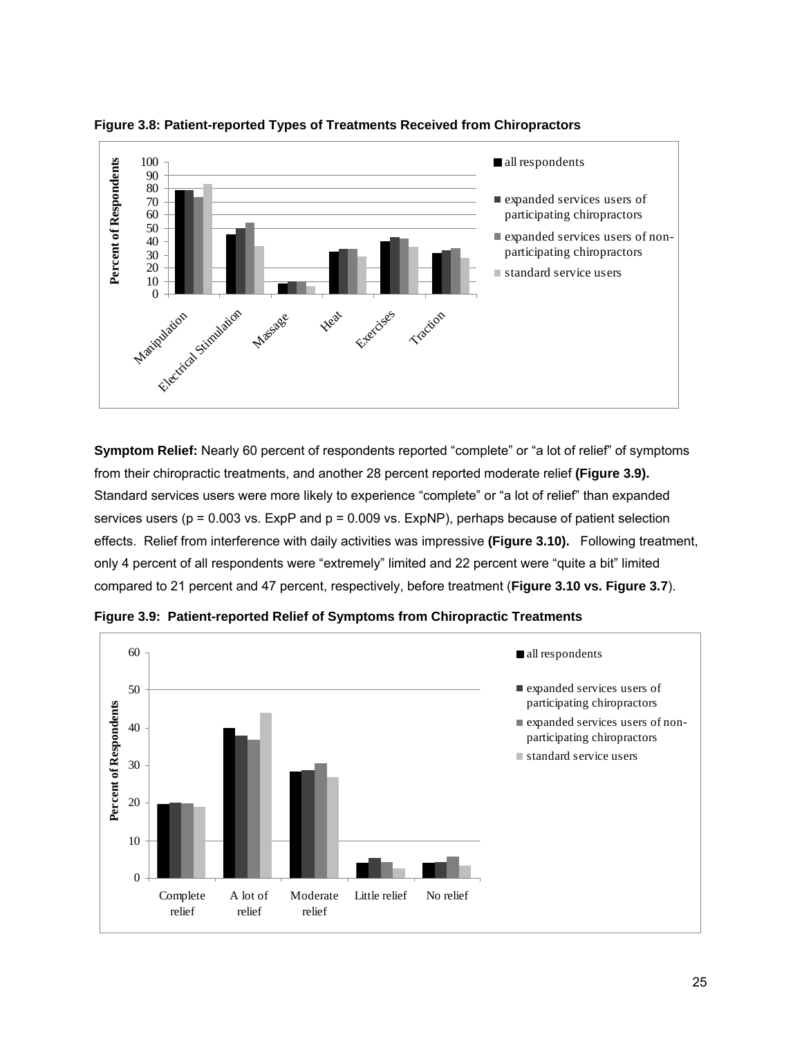

**Figure 3.8: Patient-reported Types of Treatments Received from Chiropractors** 

**Symptom Relief:** Nearly 60 percent of respondents reported "complete" or "a lot of relief" of symptoms from their chiropractic treatments, and another 28 percent reported moderate relief **(Figure 3.9).** Standard services users were more likely to experience "complete" or "a lot of relief" than expanded services users ( $p = 0.003$  vs. ExpP and  $p = 0.009$  vs. ExpNP), perhaps because of patient selection effects. Relief from interference with daily activities was impressive **(Figure 3.10).** Following treatment, only 4 percent of all respondents were "extremely" limited and 22 percent were "quite a bit" limited compared to 21 percent and 47 percent, respectively, before treatment (**Figure 3.10 vs. Figure 3.7**).



**Figure 3.9: Patient-reported Relief of Symptoms from Chiropractic Treatments**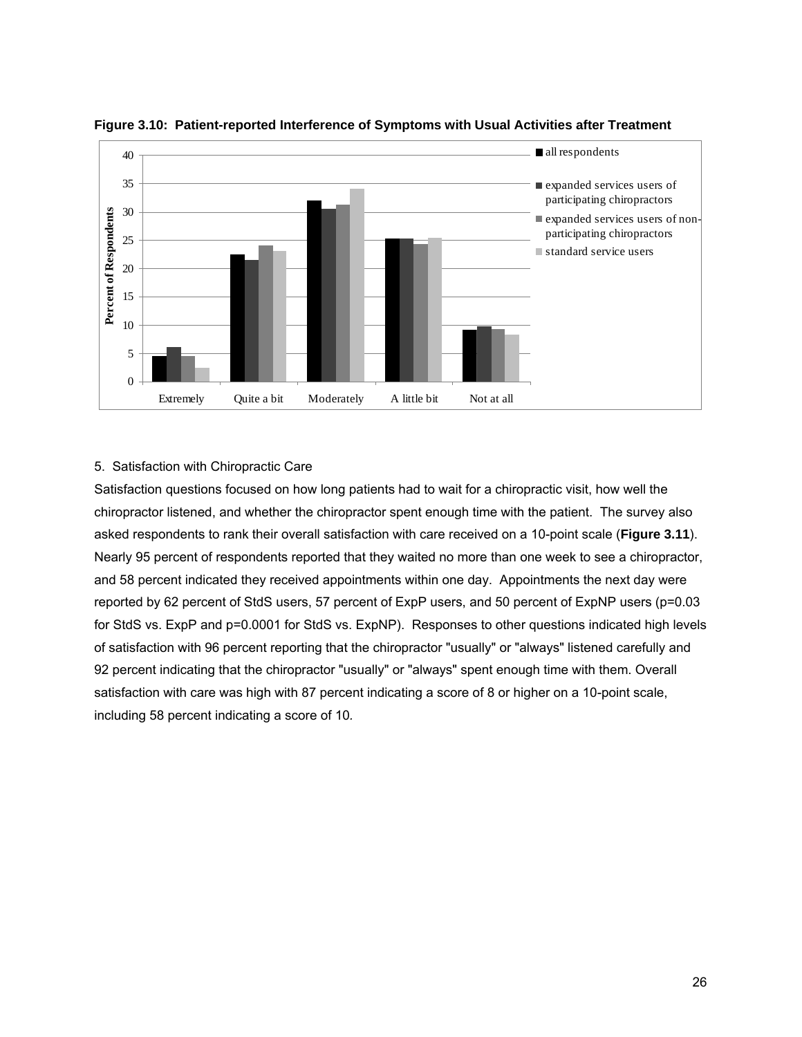

**Figure 3.10: Patient-reported Interference of Symptoms with Usual Activities after Treatment** 

## 5. Satisfaction with Chiropractic Care

Satisfaction questions focused on how long patients had to wait for a chiropractic visit, how well the chiropractor listened, and whether the chiropractor spent enough time with the patient. The survey also asked respondents to rank their overall satisfaction with care received on a 10-point scale (**Figure 3.11**). Nearly 95 percent of respondents reported that they waited no more than one week to see a chiropractor, and 58 percent indicated they received appointments within one day. Appointments the next day were reported by 62 percent of StdS users, 57 percent of ExpP users, and 50 percent of ExpNP users (p=0.03 for StdS vs. ExpP and p=0.0001 for StdS vs. ExpNP). Responses to other questions indicated high levels of satisfaction with 96 percent reporting that the chiropractor "usually" or "always" listened carefully and 92 percent indicating that the chiropractor "usually" or "always" spent enough time with them. Overall satisfaction with care was high with 87 percent indicating a score of 8 or higher on a 10-point scale, including 58 percent indicating a score of 10*.*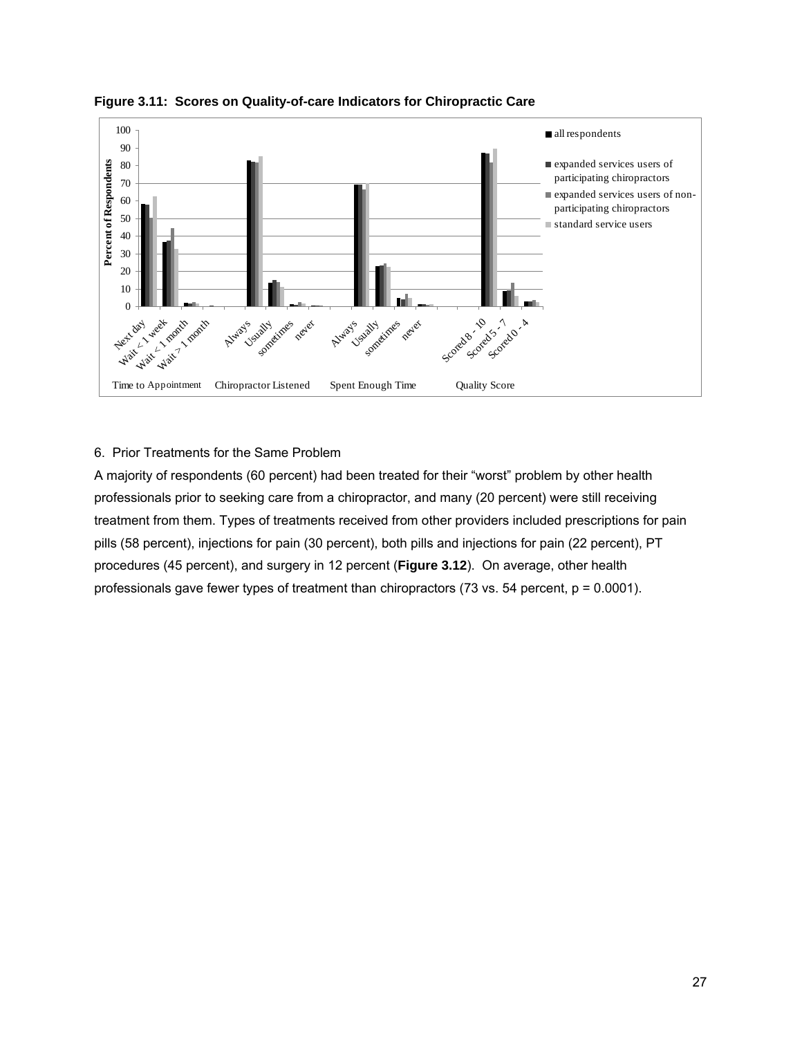

**Figure 3.11: Scores on Quality-of-care Indicators for Chiropractic Care** 

# 6. Prior Treatments for the Same Problem

A majority of respondents (60 percent) had been treated for their "worst" problem by other health professionals prior to seeking care from a chiropractor, and many (20 percent) were still receiving treatment from them. Types of treatments received from other providers included prescriptions for pain pills (58 percent), injections for pain (30 percent), both pills and injections for pain (22 percent), PT procedures (45 percent), and surgery in 12 percent (**Figure 3.12**). On average, other health professionals gave fewer types of treatment than chiropractors (73 vs. 54 percent, p = 0.0001).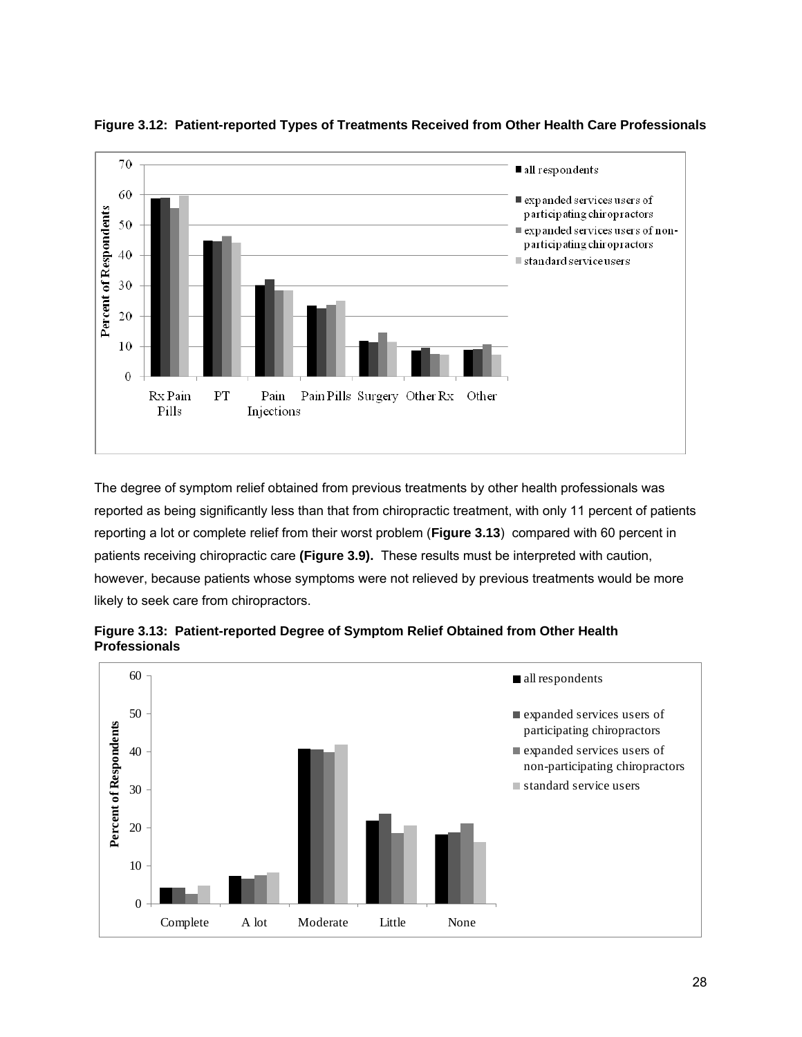

**Figure 3.12: Patient-reported Types of Treatments Received from Other Health Care Professionals** 

The degree of symptom relief obtained from previous treatments by other health professionals was reported as being significantly less than that from chiropractic treatment, with only 11 percent of patients reporting a lot or complete relief from their worst problem (**Figure 3.13**) compared with 60 percent in patients receiving chiropractic care **(Figure 3.9).** These results must be interpreted with caution, however, because patients whose symptoms were not relieved by previous treatments would be more likely to seek care from chiropractors.



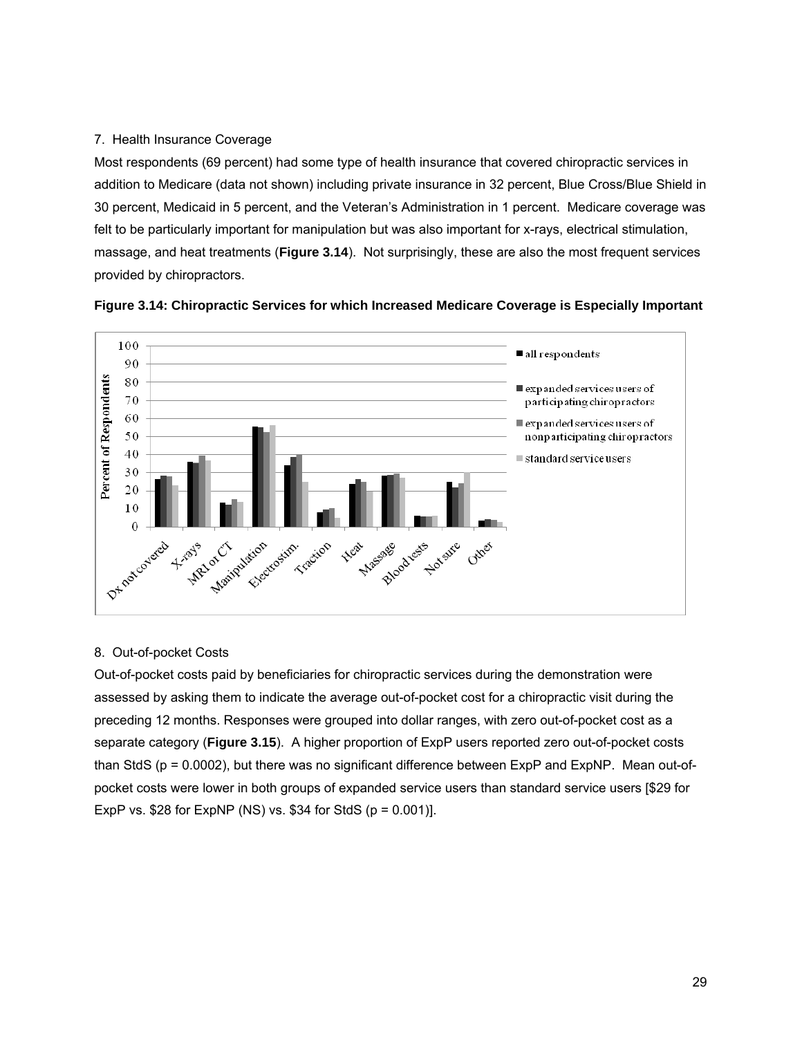# 7. Health Insurance Coverage

Most respondents (69 percent) had some type of health insurance that covered chiropractic services in addition to Medicare (data not shown) including private insurance in 32 percent, Blue Cross/Blue Shield in 30 percent, Medicaid in 5 percent, and the Veteran's Administration in 1 percent. Medicare coverage was felt to be particularly important for manipulation but was also important for x-rays, electrical stimulation, massage, and heat treatments (**Figure 3.14**). Not surprisingly, these are also the most frequent services provided by chiropractors.





## 8. Out-of-pocket Costs

Out-of-pocket costs paid by beneficiaries for chiropractic services during the demonstration were assessed by asking them to indicate the average out-of-pocket cost for a chiropractic visit during the preceding 12 months. Responses were grouped into dollar ranges, with zero out-of-pocket cost as a separate category (**Figure 3.15**). A higher proportion of ExpP users reported zero out-of-pocket costs than StdS (p = 0.0002), but there was no significant difference between ExpP and ExpNP. Mean out-ofpocket costs were lower in both groups of expanded service users than standard service users [\$29 for ExpP vs. \$28 for ExpNP (NS) vs. \$34 for StdS  $(p = 0.001)$ ].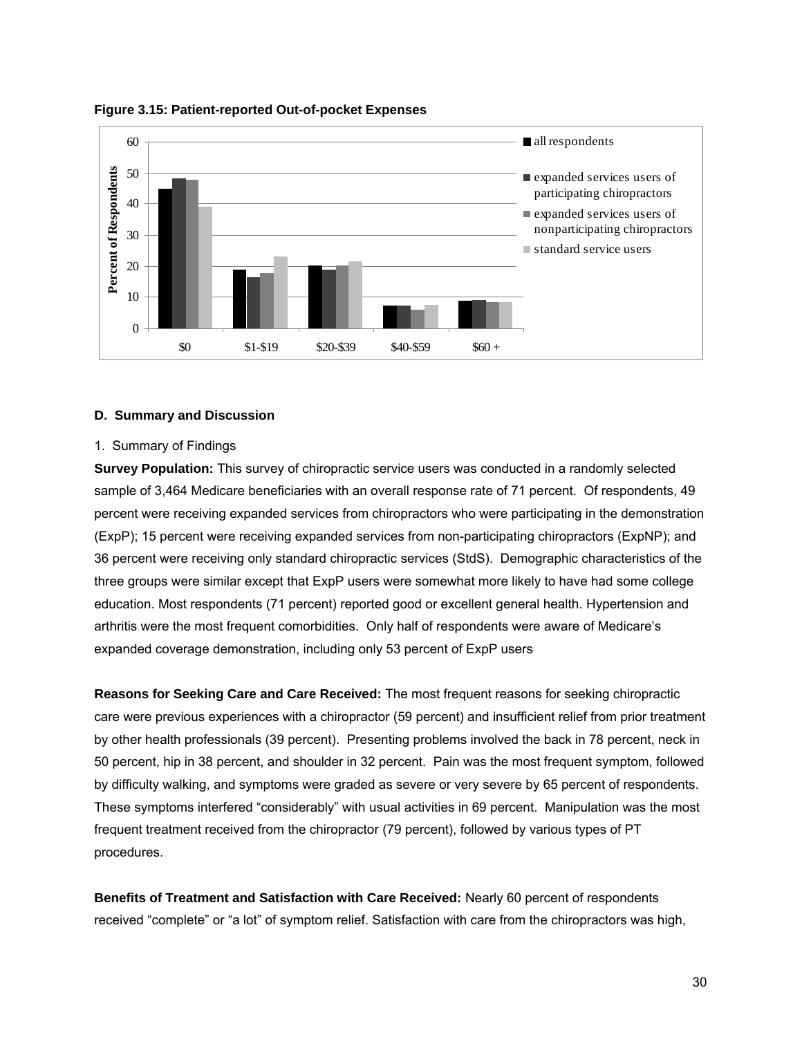

**Figure 3.15: Patient-reported Out-of-pocket Expenses** 

#### **D. Summary and Discussion**

#### 1. Summary of Findings

**Survey Population:** This survey of chiropractic service users was conducted in a randomly selected sample of 3,464 Medicare beneficiaries with an overall response rate of 71 percent. Of respondents, 49 percent were receiving expanded services from chiropractors who were participating in the demonstration (ExpP); 15 percent were receiving expanded services from non-participating chiropractors (ExpNP); and 36 percent were receiving only standard chiropractic services (StdS). Demographic characteristics of the three groups were similar except that ExpP users were somewhat more likely to have had some college education. Most respondents (71 percent) reported good or excellent general health. Hypertension and arthritis were the most frequent comorbidities. Only half of respondents were aware of Medicare's expanded coverage demonstration, including only 53 percent of ExpP users

**Reasons for Seeking Care and Care Received:** The most frequent reasons for seeking chiropractic care were previous experiences with a chiropractor (59 percent) and insufficient relief from prior treatment by other health professionals (39 percent). Presenting problems involved the back in 78 percent, neck in 50 percent, hip in 38 percent, and shoulder in 32 percent. Pain was the most frequent symptom, followed by difficulty walking, and symptoms were graded as severe or very severe by 65 percent of respondents. These symptoms interfered "considerably" with usual activities in 69 percent. Manipulation was the most frequent treatment received from the chiropractor (79 percent), followed by various types of PT procedures.

**Benefits of Treatment and Satisfaction with Care Received:** Nearly 60 percent of respondents received "complete" or "a lot" of symptom relief. Satisfaction with care from the chiropractors was high,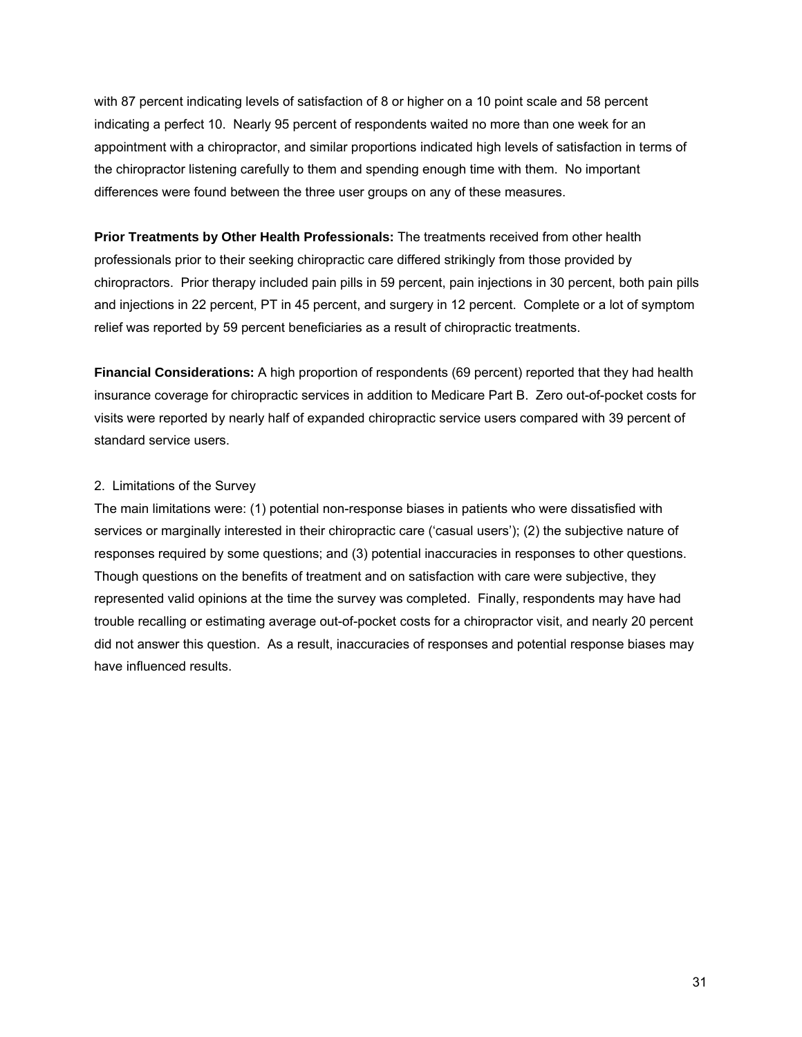with 87 percent indicating levels of satisfaction of 8 or higher on a 10 point scale and 58 percent indicating a perfect 10. Nearly 95 percent of respondents waited no more than one week for an appointment with a chiropractor, and similar proportions indicated high levels of satisfaction in terms of the chiropractor listening carefully to them and spending enough time with them. No important differences were found between the three user groups on any of these measures.

**Prior Treatments by Other Health Professionals:** The treatments received from other health professionals prior to their seeking chiropractic care differed strikingly from those provided by chiropractors. Prior therapy included pain pills in 59 percent, pain injections in 30 percent, both pain pills and injections in 22 percent, PT in 45 percent, and surgery in 12 percent. Complete or a lot of symptom relief was reported by 59 percent beneficiaries as a result of chiropractic treatments.

**Financial Considerations:** A high proportion of respondents (69 percent) reported that they had health insurance coverage for chiropractic services in addition to Medicare Part B. Zero out-of-pocket costs for visits were reported by nearly half of expanded chiropractic service users compared with 39 percent of standard service users.

## 2. Limitations of the Survey

The main limitations were: (1) potential non-response biases in patients who were dissatisfied with services or marginally interested in their chiropractic care ('casual users'); (2) the subjective nature of responses required by some questions; and (3) potential inaccuracies in responses to other questions. Though questions on the benefits of treatment and on satisfaction with care were subjective, they represented valid opinions at the time the survey was completed. Finally, respondents may have had trouble recalling or estimating average out-of-pocket costs for a chiropractor visit, and nearly 20 percent did not answer this question. As a result, inaccuracies of responses and potential response biases may have influenced results.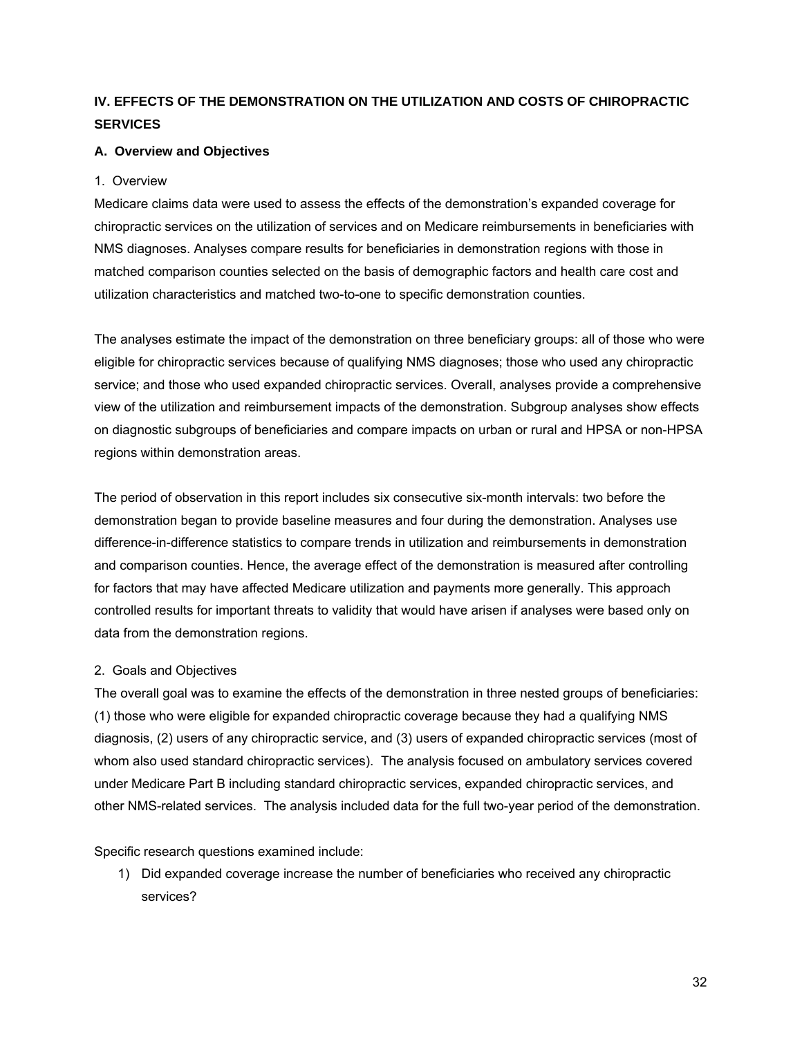# **IV. EFFECTS OF THE DEMONSTRATION ON THE UTILIZATION AND COSTS OF CHIROPRACTIC SERVICES**

## **A. Overview and Objectives**

## 1. Overview

Medicare claims data were used to assess the effects of the demonstration's expanded coverage for chiropractic services on the utilization of services and on Medicare reimbursements in beneficiaries with NMS diagnoses. Analyses compare results for beneficiaries in demonstration regions with those in matched comparison counties selected on the basis of demographic factors and health care cost and utilization characteristics and matched two-to-one to specific demonstration counties.

The analyses estimate the impact of the demonstration on three beneficiary groups: all of those who were eligible for chiropractic services because of qualifying NMS diagnoses; those who used any chiropractic service; and those who used expanded chiropractic services. Overall, analyses provide a comprehensive view of the utilization and reimbursement impacts of the demonstration. Subgroup analyses show effects on diagnostic subgroups of beneficiaries and compare impacts on urban or rural and HPSA or non-HPSA regions within demonstration areas.

The period of observation in this report includes six consecutive six-month intervals: two before the demonstration began to provide baseline measures and four during the demonstration. Analyses use difference-in-difference statistics to compare trends in utilization and reimbursements in demonstration and comparison counties. Hence, the average effect of the demonstration is measured after controlling for factors that may have affected Medicare utilization and payments more generally. This approach controlled results for important threats to validity that would have arisen if analyses were based only on data from the demonstration regions.

## 2. Goals and Objectives

The overall goal was to examine the effects of the demonstration in three nested groups of beneficiaries: (1) those who were eligible for expanded chiropractic coverage because they had a qualifying NMS diagnosis, (2) users of any chiropractic service, and (3) users of expanded chiropractic services (most of whom also used standard chiropractic services). The analysis focused on ambulatory services covered under Medicare Part B including standard chiropractic services, expanded chiropractic services, and other NMS-related services. The analysis included data for the full two-year period of the demonstration.

Specific research questions examined include:

1) Did expanded coverage increase the number of beneficiaries who received any chiropractic services?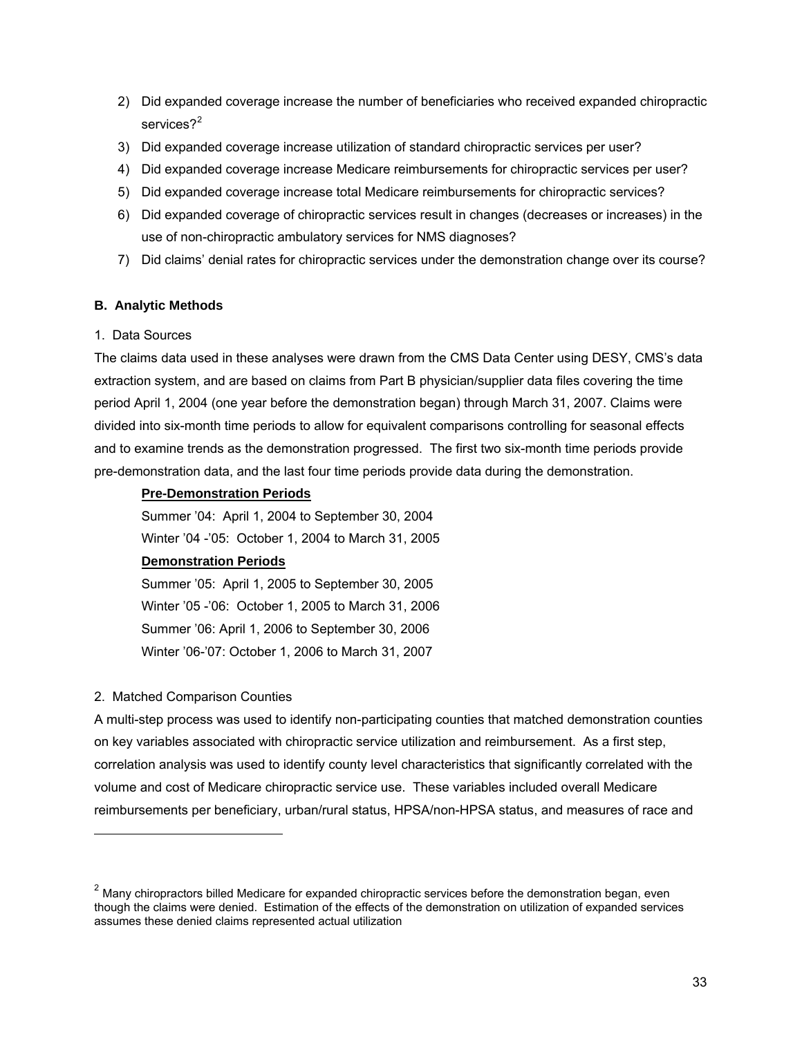- 2) Did expanded coverage increase the number of beneficiaries who received expanded chiropractic services? $^2$  $^2$
- 3) Did expanded coverage increase utilization of standard chiropractic services per user?
- 4) Did expanded coverage increase Medicare reimbursements for chiropractic services per user?
- 5) Did expanded coverage increase total Medicare reimbursements for chiropractic services?
- 6) Did expanded coverage of chiropractic services result in changes (decreases or increases) in the use of non-chiropractic ambulatory services for NMS diagnoses?
- 7) Did claims' denial rates for chiropractic services under the demonstration change over its course?

## **B. Analytic Methods**

## 1. Data Sources

The claims data used in these analyses were drawn from the CMS Data Center using DESY, CMS's data extraction system, and are based on claims from Part B physician/supplier data files covering the time period April 1, 2004 (one year before the demonstration began) through March 31, 2007. Claims were divided into six-month time periods to allow for equivalent comparisons controlling for seasonal effects and to examine trends as the demonstration progressed. The first two six-month time periods provide pre-demonstration data, and the last four time periods provide data during the demonstration.

## **Pre-Demonstration Periods**

Summer '04: April 1, 2004 to September 30, 2004

Winter '04 -'05: October 1, 2004 to March 31, 2005

# **Demonstration Periods**

Summer '05: April 1, 2005 to September 30, 2005 Winter '05 -'06: October 1, 2005 to March 31, 2006 Summer '06: April 1, 2006 to September 30, 2006 Winter '06-'07: October 1, 2006 to March 31, 2007

## 2. Matched Comparison Counties

1

A multi-step process was used to identify non-participating counties that matched demonstration counties on key variables associated with chiropractic service utilization and reimbursement. As a first step, correlation analysis was used to identify county level characteristics that significantly correlated with the volume and cost of Medicare chiropractic service use. These variables included overall Medicare reimbursements per beneficiary, urban/rural status, HPSA/non-HPSA status, and measures of race and

<span id="page-55-0"></span> $2$  Many chiropractors billed Medicare for expanded chiropractic services before the demonstration began, even though the claims were denied. Estimation of the effects of the demonstration on utilization of expanded services assumes these denied claims represented actual utilization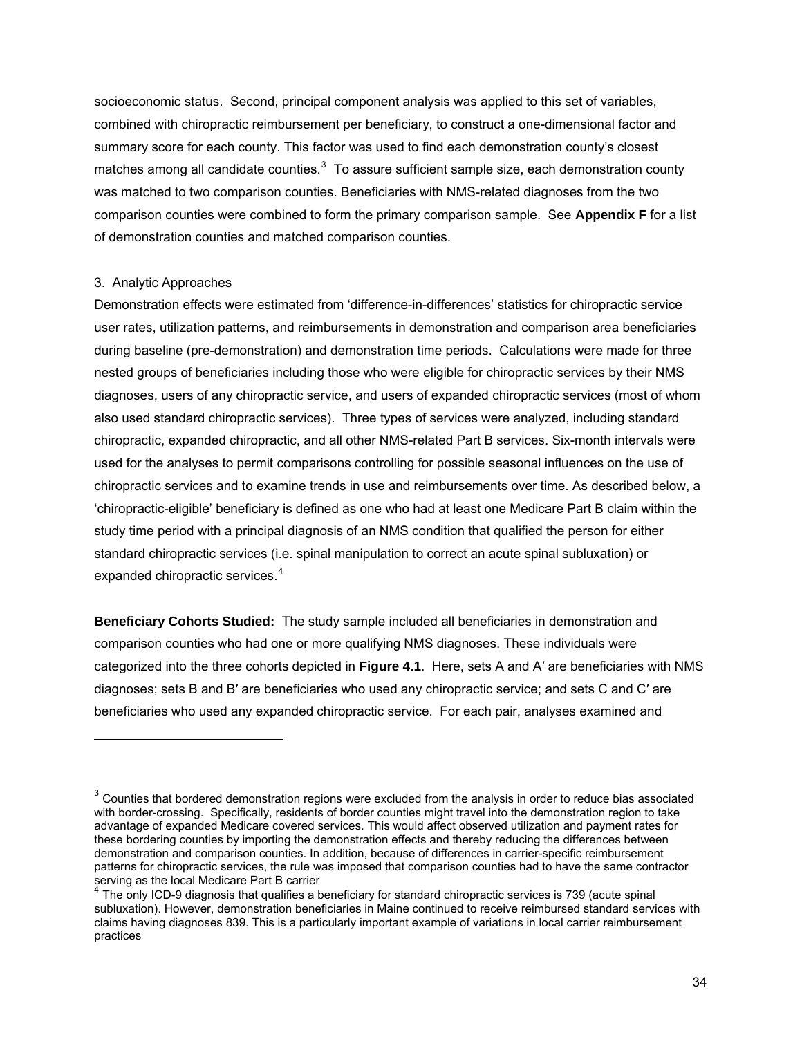socioeconomic status. Second, principal component analysis was applied to this set of variables, combined with chiropractic reimbursement per beneficiary, to construct a one-dimensional factor and summary score for each county. This factor was used to find each demonstration county's closest matches among all candidate counties. $^3$  $^3$  To assure sufficient sample size, each demonstration county was matched to two comparison counties. Beneficiaries with NMS-related diagnoses from the two comparison counties were combined to form the primary comparison sample. See **Appendix F** for a list of demonstration counties and matched comparison counties.

#### 3. Analytic Approaches

l

Demonstration effects were estimated from 'difference-in-differences' statistics for chiropractic service user rates, utilization patterns, and reimbursements in demonstration and comparison area beneficiaries during baseline (pre-demonstration) and demonstration time periods. Calculations were made for three nested groups of beneficiaries including those who were eligible for chiropractic services by their NMS diagnoses, users of any chiropractic service, and users of expanded chiropractic services (most of whom also used standard chiropractic services). Three types of services were analyzed, including standard chiropractic, expanded chiropractic, and all other NMS-related Part B services. Six-month intervals were used for the analyses to permit comparisons controlling for possible seasonal influences on the use of chiropractic services and to examine trends in use and reimbursements over time. As described below, a 'chiropractic-eligible' beneficiary is defined as one who had at least one Medicare Part B claim within the study time period with a principal diagnosis of an NMS condition that qualified the person for either standard chiropractic services (i.e. spinal manipulation to correct an acute spinal subluxation) or expanded chiropractic services. $4$ 

**Beneficiary Cohorts Studied:** The study sample included all beneficiaries in demonstration and comparison counties who had one or more qualifying NMS diagnoses. These individuals were categorized into the three cohorts depicted in **Figure 4.1**. Here, sets A and A′ are beneficiaries with NMS diagnoses; sets B and B′ are beneficiaries who used any chiropractic service; and sets C and C′ are beneficiaries who used any expanded chiropractic service. For each pair, analyses examined and

<span id="page-56-0"></span> $3$  Counties that bordered demonstration regions were excluded from the analysis in order to reduce bias associated with border-crossing. Specifically, residents of border counties might travel into the demonstration region to take advantage of expanded Medicare covered services. This would affect observed utilization and payment rates for these bordering counties by importing the demonstration effects and thereby reducing the differences between demonstration and comparison counties. In addition, because of differences in carrier-specific reimbursement patterns for chiropractic services, the rule was imposed that comparison counties had to have the same contractor serving as the local Medicare Part B carrier

<span id="page-56-1"></span> $4$  The only ICD-9 diagnosis that qualifies a beneficiary for standard chiropractic services is 739 (acute spinal subluxation). However, demonstration beneficiaries in Maine continued to receive reimbursed standard services with claims having diagnoses 839. This is a particularly important example of variations in local carrier reimbursement practices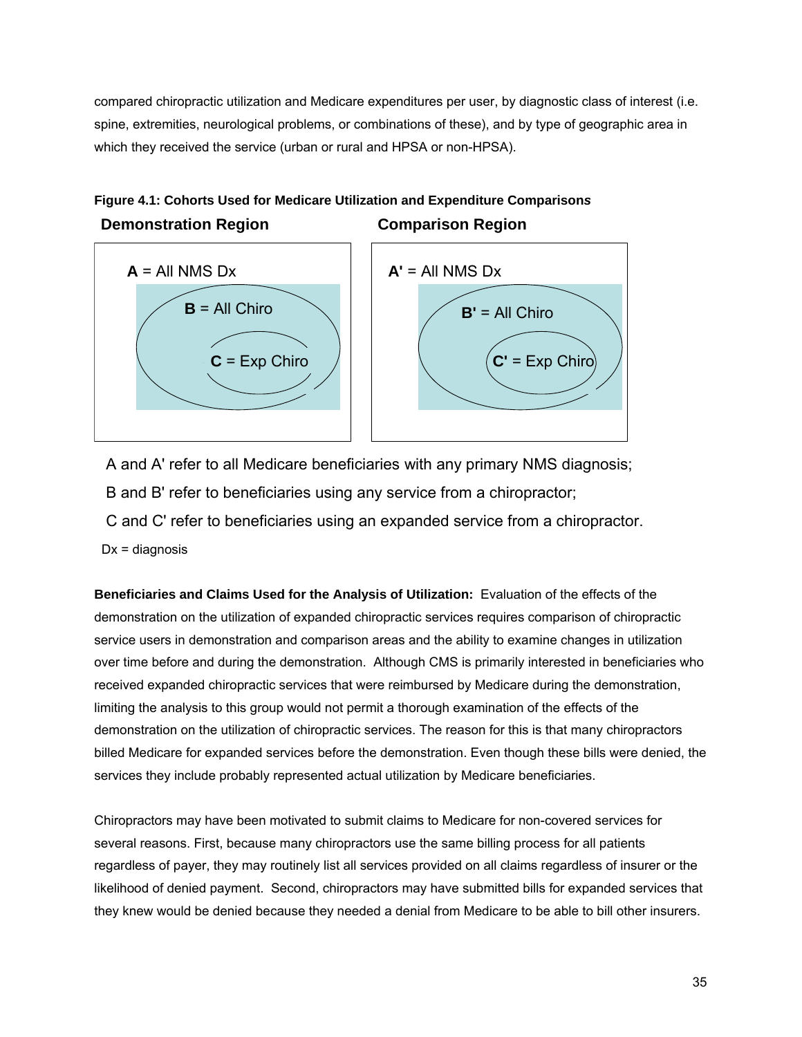compared chiropractic utilization and Medicare expenditures per user, by diagnostic class of interest (i.e. spine, extremities, neurological problems, or combinations of these), and by type of geographic area in which they received the service (urban or rural and HPSA or non-HPSA).





A and A' refer to all Medicare beneficiaries with any primary NMS diagnosis;

B and B' refer to beneficiaries using any service from a chiropractor;

C and C' refer to beneficiaries using an expanded service from a chiropractor.

 $Dx =$  diagnosis

**Beneficiaries and Claims Used for the Analysis of Utilization:** Evaluation of the effects of the demonstration on the utilization of expanded chiropractic services requires comparison of chiropractic service users in demonstration and comparison areas and the ability to examine changes in utilization over time before and during the demonstration. Although CMS is primarily interested in beneficiaries who received expanded chiropractic services that were reimbursed by Medicare during the demonstration, limiting the analysis to this group would not permit a thorough examination of the effects of the demonstration on the utilization of chiropractic services. The reason for this is that many chiropractors billed Medicare for expanded services before the demonstration. Even though these bills were denied, the services they include probably represented actual utilization by Medicare beneficiaries.

Chiropractors may have been motivated to submit claims to Medicare for non-covered services for several reasons. First, because many chiropractors use the same billing process for all patients regardless of payer, they may routinely list all services provided on all claims regardless of insurer or the likelihood of denied payment. Second, chiropractors may have submitted bills for expanded services that they knew would be denied because they needed a denial from Medicare to be able to bill other insurers.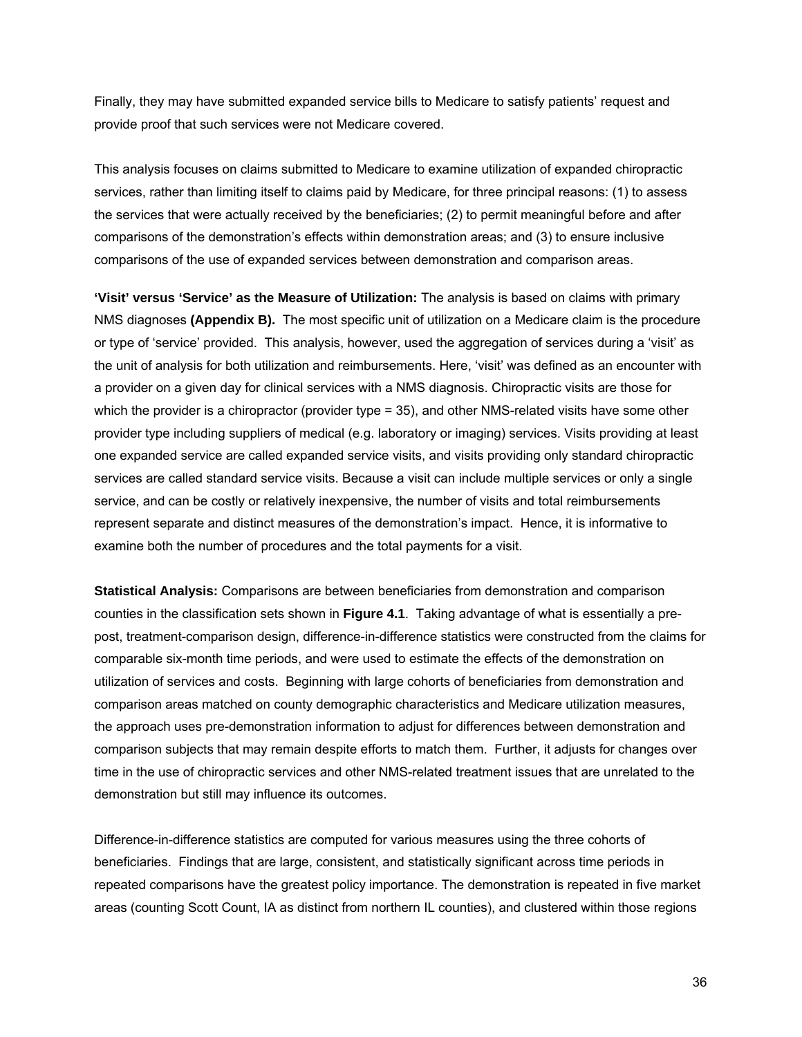Finally, they may have submitted expanded service bills to Medicare to satisfy patients' request and provide proof that such services were not Medicare covered.

This analysis focuses on claims submitted to Medicare to examine utilization of expanded chiropractic services, rather than limiting itself to claims paid by Medicare, for three principal reasons: (1) to assess the services that were actually received by the beneficiaries; (2) to permit meaningful before and after comparisons of the demonstration's effects within demonstration areas; and (3) to ensure inclusive comparisons of the use of expanded services between demonstration and comparison areas.

**'Visit' versus 'Service' as the Measure of Utilization:** The analysis is based on claims with primary NMS diagnoses **(Appendix B).** The most specific unit of utilization on a Medicare claim is the procedure or type of 'service' provided. This analysis, however, used the aggregation of services during a 'visit' as the unit of analysis for both utilization and reimbursements. Here, 'visit' was defined as an encounter with a provider on a given day for clinical services with a NMS diagnosis. Chiropractic visits are those for which the provider is a chiropractor (provider type = 35), and other NMS-related visits have some other provider type including suppliers of medical (e.g. laboratory or imaging) services. Visits providing at least one expanded service are called expanded service visits, and visits providing only standard chiropractic services are called standard service visits. Because a visit can include multiple services or only a single service, and can be costly or relatively inexpensive, the number of visits and total reimbursements represent separate and distinct measures of the demonstration's impact. Hence, it is informative to examine both the number of procedures and the total payments for a visit.

**Statistical Analysis:** Comparisons are between beneficiaries from demonstration and comparison counties in the classification sets shown in **Figure 4.1**. Taking advantage of what is essentially a prepost, treatment-comparison design, difference-in-difference statistics were constructed from the claims for comparable six-month time periods, and were used to estimate the effects of the demonstration on utilization of services and costs. Beginning with large cohorts of beneficiaries from demonstration and comparison areas matched on county demographic characteristics and Medicare utilization measures, the approach uses pre-demonstration information to adjust for differences between demonstration and comparison subjects that may remain despite efforts to match them. Further, it adjusts for changes over time in the use of chiropractic services and other NMS-related treatment issues that are unrelated to the demonstration but still may influence its outcomes.

Difference-in-difference statistics are computed for various measures using the three cohorts of beneficiaries. Findings that are large, consistent, and statistically significant across time periods in repeated comparisons have the greatest policy importance. The demonstration is repeated in five market areas (counting Scott Count, IA as distinct from northern IL counties), and clustered within those regions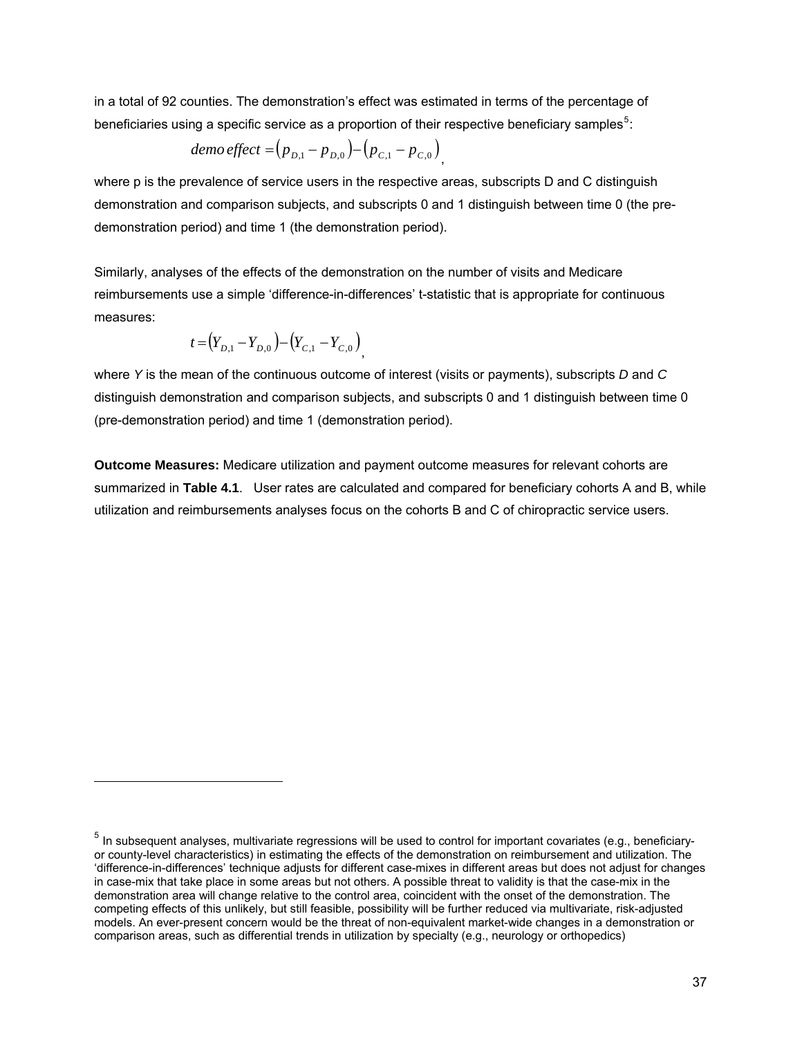in a total of 92 counties. The demonstration's effect was estimated in terms of the percentage of beneficiaries using a specific service as a proportion of their respective beneficiary samples<sup>[5](#page-59-0)</sup>:

$$
demo effect = (p_{D,1} - p_{D,0}) - (p_{C,1} - p_{C,0})
$$

where p is the prevalence of service users in the respective areas, subscripts D and C distinguish demonstration and comparison subjects, and subscripts 0 and 1 distinguish between time 0 (the predemonstration period) and time 1 (the demonstration period).

Similarly, analyses of the effects of the demonstration on the number of visits and Medicare reimbursements use a simple 'difference-in-differences' t-statistic that is appropriate for continuous measures:

$$
t = (Y_{D,1} - Y_{D,0}) - (Y_{C,1} - Y_{C,0})
$$

l

where *Y* is the mean of the continuous outcome of interest (visits or payments), subscripts *D* and *C* distinguish demonstration and comparison subjects, and subscripts 0 and 1 distinguish between time 0 (pre-demonstration period) and time 1 (demonstration period).

**Outcome Measures:** Medicare utilization and payment outcome measures for relevant cohorts are summarized in **Table 4.1**. User rates are calculated and compared for beneficiary cohorts A and B, while utilization and reimbursements analyses focus on the cohorts B and C of chiropractic service users.

<span id="page-59-0"></span> $<sup>5</sup>$  In subsequent analyses, multivariate regressions will be used to control for important covariates (e.g., beneficiary-</sup> or county-level characteristics) in estimating the effects of the demonstration on reimbursement and utilization. The 'difference-in-differences' technique adjusts for different case-mixes in different areas but does not adjust for changes in case-mix that take place in some areas but not others. A possible threat to validity is that the case-mix in the demonstration area will change relative to the control area, coincident with the onset of the demonstration. The competing effects of this unlikely, but still feasible, possibility will be further reduced via multivariate, risk-adjusted models. An ever-present concern would be the threat of non-equivalent market-wide changes in a demonstration or comparison areas, such as differential trends in utilization by specialty (e.g., neurology or orthopedics)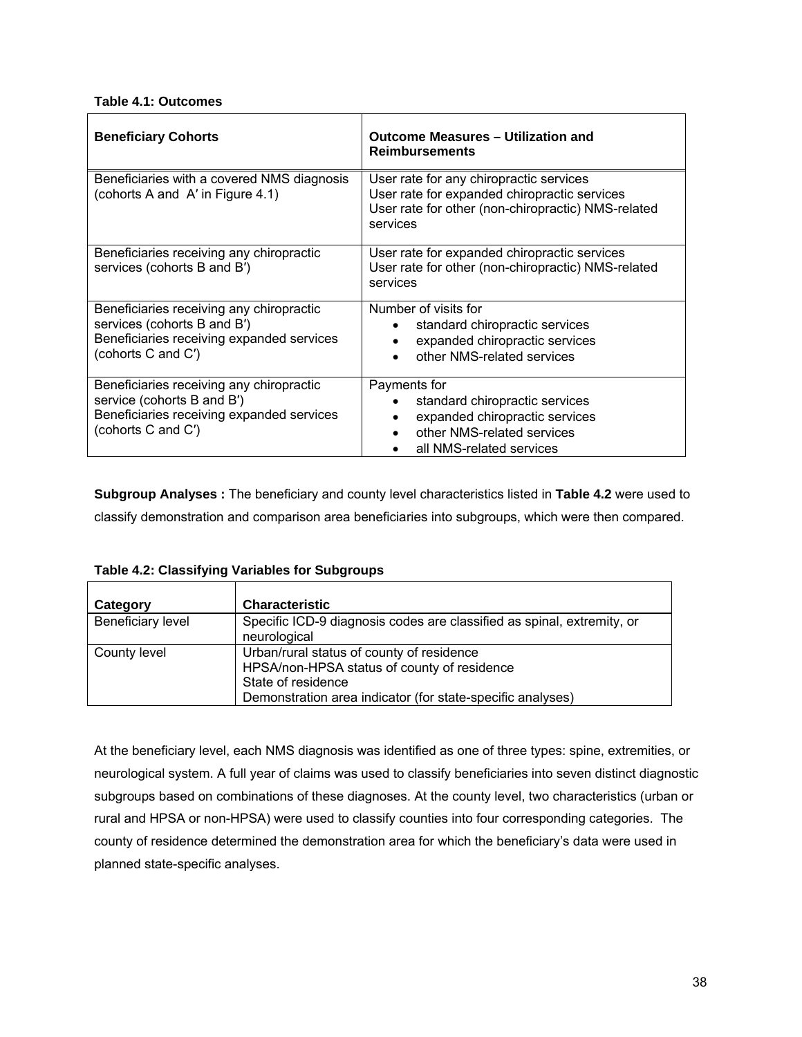#### **Table 4.1: Outcomes**

| <b>Beneficiary Cohorts</b>                                                                                                                 | <b>Outcome Measures - Utilization and</b><br><b>Reimbursements</b>                                                                                        |  |  |
|--------------------------------------------------------------------------------------------------------------------------------------------|-----------------------------------------------------------------------------------------------------------------------------------------------------------|--|--|
| Beneficiaries with a covered NMS diagnosis<br>(cohorts A and A' in Figure 4.1)                                                             | User rate for any chiropractic services<br>User rate for expanded chiropractic services<br>User rate for other (non-chiropractic) NMS-related<br>services |  |  |
| Beneficiaries receiving any chiropractic<br>services (cohorts B and B')                                                                    | User rate for expanded chiropractic services<br>User rate for other (non-chiropractic) NMS-related<br>services                                            |  |  |
| Beneficiaries receiving any chiropractic<br>services (cohorts B and B')<br>Beneficiaries receiving expanded services<br>(cohorts C and C') | Number of visits for<br>standard chiropractic services<br>expanded chiropractic services<br>other NMS-related services                                    |  |  |
| Beneficiaries receiving any chiropractic<br>service (cohorts B and B')<br>Beneficiaries receiving expanded services<br>(cohorts C and C')  | Payments for<br>standard chiropractic services<br>expanded chiropractic services<br>other NMS-related services<br>all NMS-related services                |  |  |

**Subgroup Analyses :** The beneficiary and county level characteristics listed in **Table 4.2** were used to classify demonstration and comparison area beneficiaries into subgroups, which were then compared.

| Category          | <b>Characteristic</b>                                                                                                                                                        |
|-------------------|------------------------------------------------------------------------------------------------------------------------------------------------------------------------------|
| Beneficiary level | Specific ICD-9 diagnosis codes are classified as spinal, extremity, or<br>neurological                                                                                       |
| County level      | Urban/rural status of county of residence<br>HPSA/non-HPSA status of county of residence<br>State of residence<br>Demonstration area indicator (for state-specific analyses) |

## **Table 4.2: Classifying Variables for Subgroups**

At the beneficiary level, each NMS diagnosis was identified as one of three types: spine, extremities, or neurological system. A full year of claims was used to classify beneficiaries into seven distinct diagnostic subgroups based on combinations of these diagnoses. At the county level, two characteristics (urban or rural and HPSA or non-HPSA) were used to classify counties into four corresponding categories. The county of residence determined the demonstration area for which the beneficiary's data were used in planned state-specific analyses.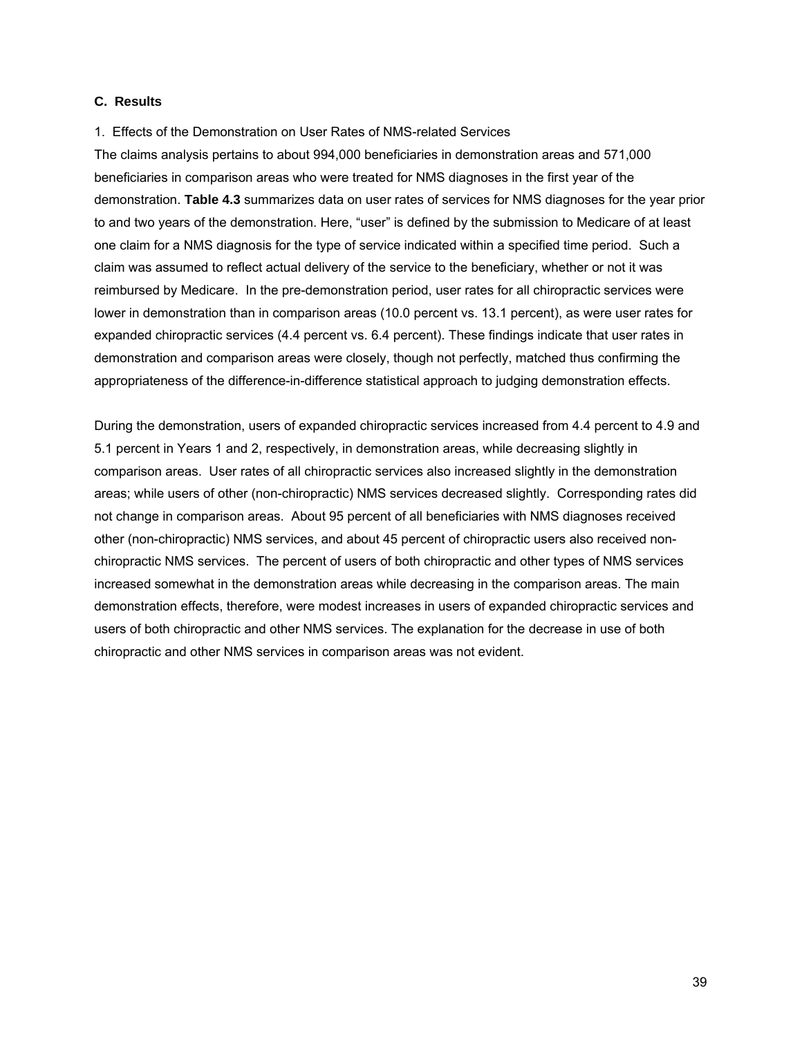#### **C. Results**

1. Effects of the Demonstration on User Rates of NMS-related Services

The claims analysis pertains to about 994,000 beneficiaries in demonstration areas and 571,000 beneficiaries in comparison areas who were treated for NMS diagnoses in the first year of the demonstration. **Table 4.3** summarizes data on user rates of services for NMS diagnoses for the year prior to and two years of the demonstration. Here, "user" is defined by the submission to Medicare of at least one claim for a NMS diagnosis for the type of service indicated within a specified time period. Such a claim was assumed to reflect actual delivery of the service to the beneficiary, whether or not it was reimbursed by Medicare. In the pre-demonstration period, user rates for all chiropractic services were lower in demonstration than in comparison areas (10.0 percent vs. 13.1 percent), as were user rates for expanded chiropractic services (4.4 percent vs. 6.4 percent). These findings indicate that user rates in demonstration and comparison areas were closely, though not perfectly, matched thus confirming the appropriateness of the difference-in-difference statistical approach to judging demonstration effects.

During the demonstration, users of expanded chiropractic services increased from 4.4 percent to 4.9 and 5.1 percent in Years 1 and 2, respectively, in demonstration areas, while decreasing slightly in comparison areas. User rates of all chiropractic services also increased slightly in the demonstration areas; while users of other (non-chiropractic) NMS services decreased slightly. Corresponding rates did not change in comparison areas. About 95 percent of all beneficiaries with NMS diagnoses received other (non-chiropractic) NMS services, and about 45 percent of chiropractic users also received nonchiropractic NMS services. The percent of users of both chiropractic and other types of NMS services increased somewhat in the demonstration areas while decreasing in the comparison areas. The main demonstration effects, therefore, were modest increases in users of expanded chiropractic services and users of both chiropractic and other NMS services. The explanation for the decrease in use of both chiropractic and other NMS services in comparison areas was not evident.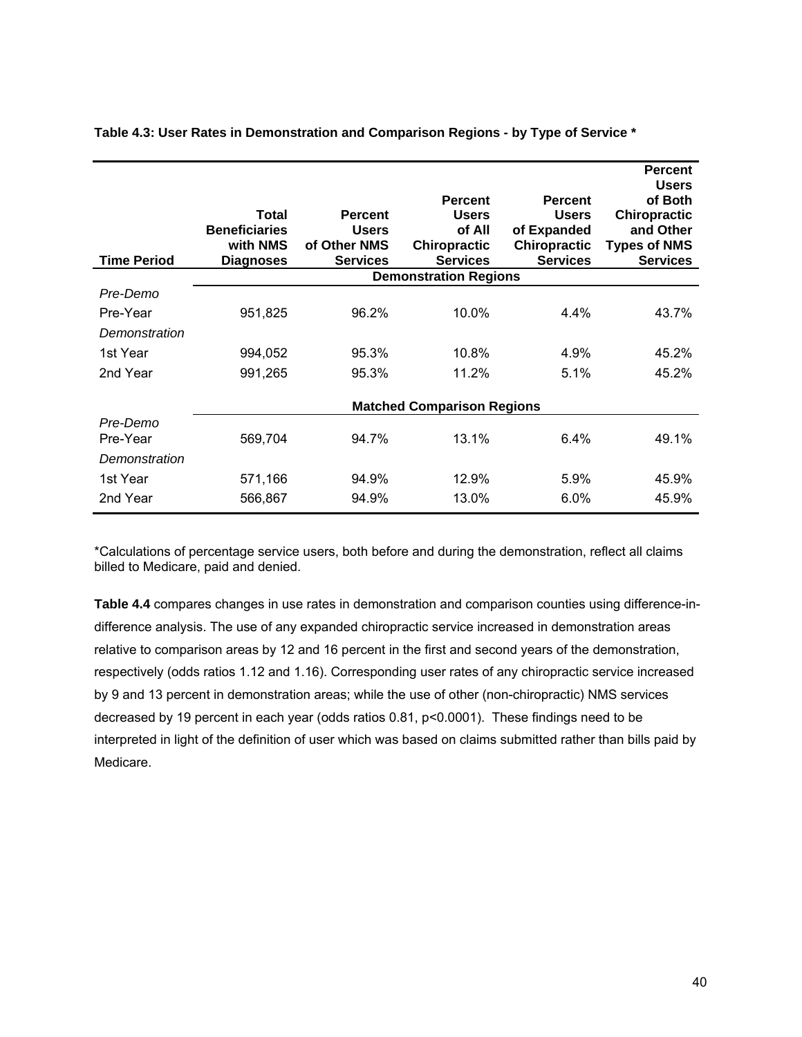| <b>Time Period</b> | Total<br><b>Beneficiaries</b><br>with NMS<br><b>Diagnoses</b> | <b>Percent</b><br><b>Users</b><br>of Other NMS<br><b>Services</b> | <b>Percent</b><br><b>Users</b><br>of All<br><b>Chiropractic</b><br><b>Services</b> | <b>Percent</b><br><b>Users</b><br>of Expanded<br><b>Chiropractic</b><br><b>Services</b> | <b>Percent</b><br><b>Users</b><br>of Both<br><b>Chiropractic</b><br>and Other<br><b>Types of NMS</b><br><b>Services</b> |
|--------------------|---------------------------------------------------------------|-------------------------------------------------------------------|------------------------------------------------------------------------------------|-----------------------------------------------------------------------------------------|-------------------------------------------------------------------------------------------------------------------------|
|                    |                                                               |                                                                   | <b>Demonstration Regions</b>                                                       |                                                                                         |                                                                                                                         |
| Pre-Demo           |                                                               |                                                                   |                                                                                    |                                                                                         |                                                                                                                         |
| Pre-Year           | 951,825                                                       | 96.2%                                                             | 10.0%                                                                              | $4.4\%$                                                                                 | 43.7%                                                                                                                   |
| Demonstration      |                                                               |                                                                   |                                                                                    |                                                                                         |                                                                                                                         |
| 1st Year           | 994,052                                                       | 95.3%                                                             | 10.8%                                                                              | 4.9%                                                                                    | 45.2%                                                                                                                   |
| 2nd Year           | 991,265                                                       | 95.3%                                                             | 11.2%                                                                              | 5.1%                                                                                    | 45.2%                                                                                                                   |
|                    |                                                               |                                                                   | <b>Matched Comparison Regions</b>                                                  |                                                                                         |                                                                                                                         |
| Pre-Demo           |                                                               |                                                                   |                                                                                    |                                                                                         |                                                                                                                         |
| Pre-Year           | 569,704                                                       | 94.7%                                                             | 13.1%                                                                              | 6.4%                                                                                    | 49.1%                                                                                                                   |
| Demonstration      |                                                               |                                                                   |                                                                                    |                                                                                         |                                                                                                                         |
| 1st Year           | 571,166                                                       | 94.9%                                                             | 12.9%                                                                              | 5.9%                                                                                    | 45.9%                                                                                                                   |
| 2nd Year           | 566,867                                                       | 94.9%                                                             | 13.0%                                                                              | $6.0\%$                                                                                 | 45.9%                                                                                                                   |

**Table 4.3: User Rates in Demonstration and Comparison Regions - by Type of Service \*** 

\*Calculations of percentage service users, both before and during the demonstration, reflect all claims billed to Medicare, paid and denied.

**Table 4.4** compares changes in use rates in demonstration and comparison counties using difference-indifference analysis. The use of any expanded chiropractic service increased in demonstration areas relative to comparison areas by 12 and 16 percent in the first and second years of the demonstration, respectively (odds ratios 1.12 and 1.16). Corresponding user rates of any chiropractic service increased by 9 and 13 percent in demonstration areas; while the use of other (non-chiropractic) NMS services decreased by 19 percent in each year (odds ratios 0.81, p<0.0001). These findings need to be interpreted in light of the definition of user which was based on claims submitted rather than bills paid by Medicare.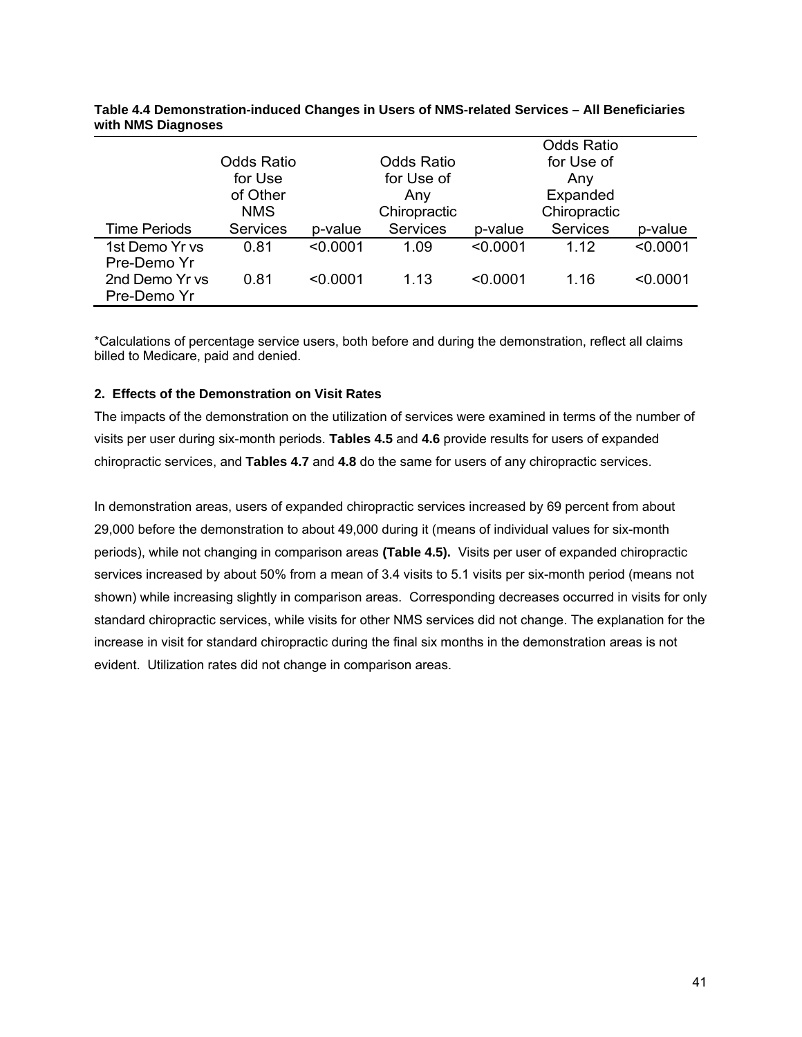|                               | Odds Ratio<br>for Use<br>of Other<br><b>NMS</b> |          | Odds Ratio<br>for Use of<br>Any<br>Chiropractic |          | <b>Odds Ratio</b><br>for Use of<br>Any<br>Expanded<br>Chiropractic |          |
|-------------------------------|-------------------------------------------------|----------|-------------------------------------------------|----------|--------------------------------------------------------------------|----------|
| <b>Time Periods</b>           | <b>Services</b>                                 | p-value  | Services                                        | p-value  | <b>Services</b>                                                    | p-value  |
| 1st Demo Yr vs<br>Pre-Demo Yr | 0.81                                            | < 0.0001 | 1.09                                            | < 0.0001 | 1 12                                                               | < 0.0001 |
| 2nd Demo Yr vs<br>Pre-Demo Yr | 0.81                                            | < 0.0001 | 1.13                                            | < 0.0001 | 1.16                                                               | < 0.0001 |

**Table 4.4 Demonstration-induced Changes in Users of NMS-related Services – All Beneficiaries with NMS Diagnoses** 

\*Calculations of percentage service users, both before and during the demonstration, reflect all claims billed to Medicare, paid and denied.

#### **2. Effects of the Demonstration on Visit Rates**

The impacts of the demonstration on the utilization of services were examined in terms of the number of visits per user during six-month periods. **Tables 4.5** and **4.6** provide results for users of expanded chiropractic services, and **Tables 4.7** and **4.8** do the same for users of any chiropractic services.

In demonstration areas, users of expanded chiropractic services increased by 69 percent from about 29,000 before the demonstration to about 49,000 during it (means of individual values for six-month periods), while not changing in comparison areas **(Table 4.5).** Visits per user of expanded chiropractic services increased by about 50% from a mean of 3.4 visits to 5.1 visits per six-month period (means not shown) while increasing slightly in comparison areas. Corresponding decreases occurred in visits for only standard chiropractic services, while visits for other NMS services did not change. The explanation for the increase in visit for standard chiropractic during the final six months in the demonstration areas is not evident. Utilization rates did not change in comparison areas.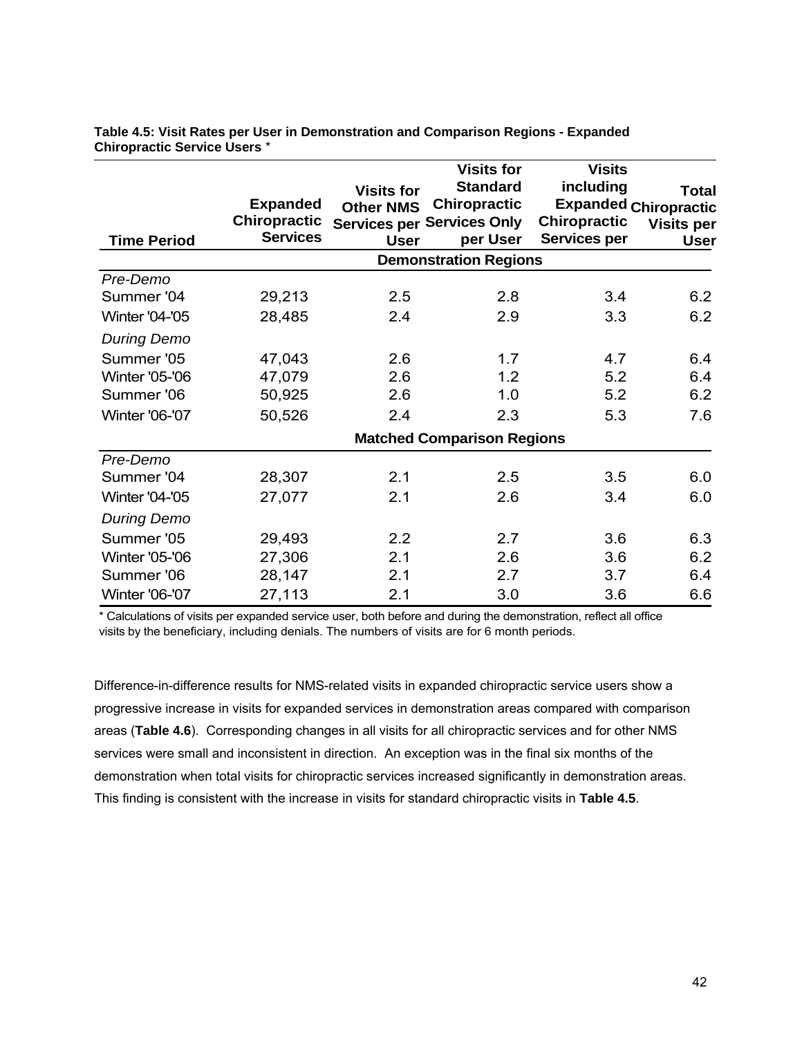| <b>Time Period</b>    | <b>Expanded</b><br><b>Chiropractic</b><br><b>Services</b> | <b>Visits for</b><br><b>Other NMS</b><br><b>User</b> | <b>Visits for</b><br><b>Standard</b><br><b>Chiropractic</b><br><b>Services per Services Only</b><br>per User | <b>Visits</b><br>including<br><b>Chiropractic</b><br><b>Services per</b> | <b>Total</b><br><b>Expanded Chiropractic</b><br><b>Visits per</b><br><b>User</b> |
|-----------------------|-----------------------------------------------------------|------------------------------------------------------|--------------------------------------------------------------------------------------------------------------|--------------------------------------------------------------------------|----------------------------------------------------------------------------------|
|                       |                                                           |                                                      | <b>Demonstration Regions</b>                                                                                 |                                                                          |                                                                                  |
| Pre-Demo              |                                                           |                                                      |                                                                                                              |                                                                          |                                                                                  |
| Summer '04            | 29,213                                                    | 2.5                                                  | 2.8                                                                                                          | 3.4                                                                      | 6.2                                                                              |
| <b>Winter '04-'05</b> | 28,485                                                    | 2.4                                                  | 2.9                                                                                                          | 3.3                                                                      | 6.2                                                                              |
| <b>During Demo</b>    |                                                           |                                                      |                                                                                                              |                                                                          |                                                                                  |
| Summer '05            | 47,043                                                    | 2.6                                                  | 1.7                                                                                                          | 4.7                                                                      | 6.4                                                                              |
| <b>Winter '05-'06</b> | 47,079                                                    | 2.6                                                  | 1.2                                                                                                          | 5.2                                                                      | 6.4                                                                              |
| Summer '06            | 50,925                                                    | 2.6                                                  | 1.0                                                                                                          | 5.2                                                                      | 6.2                                                                              |
| <b>Winter '06-'07</b> | 50,526                                                    | 2.4                                                  | 2.3                                                                                                          | 5.3                                                                      | 7.6                                                                              |
|                       |                                                           |                                                      | <b>Matched Comparison Regions</b>                                                                            |                                                                          |                                                                                  |
| Pre-Demo              |                                                           |                                                      |                                                                                                              |                                                                          |                                                                                  |
| Summer '04            | 28,307                                                    | 2.1                                                  | 2.5                                                                                                          | 3.5                                                                      | 6.0                                                                              |
| <b>Winter '04-'05</b> | 27,077                                                    | 2.1                                                  | 2.6                                                                                                          | 3.4                                                                      | 6.0                                                                              |
| <b>During Demo</b>    |                                                           |                                                      |                                                                                                              |                                                                          |                                                                                  |
| Summer '05            | 29,493                                                    | 2.2                                                  | 2.7                                                                                                          | 3.6                                                                      | 6.3                                                                              |
| <b>Winter '05-'06</b> | 27,306                                                    | 2.1                                                  | 2.6                                                                                                          | 3.6                                                                      | 6.2                                                                              |
| Summer '06            | 28,147                                                    | 2.1                                                  | 2.7                                                                                                          | 3.7                                                                      | 6.4                                                                              |
| <b>Winter '06-'07</b> | 27,113                                                    | 2.1                                                  | 3.0                                                                                                          | 3.6                                                                      | 6.6                                                                              |

**Table 4.5: Visit Rates per User in Demonstration and Comparison Regions - Expanded Chiropractic Service Users** \*

\* Calculations of visits per expanded service user, both before and during the demonstration, reflect all office visits by the beneficiary, including denials. The numbers of visits are for 6 month periods.

Difference-in-difference results for NMS-related visits in expanded chiropractic service users show a progressive increase in visits for expanded services in demonstration areas compared with comparison areas (**Table 4.6**). Corresponding changes in all visits for all chiropractic services and for other NMS services were small and inconsistent in direction. An exception was in the final six months of the demonstration when total visits for chiropractic services increased significantly in demonstration areas. This finding is consistent with the increase in visits for standard chiropractic visits in **Table 4.5**.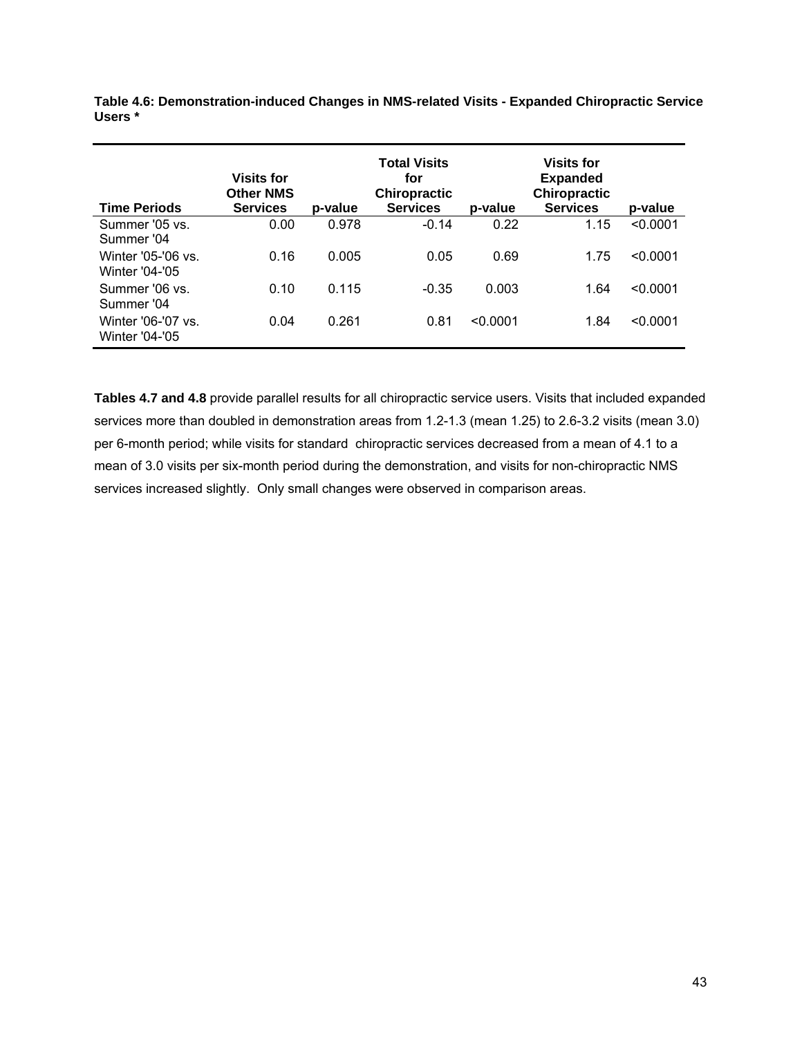| <b>Time Periods</b>                         | <b>Visits for</b><br><b>Other NMS</b><br><b>Services</b> | p-value | Total Visits<br>for<br><b>Chiropractic</b><br><b>Services</b> | p-value  | <b>Visits for</b><br><b>Expanded</b><br><b>Chiropractic</b><br><b>Services</b> | p-value  |
|---------------------------------------------|----------------------------------------------------------|---------|---------------------------------------------------------------|----------|--------------------------------------------------------------------------------|----------|
| Summer '05 vs.<br>Summer '04                | 0.00                                                     | 0.978   | $-0.14$                                                       | 0.22     | 1.15                                                                           | < 0.0001 |
| Winter '05-'06 vs.<br><b>Winter '04-'05</b> | 0.16                                                     | 0.005   | 0.05                                                          | 0.69     | 1.75                                                                           | < 0.0001 |
| Summer '06 vs.<br>Summer '04                | 0.10                                                     | 0.115   | $-0.35$                                                       | 0.003    | 1.64                                                                           | < 0.0001 |
| Winter '06-'07 vs.<br><b>Winter '04-'05</b> | 0.04                                                     | 0.261   | 0.81                                                          | < 0.0001 | 1.84                                                                           | < 0.0001 |

**Table 4.6: Demonstration-induced Changes in NMS-related Visits - Expanded Chiropractic Service Users \*** 

**Tables 4.7 and 4.8** provide parallel results for all chiropractic service users. Visits that included expanded services more than doubled in demonstration areas from 1.2-1.3 (mean 1.25) to 2.6-3.2 visits (mean 3.0) per 6-month period; while visits for standard chiropractic services decreased from a mean of 4.1 to a mean of 3.0 visits per six-month period during the demonstration, and visits for non-chiropractic NMS services increased slightly. Only small changes were observed in comparison areas.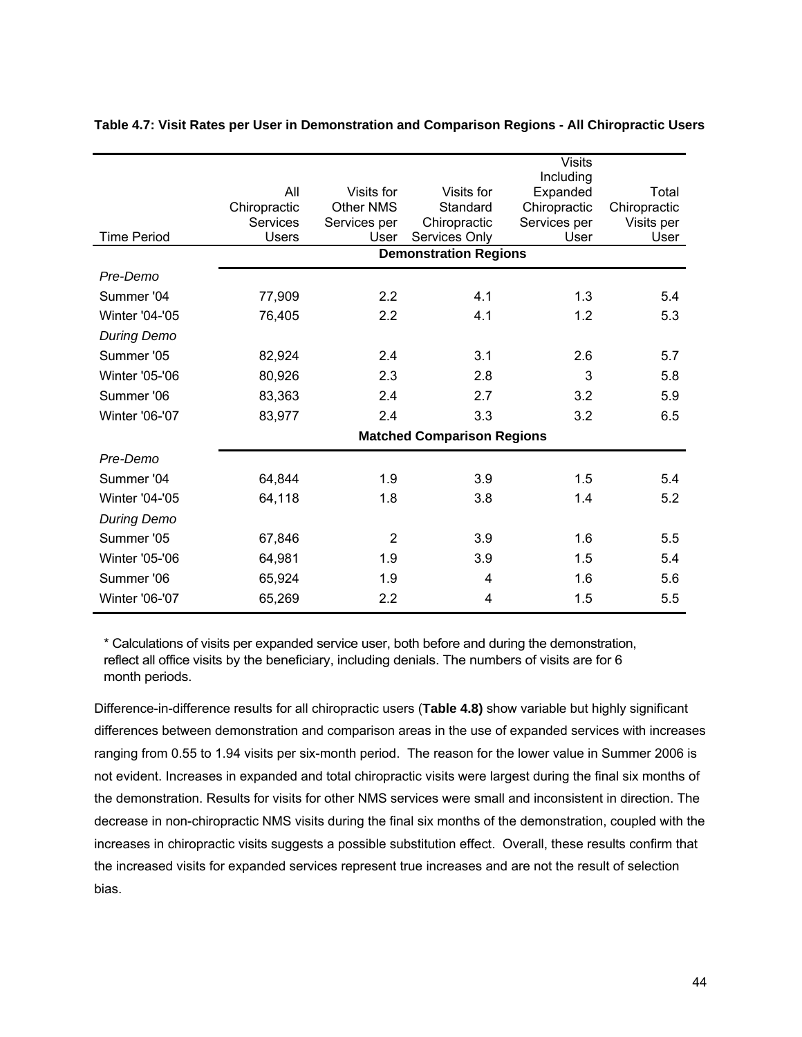|                       |                 |                  |                                   | <b>Visits</b>         |              |
|-----------------------|-----------------|------------------|-----------------------------------|-----------------------|--------------|
|                       | All             | Visits for       | Visits for                        | Including<br>Expanded | Total        |
|                       | Chiropractic    | <b>Other NMS</b> | Standard                          | Chiropractic          | Chiropractic |
|                       | <b>Services</b> | Services per     | Chiropractic                      | Services per          | Visits per   |
| <b>Time Period</b>    | <b>Users</b>    | User             | Services Only                     | User                  | User         |
|                       |                 |                  | <b>Demonstration Regions</b>      |                       |              |
| Pre-Demo              |                 |                  |                                   |                       |              |
| Summer '04            | 77,909          | 2.2              | 4.1                               | 1.3                   | 5.4          |
| Winter '04-'05        | 76,405          | 2.2              | 4.1                               | 1.2                   | 5.3          |
| <b>During Demo</b>    |                 |                  |                                   |                       |              |
| Summer '05            | 82,924          | 2.4              | 3.1                               | 2.6                   | 5.7          |
| Winter '05-'06        | 80,926          | 2.3              | 2.8                               | 3                     | 5.8          |
| Summer '06            | 83,363          | 2.4              | 2.7                               | 3.2                   | 5.9          |
| <b>Winter '06-'07</b> | 83,977          | 2.4              | 3.3                               | 3.2                   | 6.5          |
|                       |                 |                  | <b>Matched Comparison Regions</b> |                       |              |
| Pre-Demo              |                 |                  |                                   |                       |              |
| Summer '04            | 64,844          | 1.9              | 3.9                               | 1.5                   | 5.4          |
| <b>Winter '04-'05</b> | 64,118          | 1.8              | 3.8                               | 1.4                   | 5.2          |
| <b>During Demo</b>    |                 |                  |                                   |                       |              |
| Summer '05            | 67,846          | $\overline{2}$   | 3.9                               | 1.6                   | 5.5          |
| <b>Winter '05-'06</b> | 64,981          | 1.9              | 3.9                               | 1.5                   | 5.4          |
| Summer '06            | 65,924          | 1.9              | 4                                 | 1.6                   | 5.6          |
| <b>Winter '06-'07</b> | 65,269          | 2.2              | 4                                 | 1.5                   | 5.5          |

#### **Table 4.7: Visit Rates per User in Demonstration and Comparison Regions - All Chiropractic Users**

\* Calculations of visits per expanded service user, both before and during the demonstration, reflect all office visits by the beneficiary, including denials. The numbers of visits are for 6 month periods.

Difference-in-difference results for all chiropractic users (**Table 4.8)** show variable but highly significant differences between demonstration and comparison areas in the use of expanded services with increases ranging from 0.55 to 1.94 visits per six-month period. The reason for the lower value in Summer 2006 is not evident. Increases in expanded and total chiropractic visits were largest during the final six months of the demonstration. Results for visits for other NMS services were small and inconsistent in direction. The decrease in non-chiropractic NMS visits during the final six months of the demonstration, coupled with the increases in chiropractic visits suggests a possible substitution effect. Overall, these results confirm that the increased visits for expanded services represent true increases and are not the result of selection bias.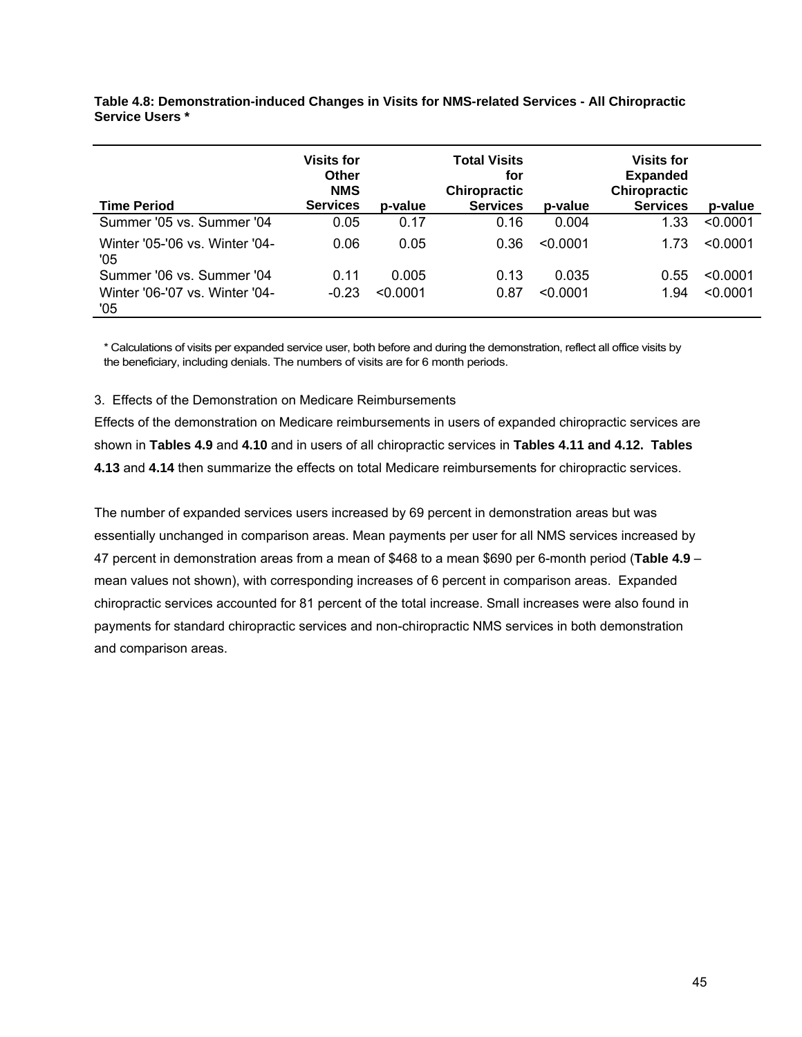| <b>Time Period</b>                    | <b>Visits for</b><br>Other<br><b>NMS</b><br><b>Services</b> | p-value  | <b>Total Visits</b><br>for<br><b>Chiropractic</b><br><b>Services</b> | p-value  | <b>Visits for</b><br><b>Expanded</b><br><b>Chiropractic</b><br><b>Services</b> | p-value  |
|---------------------------------------|-------------------------------------------------------------|----------|----------------------------------------------------------------------|----------|--------------------------------------------------------------------------------|----------|
| Summer '05 vs. Summer '04             | 0.05                                                        | 0.17     | 0.16                                                                 | 0.004    | 1.33                                                                           | < 0.0001 |
| Winter '05-'06 vs. Winter '04-<br>'05 | 0.06                                                        | 0.05     | 0.36                                                                 | < 0.0001 | 1.73                                                                           | < 0.0001 |
| Summer '06 vs. Summer '04             | 0.11                                                        | 0.005    | 0.13                                                                 | 0.035    | 0.55                                                                           | < 0.0001 |
| Winter '06-'07 vs. Winter '04-<br>'05 | $-0.23$                                                     | < 0.0001 | 0.87                                                                 | < 0.0001 | 1.94                                                                           | < 0.0001 |

**Table 4.8: Demonstration-induced Changes in Visits for NMS-related Services - All Chiropractic Service Users \*** 

\* Calculations of visits per expanded service user, both before and during the demonstration, reflect all office visits by the beneficiary, including denials. The numbers of visits are for 6 month periods.

#### 3. Effects of the Demonstration on Medicare Reimbursements

Effects of the demonstration on Medicare reimbursements in users of expanded chiropractic services are shown in **Tables 4.9** and **4.10** and in users of all chiropractic services in **Tables 4.11 and 4.12. Tables 4.13** and **4.14** then summarize the effects on total Medicare reimbursements for chiropractic services.

The number of expanded services users increased by 69 percent in demonstration areas but was essentially unchanged in comparison areas. Mean payments per user for all NMS services increased by 47 percent in demonstration areas from a mean of \$468 to a mean \$690 per 6-month period (**Table 4.9** – mean values not shown), with corresponding increases of 6 percent in comparison areas. Expanded chiropractic services accounted for 81 percent of the total increase. Small increases were also found in payments for standard chiropractic services and non-chiropractic NMS services in both demonstration and comparison areas.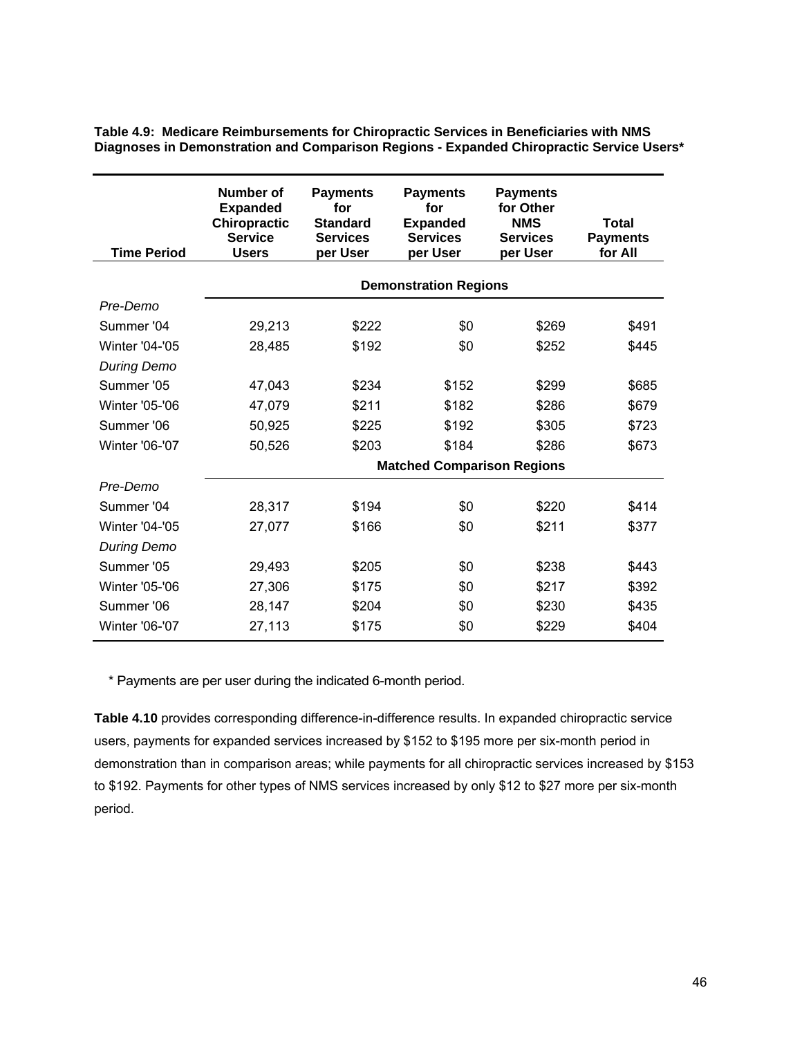| <b>Time Period</b>    | Number of<br><b>Expanded</b><br><b>Chiropractic</b><br><b>Service</b><br><b>Users</b> | <b>Payments</b><br>for<br><b>Standard</b><br><b>Services</b><br>per User | <b>Payments</b><br>for<br><b>Expanded</b><br><b>Services</b><br>per User | <b>Payments</b><br>for Other<br><b>NMS</b><br><b>Services</b><br>per User | Total<br><b>Payments</b><br>for All |
|-----------------------|---------------------------------------------------------------------------------------|--------------------------------------------------------------------------|--------------------------------------------------------------------------|---------------------------------------------------------------------------|-------------------------------------|
|                       |                                                                                       |                                                                          | <b>Demonstration Regions</b>                                             |                                                                           |                                     |
| Pre-Demo              |                                                                                       |                                                                          |                                                                          |                                                                           |                                     |
| Summer '04            | 29,213                                                                                | \$222                                                                    | \$0                                                                      | \$269                                                                     | \$491                               |
| <b>Winter '04-'05</b> | 28,485                                                                                | \$192                                                                    | \$0                                                                      | \$252                                                                     | \$445                               |
| <b>During Demo</b>    |                                                                                       |                                                                          |                                                                          |                                                                           |                                     |
| Summer '05            | 47,043                                                                                | \$234                                                                    | \$152                                                                    | \$299                                                                     | \$685                               |
| <b>Winter '05-'06</b> | 47,079                                                                                | \$211                                                                    | \$182                                                                    | \$286                                                                     | \$679                               |
| Summer '06            | 50,925                                                                                | \$225                                                                    | \$192                                                                    | \$305                                                                     | \$723                               |
| <b>Winter '06-'07</b> | 50,526                                                                                | \$203                                                                    | \$184                                                                    | \$286                                                                     | \$673                               |
|                       |                                                                                       |                                                                          | <b>Matched Comparison Regions</b>                                        |                                                                           |                                     |
| Pre-Demo              |                                                                                       |                                                                          |                                                                          |                                                                           |                                     |
| Summer '04            | 28,317                                                                                | \$194                                                                    | \$0                                                                      | \$220                                                                     | \$414                               |
| <b>Winter '04-'05</b> | 27,077                                                                                | \$166                                                                    | \$0                                                                      | \$211                                                                     | \$377                               |
| <b>During Demo</b>    |                                                                                       |                                                                          |                                                                          |                                                                           |                                     |
| Summer '05            | 29,493                                                                                | \$205                                                                    | \$0                                                                      | \$238                                                                     | \$443                               |
| <b>Winter '05-'06</b> | 27,306                                                                                | \$175                                                                    | \$0                                                                      | \$217                                                                     | \$392                               |
| Summer '06            | 28,147                                                                                | \$204                                                                    | \$0                                                                      | \$230                                                                     | \$435                               |
| <b>Winter '06-'07</b> | 27,113                                                                                | \$175                                                                    | \$0                                                                      | \$229                                                                     | \$404                               |

**Table 4.9: Medicare Reimbursements for Chiropractic Services in Beneficiaries with NMS Diagnoses in Demonstration and Comparison Regions - Expanded Chiropractic Service Users\*** 

\* Payments are per user during the indicated 6-month period.

**Table 4.10** provides corresponding difference-in-difference results. In expanded chiropractic service users, payments for expanded services increased by \$152 to \$195 more per six-month period in demonstration than in comparison areas; while payments for all chiropractic services increased by \$153 to \$192. Payments for other types of NMS services increased by only \$12 to \$27 more per six-month period.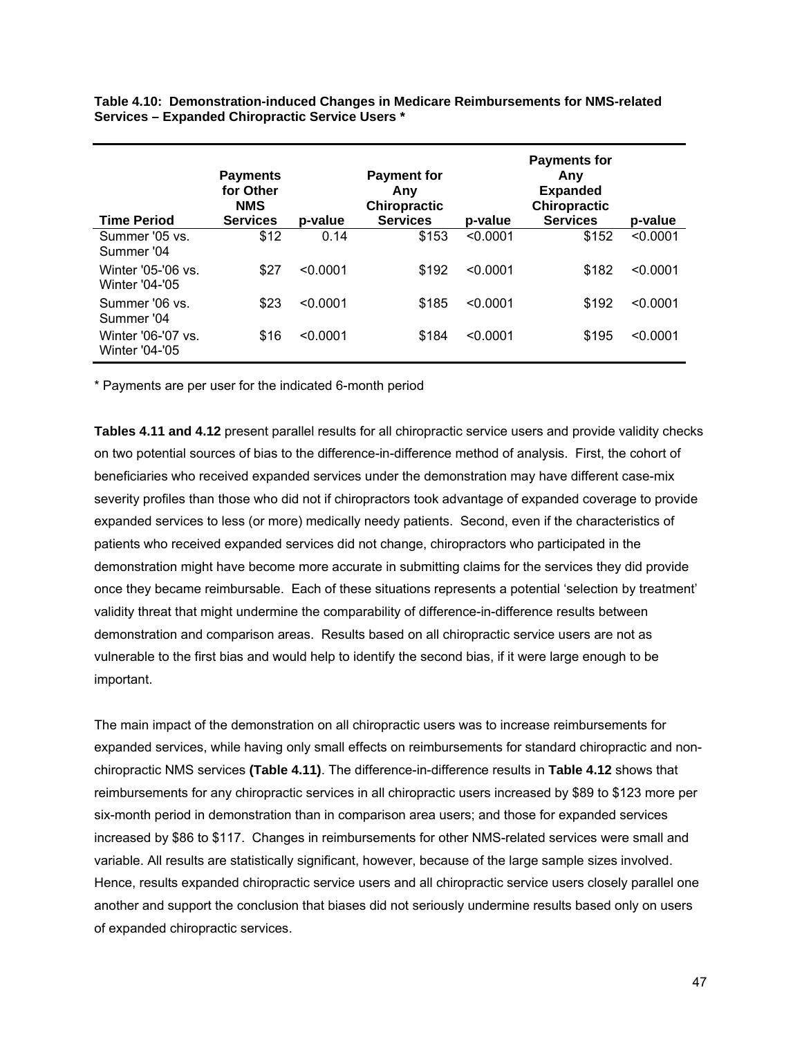**Table 4.10: Demonstration-induced Changes in Medicare Reimbursements for NMS-related Services – Expanded Chiropractic Service Users \*** 

| <b>Time Period</b>                          | <b>Payments</b><br>for Other<br><b>NMS</b><br><b>Services</b> | p-value  | <b>Payment for</b><br>Any<br><b>Chiropractic</b><br><b>Services</b> | p-value  | <b>Payments for</b><br>Any<br><b>Expanded</b><br><b>Chiropractic</b><br><b>Services</b> | p-value  |
|---------------------------------------------|---------------------------------------------------------------|----------|---------------------------------------------------------------------|----------|-----------------------------------------------------------------------------------------|----------|
| Summer '05 vs.<br>Summer '04                | \$12                                                          | 0.14     | \$153                                                               | < 0.0001 | \$152                                                                                   | < 0.0001 |
| Winter '05-'06 vs.<br><b>Winter '04-'05</b> | \$27                                                          | < 0.0001 | \$192                                                               | < 0.0001 | \$182                                                                                   | < 0.0001 |
| Summer '06 vs.<br>Summer '04                | \$23                                                          | < 0.0001 | \$185                                                               | < 0.0001 | \$192                                                                                   | < 0.0001 |
| Winter '06-'07 vs.<br><b>Winter '04-'05</b> | \$16                                                          | < 0.0001 | \$184                                                               | < 0.0001 | \$195                                                                                   | < 0.0001 |

\* Payments are per user for the indicated 6-month period

**Tables 4.11 and 4.12** present parallel results for all chiropractic service users and provide validity checks on two potential sources of bias to the difference-in-difference method of analysis. First, the cohort of beneficiaries who received expanded services under the demonstration may have different case-mix severity profiles than those who did not if chiropractors took advantage of expanded coverage to provide expanded services to less (or more) medically needy patients. Second, even if the characteristics of patients who received expanded services did not change, chiropractors who participated in the demonstration might have become more accurate in submitting claims for the services they did provide once they became reimbursable. Each of these situations represents a potential 'selection by treatment' validity threat that might undermine the comparability of difference-in-difference results between demonstration and comparison areas. Results based on all chiropractic service users are not as vulnerable to the first bias and would help to identify the second bias, if it were large enough to be important.

The main impact of the demonstration on all chiropractic users was to increase reimbursements for expanded services, while having only small effects on reimbursements for standard chiropractic and nonchiropractic NMS services **(Table 4.11)**. The difference-in-difference results in **Table 4.12** shows that reimbursements for any chiropractic services in all chiropractic users increased by \$89 to \$123 more per six-month period in demonstration than in comparison area users; and those for expanded services increased by \$86 to \$117. Changes in reimbursements for other NMS-related services were small and variable. All results are statistically significant, however, because of the large sample sizes involved. Hence, results expanded chiropractic service users and all chiropractic service users closely parallel one another and support the conclusion that biases did not seriously undermine results based only on users of expanded chiropractic services.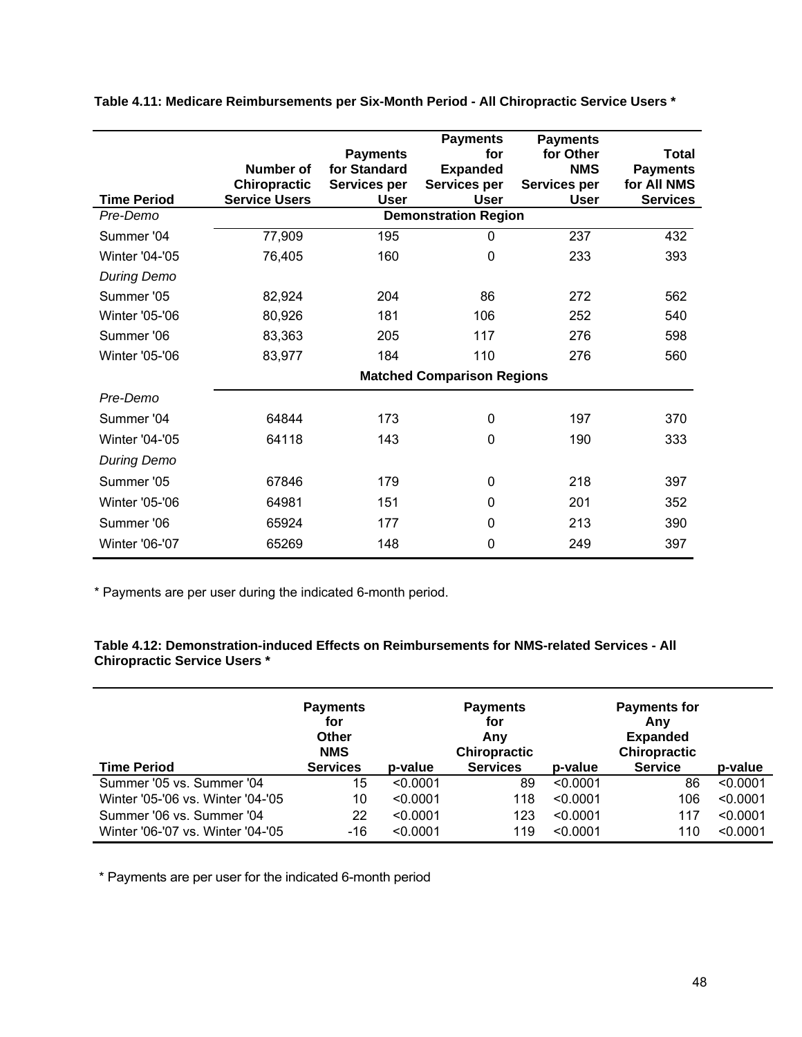| <b>Time Period</b>    | Number of<br>Chiropractic<br><b>Service Users</b>      | <b>Payments</b><br>for Standard<br>Services per | <b>Payments</b><br>for<br><b>Expanded</b><br>Services per<br><b>User</b> | <b>Payments</b><br>for Other<br><b>NMS</b><br>Services per<br><b>User</b> | <b>Total</b><br><b>Payments</b><br>for All NMS |  |  |
|-----------------------|--------------------------------------------------------|-------------------------------------------------|--------------------------------------------------------------------------|---------------------------------------------------------------------------|------------------------------------------------|--|--|
| Pre-Demo              | <b>Services</b><br>User<br><b>Demonstration Region</b> |                                                 |                                                                          |                                                                           |                                                |  |  |
| Summer '04            | 77,909                                                 | 195                                             | 0                                                                        | 237                                                                       | 432                                            |  |  |
| <b>Winter '04-'05</b> | 76,405                                                 | 160                                             | $\mathbf{0}$                                                             | 233                                                                       | 393                                            |  |  |
| <b>During Demo</b>    |                                                        |                                                 |                                                                          |                                                                           |                                                |  |  |
| Summer '05            | 82,924                                                 | 204                                             | 86                                                                       | 272                                                                       | 562                                            |  |  |
| Winter '05-'06        | 80,926                                                 | 181                                             | 106                                                                      | 252                                                                       | 540                                            |  |  |
| Summer '06            | 83,363                                                 | 205                                             | 117                                                                      | 276                                                                       | 598                                            |  |  |
| Winter '05-'06        | 83,977                                                 | 184                                             | 110                                                                      | 276                                                                       | 560                                            |  |  |
|                       | <b>Matched Comparison Regions</b>                      |                                                 |                                                                          |                                                                           |                                                |  |  |
| Pre-Demo              |                                                        |                                                 |                                                                          |                                                                           |                                                |  |  |
| Summer '04            | 64844                                                  | 173                                             | 0                                                                        | 197                                                                       | 370                                            |  |  |
| <b>Winter '04-'05</b> | 64118                                                  | 143                                             | $\mathbf 0$                                                              | 190                                                                       | 333                                            |  |  |
| <b>During Demo</b>    |                                                        |                                                 |                                                                          |                                                                           |                                                |  |  |
| Summer '05            | 67846                                                  | 179                                             | 0                                                                        | 218                                                                       | 397                                            |  |  |
| Winter '05-'06        | 64981                                                  | 151                                             | 0                                                                        | 201                                                                       | 352                                            |  |  |
| Summer '06            | 65924                                                  | 177                                             | 0                                                                        | 213                                                                       | 390                                            |  |  |
| <b>Winter '06-'07</b> | 65269                                                  | 148                                             | 0                                                                        | 249                                                                       | 397                                            |  |  |

**Table 4.11: Medicare Reimbursements per Six-Month Period - All Chiropractic Service Users \*** 

\* Payments are per user during the indicated 6-month period.

# **Table 4.12: Demonstration-induced Effects on Reimbursements for NMS-related Services - All Chiropractic Service Users \***

|                                   | <b>Payments</b><br>for<br>Other<br><b>NMS</b> |          | <b>Payments</b><br>for<br>Any<br>Chiropractic |          | <b>Payments for</b><br>Anv<br><b>Expanded</b><br>Chiropractic |          |
|-----------------------------------|-----------------------------------------------|----------|-----------------------------------------------|----------|---------------------------------------------------------------|----------|
| <b>Time Period</b>                | <b>Services</b>                               | p-value  | <b>Services</b>                               | p-value  | <b>Service</b>                                                | p-value  |
| Summer '05 vs. Summer '04         | 15                                            | < 0.0001 | 89                                            | < 0.0001 | 86                                                            | < 0.0001 |
| Winter '05-'06 vs. Winter '04-'05 | 10                                            | < 0.0001 | 118                                           | < 0.0001 | 106                                                           | < 0.0001 |
| Summer '06 vs. Summer '04         | 22                                            | < 0.0001 | 123                                           | < 0.0001 | 117                                                           | < 0.0001 |
| Winter '06-'07 vs. Winter '04-'05 | -16                                           | < 0.0001 | 119                                           | < 0.0001 | 110                                                           | < 0.0001 |

\* Payments are per user for the indicated 6-month period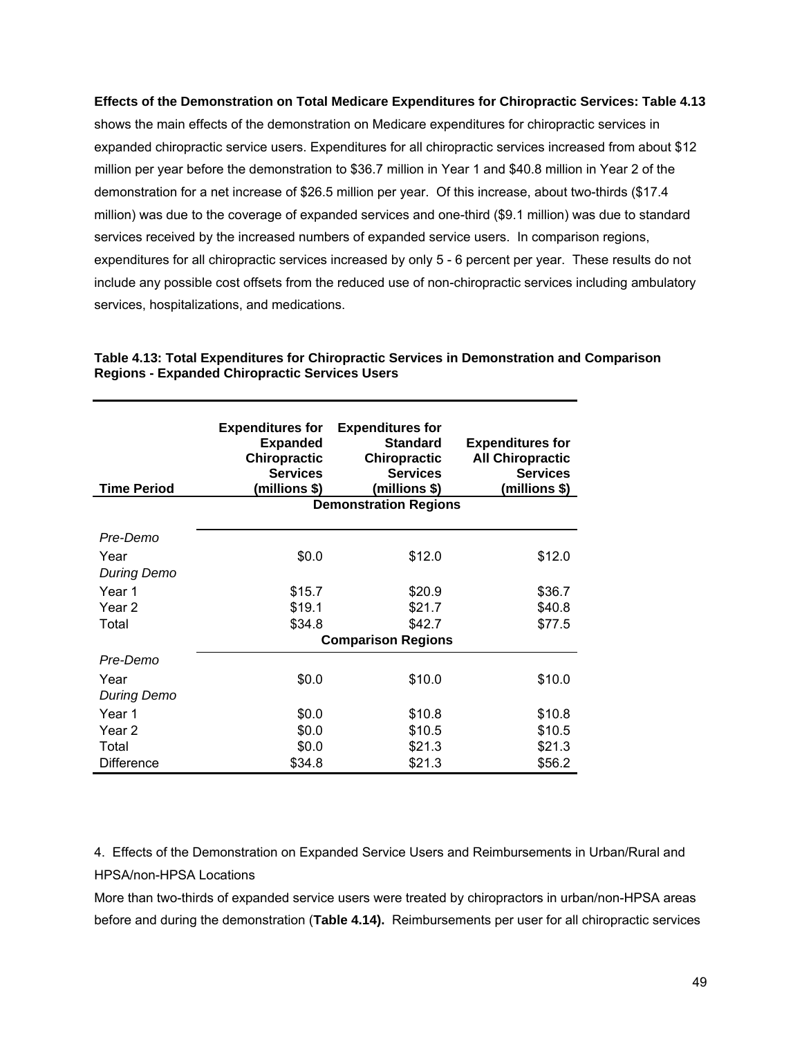## **Effects of the Demonstration on Total Medicare Expenditures for Chiropractic Services: Table 4.13**

shows the main effects of the demonstration on Medicare expenditures for chiropractic services in expanded chiropractic service users. Expenditures for all chiropractic services increased from about \$12 million per year before the demonstration to \$36.7 million in Year 1 and \$40.8 million in Year 2 of the demonstration for a net increase of \$26.5 million per year. Of this increase, about two-thirds (\$17.4 million) was due to the coverage of expanded services and one-third (\$9.1 million) was due to standard services received by the increased numbers of expanded service users. In comparison regions, expenditures for all chiropractic services increased by only 5 - 6 percent per year. These results do not include any possible cost offsets from the reduced use of non-chiropractic services including ambulatory services, hospitalizations, and medications.

| <b>Time Period</b> | <b>Expenditures for</b><br><b>Expanded</b><br><b>Chiropractic</b><br><b>Services</b><br>(millions \$) | <b>Expenditures for</b><br><b>Standard</b><br><b>Chiropractic</b><br><b>Services</b><br>(millions \$) | <b>Expenditures for</b><br><b>All Chiropractic</b><br><b>Services</b><br>(millions \$) |  |  |  |
|--------------------|-------------------------------------------------------------------------------------------------------|-------------------------------------------------------------------------------------------------------|----------------------------------------------------------------------------------------|--|--|--|
|                    | <b>Demonstration Regions</b>                                                                          |                                                                                                       |                                                                                        |  |  |  |
| Pre-Demo           |                                                                                                       |                                                                                                       |                                                                                        |  |  |  |
| Year               | \$0.0                                                                                                 | \$12.0                                                                                                | \$12.0                                                                                 |  |  |  |
| <b>During Demo</b> |                                                                                                       |                                                                                                       |                                                                                        |  |  |  |
| Year 1             | \$15.7                                                                                                | \$20.9                                                                                                | \$36.7                                                                                 |  |  |  |
| Year <sub>2</sub>  | \$19.1                                                                                                | \$21.7                                                                                                | \$40.8                                                                                 |  |  |  |
| Total              | \$34.8                                                                                                | \$42.7                                                                                                | \$77.5                                                                                 |  |  |  |
|                    | <b>Comparison Regions</b>                                                                             |                                                                                                       |                                                                                        |  |  |  |
| Pre-Demo           |                                                                                                       |                                                                                                       |                                                                                        |  |  |  |
| Year               | \$0.0                                                                                                 | \$10.0                                                                                                | \$10.0                                                                                 |  |  |  |
| During Demo        |                                                                                                       |                                                                                                       |                                                                                        |  |  |  |
| Year 1             | \$0.0                                                                                                 | \$10.8                                                                                                | \$10.8                                                                                 |  |  |  |
| Year 2             | \$0.0                                                                                                 | \$10.5                                                                                                | \$10.5                                                                                 |  |  |  |
| Total              | \$0.0                                                                                                 | \$21.3                                                                                                | \$21.3                                                                                 |  |  |  |
| <b>Difference</b>  | \$34.8                                                                                                | \$21.3                                                                                                | \$56.2                                                                                 |  |  |  |

**Table 4.13: Total Expenditures for Chiropractic Services in Demonstration and Comparison Regions - Expanded Chiropractic Services Users** 

4. Effects of the Demonstration on Expanded Service Users and Reimbursements in Urban/Rural and HPSA/non-HPSA Locations

More than two-thirds of expanded service users were treated by chiropractors in urban/non-HPSA areas before and during the demonstration (**Table 4.14).** Reimbursements per user for all chiropractic services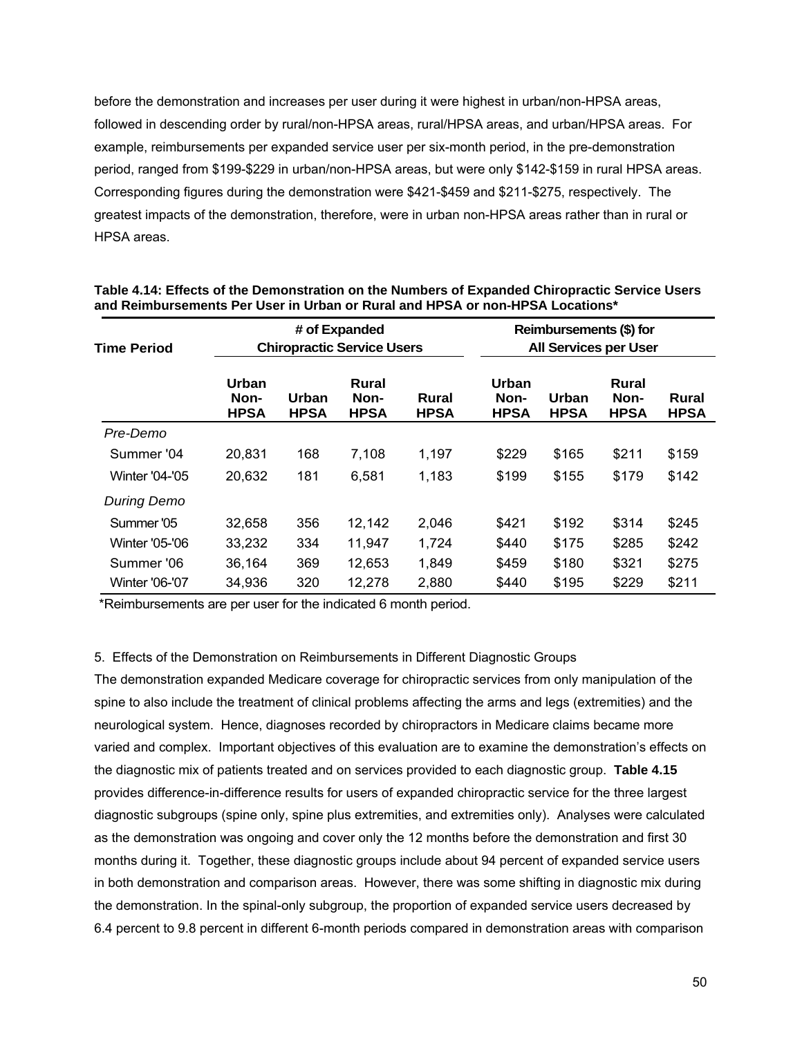before the demonstration and increases per user during it were highest in urban/non-HPSA areas, followed in descending order by rural/non-HPSA areas, rural/HPSA areas, and urban/HPSA areas. For example, reimbursements per expanded service user per six-month period, in the pre-demonstration period, ranged from \$199-\$229 in urban/non-HPSA areas, but were only \$142-\$159 in rural HPSA areas. Corresponding figures during the demonstration were \$421-\$459 and \$211-\$275, respectively. The greatest impacts of the demonstration, therefore, were in urban non-HPSA areas rather than in rural or HPSA areas.

| Time Period           |                              | # of Expanded<br><b>Chiropractic Service Users</b> |                              |                      |                              | Reimbursements (\$) for<br><b>All Services per User</b> |                              |                      |  |
|-----------------------|------------------------------|----------------------------------------------------|------------------------------|----------------------|------------------------------|---------------------------------------------------------|------------------------------|----------------------|--|
|                       | Urban<br>Non-<br><b>HPSA</b> | Urban<br><b>HPSA</b>                               | Rural<br>Non-<br><b>HPSA</b> | Rural<br><b>HPSA</b> | Urban<br>Non-<br><b>HPSA</b> | Urban<br><b>HPSA</b>                                    | Rural<br>Non-<br><b>HPSA</b> | Rural<br><b>HPSA</b> |  |
| Pre-Demo              |                              |                                                    |                              |                      |                              |                                                         |                              |                      |  |
| Summer '04            | 20,831                       | 168                                                | 7,108                        | 1,197                | \$229                        | \$165                                                   | \$211                        | \$159                |  |
| <b>Winter '04-'05</b> | 20,632                       | 181                                                | 6,581                        | 1,183                | \$199                        | \$155                                                   | \$179                        | \$142                |  |
| <b>During Demo</b>    |                              |                                                    |                              |                      |                              |                                                         |                              |                      |  |
| Summer '05            | 32,658                       | 356                                                | 12,142                       | 2,046                | \$421                        | \$192                                                   | \$314                        | \$245                |  |
| <b>Winter '05-'06</b> | 33,232                       | 334                                                | 11,947                       | 1,724                | \$440                        | \$175                                                   | \$285                        | \$242                |  |
| Summer '06            | 36,164                       | 369                                                | 12,653                       | 1,849                | \$459                        | \$180                                                   | \$321                        | \$275                |  |
| <b>Winter '06-'07</b> | 34,936                       | 320                                                | 12,278                       | 2,880                | \$440                        | \$195                                                   | \$229                        | \$211                |  |

**Table 4.14: Effects of the Demonstration on the Numbers of Expanded Chiropractic Service Users and Reimbursements Per User in Urban or Rural and HPSA or non-HPSA Locations\*** 

\*Reimbursements are per user for the indicated 6 month period.

### 5. Effects of the Demonstration on Reimbursements in Different Diagnostic Groups

The demonstration expanded Medicare coverage for chiropractic services from only manipulation of the spine to also include the treatment of clinical problems affecting the arms and legs (extremities) and the neurological system. Hence, diagnoses recorded by chiropractors in Medicare claims became more varied and complex. Important objectives of this evaluation are to examine the demonstration's effects on the diagnostic mix of patients treated and on services provided to each diagnostic group. **Table 4.15**  provides difference-in-difference results for users of expanded chiropractic service for the three largest diagnostic subgroups (spine only, spine plus extremities, and extremities only). Analyses were calculated as the demonstration was ongoing and cover only the 12 months before the demonstration and first 30 months during it. Together, these diagnostic groups include about 94 percent of expanded service users in both demonstration and comparison areas. However, there was some shifting in diagnostic mix during the demonstration. In the spinal-only subgroup, the proportion of expanded service users decreased by 6.4 percent to 9.8 percent in different 6-month periods compared in demonstration areas with comparison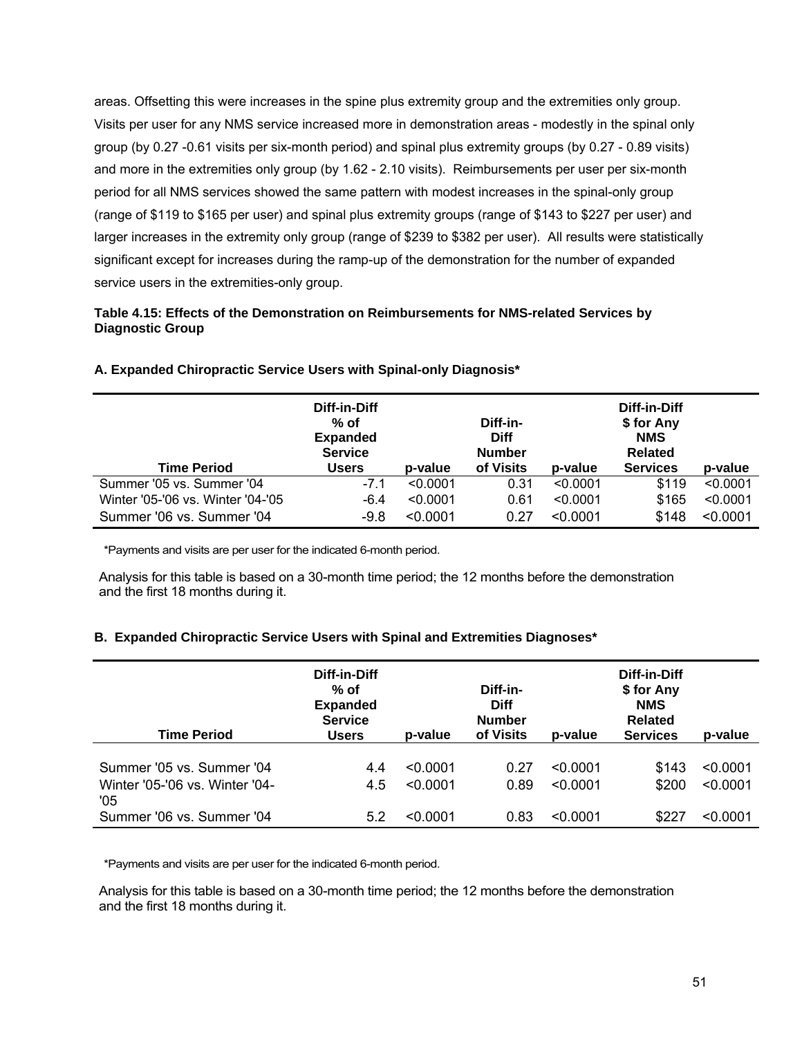areas. Offsetting this were increases in the spine plus extremity group and the extremities only group. Visits per user for any NMS service increased more in demonstration areas - modestly in the spinal only group (by 0.27 -0.61 visits per six-month period) and spinal plus extremity groups (by 0.27 - 0.89 visits) and more in the extremities only group (by 1.62 - 2.10 visits). Reimbursements per user per six-month period for all NMS services showed the same pattern with modest increases in the spinal-only group (range of \$119 to \$165 per user) and spinal plus extremity groups (range of \$143 to \$227 per user) and larger increases in the extremity only group (range of \$239 to \$382 per user). All results were statistically significant except for increases during the ramp-up of the demonstration for the number of expanded service users in the extremities-only group.

## **Table 4.15: Effects of the Demonstration on Reimbursements for NMS-related Services by Diagnostic Group**

|                                   | Diff-in-Diff<br>$%$ of<br><b>Expanded</b><br><b>Service</b> |          | Diff-in-<br><b>Diff</b><br><b>Number</b> |          | Diff-in-Diff<br>\$ for Any<br><b>NMS</b><br><b>Related</b> |          |
|-----------------------------------|-------------------------------------------------------------|----------|------------------------------------------|----------|------------------------------------------------------------|----------|
| <b>Time Period</b>                | <b>Users</b>                                                | p-value  | of Visits                                | p-value  | <b>Services</b>                                            | p-value  |
| Summer '05 vs. Summer '04         | $-7.1$                                                      | < 0.0001 | 0.31                                     | < 0.0001 | \$119                                                      | < 0.0001 |
| Winter '05-'06 vs. Winter '04-'05 | $-6.4$                                                      | < 0.0001 | 0.61                                     | < 0.0001 | \$165                                                      | < 0.0001 |
| Summer '06 vs. Summer '04         | $-9.8$                                                      | < 0.0001 | 0.27                                     | < 0.0001 | \$148                                                      | < 0.0001 |

#### **A. Expanded Chiropractic Service Users with Spinal-only Diagnosis\***

\*Payments and visits are per user for the indicated 6-month period.

Analysis for this table is based on a 30-month time period; the 12 months before the demonstration and the first 18 months during it.

### **B. Expanded Chiropractic Service Users with Spinal and Extremities Diagnoses\***

| <b>Time Period</b>                                                 | Diff-in-Diff<br>$%$ of<br><b>Expanded</b><br><b>Service</b><br>Users | p-value              | Diff-in-<br><b>Diff</b><br><b>Number</b><br>of Visits | p-value              | Diff-in-Diff<br>\$ for Any<br><b>NMS</b><br><b>Related</b><br><b>Services</b> | p-value              |
|--------------------------------------------------------------------|----------------------------------------------------------------------|----------------------|-------------------------------------------------------|----------------------|-------------------------------------------------------------------------------|----------------------|
| Summer '05 vs. Summer '04<br>Winter '05-'06 vs. Winter '04-<br>'05 | 4.4<br>4.5                                                           | < 0.0001<br>< 0.0001 | 0.27<br>0.89                                          | < 0.0001<br>< 0.0001 | \$143<br>\$200                                                                | < 0.0001<br>< 0.0001 |
| Summer '06 vs. Summer '04                                          | 5.2                                                                  | < 0.0001             | 0.83                                                  | < 0.0001             | \$227                                                                         | < 0.0001             |

\*Payments and visits are per user for the indicated 6-month period.

Analysis for this table is based on a 30-month time period; the 12 months before the demonstration and the first 18 months during it.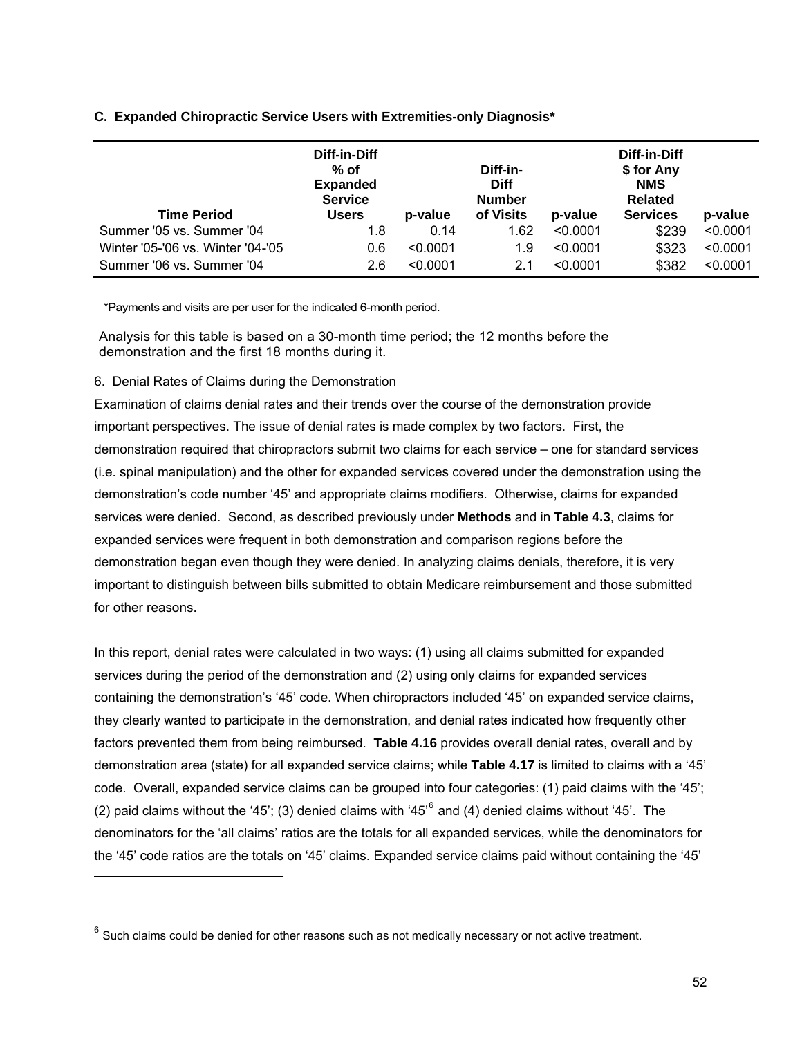## **C. Expanded Chiropractic Service Users with Extremities-only Diagnosis\***

|                                   | Diff-in-Diff<br>$%$ of<br><b>Expanded</b><br><b>Service</b> |          | Diff-in-<br><b>Diff</b><br><b>Number</b> |          | Diff-in-Diff<br>\$ for Any<br><b>NMS</b><br><b>Related</b> |          |
|-----------------------------------|-------------------------------------------------------------|----------|------------------------------------------|----------|------------------------------------------------------------|----------|
| <b>Time Period</b>                | <b>Users</b>                                                | p-value  | of Visits                                | p-value  | <b>Services</b>                                            | p-value  |
| Summer '05 vs. Summer '04         | 1.8                                                         | 0.14     | 1.62                                     | < 0.0001 | \$239                                                      | < 0.0001 |
| Winter '05-'06 vs. Winter '04-'05 | 0.6                                                         | < 0.0001 | 1.9                                      | < 0.0001 | \$323                                                      | < 0.0001 |
| Summer '06 vs. Summer '04         | 2.6                                                         | < 0.0001 | 2.1                                      | < 0.0001 | \$382                                                      | < 0.0001 |

\*Payments and visits are per user for the indicated 6-month period.

Analysis for this table is based on a 30-month time period; the 12 months before the demonstration and the first 18 months during it.

6. Denial Rates of Claims during the Demonstration

l

Examination of claims denial rates and their trends over the course of the demonstration provide important perspectives. The issue of denial rates is made complex by two factors. First, the demonstration required that chiropractors submit two claims for each service – one for standard services (i.e. spinal manipulation) and the other for expanded services covered under the demonstration using the demonstration's code number '45' and appropriate claims modifiers. Otherwise, claims for expanded services were denied. Second, as described previously under **Methods** and in **Table 4.3**, claims for expanded services were frequent in both demonstration and comparison regions before the demonstration began even though they were denied. In analyzing claims denials, therefore, it is very important to distinguish between bills submitted to obtain Medicare reimbursement and those submitted for other reasons.

In this report, denial rates were calculated in two ways: (1) using all claims submitted for expanded services during the period of the demonstration and (2) using only claims for expanded services containing the demonstration's '45' code. When chiropractors included '45' on expanded service claims, they clearly wanted to participate in the demonstration, and denial rates indicated how frequently other factors prevented them from being reimbursed. **Table 4.16** provides overall denial rates, overall and by demonstration area (state) for all expanded service claims; while **Table 4.17** is limited to claims with a '45' code. Overall, expanded service claims can be grouped into four categories: (1) paid claims with the '45'; (2) paid claims without the '45'; (3) denied claims with '45<sup>'[6](#page-74-0)</sup> and (4) denied claims without '45'. The denominators for the 'all claims' ratios are the totals for all expanded services, while the denominators for the '45' code ratios are the totals on '45' claims. Expanded service claims paid without containing the '45'

<span id="page-74-0"></span> $6$  Such claims could be denied for other reasons such as not medically necessary or not active treatment.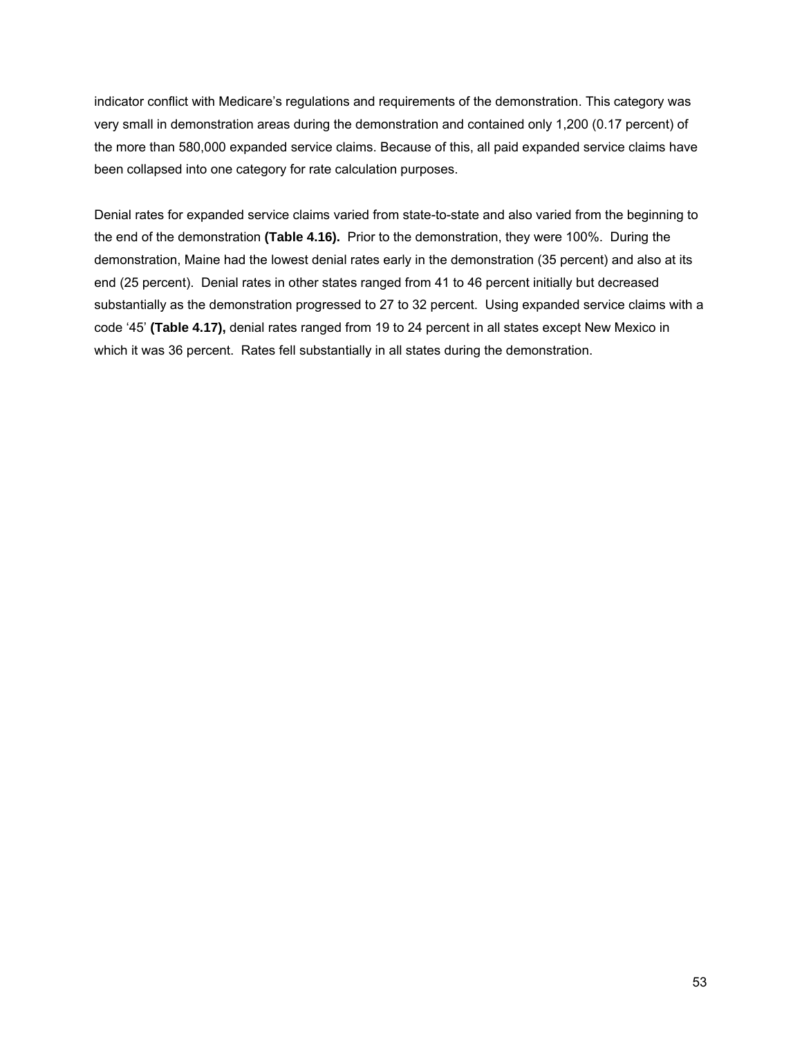indicator conflict with Medicare's regulations and requirements of the demonstration. This category was very small in demonstration areas during the demonstration and contained only 1,200 (0.17 percent) of the more than 580,000 expanded service claims. Because of this, all paid expanded service claims have been collapsed into one category for rate calculation purposes.

Denial rates for expanded service claims varied from state-to-state and also varied from the beginning to the end of the demonstration **(Table 4.16).** Prior to the demonstration, they were 100%. During the demonstration, Maine had the lowest denial rates early in the demonstration (35 percent) and also at its end (25 percent). Denial rates in other states ranged from 41 to 46 percent initially but decreased substantially as the demonstration progressed to 27 to 32 percent. Using expanded service claims with a code '45' **(Table 4.17),** denial rates ranged from 19 to 24 percent in all states except New Mexico in which it was 36 percent. Rates fell substantially in all states during the demonstration.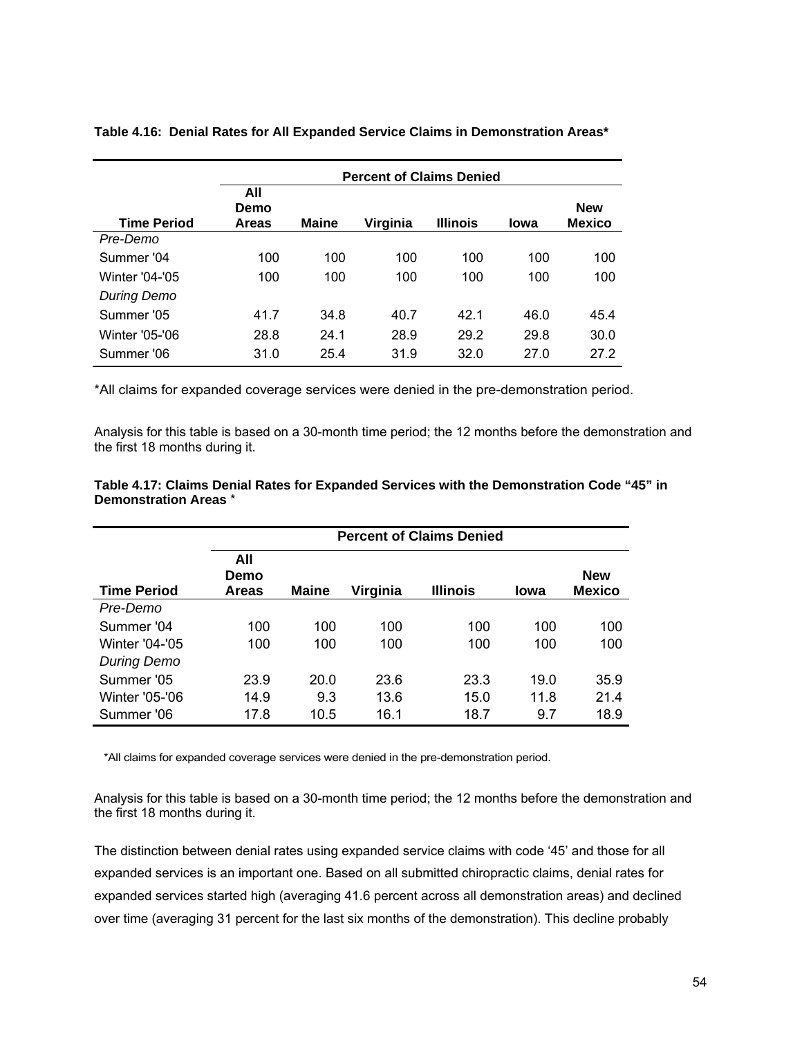|                    | <b>Percent of Claims Denied</b> |              |          |                 |      |                             |  |  |
|--------------------|---------------------------------|--------------|----------|-----------------|------|-----------------------------|--|--|
| <b>Time Period</b> | All<br>Demo<br><b>Areas</b>     | <b>Maine</b> | Virginia | <b>Illinois</b> | lowa | <b>New</b><br><b>Mexico</b> |  |  |
| Pre-Demo           |                                 |              |          |                 |      |                             |  |  |
| Summer '04         | 100                             | 100          | 100      | 100             | 100  | 100                         |  |  |
| Winter '04-'05     | 100                             | 100          | 100      | 100             | 100  | 100                         |  |  |
| <b>During Demo</b> |                                 |              |          |                 |      |                             |  |  |
| Summer '05         | 41.7                            | 34.8         | 40.7     | 42.1            | 46.0 | 45.4                        |  |  |
| Winter '05-'06     | 28.8                            | 24.1         | 28.9     | 29.2            | 29.8 | 30.0                        |  |  |
| Summer '06         | 31.0                            | 25.4         | 31.9     | 32.0            | 27.0 | 27.2                        |  |  |

**Table 4.16: Denial Rates for All Expanded Service Claims in Demonstration Areas\*** 

\*All claims for expanded coverage services were denied in the pre-demonstration period.

Analysis for this table is based on a 30-month time period; the 12 months before the demonstration and the first 18 months during it.

|                       | <b>Percent of Claims Denied</b> |              |          |                 |             |                             |  |  |
|-----------------------|---------------------------------|--------------|----------|-----------------|-------------|-----------------------------|--|--|
| <b>Time Period</b>    | All<br>Demo<br>Areas            | <b>Maine</b> | Virginia | <b>Illinois</b> | <b>lowa</b> | <b>New</b><br><b>Mexico</b> |  |  |
| Pre-Demo              |                                 |              |          |                 |             |                             |  |  |
| Summer '04            | 100                             | 100          | 100      | 100             | 100         | 100                         |  |  |
| <b>Winter '04-'05</b> | 100                             | 100          | 100      | 100             | 100         | 100                         |  |  |
| <b>During Demo</b>    |                                 |              |          |                 |             |                             |  |  |
| Summer '05            | 23.9                            | 20.0         | 23.6     | 23.3            | 19.0        | 35.9                        |  |  |
| Winter '05-'06        | 14.9                            | 9.3          | 13.6     | 15.0            | 11.8        | 21.4                        |  |  |
| Summer '06            | 17.8                            | 10.5         | 16.1     | 18.7            | 9.7         | 18.9                        |  |  |

## **Table 4.17: Claims Denial Rates for Expanded Services with the Demonstration Code "45" in Demonstration Areas** \*

\*All claims for expanded coverage services were denied in the pre-demonstration period.

Analysis for this table is based on a 30-month time period; the 12 months before the demonstration and the first 18 months during it.

The distinction between denial rates using expanded service claims with code '45' and those for all expanded services is an important one. Based on all submitted chiropractic claims, denial rates for expanded services started high (averaging 41.6 percent across all demonstration areas) and declined over time (averaging 31 percent for the last six months of the demonstration). This decline probably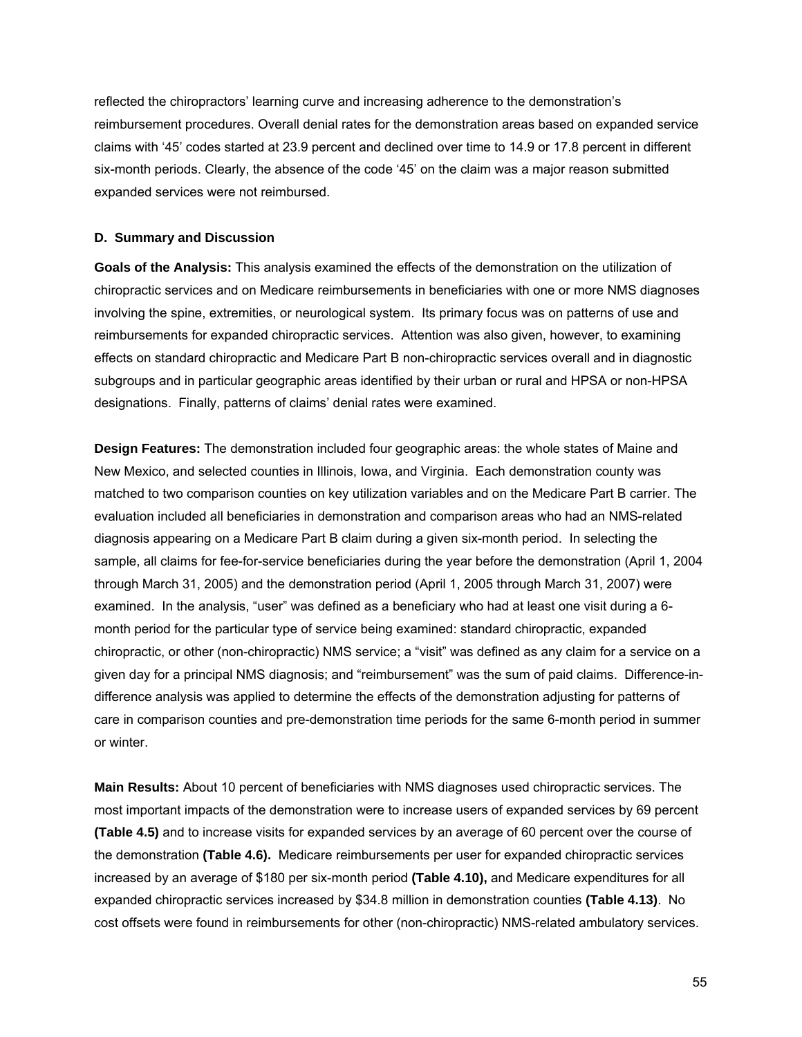reflected the chiropractors' learning curve and increasing adherence to the demonstration's reimbursement procedures. Overall denial rates for the demonstration areas based on expanded service claims with '45' codes started at 23.9 percent and declined over time to 14.9 or 17.8 percent in different six-month periods. Clearly, the absence of the code '45' on the claim was a major reason submitted expanded services were not reimbursed.

## **D. Summary and Discussion**

**Goals of the Analysis:** This analysis examined the effects of the demonstration on the utilization of chiropractic services and on Medicare reimbursements in beneficiaries with one or more NMS diagnoses involving the spine, extremities, or neurological system. Its primary focus was on patterns of use and reimbursements for expanded chiropractic services. Attention was also given, however, to examining effects on standard chiropractic and Medicare Part B non-chiropractic services overall and in diagnostic subgroups and in particular geographic areas identified by their urban or rural and HPSA or non-HPSA designations. Finally, patterns of claims' denial rates were examined.

**Design Features:** The demonstration included four geographic areas: the whole states of Maine and New Mexico, and selected counties in Illinois, Iowa, and Virginia. Each demonstration county was matched to two comparison counties on key utilization variables and on the Medicare Part B carrier. The evaluation included all beneficiaries in demonstration and comparison areas who had an NMS-related diagnosis appearing on a Medicare Part B claim during a given six-month period. In selecting the sample, all claims for fee-for-service beneficiaries during the year before the demonstration (April 1, 2004 through March 31, 2005) and the demonstration period (April 1, 2005 through March 31, 2007) were examined. In the analysis, "user" was defined as a beneficiary who had at least one visit during a 6 month period for the particular type of service being examined: standard chiropractic, expanded chiropractic, or other (non-chiropractic) NMS service; a "visit" was defined as any claim for a service on a given day for a principal NMS diagnosis; and "reimbursement" was the sum of paid claims. Difference-indifference analysis was applied to determine the effects of the demonstration adjusting for patterns of care in comparison counties and pre-demonstration time periods for the same 6-month period in summer or winter.

**Main Results:** About 10 percent of beneficiaries with NMS diagnoses used chiropractic services. The most important impacts of the demonstration were to increase users of expanded services by 69 percent **(Table 4.5)** and to increase visits for expanded services by an average of 60 percent over the course of the demonstration **(Table 4.6).** Medicare reimbursements per user for expanded chiropractic services increased by an average of \$180 per six-month period **(Table 4.10),** and Medicare expenditures for all expanded chiropractic services increased by \$34.8 million in demonstration counties **(Table 4.13)**. No cost offsets were found in reimbursements for other (non-chiropractic) NMS-related ambulatory services.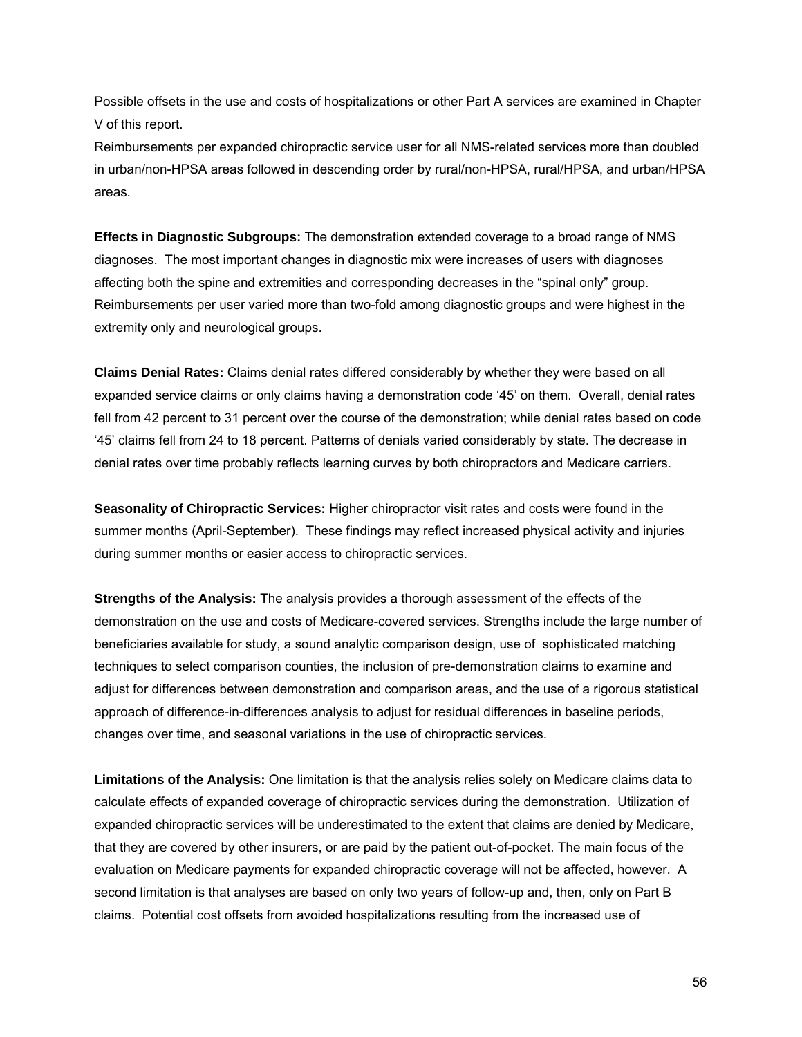Possible offsets in the use and costs of hospitalizations or other Part A services are examined in Chapter V of this report.

Reimbursements per expanded chiropractic service user for all NMS-related services more than doubled in urban/non-HPSA areas followed in descending order by rural/non-HPSA, rural/HPSA, and urban/HPSA areas.

**Effects in Diagnostic Subgroups:** The demonstration extended coverage to a broad range of NMS diagnoses. The most important changes in diagnostic mix were increases of users with diagnoses affecting both the spine and extremities and corresponding decreases in the "spinal only" group. Reimbursements per user varied more than two-fold among diagnostic groups and were highest in the extremity only and neurological groups.

**Claims Denial Rates:** Claims denial rates differed considerably by whether they were based on all expanded service claims or only claims having a demonstration code '45' on them. Overall, denial rates fell from 42 percent to 31 percent over the course of the demonstration; while denial rates based on code '45' claims fell from 24 to 18 percent. Patterns of denials varied considerably by state. The decrease in denial rates over time probably reflects learning curves by both chiropractors and Medicare carriers.

**Seasonality of Chiropractic Services:** Higher chiropractor visit rates and costs were found in the summer months (April-September). These findings may reflect increased physical activity and injuries during summer months or easier access to chiropractic services.

**Strengths of the Analysis:** The analysis provides a thorough assessment of the effects of the demonstration on the use and costs of Medicare-covered services. Strengths include the large number of beneficiaries available for study, a sound analytic comparison design, use of sophisticated matching techniques to select comparison counties, the inclusion of pre-demonstration claims to examine and adjust for differences between demonstration and comparison areas, and the use of a rigorous statistical approach of difference-in-differences analysis to adjust for residual differences in baseline periods, changes over time, and seasonal variations in the use of chiropractic services.

**Limitations of the Analysis:** One limitation is that the analysis relies solely on Medicare claims data to calculate effects of expanded coverage of chiropractic services during the demonstration. Utilization of expanded chiropractic services will be underestimated to the extent that claims are denied by Medicare, that they are covered by other insurers, or are paid by the patient out-of-pocket. The main focus of the evaluation on Medicare payments for expanded chiropractic coverage will not be affected, however. A second limitation is that analyses are based on only two years of follow-up and, then, only on Part B claims. Potential cost offsets from avoided hospitalizations resulting from the increased use of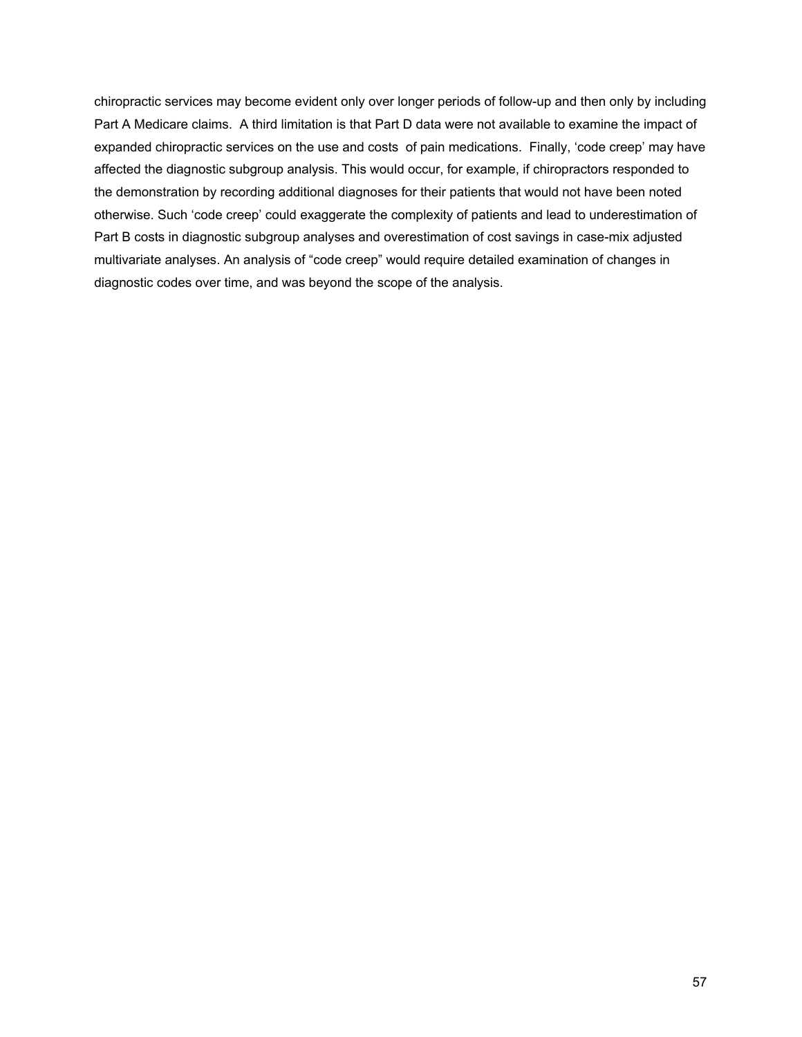chiropractic services may become evident only over longer periods of follow-up and then only by including Part A Medicare claims. A third limitation is that Part D data were not available to examine the impact of expanded chiropractic services on the use and costs of pain medications. Finally, 'code creep' may have affected the diagnostic subgroup analysis. This would occur, for example, if chiropractors responded to the demonstration by recording additional diagnoses for their patients that would not have been noted otherwise. Such 'code creep' could exaggerate the complexity of patients and lead to underestimation of Part B costs in diagnostic subgroup analyses and overestimation of cost savings in case-mix adjusted multivariate analyses. An analysis of "code creep" would require detailed examination of changes in diagnostic codes over time, and was beyond the scope of the analysis.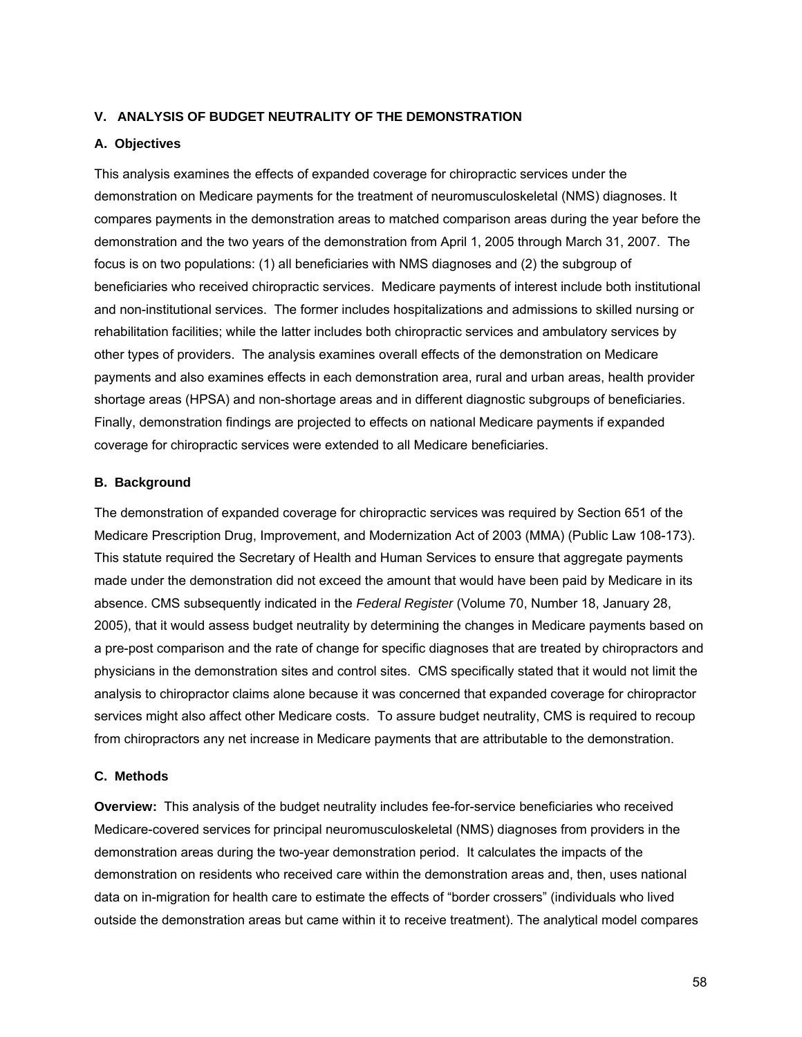### **V. ANALYSIS OF BUDGET NEUTRALITY OF THE DEMONSTRATION**

#### **A. Objectives**

This analysis examines the effects of expanded coverage for chiropractic services under the demonstration on Medicare payments for the treatment of neuromusculoskeletal (NMS) diagnoses. It compares payments in the demonstration areas to matched comparison areas during the year before the demonstration and the two years of the demonstration from April 1, 2005 through March 31, 2007. The focus is on two populations: (1) all beneficiaries with NMS diagnoses and (2) the subgroup of beneficiaries who received chiropractic services. Medicare payments of interest include both institutional and non-institutional services. The former includes hospitalizations and admissions to skilled nursing or rehabilitation facilities; while the latter includes both chiropractic services and ambulatory services by other types of providers. The analysis examines overall effects of the demonstration on Medicare payments and also examines effects in each demonstration area, rural and urban areas, health provider shortage areas (HPSA) and non-shortage areas and in different diagnostic subgroups of beneficiaries. Finally, demonstration findings are projected to effects on national Medicare payments if expanded coverage for chiropractic services were extended to all Medicare beneficiaries.

## **B. Background**

The demonstration of expanded coverage for chiropractic services was required by Section 651 of the Medicare Prescription Drug, Improvement, and Modernization Act of 2003 (MMA) (Public Law 108-173). This statute required the Secretary of Health and Human Services to ensure that aggregate payments made under the demonstration did not exceed the amount that would have been paid by Medicare in its absence. CMS subsequently indicated in the *Federal Register* (Volume 70, Number 18, January 28, 2005), that it would assess budget neutrality by determining the changes in Medicare payments based on a pre-post comparison and the rate of change for specific diagnoses that are treated by chiropractors and physicians in the demonstration sites and control sites. CMS specifically stated that it would not limit the analysis to chiropractor claims alone because it was concerned that expanded coverage for chiropractor services might also affect other Medicare costs. To assure budget neutrality, CMS is required to recoup from chiropractors any net increase in Medicare payments that are attributable to the demonstration.

#### **C. Methods**

**Overview:** This analysis of the budget neutrality includes fee-for-service beneficiaries who received Medicare-covered services for principal neuromusculoskeletal (NMS) diagnoses from providers in the demonstration areas during the two-year demonstration period. It calculates the impacts of the demonstration on residents who received care within the demonstration areas and, then, uses national data on in-migration for health care to estimate the effects of "border crossers" (individuals who lived outside the demonstration areas but came within it to receive treatment). The analytical model compares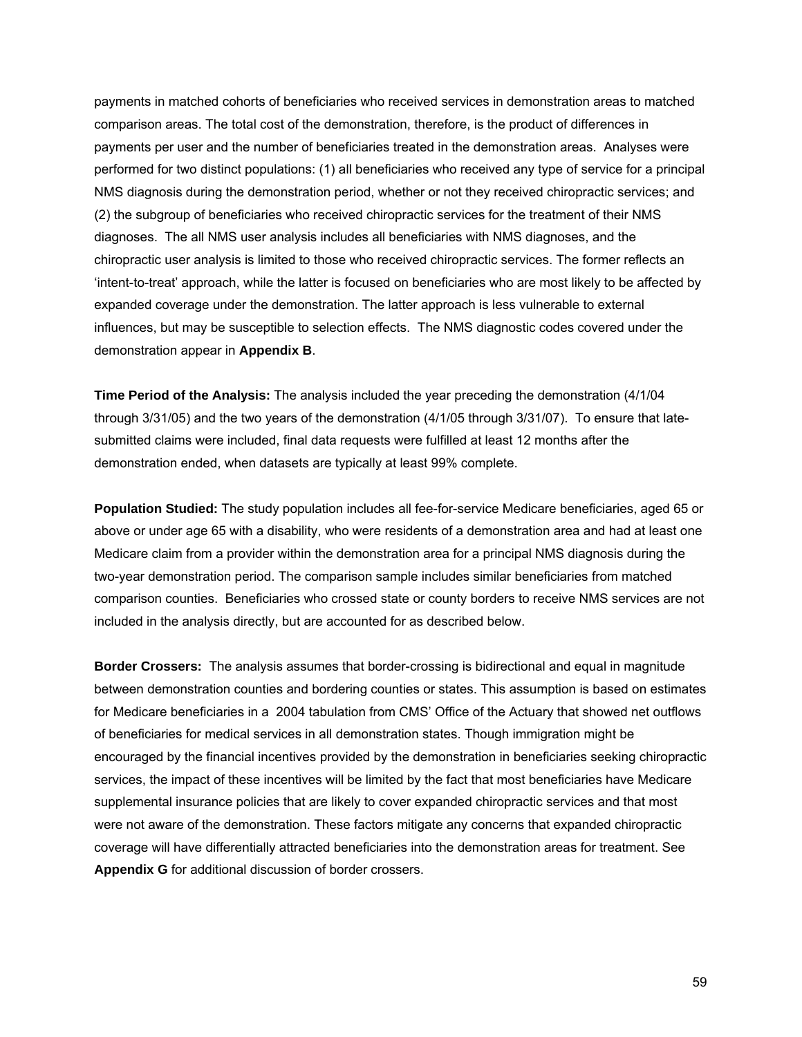payments in matched cohorts of beneficiaries who received services in demonstration areas to matched comparison areas. The total cost of the demonstration, therefore, is the product of differences in payments per user and the number of beneficiaries treated in the demonstration areas. Analyses were performed for two distinct populations: (1) all beneficiaries who received any type of service for a principal NMS diagnosis during the demonstration period, whether or not they received chiropractic services; and (2) the subgroup of beneficiaries who received chiropractic services for the treatment of their NMS diagnoses. The all NMS user analysis includes all beneficiaries with NMS diagnoses, and the chiropractic user analysis is limited to those who received chiropractic services. The former reflects an 'intent-to-treat' approach, while the latter is focused on beneficiaries who are most likely to be affected by expanded coverage under the demonstration. The latter approach is less vulnerable to external influences, but may be susceptible to selection effects. The NMS diagnostic codes covered under the demonstration appear in **Appendix B**.

**Time Period of the Analysis:** The analysis included the year preceding the demonstration (4/1/04 through 3/31/05) and the two years of the demonstration (4/1/05 through 3/31/07). To ensure that latesubmitted claims were included, final data requests were fulfilled at least 12 months after the demonstration ended, when datasets are typically at least 99% complete.

**Population Studied:** The study population includes all fee-for-service Medicare beneficiaries, aged 65 or above or under age 65 with a disability, who were residents of a demonstration area and had at least one Medicare claim from a provider within the demonstration area for a principal NMS diagnosis during the two-year demonstration period. The comparison sample includes similar beneficiaries from matched comparison counties. Beneficiaries who crossed state or county borders to receive NMS services are not included in the analysis directly, but are accounted for as described below.

**Border Crossers:** The analysis assumes that border-crossing is bidirectional and equal in magnitude between demonstration counties and bordering counties or states. This assumption is based on estimates for Medicare beneficiaries in a 2004 tabulation from CMS' Office of the Actuary that showed net outflows of beneficiaries for medical services in all demonstration states. Though immigration might be encouraged by the financial incentives provided by the demonstration in beneficiaries seeking chiropractic services, the impact of these incentives will be limited by the fact that most beneficiaries have Medicare supplemental insurance policies that are likely to cover expanded chiropractic services and that most were not aware of the demonstration. These factors mitigate any concerns that expanded chiropractic coverage will have differentially attracted beneficiaries into the demonstration areas for treatment. See **Appendix G** for additional discussion of border crossers.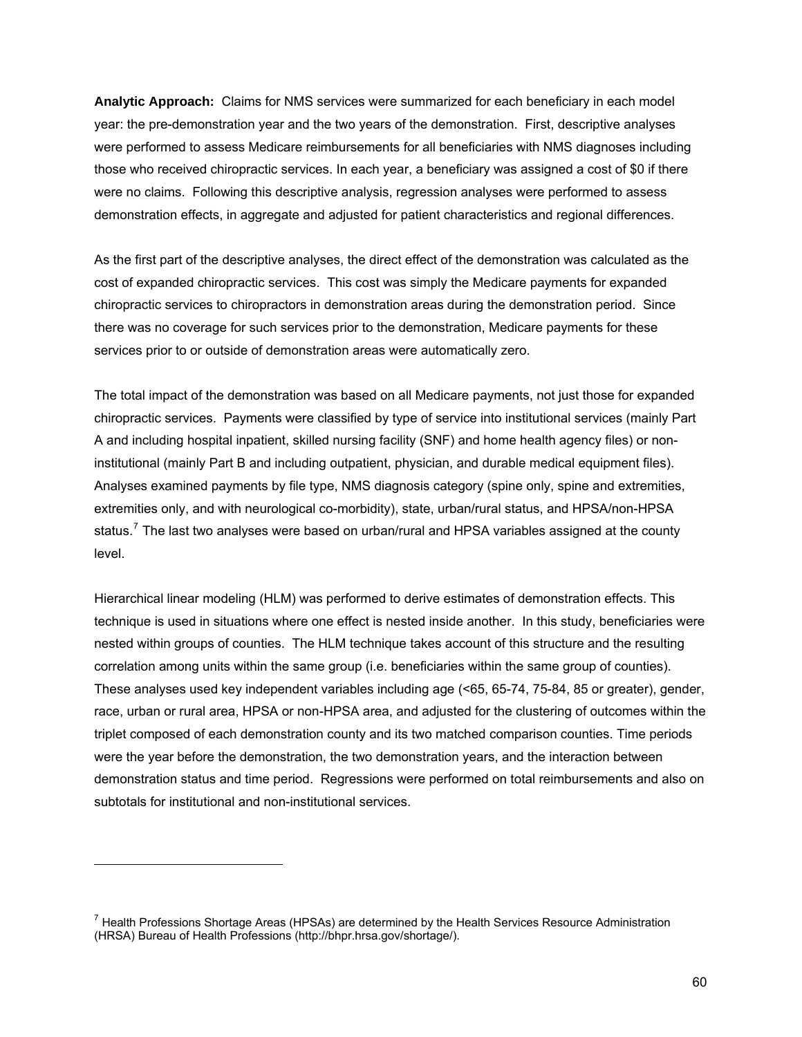**Analytic Approach:** Claims for NMS services were summarized for each beneficiary in each model year: the pre-demonstration year and the two years of the demonstration. First, descriptive analyses were performed to assess Medicare reimbursements for all beneficiaries with NMS diagnoses including those who received chiropractic services. In each year, a beneficiary was assigned a cost of \$0 if there were no claims. Following this descriptive analysis, regression analyses were performed to assess demonstration effects, in aggregate and adjusted for patient characteristics and regional differences.

As the first part of the descriptive analyses, the direct effect of the demonstration was calculated as the cost of expanded chiropractic services. This cost was simply the Medicare payments for expanded chiropractic services to chiropractors in demonstration areas during the demonstration period. Since there was no coverage for such services prior to the demonstration, Medicare payments for these services prior to or outside of demonstration areas were automatically zero.

The total impact of the demonstration was based on all Medicare payments, not just those for expanded chiropractic services. Payments were classified by type of service into institutional services (mainly Part A and including hospital inpatient, skilled nursing facility (SNF) and home health agency files) or noninstitutional (mainly Part B and including outpatient, physician, and durable medical equipment files). Analyses examined payments by file type, NMS diagnosis category (spine only, spine and extremities, extremities only, and with neurological co-morbidity), state, urban/rural status, and HPSA/non-HPSA status.<sup>[7](#page-82-0)</sup> The last two analyses were based on urban/rural and HPSA variables assigned at the county level.

Hierarchical linear modeling (HLM) was performed to derive estimates of demonstration effects. This technique is used in situations where one effect is nested inside another. In this study, beneficiaries were nested within groups of counties. The HLM technique takes account of this structure and the resulting correlation among units within the same group (i.e. beneficiaries within the same group of counties). These analyses used key independent variables including age (<65, 65-74, 75-84, 85 or greater), gender, race, urban or rural area, HPSA or non-HPSA area, and adjusted for the clustering of outcomes within the triplet composed of each demonstration county and its two matched comparison counties. Time periods were the year before the demonstration, the two demonstration years, and the interaction between demonstration status and time period. Regressions were performed on total reimbursements and also on subtotals for institutional and non-institutional services.

-

<span id="page-82-0"></span><sup>&</sup>lt;sup>7</sup> Health Professions Shortage Areas (HPSAs) are determined by the Health Services Resource Administration (HRSA) Bureau of Health Professions (http://bhpr.hrsa.gov/shortage/).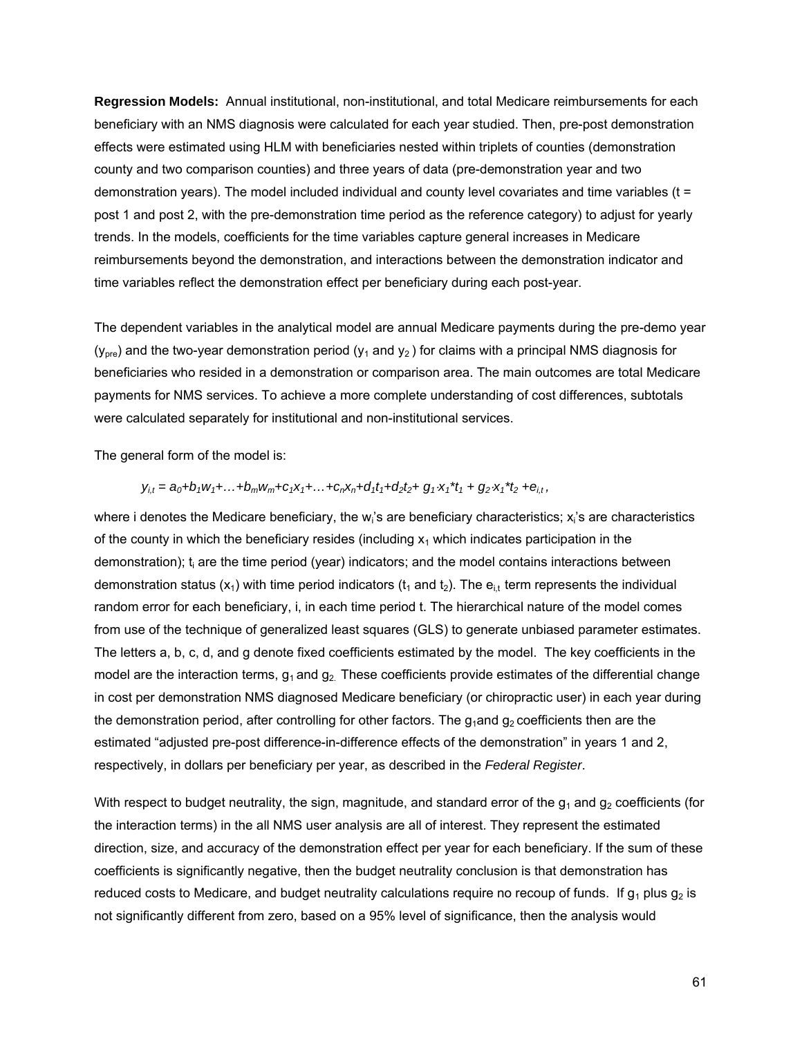**Regression Models:** Annual institutional, non-institutional, and total Medicare reimbursements for each beneficiary with an NMS diagnosis were calculated for each year studied. Then, pre-post demonstration effects were estimated using HLM with beneficiaries nested within triplets of counties (demonstration county and two comparison counties) and three years of data (pre-demonstration year and two demonstration years). The model included individual and county level covariates and time variables (t = post 1 and post 2, with the pre-demonstration time period as the reference category) to adjust for yearly trends. In the models, coefficients for the time variables capture general increases in Medicare reimbursements beyond the demonstration, and interactions between the demonstration indicator and time variables reflect the demonstration effect per beneficiary during each post-year.

The dependent variables in the analytical model are annual Medicare payments during the pre-demo year  $(y<sub>ore</sub>)$  and the two-year demonstration period  $(y<sub>1</sub>$  and  $y<sub>2</sub>)$  for claims with a principal NMS diagnosis for beneficiaries who resided in a demonstration or comparison area. The main outcomes are total Medicare payments for NMS services. To achieve a more complete understanding of cost differences, subtotals were calculated separately for institutional and non-institutional services.

The general form of the model is:

$$
y_{i,t} = a_0 + b_1 w_1 + \ldots + b_m w_m + c_1 x_1 + \ldots + c_n x_n + d_1 t_1 + d_2 t_2 + g_1 \cdot x_1 \cdot t_1 + g_2 \cdot x_1 \cdot t_2 + e_{i,t},
$$

where i denotes the Medicare beneficiary, the w<sub>i</sub>'s are beneficiary characteristics; x<sub>i</sub>'s are characteristics of the county in which the beneficiary resides (including  $x_1$  which indicates participation in the demonstration); t<sub>i</sub> are the time period (year) indicators; and the model contains interactions between demonstration status (x<sub>1</sub>) with time period indicators (t<sub>1</sub> and t<sub>2</sub>). The e<sub>it</sub> term represents the individual random error for each beneficiary, i, in each time period t. The hierarchical nature of the model comes from use of the technique of generalized least squares (GLS) to generate unbiased parameter estimates. The letters a, b, c, d, and g denote fixed coefficients estimated by the model. The key coefficients in the model are the interaction terms,  $g_1$  and  $g_2$ . These coefficients provide estimates of the differential change in cost per demonstration NMS diagnosed Medicare beneficiary (or chiropractic user) in each year during the demonstration period, after controlling for other factors. The  $g_1$ and  $g_2$  coefficients then are the estimated "adjusted pre-post difference-in-difference effects of the demonstration" in years 1 and 2, respectively, in dollars per beneficiary per year, as described in the *Federal Register*.

With respect to budget neutrality, the sign, magnitude, and standard error of the  $g_1$  and  $g_2$  coefficients (for the interaction terms) in the all NMS user analysis are all of interest. They represent the estimated direction, size, and accuracy of the demonstration effect per year for each beneficiary. If the sum of these coefficients is significantly negative, then the budget neutrality conclusion is that demonstration has reduced costs to Medicare, and budget neutrality calculations require no recoup of funds. If  $g_1$  plus  $g_2$  is not significantly different from zero, based on a 95% level of significance, then the analysis would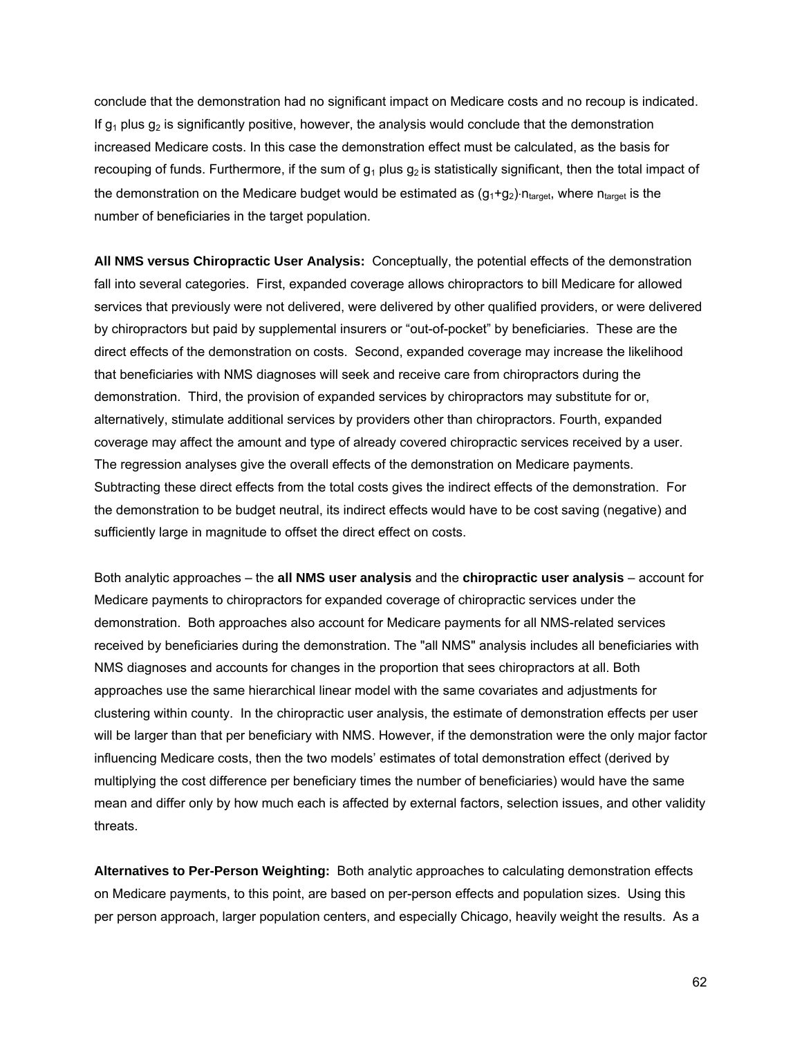conclude that the demonstration had no significant impact on Medicare costs and no recoup is indicated. If  $q_1$  plus  $q_2$  is significantly positive, however, the analysis would conclude that the demonstration increased Medicare costs. In this case the demonstration effect must be calculated, as the basis for recouping of funds. Furthermore, if the sum of  $g_1$  plus  $g_2$  is statistically significant, then the total impact of the demonstration on the Medicare budget would be estimated as  $(g_1+g_2)$ -n<sub>target</sub>, where n<sub>target</sub> is the number of beneficiaries in the target population.

**All NMS versus Chiropractic User Analysis:** Conceptually, the potential effects of the demonstration fall into several categories. First, expanded coverage allows chiropractors to bill Medicare for allowed services that previously were not delivered, were delivered by other qualified providers, or were delivered by chiropractors but paid by supplemental insurers or "out-of-pocket" by beneficiaries. These are the direct effects of the demonstration on costs. Second, expanded coverage may increase the likelihood that beneficiaries with NMS diagnoses will seek and receive care from chiropractors during the demonstration. Third, the provision of expanded services by chiropractors may substitute for or, alternatively, stimulate additional services by providers other than chiropractors. Fourth, expanded coverage may affect the amount and type of already covered chiropractic services received by a user. The regression analyses give the overall effects of the demonstration on Medicare payments. Subtracting these direct effects from the total costs gives the indirect effects of the demonstration. For the demonstration to be budget neutral, its indirect effects would have to be cost saving (negative) and sufficiently large in magnitude to offset the direct effect on costs.

Both analytic approaches – the **all NMS user analysis** and the **chiropractic user analysis** – account for Medicare payments to chiropractors for expanded coverage of chiropractic services under the demonstration. Both approaches also account for Medicare payments for all NMS-related services received by beneficiaries during the demonstration. The "all NMS" analysis includes all beneficiaries with NMS diagnoses and accounts for changes in the proportion that sees chiropractors at all. Both approaches use the same hierarchical linear model with the same covariates and adjustments for clustering within county. In the chiropractic user analysis, the estimate of demonstration effects per user will be larger than that per beneficiary with NMS. However, if the demonstration were the only major factor influencing Medicare costs, then the two models' estimates of total demonstration effect (derived by multiplying the cost difference per beneficiary times the number of beneficiaries) would have the same mean and differ only by how much each is affected by external factors, selection issues, and other validity threats.

**Alternatives to Per-Person Weighting:** Both analytic approaches to calculating demonstration effects on Medicare payments, to this point, are based on per-person effects and population sizes. Using this per person approach, larger population centers, and especially Chicago, heavily weight the results. As a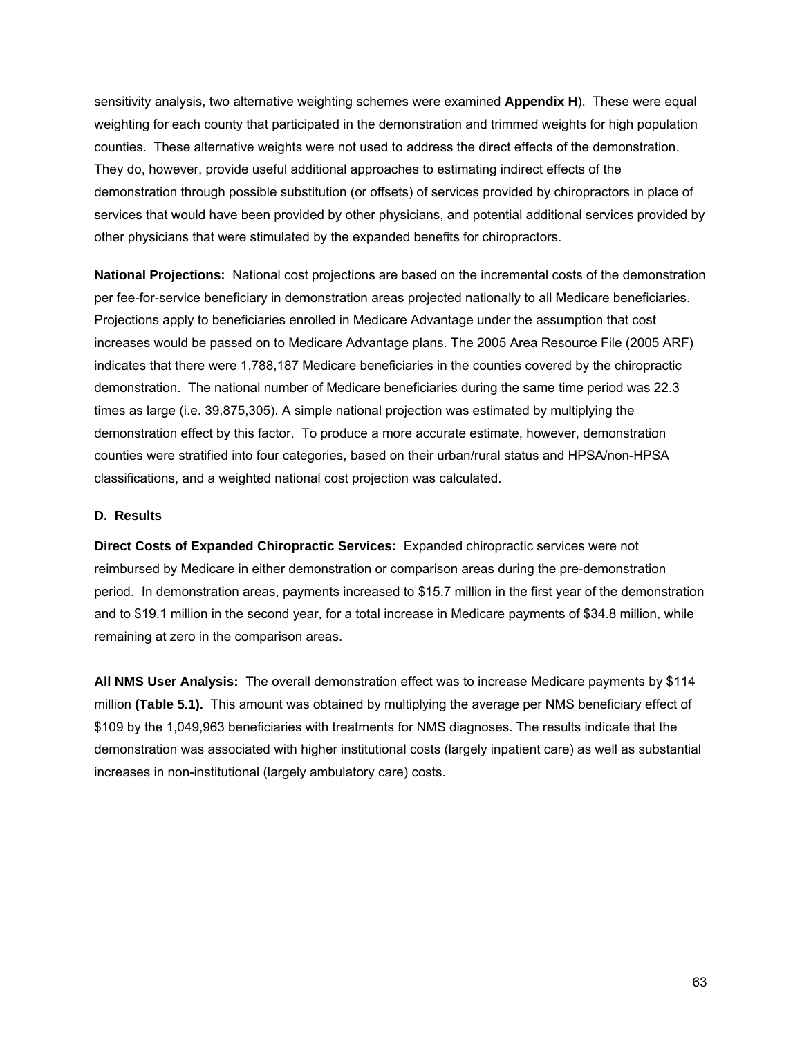sensitivity analysis, two alternative weighting schemes were examined **Appendix H**). These were equal weighting for each county that participated in the demonstration and trimmed weights for high population counties. These alternative weights were not used to address the direct effects of the demonstration. They do, however, provide useful additional approaches to estimating indirect effects of the demonstration through possible substitution (or offsets) of services provided by chiropractors in place of services that would have been provided by other physicians, and potential additional services provided by other physicians that were stimulated by the expanded benefits for chiropractors.

**National Projections:** National cost projections are based on the incremental costs of the demonstration per fee-for-service beneficiary in demonstration areas projected nationally to all Medicare beneficiaries. Projections apply to beneficiaries enrolled in Medicare Advantage under the assumption that cost increases would be passed on to Medicare Advantage plans. The 2005 Area Resource File (2005 ARF) indicates that there were 1,788,187 Medicare beneficiaries in the counties covered by the chiropractic demonstration. The national number of Medicare beneficiaries during the same time period was 22.3 times as large (i.e. 39,875,305). A simple national projection was estimated by multiplying the demonstration effect by this factor. To produce a more accurate estimate, however, demonstration counties were stratified into four categories, based on their urban/rural status and HPSA/non-HPSA classifications, and a weighted national cost projection was calculated.

### **D. Results**

**Direct Costs of Expanded Chiropractic Services:** Expanded chiropractic services were not reimbursed by Medicare in either demonstration or comparison areas during the pre-demonstration period. In demonstration areas, payments increased to \$15.7 million in the first year of the demonstration and to \$19.1 million in the second year, for a total increase in Medicare payments of \$34.8 million, while remaining at zero in the comparison areas.

**All NMS User Analysis:** The overall demonstration effect was to increase Medicare payments by \$114 million **(Table 5.1).** This amount was obtained by multiplying the average per NMS beneficiary effect of \$109 by the 1,049,963 beneficiaries with treatments for NMS diagnoses. The results indicate that the demonstration was associated with higher institutional costs (largely inpatient care) as well as substantial increases in non-institutional (largely ambulatory care) costs.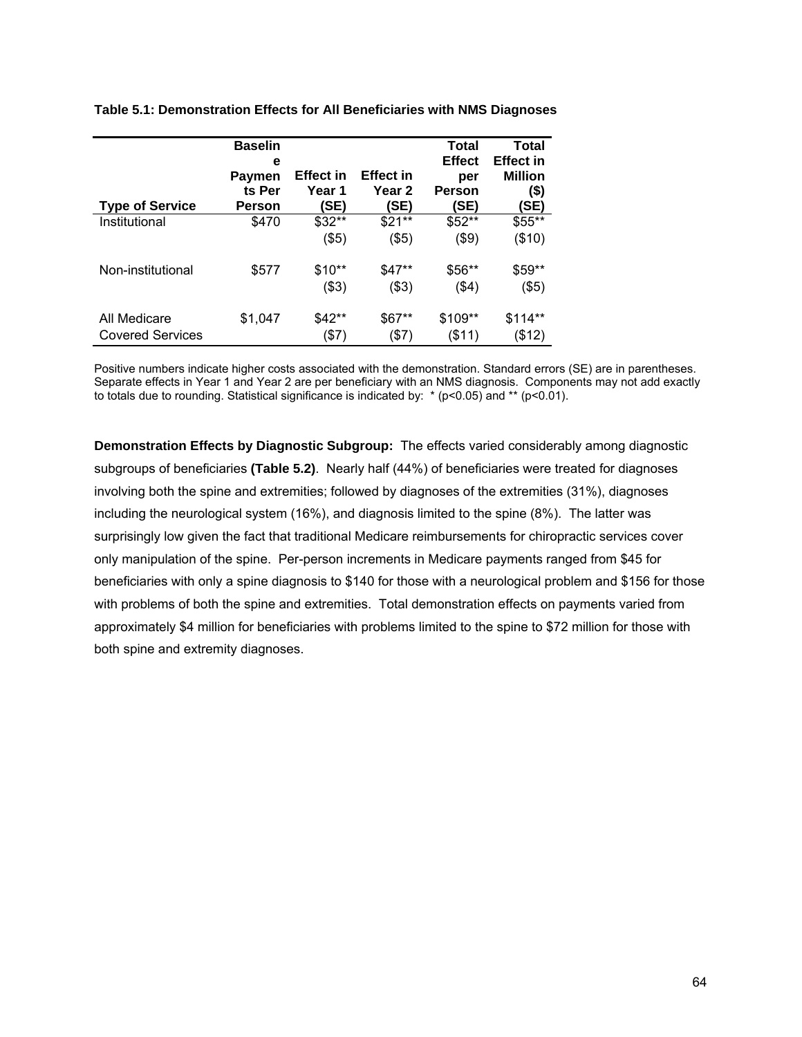|                                         | <b>Baselin</b><br>е<br>Paymen<br>ts Per | <b>Effect in</b><br>Year 1 | <b>Effect in</b><br>Year 2 | Total<br><b>Effect</b><br>per<br><b>Person</b> | Total<br><b>Effect in</b><br><b>Million</b><br>$($)$ |
|-----------------------------------------|-----------------------------------------|----------------------------|----------------------------|------------------------------------------------|------------------------------------------------------|
| <b>Type of Service</b>                  | Person                                  | (SE)                       | (SE)                       | (SE)                                           | (SE)                                                 |
| Institutional                           | \$470                                   | $$32**$<br>$($ \$5)        | $$21**$<br>$($ \$5)        | \$52**<br>(\$9)                                | \$55**<br>(\$10)                                     |
| Non-institutional                       | \$577                                   | $$10**$<br>$(\$3)$         | $$47**$<br>(\$3)           | \$56**<br>(\$4)                                | \$59**<br>$($ \$5)                                   |
| All Medicare<br><b>Covered Services</b> | \$1,047                                 | \$42**<br>(\$7)            | \$67**<br>$(\$7)$          | \$109**<br>(\$11)                              | $$114**$<br>(\$12)                                   |

**Table 5.1: Demonstration Effects for All Beneficiaries with NMS Diagnoses** 

Positive numbers indicate higher costs associated with the demonstration. Standard errors (SE) are in parentheses. Separate effects in Year 1 and Year 2 are per beneficiary with an NMS diagnosis. Components may not add exactly to totals due to rounding. Statistical significance is indicated by:  $*(p<0.05)$  and  $**$  (p<0.01).

**Demonstration Effects by Diagnostic Subgroup:** The effects varied considerably among diagnostic subgroups of beneficiaries **(Table 5.2)**. Nearly half (44%) of beneficiaries were treated for diagnoses involving both the spine and extremities; followed by diagnoses of the extremities (31%), diagnoses including the neurological system (16%), and diagnosis limited to the spine (8%). The latter was surprisingly low given the fact that traditional Medicare reimbursements for chiropractic services cover only manipulation of the spine. Per-person increments in Medicare payments ranged from \$45 for beneficiaries with only a spine diagnosis to \$140 for those with a neurological problem and \$156 for those with problems of both the spine and extremities. Total demonstration effects on payments varied from approximately \$4 million for beneficiaries with problems limited to the spine to \$72 million for those with both spine and extremity diagnoses.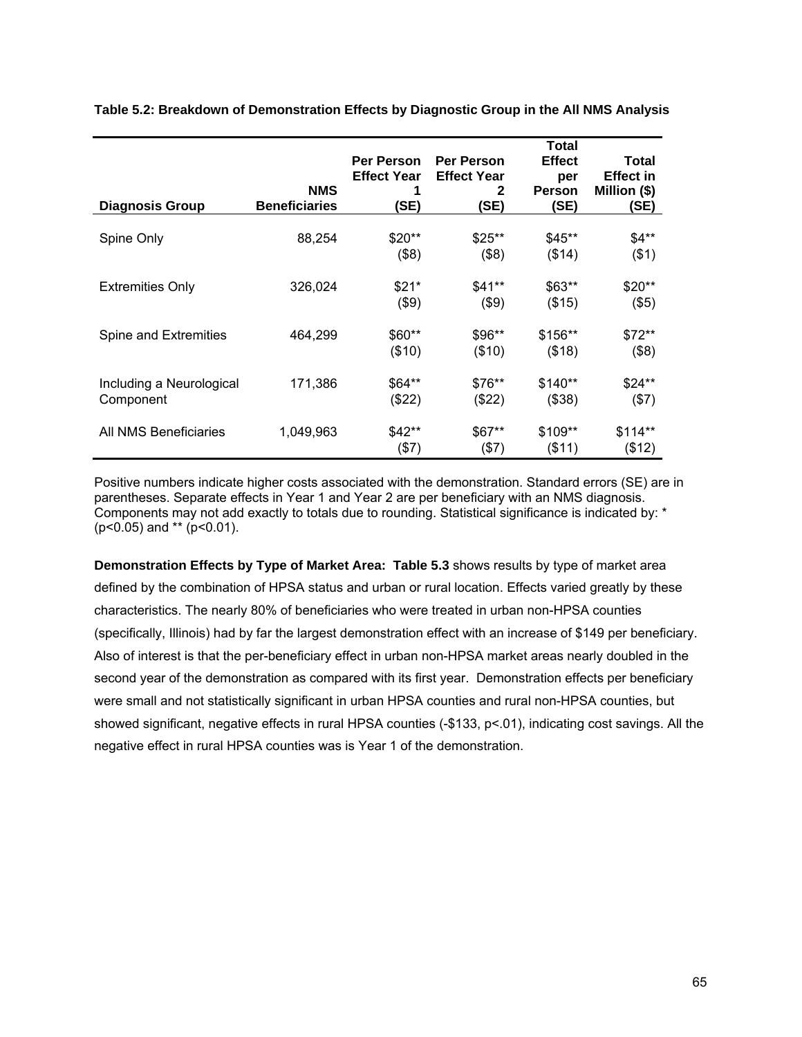|                          |                      |                    |                    | <b>Total</b>  |                  |
|--------------------------|----------------------|--------------------|--------------------|---------------|------------------|
|                          |                      | Per Person         | <b>Per Person</b>  | <b>Effect</b> | Total            |
|                          |                      | <b>Effect Year</b> | <b>Effect Year</b> | per           | <b>Effect in</b> |
|                          | <b>NMS</b>           | 1                  | 2                  | <b>Person</b> | Million (\$)     |
| <b>Diagnosis Group</b>   | <b>Beneficiaries</b> | (SE)               | (SE)               | (SE)          | (SE)             |
|                          | 88,254               | $$20**$            | $$25**$            | $$45**$       | $$4**$           |
| Spine Only               |                      |                    |                    |               |                  |
|                          |                      | (\$8)              | (\$8)              | (\$14)        | ( \$1)           |
| <b>Extremities Only</b>  | 326,024              | $$21*$             | $$41**$            | \$63**        | \$20**           |
|                          |                      | ( \$9)             | $($ \$9)           | (\$15)        | (\$5)            |
|                          |                      |                    |                    |               |                  |
| Spine and Extremities    | 464,299              | \$60**             | $$96**$            | \$156**       | $$72**$          |
|                          |                      | (\$10)             | (\$10)             | (\$18)        | (\$8)            |
|                          |                      |                    |                    |               |                  |
| Including a Neurological | 171,386              | \$64**             | \$76**             | $$140**$      | \$24**           |
| Component                |                      | (\$22)             | (\$22)             | (\$38)        | $(\$7)$          |
| All NMS Beneficiaries    | 1,049,963            | \$42**             | $$67**$            | \$109**       | $$114**$         |
|                          |                      | (57)               | (\$7)              | (\$11)        | (\$12)           |

**Table 5.2: Breakdown of Demonstration Effects by Diagnostic Group in the All NMS Analysis** 

Positive numbers indicate higher costs associated with the demonstration. Standard errors (SE) are in parentheses. Separate effects in Year 1 and Year 2 are per beneficiary with an NMS diagnosis. Components may not add exactly to totals due to rounding. Statistical significance is indicated by: \*  $(p<0.05)$  and \*\*  $(p<0.01)$ .

**Demonstration Effects by Type of Market Area: Table 5.3** shows results by type of market area defined by the combination of HPSA status and urban or rural location. Effects varied greatly by these characteristics. The nearly 80% of beneficiaries who were treated in urban non-HPSA counties (specifically, Illinois) had by far the largest demonstration effect with an increase of \$149 per beneficiary. Also of interest is that the per-beneficiary effect in urban non-HPSA market areas nearly doubled in the second year of the demonstration as compared with its first year. Demonstration effects per beneficiary were small and not statistically significant in urban HPSA counties and rural non-HPSA counties, but showed significant, negative effects in rural HPSA counties (-\$133, p<.01), indicating cost savings. All the negative effect in rural HPSA counties was is Year 1 of the demonstration.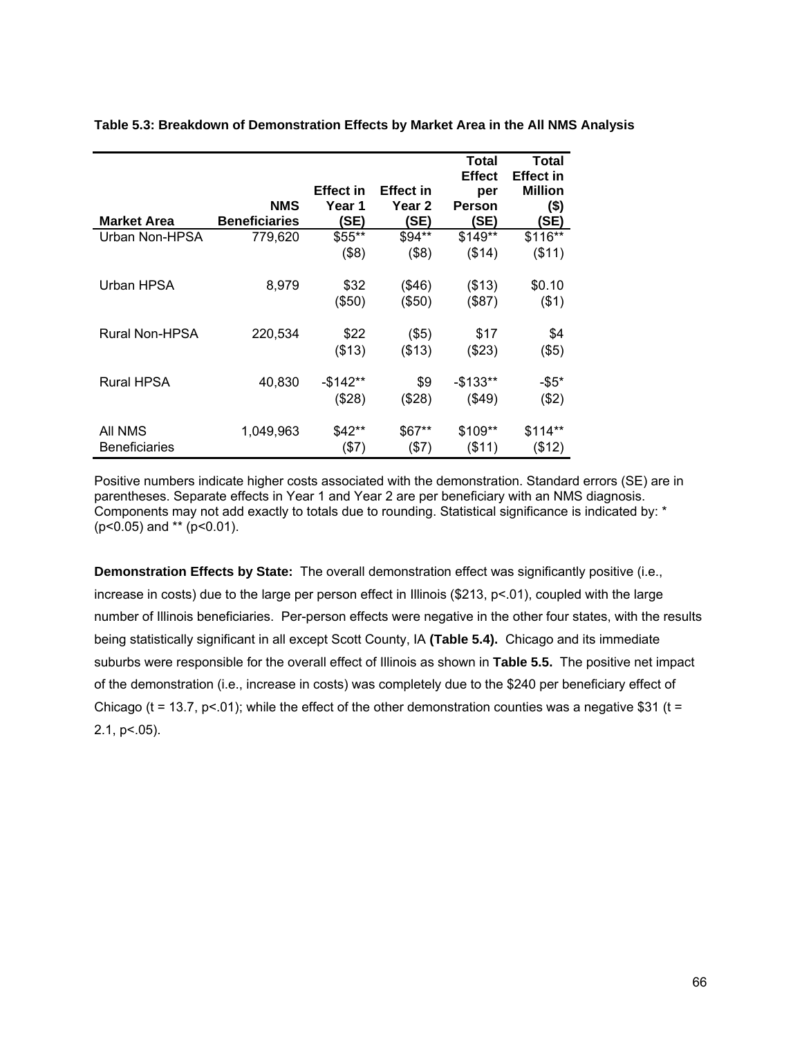|                       |                      |                  |                   | Total<br><b>Effect</b> | Total<br><b>Effect in</b> |
|-----------------------|----------------------|------------------|-------------------|------------------------|---------------------------|
|                       |                      | <b>Effect in</b> | <b>Effect in</b>  | per                    | <b>Million</b>            |
|                       | <b>NMS</b>           | Year 1           | Year <sub>2</sub> | Person                 | $($ \$)                   |
| <b>Market Area</b>    | <b>Beneficiaries</b> | (SE)             | (SE)              | <b>SE)</b>             | (SE)                      |
| Urban Non-HPSA        | 779,620              | \$55**           | $$94**$           | \$149**                | \$116**                   |
|                       |                      | (\$8)            | (\$8)             | (\$14)                 | ( \$11)                   |
| Urban HPSA            | 8,979                | \$32             | (\$46)            | (\$13)                 | \$0.10                    |
|                       |                      |                  |                   |                        |                           |
|                       |                      | (\$50)           | (\$50)            | (\$87)                 | ( \$1)                    |
| <b>Rural Non-HPSA</b> | 220,534              | \$22             | $($ \$5)          | \$17                   | \$4                       |
|                       |                      | (\$13)           | ( \$13)           | (\$23)                 | $($ \$5)                  |
| <b>Rural HPSA</b>     | 40,830               | -\$142**         | \$9               | $-$133**$              | $-$ \$5*                  |
|                       |                      |                  |                   |                        |                           |
|                       |                      | (\$28)           | (\$28)            | (\$49)                 | (\$2)                     |
| All NMS               | 1,049,963            | \$42**           | \$67**            | \$109**                | \$114**                   |
| <b>Beneficiaries</b>  |                      | $($ \$7)         | $($ \$7)          | $($ \$11)              | (\$12)                    |

**Table 5.3: Breakdown of Demonstration Effects by Market Area in the All NMS Analysis** 

Positive numbers indicate higher costs associated with the demonstration. Standard errors (SE) are in parentheses. Separate effects in Year 1 and Year 2 are per beneficiary with an NMS diagnosis. Components may not add exactly to totals due to rounding. Statistical significance is indicated by: \* (p<0.05) and \*\* (p<0.01).

**Demonstration Effects by State:** The overall demonstration effect was significantly positive (i.e., increase in costs) due to the large per person effect in Illinois (\$213, p<.01), coupled with the large number of Illinois beneficiaries. Per-person effects were negative in the other four states, with the results being statistically significant in all except Scott County, IA **(Table 5.4).** Chicago and its immediate suburbs were responsible for the overall effect of Illinois as shown in **Table 5.5.** The positive net impact of the demonstration (i.e., increase in costs) was completely due to the \$240 per beneficiary effect of Chicago (t = 13.7, p < 01); while the effect of the other demonstration counties was a negative \$31 (t =  $2.1, p < .05$ ).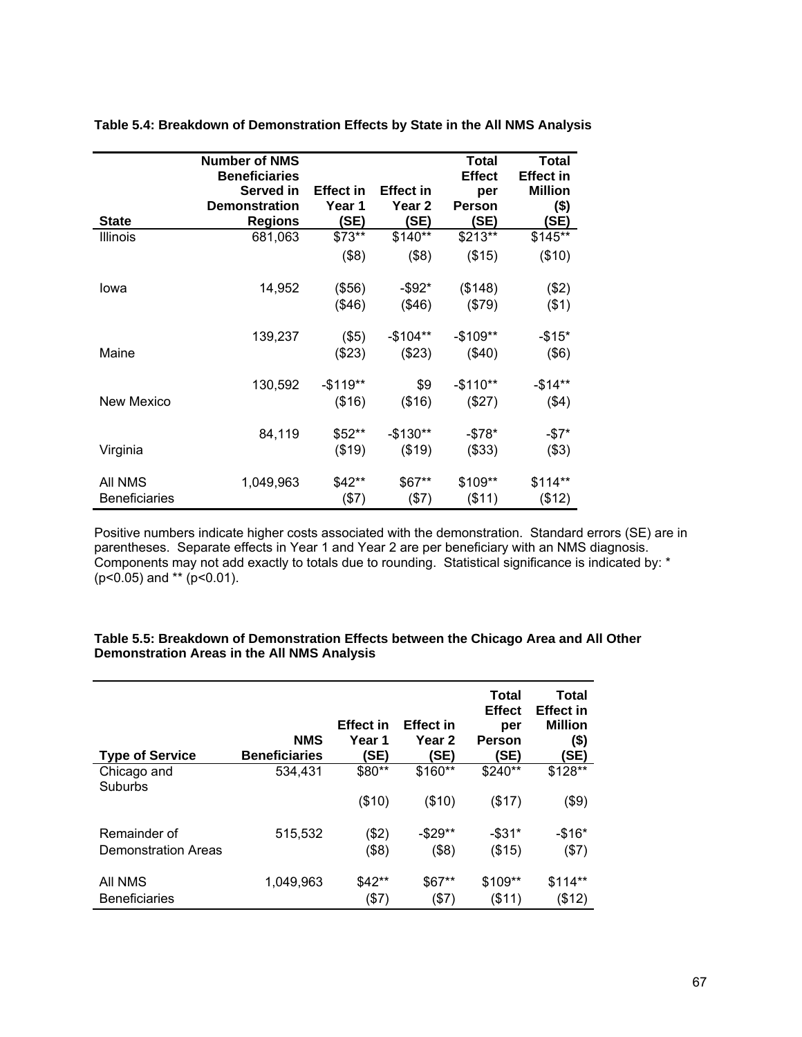|                      | <b>Number of NMS</b><br><b>Beneficiaries</b> |                  |                  | <b>Total</b><br><b>Effect</b> | Total<br><b>Effect in</b> |
|----------------------|----------------------------------------------|------------------|------------------|-------------------------------|---------------------------|
|                      | Served in                                    | <b>Effect in</b> | <b>Effect in</b> | per                           | <b>Million</b>            |
|                      | <b>Demonstration</b>                         | Year 1           | Year 2           | <b>Person</b>                 | $($ \$)                   |
| <b>State</b>         | <b>Regions</b>                               | <b>SE)</b>       | (SE)             | (SE)                          | (SE)                      |
| <b>Illinois</b>      | 681,063                                      | \$73**           | \$140**          | \$213**                       | \$145**                   |
|                      |                                              | ( \$8)           | ( \$8)           | (\$15)                        | (\$10)                    |
| lowa                 | 14,952                                       | (\$56)           | -\$92*           | (\$148)                       | (\$2)                     |
|                      |                                              | (\$46)           | (\$46)           | (\$79)                        | $($ \$1)                  |
|                      | 139,237                                      | $($ \$5)         | $-$104**$        | $-$109**$                     | $-$15*$                   |
| Maine                |                                              | (\$23)           | (\$23)           | (\$40)                        | $($ \$6)                  |
|                      | 130,592                                      | $-$119**$        | \$9              | $-$110**$                     | $-$14**$                  |
| <b>New Mexico</b>    |                                              | (\$16)           | ( \$16)          | (\$27)                        | ( \$4)                    |
|                      | 84,119                                       | \$52**           | $-$130**$        | $-$ \$78*                     | -\$7*                     |
| Virginia             |                                              | (\$19)           | (\$19)           | (\$33)                        | (\$3)                     |
| All NMS              | 1,049,963                                    | $$42**$          | \$67**           | \$109**                       | $$114**$                  |
| <b>Beneficiaries</b> |                                              | (57)             | (57)             | ( \$11)                       | (\$12)                    |

**Table 5.4: Breakdown of Demonstration Effects by State in the All NMS Analysis** 

Positive numbers indicate higher costs associated with the demonstration. Standard errors (SE) are in parentheses. Separate effects in Year 1 and Year 2 are per beneficiary with an NMS diagnosis. Components may not add exactly to totals due to rounding. Statistical significance is indicated by: \* (p<0.05) and \*\* (p<0.01).

| <b>Type of Service</b>     | <b>NMS</b><br><b>Beneficiaries</b> | <b>Effect in</b><br>Year 1<br>(SE) | <b>Effect in</b><br>Year 2<br>(SE) | <b>Total</b><br><b>Effect</b><br>per<br>Person<br>(SE) | Total<br><b>Effect in</b><br><b>Million</b><br>(\$)<br><b>SE)</b> |
|----------------------------|------------------------------------|------------------------------------|------------------------------------|--------------------------------------------------------|-------------------------------------------------------------------|
| Chicago and<br>Suburbs     | 534.431                            | \$80**                             | \$160**                            | \$240**                                                | \$128**                                                           |
|                            |                                    | (\$10)                             | (\$10)                             | (\$17)                                                 | $(\$9)$                                                           |
| Remainder of               | 515,532                            | (\$2)                              | $-$ \$29**                         | $-$ \$31*                                              | $-$ \$16*                                                         |
| <b>Demonstration Areas</b> |                                    | (\$8)                              | (\$8)                              | (\$15)                                                 | (57)                                                              |
| All NMS                    | 1,049,963                          | $$42**$                            | $$67**$                            | \$109**                                                | $$114**$                                                          |
| <b>Beneficiaries</b>       |                                    | $($ \$7)                           | $($ \$7)                           | (\$11)                                                 | (\$12)                                                            |

### **Table 5.5: Breakdown of Demonstration Effects between the Chicago Area and All Other Demonstration Areas in the All NMS Analysis**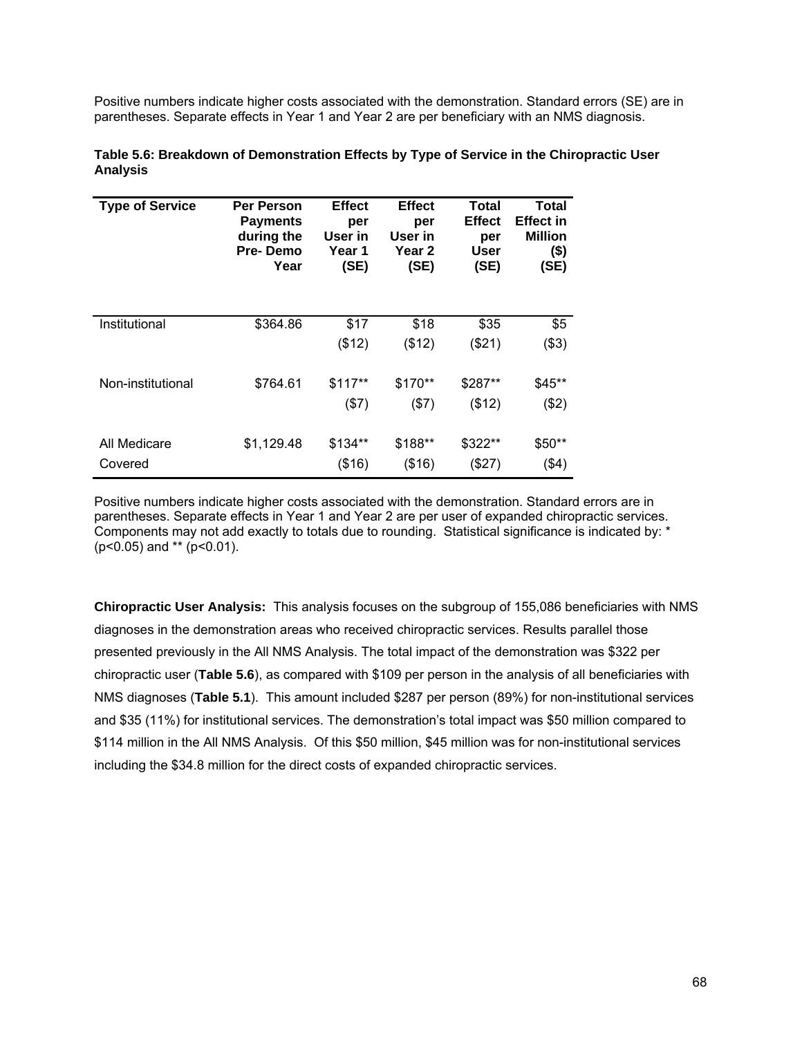Positive numbers indicate higher costs associated with the demonstration. Standard errors (SE) are in parentheses. Separate effects in Year 1 and Year 2 are per beneficiary with an NMS diagnosis.

| <b>Type of Service</b> | <b>Per Person</b><br><b>Payments</b><br>during the<br>Pre-Demo<br>Year | <b>Effect</b><br>per<br>User in<br>Year 1<br>(SE) | <b>Effect</b><br>per<br>User in<br>Year 2<br>(SE) | <b>Total</b><br><b>Effect</b><br>per<br><b>User</b><br>(SE) | Total<br><b>Effect in</b><br><b>Million</b><br>$($ \$)<br>(SE) |
|------------------------|------------------------------------------------------------------------|---------------------------------------------------|---------------------------------------------------|-------------------------------------------------------------|----------------------------------------------------------------|
| Institutional          | \$364.86                                                               | \$17                                              | \$18                                              | \$35                                                        | \$5                                                            |
|                        |                                                                        | (\$12)                                            | (\$12)                                            | (\$21)                                                      | ( \$3)                                                         |
| Non-institutional      | \$764.61                                                               | $$117**$                                          | \$170**                                           | \$287**                                                     | \$45**                                                         |
|                        |                                                                        | (\$7)                                             | (\$7)                                             | (\$12)                                                      | ( \$2)                                                         |
| All Medicare           | \$1,129.48                                                             | \$134**                                           | \$188**                                           | \$322**                                                     | \$50**                                                         |
| Covered                |                                                                        | (\$16)                                            | (\$16)                                            | (\$27)                                                      | ( \$4)                                                         |

| Table 5.6: Breakdown of Demonstration Effects by Type of Service in the Chiropractic User |  |
|-------------------------------------------------------------------------------------------|--|
| Analysis                                                                                  |  |

Positive numbers indicate higher costs associated with the demonstration. Standard errors are in parentheses. Separate effects in Year 1 and Year 2 are per user of expanded chiropractic services. Components may not add exactly to totals due to rounding. Statistical significance is indicated by: \* (p<0.05) and \*\* (p<0.01).

**Chiropractic User Analysis:** This analysis focuses on the subgroup of 155,086 beneficiaries with NMS diagnoses in the demonstration areas who received chiropractic services. Results parallel those presented previously in the All NMS Analysis. The total impact of the demonstration was \$322 per chiropractic user (**Table 5.6**), as compared with \$109 per person in the analysis of all beneficiaries with NMS diagnoses (**Table 5.1**). This amount included \$287 per person (89%) for non-institutional services and \$35 (11%) for institutional services. The demonstration's total impact was \$50 million compared to \$114 million in the All NMS Analysis. Of this \$50 million, \$45 million was for non-institutional services including the \$34.8 million for the direct costs of expanded chiropractic services.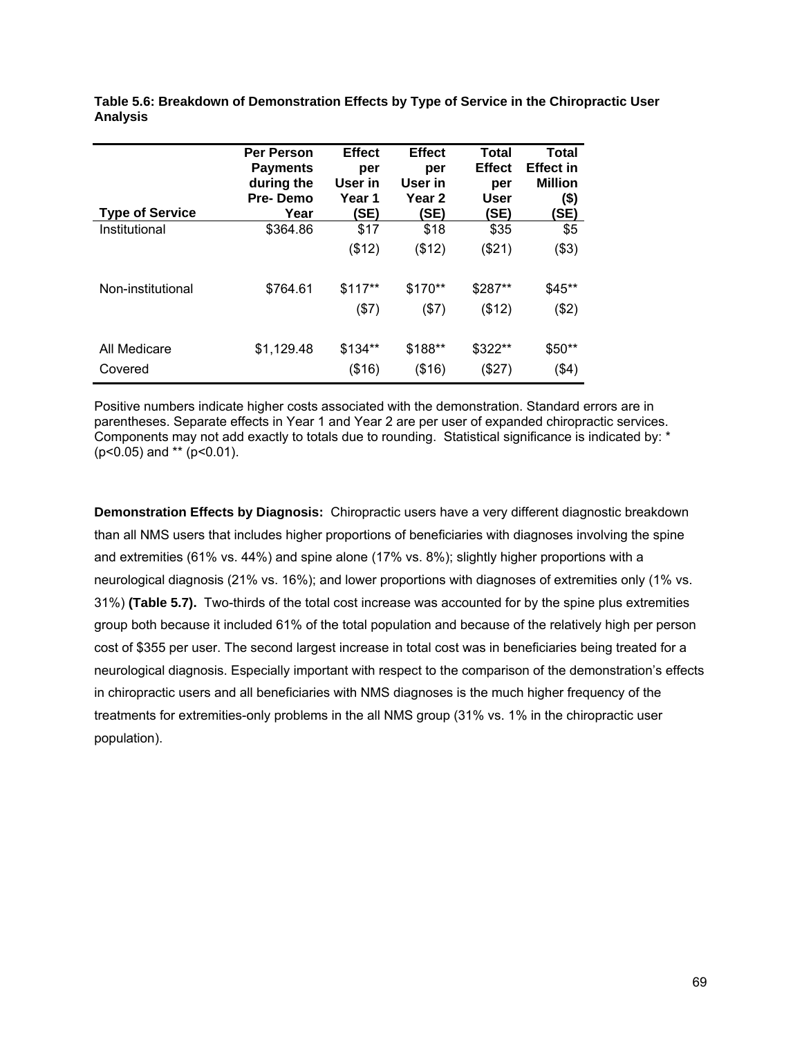| <b>Per Person</b><br><b>Payments</b><br>during the<br><b>Pre-Demo</b><br>Year | <b>Effect</b><br>per<br>User in<br>Year 1 | <b>Effect</b><br>per<br>User in<br>Year 2 | Total<br><b>Effect</b><br>per<br><b>User</b> | <b>Total</b><br><b>Effect in</b><br><b>Million</b><br>$($ \$)<br>(SE) |
|-------------------------------------------------------------------------------|-------------------------------------------|-------------------------------------------|----------------------------------------------|-----------------------------------------------------------------------|
| \$364.86                                                                      | \$17                                      | \$18                                      | \$35                                         | \$5                                                                   |
| \$764.61                                                                      | $$117**$                                  | \$170**                                   | \$287**                                      | (\$3)<br>$$45**$                                                      |
|                                                                               | (57)                                      | (57)                                      | (\$12)                                       | (\$2)                                                                 |
| \$1,129.48                                                                    | (\$16)                                    | (\$16)                                    | (\$27)                                       | $$50**$<br>(\$4)                                                      |
|                                                                               |                                           | (SE)<br>(\$12)<br>\$134**                 | (SE)<br>(\$12)<br>\$188**                    | (SE)<br>(\$21)<br>\$322**                                             |

**Table 5.6: Breakdown of Demonstration Effects by Type of Service in the Chiropractic User Analysis** 

Positive numbers indicate higher costs associated with the demonstration. Standard errors are in parentheses. Separate effects in Year 1 and Year 2 are per user of expanded chiropractic services. Components may not add exactly to totals due to rounding. Statistical significance is indicated by: \* (p<0.05) and \*\* (p<0.01).

**Demonstration Effects by Diagnosis:** Chiropractic users have a very different diagnostic breakdown than all NMS users that includes higher proportions of beneficiaries with diagnoses involving the spine and extremities (61% vs. 44%) and spine alone (17% vs. 8%); slightly higher proportions with a neurological diagnosis (21% vs. 16%); and lower proportions with diagnoses of extremities only (1% vs. 31%) **(Table 5.7).** Two-thirds of the total cost increase was accounted for by the spine plus extremities group both because it included 61% of the total population and because of the relatively high per person cost of \$355 per user. The second largest increase in total cost was in beneficiaries being treated for a neurological diagnosis. Especially important with respect to the comparison of the demonstration's effects in chiropractic users and all beneficiaries with NMS diagnoses is the much higher frequency of the treatments for extremities-only problems in the all NMS group (31% vs. 1% in the chiropractic user population).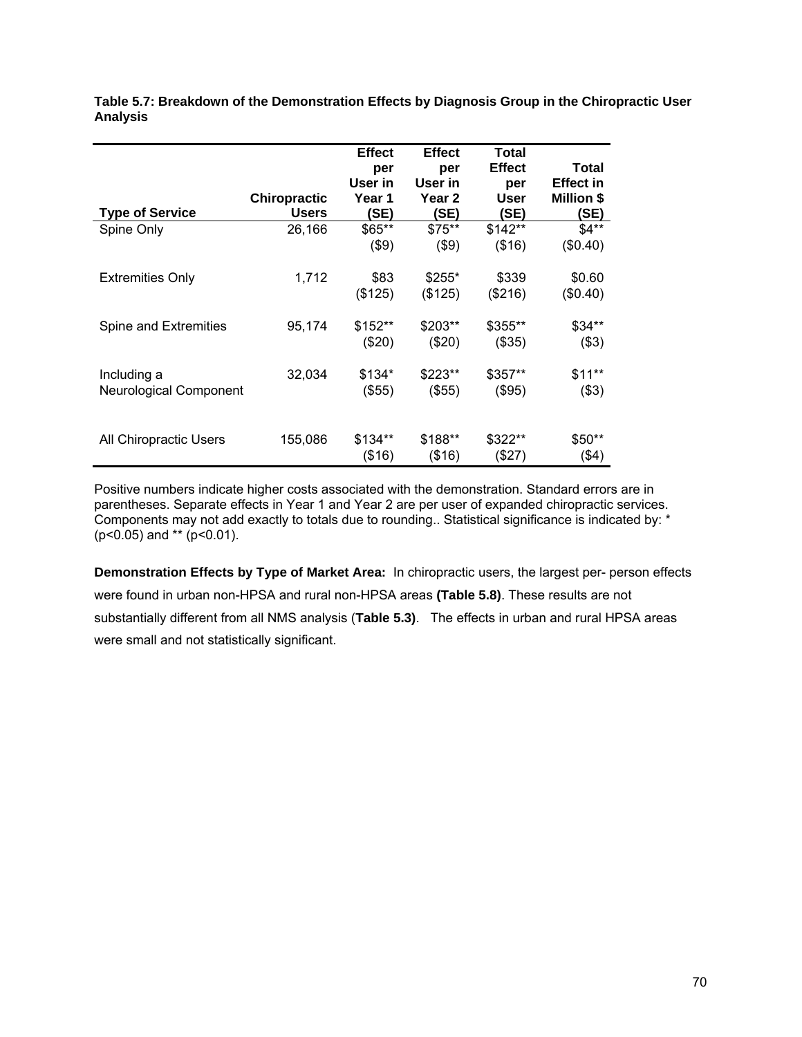|                               | <b>Chiropractic</b> | <b>Effect</b><br>per<br>User in<br>Year 1 | <b>Effect</b><br>per<br>User in<br>Year <sub>2</sub> | Total<br><b>Effect</b><br>per<br><b>User</b> | <b>Total</b><br><b>Effect in</b><br><b>Million \$</b> |
|-------------------------------|---------------------|-------------------------------------------|------------------------------------------------------|----------------------------------------------|-------------------------------------------------------|
| <b>Type of Service</b>        | <b>Users</b>        | (SE)                                      | (SE)                                                 | (SE)                                         | (SE)                                                  |
| Spine Only                    | 26,166              | \$65**                                    | $$75**$                                              | $$142**$                                     | $$4**$                                                |
|                               |                     | $($ \$9)                                  | $($ \$9)                                             | (\$16)                                       | (\$0.40)                                              |
| <b>Extremities Only</b>       | 1,712               | \$83                                      | $$255*$                                              | \$339                                        | \$0.60                                                |
|                               |                     | (\$125)                                   | (\$125)                                              | (\$216)                                      | (\$0.40)                                              |
| Spine and Extremities         | 95,174              | \$152**                                   | \$203**                                              | \$355**                                      | \$34**                                                |
|                               |                     | $(\$20)$                                  | (\$20)                                               | (\$35)                                       | $($ \$3)                                              |
| Including a                   | 32,034              | \$134*                                    | \$223**                                              | \$357**                                      | $$11**$                                               |
| <b>Neurological Component</b> |                     | (\$55)                                    | (\$55)                                               | (\$95)                                       | (\$3)                                                 |
| All Chiropractic Users        | 155,086             | $$134**$<br>(\$16)                        | \$188**<br>(\$16)                                    | \$322**<br>(\$27)                            | $$50**$<br>$($ \$4)                                   |

**Table 5.7: Breakdown of the Demonstration Effects by Diagnosis Group in the Chiropractic User Analysis** 

Positive numbers indicate higher costs associated with the demonstration. Standard errors are in parentheses. Separate effects in Year 1 and Year 2 are per user of expanded chiropractic services. Components may not add exactly to totals due to rounding.. Statistical significance is indicated by: \*  $(p<0.05)$  and \*\*  $(p<0.01)$ .

**Demonstration Effects by Type of Market Area:** In chiropractic users, the largest per- person effects were found in urban non-HPSA and rural non-HPSA areas **(Table 5.8)**. These results are not substantially different from all NMS analysis (**Table 5.3)**. The effects in urban and rural HPSA areas were small and not statistically significant.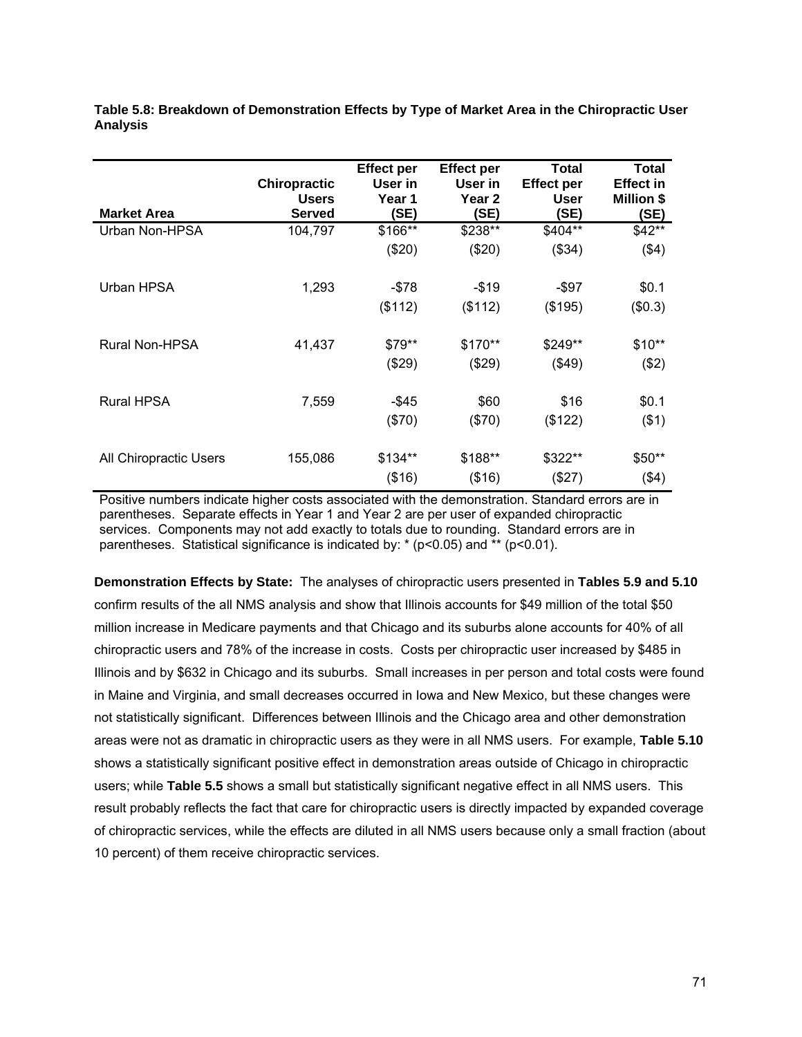| <b>Market Area</b>     | <b>Chiropractic</b><br><b>Users</b><br><b>Served</b> | <b>Effect per</b><br>User in<br>Year 1<br><b>(SE)</b> | <b>Effect per</b><br>User in<br>Year <sub>2</sub><br>(SE) | Total<br><b>Effect per</b><br><b>User</b><br>(SE) | Total<br><b>Effect in</b><br><b>Million \$</b><br>(SE) |
|------------------------|------------------------------------------------------|-------------------------------------------------------|-----------------------------------------------------------|---------------------------------------------------|--------------------------------------------------------|
| Urban Non-HPSA         | 104,797                                              | \$166**                                               | \$238**                                                   | \$404**                                           | $$42**$                                                |
|                        |                                                      | (\$20)                                                | (\$20)                                                    | (\$34)                                            | (\$4)                                                  |
| Urban HPSA             | 1,293                                                | -\$78                                                 | -\$19                                                     | -\$97                                             | \$0.1                                                  |
|                        |                                                      | (\$112)                                               | (\$112)                                                   | (\$195)                                           | (\$0.3)                                                |
| <b>Rural Non-HPSA</b>  | 41,437                                               | \$79**                                                | \$170**                                                   | \$249**                                           | \$10**                                                 |
|                        |                                                      | (\$29)                                                | (\$29)                                                    | (\$49)                                            | (\$2)                                                  |
| <b>Rural HPSA</b>      | 7,559                                                | -\$45                                                 | \$60                                                      | \$16                                              | \$0.1                                                  |
|                        |                                                      | (\$70)                                                | (\$70)                                                    | (\$122)                                           | $($ \$1)                                               |
| All Chiropractic Users | 155,086                                              | \$134**                                               | \$188**                                                   | \$322**                                           | \$50**                                                 |
|                        |                                                      | (\$16)                                                | (\$16)                                                    | (\$27)                                            | $($ \$4)                                               |

**Table 5.8: Breakdown of Demonstration Effects by Type of Market Area in the Chiropractic User Analysis** 

Positive numbers indicate higher costs associated with the demonstration. Standard errors are in parentheses. Separate effects in Year 1 and Year 2 are per user of expanded chiropractic services. Components may not add exactly to totals due to rounding. Standard errors are in parentheses. Statistical significance is indicated by: \* (p<0.05) and \*\* (p<0.01).

**Demonstration Effects by State:** The analyses of chiropractic users presented in **Tables 5.9 and 5.10** confirm results of the all NMS analysis and show that Illinois accounts for \$49 million of the total \$50 million increase in Medicare payments and that Chicago and its suburbs alone accounts for 40% of all chiropractic users and 78% of the increase in costs.Costs per chiropractic user increased by \$485 in Illinois and by \$632 in Chicago and its suburbs. Small increases in per person and total costs were found in Maine and Virginia, and small decreases occurred in Iowa and New Mexico, but these changes were not statistically significant. Differences between Illinois and the Chicago area and other demonstration areas were not as dramatic in chiropractic users as they were in all NMS users. For example, **Table 5.10** shows a statistically significant positive effect in demonstration areas outside of Chicago in chiropractic users; while **Table 5.5** shows a small but statistically significant negative effect in all NMS users. This result probably reflects the fact that care for chiropractic users is directly impacted by expanded coverage of chiropractic services, while the effects are diluted in all NMS users because only a small fraction (about 10 percent) of them receive chiropractic services.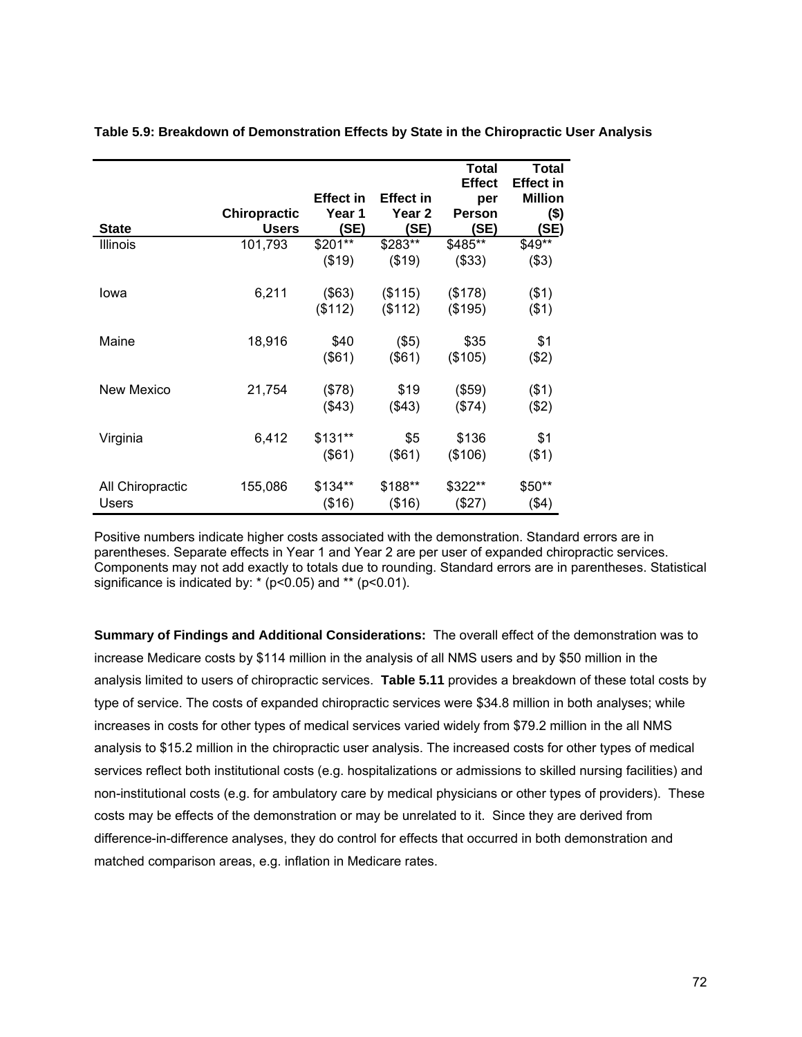|                  |                     |                  |                   | <b>Total</b>  | <b>Total</b>   |
|------------------|---------------------|------------------|-------------------|---------------|----------------|
|                  |                     |                  |                   | <b>Effect</b> | Effect in      |
|                  |                     | <b>Effect in</b> | <b>Effect in</b>  | per           | <b>Million</b> |
|                  | <b>Chiropractic</b> | Year 1           | Year <sub>2</sub> | <b>Person</b> | $($ \$)        |
| <b>State</b>     | <b>Users</b>        | (SE)             | (SE)              | <b>(SE)</b>   | (SE)           |
| <b>Illinois</b>  | 101,793             | \$201**          | \$283**           | \$485**       | \$49**         |
|                  |                     | (\$19)           | (\$19)            | (\$33)        | (\$3)          |
| lowa             | 6,211               | (\$63)           | (\$115)           | (\$178)       | $($ \$1)       |
|                  |                     | (\$112)          | (\$112)           | (\$195)       | ( \$1)         |
| Maine            | 18,916              | \$40             | $($ \$5)          | \$35          | \$1            |
|                  |                     | (\$61)           | $($ \$61)         | (\$105)       | (\$2)          |
| New Mexico       | 21,754              | (\$78)           | \$19              | (\$59)        | ( \$1)         |
|                  |                     | (\$43)           | $($ \$43)         | (\$74)        | (\$2)          |
| Virginia         | 6,412               | $$131**$         | \$5               | \$136         | \$1            |
|                  |                     | (\$61)           | $($ \$61)         | (\$106)       | ( \$1)         |
| All Chiropractic | 155,086             | \$134**          | \$188**           | \$322**       | $$50**$        |
| Users            |                     | (\$16)           | (\$16)            | (\$27)        | $($ \$4)       |

**Table 5.9: Breakdown of Demonstration Effects by State in the Chiropractic User Analysis** 

Positive numbers indicate higher costs associated with the demonstration. Standard errors are in parentheses. Separate effects in Year 1 and Year 2 are per user of expanded chiropractic services. Components may not add exactly to totals due to rounding. Standard errors are in parentheses. Statistical significance is indicated by:  $*(p<0.05)$  and  $**$  (p<0.01).

**Summary of Findings and Additional Considerations:** The overall effect of the demonstration was to increase Medicare costs by \$114 million in the analysis of all NMS users and by \$50 million in the analysis limited to users of chiropractic services. **Table 5.11** provides a breakdown of these total costs by type of service. The costs of expanded chiropractic services were \$34.8 million in both analyses; while increases in costs for other types of medical services varied widely from \$79.2 million in the all NMS analysis to \$15.2 million in the chiropractic user analysis. The increased costs for other types of medical services reflect both institutional costs (e.g. hospitalizations or admissions to skilled nursing facilities) and non-institutional costs (e.g. for ambulatory care by medical physicians or other types of providers). These costs may be effects of the demonstration or may be unrelated to it. Since they are derived from difference-in-difference analyses, they do control for effects that occurred in both demonstration and matched comparison areas, e.g. inflation in Medicare rates.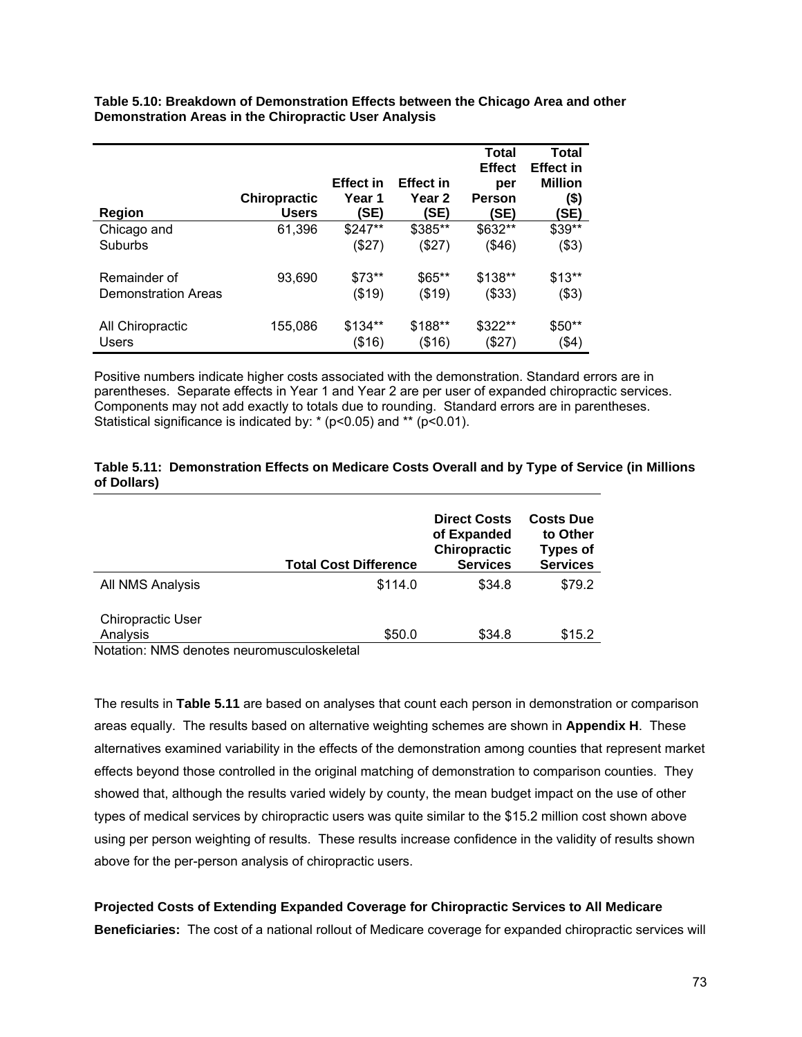**Table 5.10: Breakdown of Demonstration Effects between the Chicago Area and other Demonstration Areas in the Chiropractic User Analysis** 

| Region              | <b>Chiropractic</b><br><b>Users</b> | <b>Effect in</b><br>Year 1<br>(SE) | <b>Effect in</b><br>Year 2<br>(SE) | Total<br><b>Effect</b><br>per<br>Person<br>(SE) | <b>Total</b><br><b>Effect in</b><br><b>Million</b><br>(\$)<br>(SE) |
|---------------------|-------------------------------------|------------------------------------|------------------------------------|-------------------------------------------------|--------------------------------------------------------------------|
| Chicago and         | 61,396                              | \$247**                            | \$385**                            | \$632**                                         | \$39**                                                             |
| Suburbs             |                                     | (\$27)                             | (\$27)                             | (\$46)                                          | (\$3)                                                              |
| Remainder of        | 93,690                              | $$73**$                            | $$65**$                            | \$138**                                         | $$13**$                                                            |
| Demonstration Areas |                                     | (\$19)                             | (\$19)                             | (\$33)                                          | (\$3)                                                              |
| All Chiropractic    | 155,086                             | \$134**                            | \$188**                            | \$322**                                         | \$50**                                                             |
| <b>Users</b>        |                                     | (\$16)                             | (\$16)                             | \$27)                                           | $($ \$4)                                                           |

Positive numbers indicate higher costs associated with the demonstration. Standard errors are in parentheses. Separate effects in Year 1 and Year 2 are per user of expanded chiropractic services. Components may not add exactly to totals due to rounding. Standard errors are in parentheses. Statistical significance is indicated by:  $*(p<0.05)$  and  $**$  (p<0.01).

### **Table 5.11: Demonstration Effects on Medicare Costs Overall and by Type of Service (in Millions of Dollars)**

|                                      | <b>Total Cost Difference</b> | <b>Direct Costs</b><br>of Expanded<br><b>Chiropractic</b><br><b>Services</b> | <b>Costs Due</b><br>to Other<br><b>Types of</b><br><b>Services</b> |
|--------------------------------------|------------------------------|------------------------------------------------------------------------------|--------------------------------------------------------------------|
| All NMS Analysis                     | \$114.0                      | \$34.8                                                                       | \$79.2                                                             |
| <b>Chiropractic User</b><br>Analysis | \$50.0                       | \$34.8                                                                       | \$15.2                                                             |

Notation: NMS denotes neuromusculoskeletal

The results in **Table 5.11** are based on analyses that count each person in demonstration or comparison areas equally. The results based on alternative weighting schemes are shown in **Appendix H**. These alternatives examined variability in the effects of the demonstration among counties that represent market effects beyond those controlled in the original matching of demonstration to comparison counties. They showed that, although the results varied widely by county, the mean budget impact on the use of other types of medical services by chiropractic users was quite similar to the \$15.2 million cost shown above using per person weighting of results. These results increase confidence in the validity of results shown above for the per-person analysis of chiropractic users.

**Projected Costs of Extending Expanded Coverage for Chiropractic Services to All Medicare Beneficiaries:** The cost of a national rollout of Medicare coverage for expanded chiropractic services will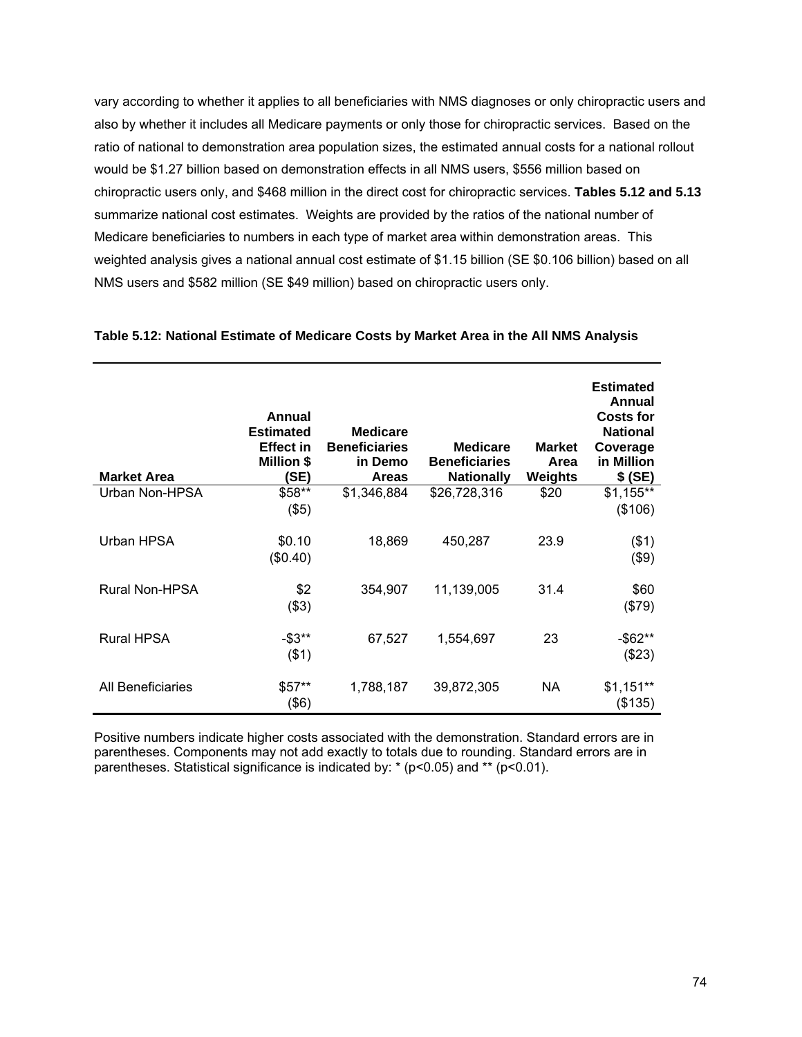vary according to whether it applies to all beneficiaries with NMS diagnoses or only chiropractic users and also by whether it includes all Medicare payments or only those for chiropractic services. Based on the ratio of national to demonstration area population sizes, the estimated annual costs for a national rollout would be \$1.27 billion based on demonstration effects in all NMS users, \$556 million based on chiropractic users only, and \$468 million in the direct cost for chiropractic services. **Tables 5.12 and 5.13** summarize national cost estimates. Weights are provided by the ratios of the national number of Medicare beneficiaries to numbers in each type of market area within demonstration areas. This weighted analysis gives a national annual cost estimate of \$1.15 billion (SE \$0.106 billion) based on all NMS users and \$582 million (SE \$49 million) based on chiropractic users only.

| <b>Market Area</b> | Annual<br><b>Estimated</b><br><b>Effect in</b><br><b>Million \$</b><br><b>SE)</b> | <b>Medicare</b><br><b>Beneficiaries</b><br>in Demo<br><b>Areas</b> | <b>Medicare</b><br><b>Beneficiaries</b><br><b>Nationally</b> | <b>Market</b><br>Area<br>Weights | <b>Estimated</b><br>Annual<br><b>Costs for</b><br><b>National</b><br>Coverage<br>in Million<br>$$$ (SE) |
|--------------------|-----------------------------------------------------------------------------------|--------------------------------------------------------------------|--------------------------------------------------------------|----------------------------------|---------------------------------------------------------------------------------------------------------|
| Urban Non-HPSA     | \$58**<br>$($ \$5)                                                                | \$1,346,884                                                        | \$26,728,316                                                 | \$20                             | $$1,155**$<br>(\$106)                                                                                   |
| Urban HPSA         | \$0.10<br>(\$0.40)                                                                | 18,869                                                             | 450,287                                                      | 23.9                             | $($ \$1)<br>$($ \$9)                                                                                    |
| Rural Non-HPSA     | \$2<br>( \$3)                                                                     | 354,907                                                            | 11,139,005                                                   | 31.4                             | \$60<br>(\$79)                                                                                          |
| <b>Rural HPSA</b>  | $-53**$<br>$($ \$1)                                                               | 67,527                                                             | 1,554,697                                                    | 23                               | $-$ \$62**<br>(\$23)                                                                                    |
| All Beneficiaries  | $$57**$<br>(\$6)                                                                  | 1,788,187                                                          | 39,872,305                                                   | NA.                              | $$1,151**$<br>(\$135)                                                                                   |

#### **Table 5.12: National Estimate of Medicare Costs by Market Area in the All NMS Analysis**

Positive numbers indicate higher costs associated with the demonstration. Standard errors are in parentheses. Components may not add exactly to totals due to rounding. Standard errors are in parentheses. Statistical significance is indicated by: \* (p<0.05) and \*\* (p<0.01).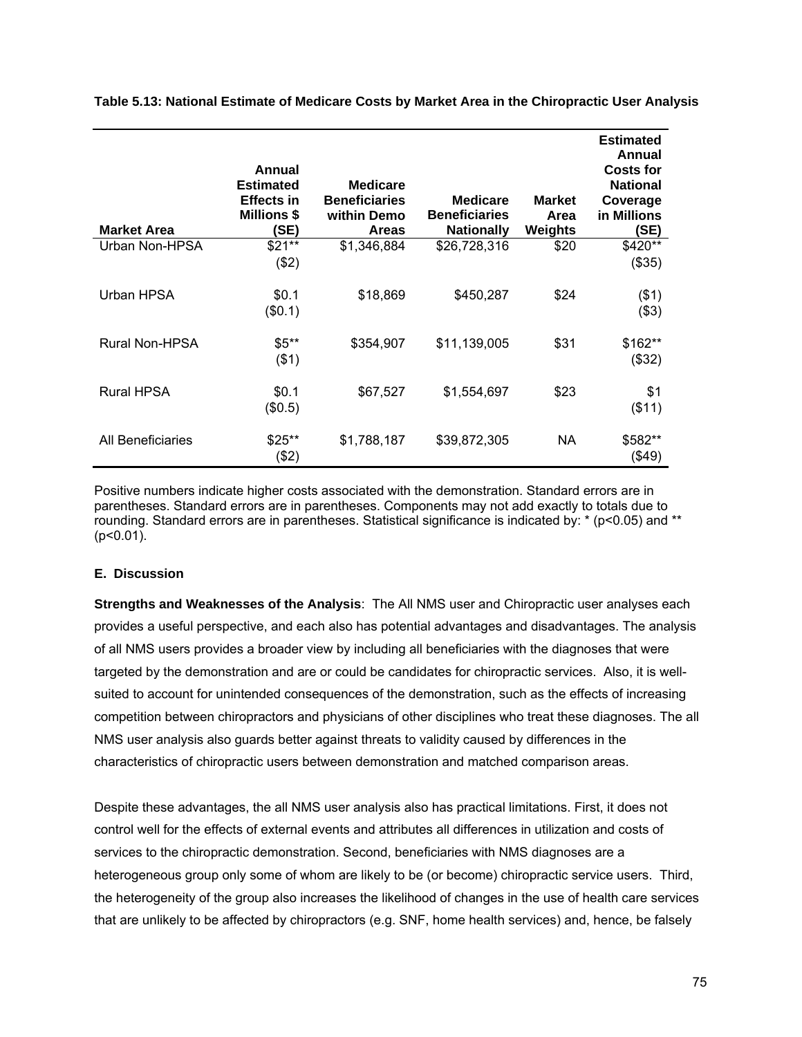| <b>Market Area</b>    | Annual<br><b>Estimated</b><br>Effects in<br><b>Millions \$</b><br>(SE) | <b>Medicare</b><br><b>Beneficiaries</b><br>within Demo<br><b>Areas</b> | <b>Medicare</b><br><b>Beneficiaries</b><br><b>Nationally</b> | <b>Market</b><br>Area<br>Weights | <b>Estimated</b><br>Annual<br><b>Costs for</b><br><b>National</b><br>Coverage<br>in Millions<br>(SE) |
|-----------------------|------------------------------------------------------------------------|------------------------------------------------------------------------|--------------------------------------------------------------|----------------------------------|------------------------------------------------------------------------------------------------------|
| Urban Non-HPSA        | $$21**$<br>(\$2)                                                       | \$1,346,884                                                            | \$26,728,316                                                 | \$20                             | \$420**<br>(\$35)                                                                                    |
| Urban HPSA            | \$0.1<br>(\$0.1)                                                       | \$18,869                                                               | \$450,287                                                    | \$24                             | $($ \$1)<br>(\$3)                                                                                    |
| <b>Rural Non-HPSA</b> | $$5**$<br>$($ \$1)                                                     | \$354,907                                                              | \$11,139,005                                                 | \$31                             | \$162**<br>(\$32)                                                                                    |
| <b>Rural HPSA</b>     | \$0.1<br>(\$0.5)                                                       | \$67,527                                                               | \$1,554,697                                                  | \$23                             | \$1<br>( \$11)                                                                                       |
| All Beneficiaries     | $$25**$<br>(\$2)                                                       | \$1,788,187                                                            | \$39,872,305                                                 | NA                               | \$582**<br>(\$49)                                                                                    |

**Table 5.13: National Estimate of Medicare Costs by Market Area in the Chiropractic User Analysis** 

Positive numbers indicate higher costs associated with the demonstration. Standard errors are in parentheses. Standard errors are in parentheses. Components may not add exactly to totals due to rounding. Standard errors are in parentheses. Statistical significance is indicated by: \* (p<0.05) and \*\*  $(p<0.01)$ .

### **E. Discussion**

**Strengths and Weaknesses of the Analysis**: The All NMS user and Chiropractic user analyses each provides a useful perspective, and each also has potential advantages and disadvantages. The analysis of all NMS users provides a broader view by including all beneficiaries with the diagnoses that were targeted by the demonstration and are or could be candidates for chiropractic services. Also, it is wellsuited to account for unintended consequences of the demonstration, such as the effects of increasing competition between chiropractors and physicians of other disciplines who treat these diagnoses. The all NMS user analysis also guards better against threats to validity caused by differences in the characteristics of chiropractic users between demonstration and matched comparison areas.

Despite these advantages, the all NMS user analysis also has practical limitations. First, it does not control well for the effects of external events and attributes all differences in utilization and costs of services to the chiropractic demonstration. Second, beneficiaries with NMS diagnoses are a heterogeneous group only some of whom are likely to be (or become) chiropractic service users. Third, the heterogeneity of the group also increases the likelihood of changes in the use of health care services that are unlikely to be affected by chiropractors (e.g. SNF, home health services) and, hence, be falsely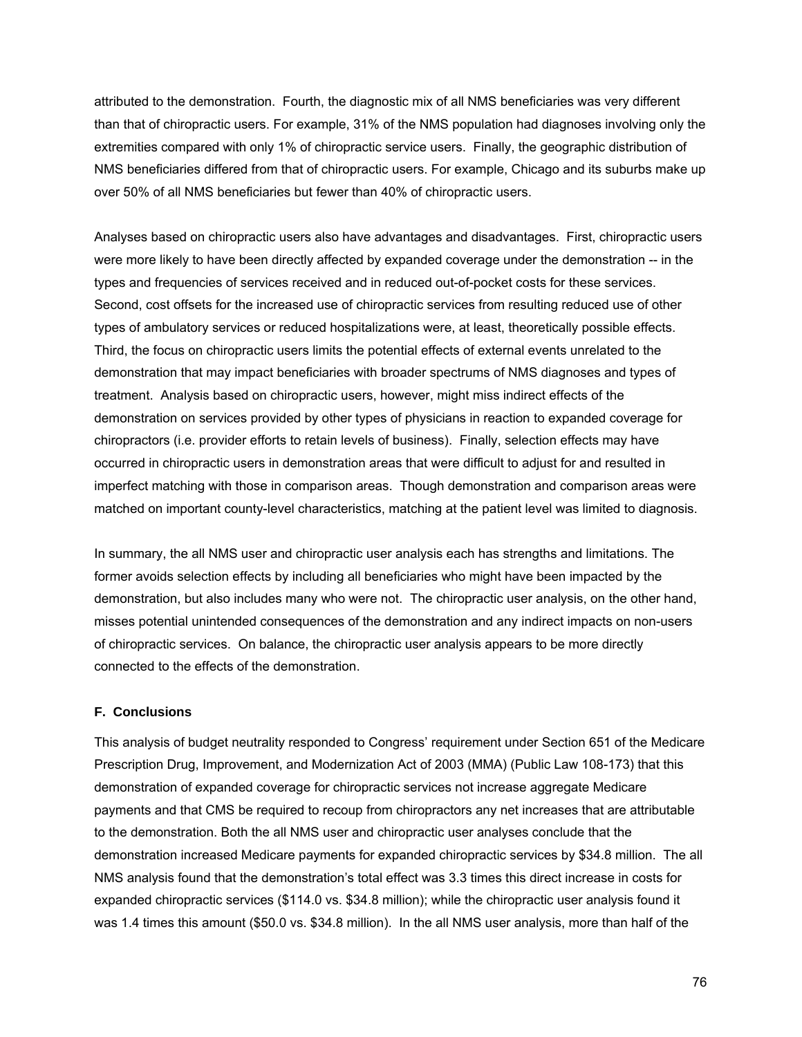attributed to the demonstration. Fourth, the diagnostic mix of all NMS beneficiaries was very different than that of chiropractic users. For example, 31% of the NMS population had diagnoses involving only the extremities compared with only 1% of chiropractic service users. Finally, the geographic distribution of NMS beneficiaries differed from that of chiropractic users. For example, Chicago and its suburbs make up over 50% of all NMS beneficiaries but fewer than 40% of chiropractic users.

Analyses based on chiropractic users also have advantages and disadvantages. First, chiropractic users were more likely to have been directly affected by expanded coverage under the demonstration -- in the types and frequencies of services received and in reduced out-of-pocket costs for these services. Second, cost offsets for the increased use of chiropractic services from resulting reduced use of other types of ambulatory services or reduced hospitalizations were, at least, theoretically possible effects. Third, the focus on chiropractic users limits the potential effects of external events unrelated to the demonstration that may impact beneficiaries with broader spectrums of NMS diagnoses and types of treatment. Analysis based on chiropractic users, however, might miss indirect effects of the demonstration on services provided by other types of physicians in reaction to expanded coverage for chiropractors (i.e. provider efforts to retain levels of business). Finally, selection effects may have occurred in chiropractic users in demonstration areas that were difficult to adjust for and resulted in imperfect matching with those in comparison areas. Though demonstration and comparison areas were matched on important county-level characteristics, matching at the patient level was limited to diagnosis.

In summary, the all NMS user and chiropractic user analysis each has strengths and limitations. The former avoids selection effects by including all beneficiaries who might have been impacted by the demonstration, but also includes many who were not. The chiropractic user analysis, on the other hand, misses potential unintended consequences of the demonstration and any indirect impacts on non-users of chiropractic services. On balance, the chiropractic user analysis appears to be more directly connected to the effects of the demonstration.

## **F. Conclusions**

This analysis of budget neutrality responded to Congress' requirement under Section 651 of the Medicare Prescription Drug, Improvement, and Modernization Act of 2003 (MMA) (Public Law 108-173) that this demonstration of expanded coverage for chiropractic services not increase aggregate Medicare payments and that CMS be required to recoup from chiropractors any net increases that are attributable to the demonstration. Both the all NMS user and chiropractic user analyses conclude that the demonstration increased Medicare payments for expanded chiropractic services by \$34.8 million. The all NMS analysis found that the demonstration's total effect was 3.3 times this direct increase in costs for expanded chiropractic services (\$114.0 vs. \$34.8 million); while the chiropractic user analysis found it was 1.4 times this amount (\$50.0 vs. \$34.8 million). In the all NMS user analysis, more than half of the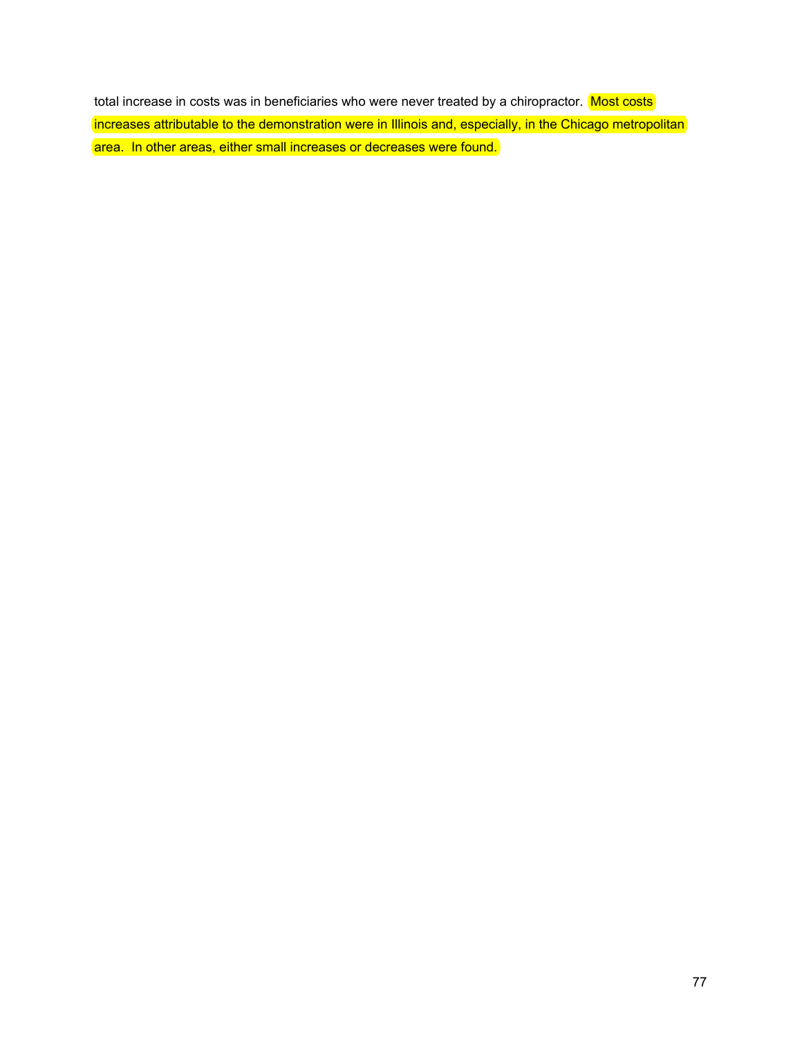total increase in costs was in beneficiaries who were never treated by a chiropractor. Most costs increases attributable to the demonstration were in Illinois and, especially, in the Chicago metropolitan area. In other areas, either small increases or decreases were found.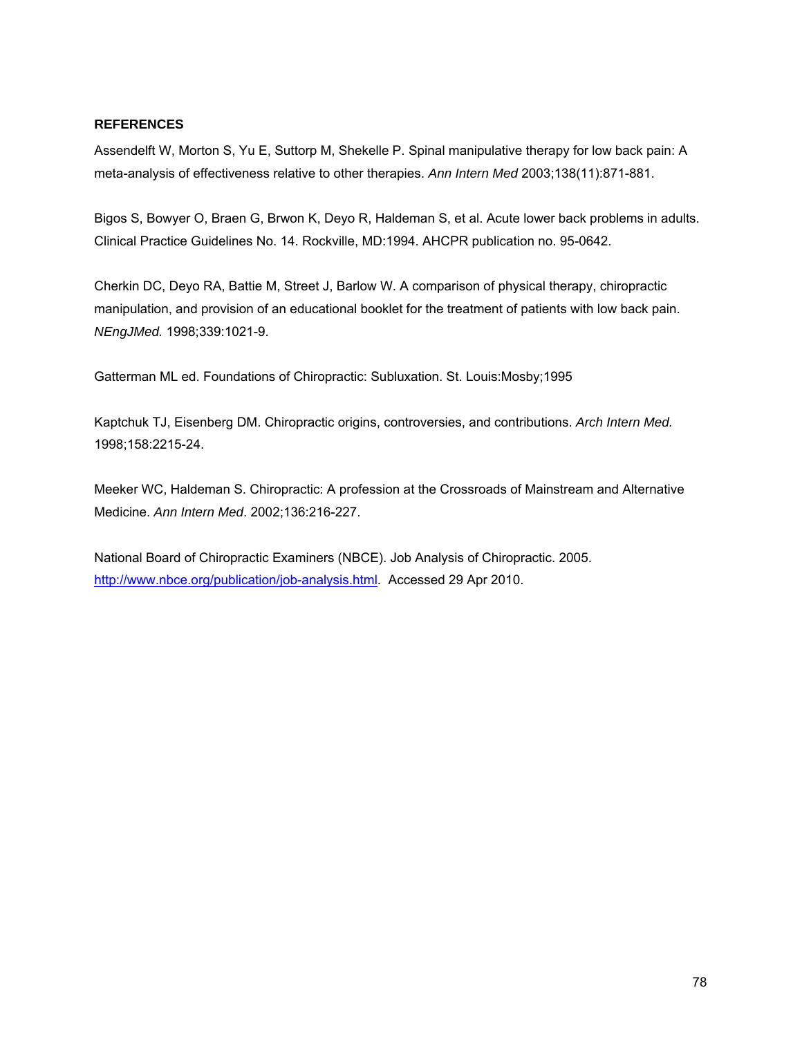## **REFERENCES**

Assendelft W, Morton S, Yu E, Suttorp M, Shekelle P. Spinal manipulative therapy for low back pain: A meta-analysis of effectiveness relative to other therapies. *Ann Intern Med* 2003;138(11):871-881.

Bigos S, Bowyer O, Braen G, Brwon K, Deyo R, Haldeman S, et al. Acute lower back problems in adults. Clinical Practice Guidelines No. 14. Rockville, MD:1994. AHCPR publication no. 95-0642.

Cherkin DC, Deyo RA, Battie M, Street J, Barlow W. A comparison of physical therapy, chiropractic manipulation, and provision of an educational booklet for the treatment of patients with low back pain. *NEngJMed.* 1998;339:1021-9.

Gatterman ML ed. Foundations of Chiropractic: Subluxation. St. Louis:Mosby;1995

Kaptchuk TJ, Eisenberg DM. Chiropractic origins, controversies, and contributions. *Arch Intern Med.* 1998;158:2215-24.

Meeker WC, Haldeman S. Chiropractic: A profession at the Crossroads of Mainstream and Alternative Medicine. *Ann Intern Med*. 2002;136:216-227.

National Board of Chiropractic Examiners (NBCE). Job Analysis of Chiropractic. 2005. <http://www.nbce.org/publication/job-analysis.html>. Accessed 29 Apr 2010.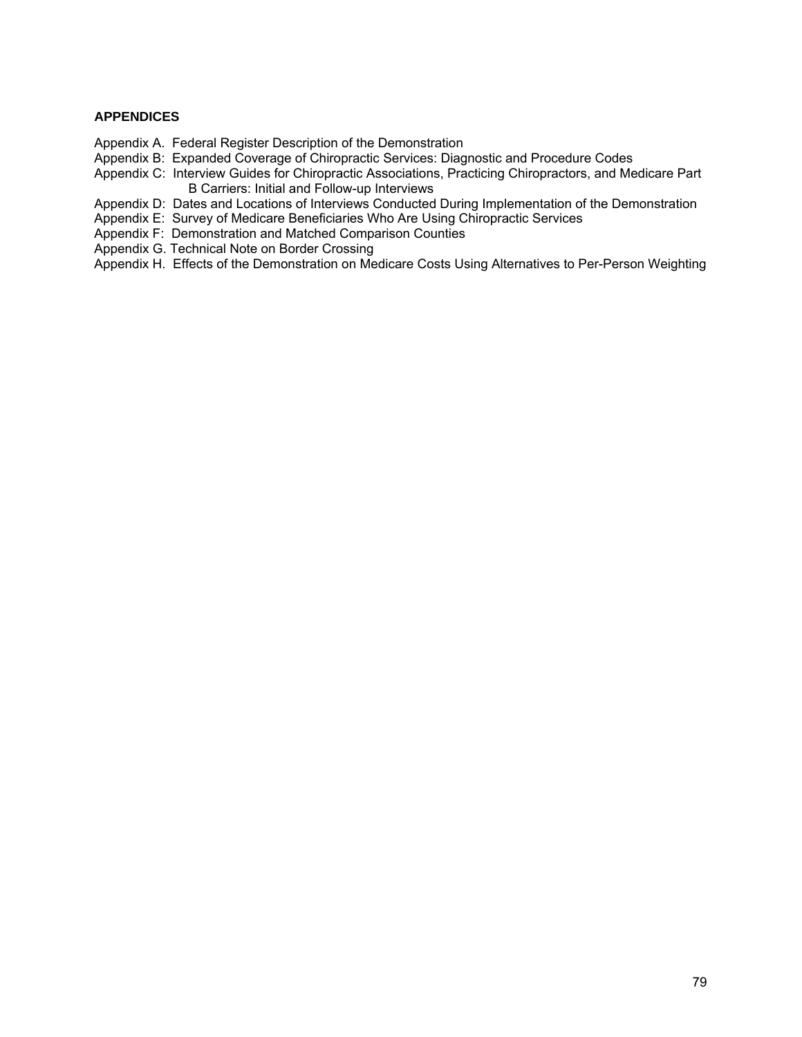## **APPENDICES**

- Appendix A. Federal Register Description of the Demonstration
- Appendix B: Expanded Coverage of Chiropractic Services: Diagnostic and Procedure Codes
- Appendix C: Interview Guides for Chiropractic Associations, Practicing Chiropractors, and Medicare Part B Carriers: Initial and Follow-up Interviews
- Appendix D: Dates and Locations of Interviews Conducted During Implementation of the Demonstration
- Appendix E: Survey of Medicare Beneficiaries Who Are Using Chiropractic Services
- Appendix F: Demonstration and Matched Comparison Counties
- Appendix G. Technical Note on Border Crossing
- Appendix H. Effects of the Demonstration on Medicare Costs Using Alternatives to Per-Person Weighting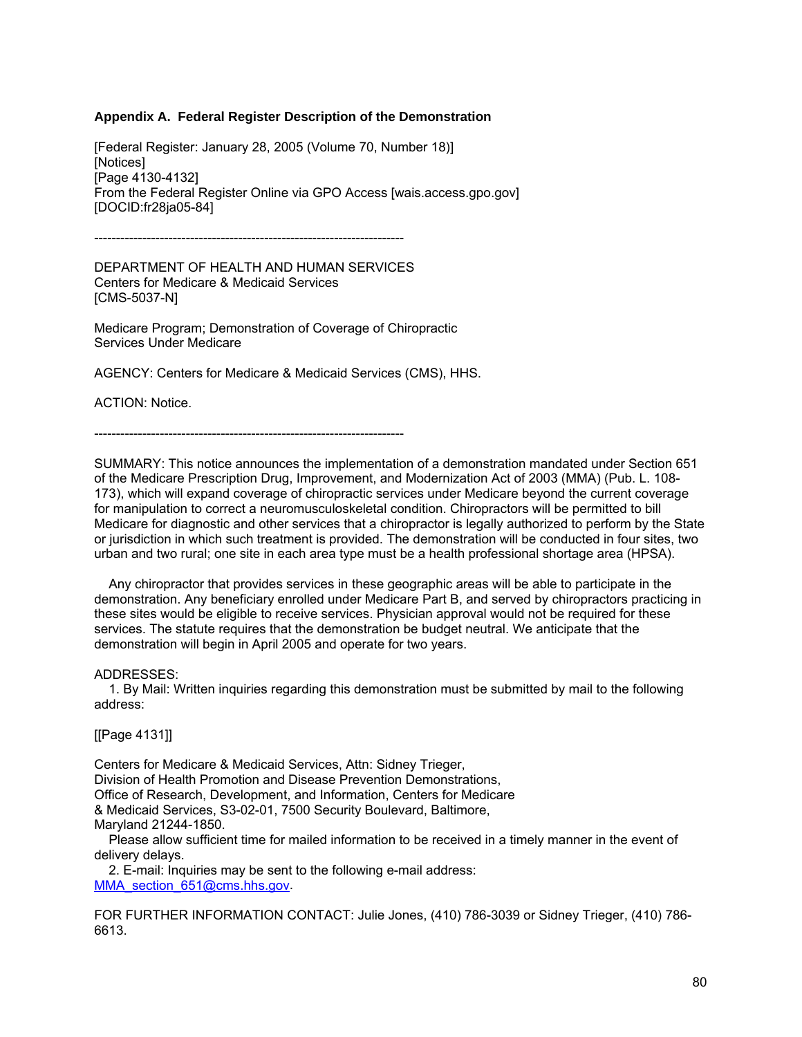#### **Appendix A. Federal Register Description of the Demonstration**

[Federal Register: January 28, 2005 (Volume 70, Number 18)] [Notices] [Page 4130-4132] From the Federal Register Online via GPO Access [wais.access.gpo.gov] [DOCID:fr28ja05-84]

-----------------------------------------------------------------------

DEPARTMENT OF HEALTH AND HUMAN SERVICES Centers for Medicare & Medicaid Services [CMS-5037-N]

Medicare Program; Demonstration of Coverage of Chiropractic Services Under Medicare

AGENCY: Centers for Medicare & Medicaid Services (CMS), HHS.

ACTION: Notice.

-----------------------------------------------------------------------

SUMMARY: This notice announces the implementation of a demonstration mandated under Section 651 of the Medicare Prescription Drug, Improvement, and Modernization Act of 2003 (MMA) (Pub. L. 108- 173), which will expand coverage of chiropractic services under Medicare beyond the current coverage for manipulation to correct a neuromusculoskeletal condition. Chiropractors will be permitted to bill Medicare for diagnostic and other services that a chiropractor is legally authorized to perform by the State or jurisdiction in which such treatment is provided. The demonstration will be conducted in four sites, two urban and two rural; one site in each area type must be a health professional shortage area (HPSA).

 Any chiropractor that provides services in these geographic areas will be able to participate in the demonstration. Any beneficiary enrolled under Medicare Part B, and served by chiropractors practicing in these sites would be eligible to receive services. Physician approval would not be required for these services. The statute requires that the demonstration be budget neutral. We anticipate that the demonstration will begin in April 2005 and operate for two years.

ADDRESSES:

 1. By Mail: Written inquiries regarding this demonstration must be submitted by mail to the following address:

[[Page 4131]]

Centers for Medicare & Medicaid Services, Attn: Sidney Trieger, Division of Health Promotion and Disease Prevention Demonstrations, Office of Research, Development, and Information, Centers for Medicare & Medicaid Services, S3-02-01, 7500 Security Boulevard, Baltimore, Maryland 21244-1850.

 Please allow sufficient time for mailed information to be received in a timely manner in the event of delivery delays.

 2. E-mail: Inquiries may be sent to the following e-mail address: [MMA\\_section\\_651@cms.hhs.gov](mailto:MMA_section_651@cms.hhs.gov).

FOR FURTHER INFORMATION CONTACT: Julie Jones, (410) 786-3039 or Sidney Trieger, (410) 786- 6613.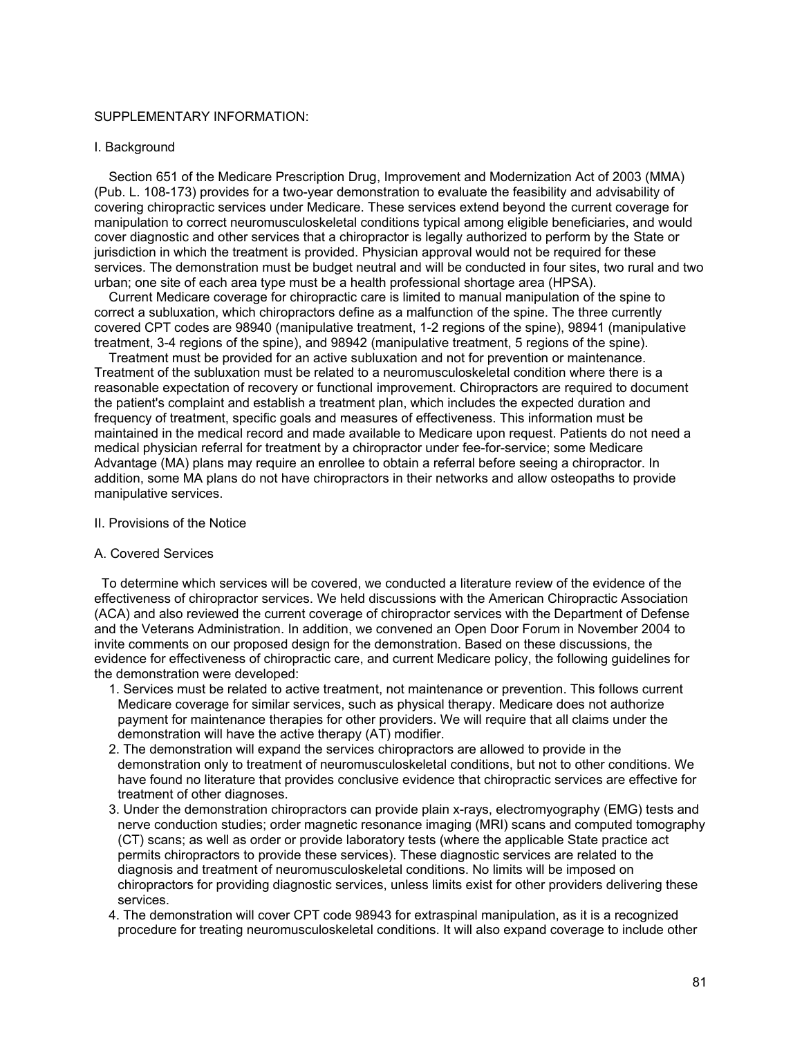### SUPPLEMENTARY INFORMATION:

#### I. Background

 Section 651 of the Medicare Prescription Drug, Improvement and Modernization Act of 2003 (MMA) (Pub. L. 108-173) provides for a two-year demonstration to evaluate the feasibility and advisability of covering chiropractic services under Medicare. These services extend beyond the current coverage for manipulation to correct neuromusculoskeletal conditions typical among eligible beneficiaries, and would cover diagnostic and other services that a chiropractor is legally authorized to perform by the State or jurisdiction in which the treatment is provided. Physician approval would not be required for these services. The demonstration must be budget neutral and will be conducted in four sites, two rural and two urban; one site of each area type must be a health professional shortage area (HPSA).

 Current Medicare coverage for chiropractic care is limited to manual manipulation of the spine to correct a subluxation, which chiropractors define as a malfunction of the spine. The three currently covered CPT codes are 98940 (manipulative treatment, 1-2 regions of the spine), 98941 (manipulative treatment, 3-4 regions of the spine), and 98942 (manipulative treatment, 5 regions of the spine).

 Treatment must be provided for an active subluxation and not for prevention or maintenance. Treatment of the subluxation must be related to a neuromusculoskeletal condition where there is a reasonable expectation of recovery or functional improvement. Chiropractors are required to document the patient's complaint and establish a treatment plan, which includes the expected duration and frequency of treatment, specific goals and measures of effectiveness. This information must be maintained in the medical record and made available to Medicare upon request. Patients do not need a medical physician referral for treatment by a chiropractor under fee-for-service; some Medicare Advantage (MA) plans may require an enrollee to obtain a referral before seeing a chiropractor. In addition, some MA plans do not have chiropractors in their networks and allow osteopaths to provide manipulative services.

#### II. Provisions of the Notice

#### A. Covered Services

 To determine which services will be covered, we conducted a literature review of the evidence of the effectiveness of chiropractor services. We held discussions with the American Chiropractic Association (ACA) and also reviewed the current coverage of chiropractor services with the Department of Defense and the Veterans Administration. In addition, we convened an Open Door Forum in November 2004 to invite comments on our proposed design for the demonstration. Based on these discussions, the evidence for effectiveness of chiropractic care, and current Medicare policy, the following guidelines for the demonstration were developed:

- 1. Services must be related to active treatment, not maintenance or prevention. This follows current Medicare coverage for similar services, such as physical therapy. Medicare does not authorize payment for maintenance therapies for other providers. We will require that all claims under the demonstration will have the active therapy (AT) modifier.
- 2. The demonstration will expand the services chiropractors are allowed to provide in the demonstration only to treatment of neuromusculoskeletal conditions, but not to other conditions. We have found no literature that provides conclusive evidence that chiropractic services are effective for treatment of other diagnoses.
- 3. Under the demonstration chiropractors can provide plain x-rays, electromyography (EMG) tests and nerve conduction studies; order magnetic resonance imaging (MRI) scans and computed tomography (CT) scans; as well as order or provide laboratory tests (where the applicable State practice act permits chiropractors to provide these services). These diagnostic services are related to the diagnosis and treatment of neuromusculoskeletal conditions. No limits will be imposed on chiropractors for providing diagnostic services, unless limits exist for other providers delivering these services.
- 4. The demonstration will cover CPT code 98943 for extraspinal manipulation, as it is a recognized procedure for treating neuromusculoskeletal conditions. It will also expand coverage to include other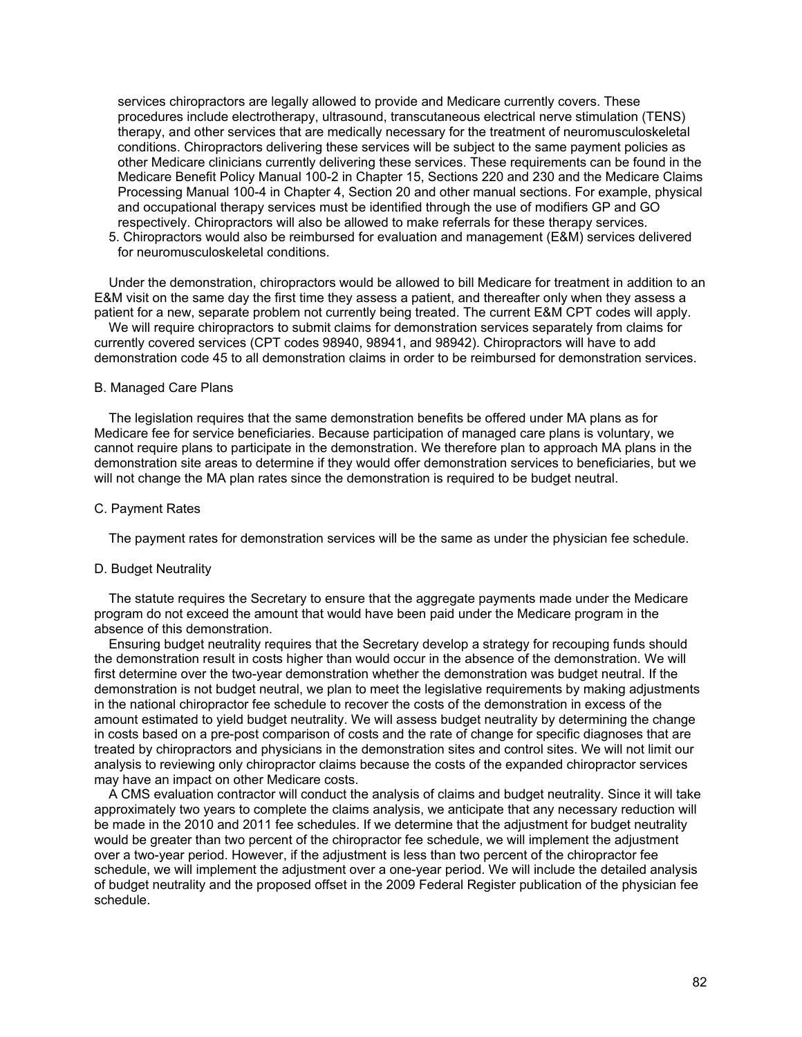services chiropractors are legally allowed to provide and Medicare currently covers. These procedures include electrotherapy, ultrasound, transcutaneous electrical nerve stimulation (TENS) therapy, and other services that are medically necessary for the treatment of neuromusculoskeletal conditions. Chiropractors delivering these services will be subject to the same payment policies as other Medicare clinicians currently delivering these services. These requirements can be found in the Medicare Benefit Policy Manual 100-2 in Chapter 15, Sections 220 and 230 and the Medicare Claims Processing Manual 100-4 in Chapter 4, Section 20 and other manual sections. For example, physical and occupational therapy services must be identified through the use of modifiers GP and GO respectively. Chiropractors will also be allowed to make referrals for these therapy services.

 5. Chiropractors would also be reimbursed for evaluation and management (E&M) services delivered for neuromusculoskeletal conditions.

 Under the demonstration, chiropractors would be allowed to bill Medicare for treatment in addition to an E&M visit on the same day the first time they assess a patient, and thereafter only when they assess a patient for a new, separate problem not currently being treated. The current E&M CPT codes will apply.

 We will require chiropractors to submit claims for demonstration services separately from claims for currently covered services (CPT codes 98940, 98941, and 98942). Chiropractors will have to add demonstration code 45 to all demonstration claims in order to be reimbursed for demonstration services.

#### B. Managed Care Plans

 The legislation requires that the same demonstration benefits be offered under MA plans as for Medicare fee for service beneficiaries. Because participation of managed care plans is voluntary, we cannot require plans to participate in the demonstration. We therefore plan to approach MA plans in the demonstration site areas to determine if they would offer demonstration services to beneficiaries, but we will not change the MA plan rates since the demonstration is required to be budget neutral.

#### C. Payment Rates

The payment rates for demonstration services will be the same as under the physician fee schedule.

#### D. Budget Neutrality

 The statute requires the Secretary to ensure that the aggregate payments made under the Medicare program do not exceed the amount that would have been paid under the Medicare program in the absence of this demonstration.

 Ensuring budget neutrality requires that the Secretary develop a strategy for recouping funds should the demonstration result in costs higher than would occur in the absence of the demonstration. We will first determine over the two-year demonstration whether the demonstration was budget neutral. If the demonstration is not budget neutral, we plan to meet the legislative requirements by making adjustments in the national chiropractor fee schedule to recover the costs of the demonstration in excess of the amount estimated to yield budget neutrality. We will assess budget neutrality by determining the change in costs based on a pre-post comparison of costs and the rate of change for specific diagnoses that are treated by chiropractors and physicians in the demonstration sites and control sites. We will not limit our analysis to reviewing only chiropractor claims because the costs of the expanded chiropractor services may have an impact on other Medicare costs.

 A CMS evaluation contractor will conduct the analysis of claims and budget neutrality. Since it will take approximately two years to complete the claims analysis, we anticipate that any necessary reduction will be made in the 2010 and 2011 fee schedules. If we determine that the adjustment for budget neutrality would be greater than two percent of the chiropractor fee schedule, we will implement the adjustment over a two-year period. However, if the adjustment is less than two percent of the chiropractor fee schedule, we will implement the adjustment over a one-year period. We will include the detailed analysis of budget neutrality and the proposed offset in the 2009 Federal Register publication of the physician fee schedule.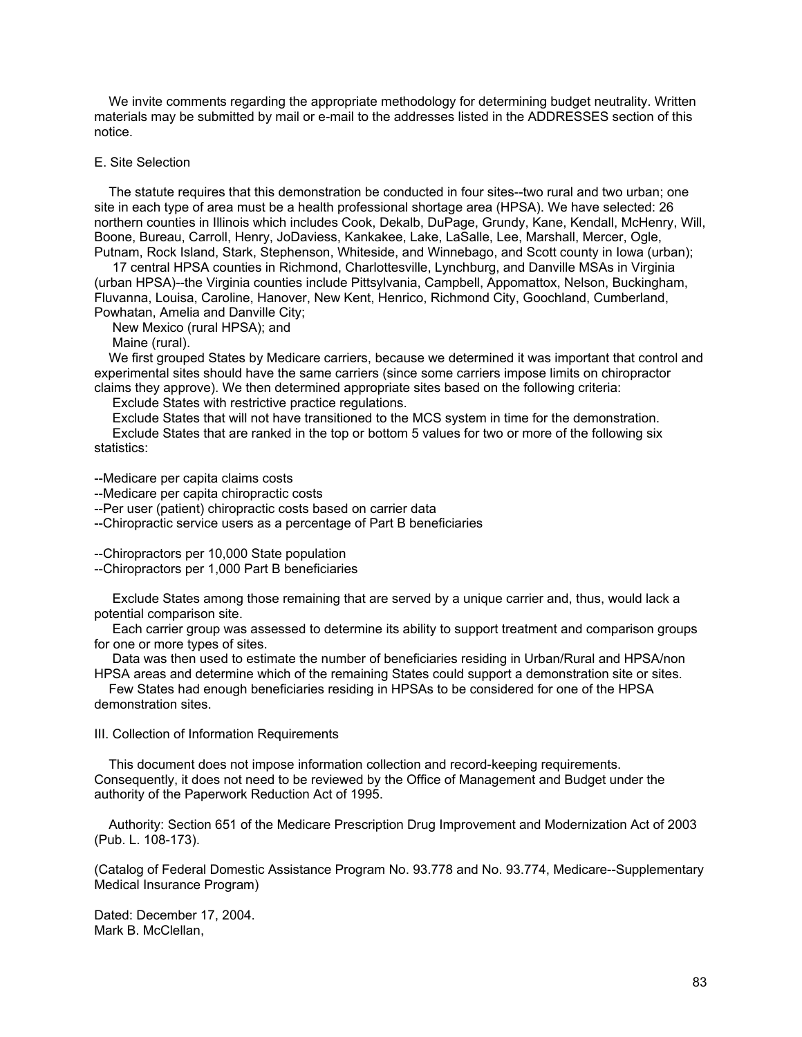We invite comments regarding the appropriate methodology for determining budget neutrality. Written materials may be submitted by mail or e-mail to the addresses listed in the ADDRESSES section of this notice.

#### E. Site Selection

 The statute requires that this demonstration be conducted in four sites--two rural and two urban; one site in each type of area must be a health professional shortage area (HPSA). We have selected: 26 northern counties in Illinois which includes Cook, Dekalb, DuPage, Grundy, Kane, Kendall, McHenry, Will, Boone, Bureau, Carroll, Henry, JoDaviess, Kankakee, Lake, LaSalle, Lee, Marshall, Mercer, Ogle, Putnam, Rock Island, Stark, Stephenson, Whiteside, and Winnebago, and Scott county in Iowa (urban);

 17 central HPSA counties in Richmond, Charlottesville, Lynchburg, and Danville MSAs in Virginia (urban HPSA)--the Virginia counties include Pittsylvania, Campbell, Appomattox, Nelson, Buckingham, Fluvanna, Louisa, Caroline, Hanover, New Kent, Henrico, Richmond City, Goochland, Cumberland, Powhatan, Amelia and Danville City;

New Mexico (rural HPSA); and

Maine (rural).

 We first grouped States by Medicare carriers, because we determined it was important that control and experimental sites should have the same carriers (since some carriers impose limits on chiropractor claims they approve). We then determined appropriate sites based on the following criteria:

Exclude States with restrictive practice regulations.

 Exclude States that will not have transitioned to the MCS system in time for the demonstration. Exclude States that are ranked in the top or bottom 5 values for two or more of the following six statistics:

--Medicare per capita claims costs

--Medicare per capita chiropractic costs

--Per user (patient) chiropractic costs based on carrier data

--Chiropractic service users as a percentage of Part B beneficiaries

--Chiropractors per 10,000 State population

--Chiropractors per 1,000 Part B beneficiaries

 Exclude States among those remaining that are served by a unique carrier and, thus, would lack a potential comparison site.

 Each carrier group was assessed to determine its ability to support treatment and comparison groups for one or more types of sites.

 Data was then used to estimate the number of beneficiaries residing in Urban/Rural and HPSA/non HPSA areas and determine which of the remaining States could support a demonstration site or sites.

 Few States had enough beneficiaries residing in HPSAs to be considered for one of the HPSA demonstration sites.

III. Collection of Information Requirements

 This document does not impose information collection and record-keeping requirements. Consequently, it does not need to be reviewed by the Office of Management and Budget under the authority of the Paperwork Reduction Act of 1995.

 Authority: Section 651 of the Medicare Prescription Drug Improvement and Modernization Act of 2003 (Pub. L. 108-173).

(Catalog of Federal Domestic Assistance Program No. 93.778 and No. 93.774, Medicare--Supplementary Medical Insurance Program)

Dated: December 17, 2004. Mark B. McClellan,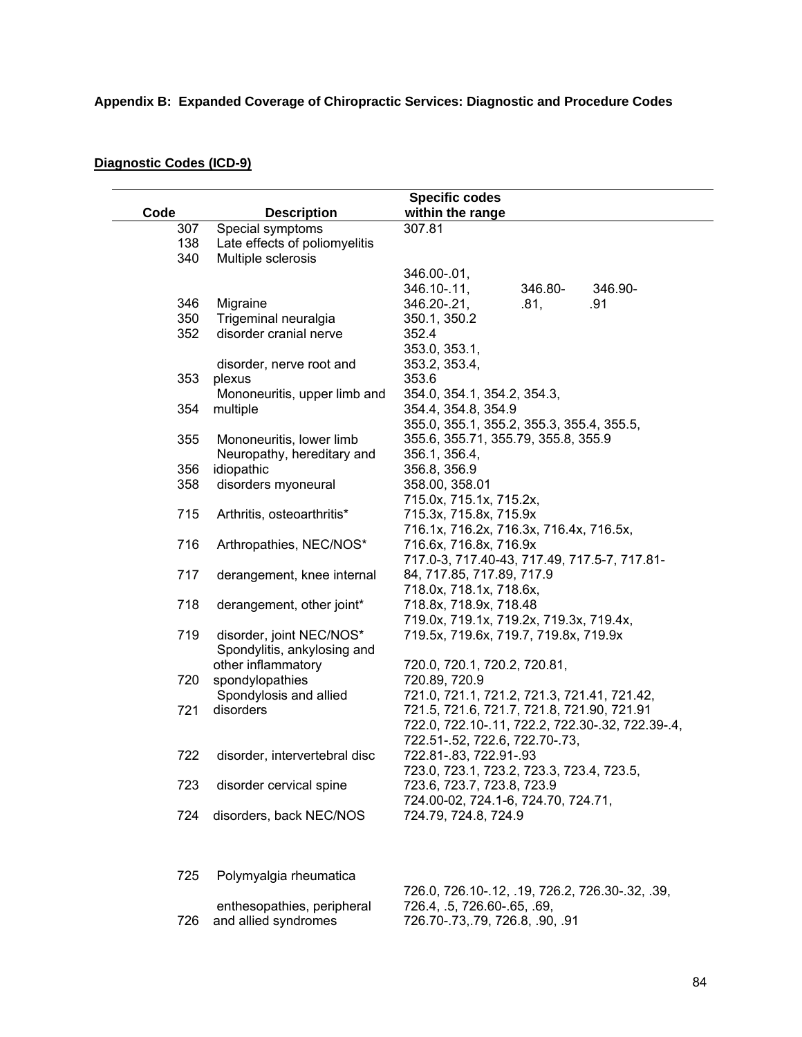| Code | <b>Description</b>            | <b>Specific codes</b><br>within the range        |
|------|-------------------------------|--------------------------------------------------|
| 307  | Special symptoms              | 307.81                                           |
| 138  | Late effects of poliomyelitis |                                                  |
| 340  | Multiple sclerosis            |                                                  |
|      |                               | 346.00-.01,                                      |
|      |                               | 346.10-.11,<br>346.80-<br>346.90-                |
| 346  | Migraine                      | 346.20-.21,<br>.81,<br>.91                       |
| 350  | Trigeminal neuralgia          | 350.1, 350.2                                     |
| 352  | disorder cranial nerve        | 352.4                                            |
|      |                               | 353.0, 353.1,                                    |
|      | disorder, nerve root and      | 353.2, 353.4,                                    |
| 353  | plexus                        | 353.6                                            |
|      | Mononeuritis, upper limb and  | 354.0, 354.1, 354.2, 354.3,                      |
|      | multiple                      | 354.4, 354.8, 354.9                              |
| 354  |                               |                                                  |
|      |                               | 355.0, 355.1, 355.2, 355.3, 355.4, 355.5,        |
| 355  | Mononeuritis, lower limb      | 355.6, 355.71, 355.79, 355.8, 355.9              |
|      | Neuropathy, hereditary and    | 356.1, 356.4,                                    |
| 356  | idiopathic                    | 356.8, 356.9                                     |
| 358  | disorders myoneural           | 358.00, 358.01                                   |
|      |                               | 715.0x, 715.1x, 715.2x,                          |
| 715  | Arthritis, osteoarthritis*    | 715.3x, 715.8x, 715.9x                           |
|      |                               | 716.1x, 716.2x, 716.3x, 716.4x, 716.5x,          |
| 716  | Arthropathies, NEC/NOS*       | 716.6x, 716.8x, 716.9x                           |
|      |                               | 717.0-3, 717.40-43, 717.49, 717.5-7, 717.81-     |
| 717  | derangement, knee internal    | 84, 717.85, 717.89, 717.9                        |
|      |                               | 718.0x, 718.1x, 718.6x,                          |
| 718  | derangement, other joint*     | 718.8x, 718.9x, 718.48                           |
|      |                               | 719.0x, 719.1x, 719.2x, 719.3x, 719.4x,          |
| 719  | disorder, joint NEC/NOS*      | 719.5x, 719.6x, 719.7, 719.8x, 719.9x            |
|      | Spondylitis, ankylosing and   |                                                  |
|      | other inflammatory            | 720.0, 720.1, 720.2, 720.81,                     |
| 720  | spondylopathies               | 720.89, 720.9                                    |
|      | Spondylosis and allied        | 721.0, 721.1, 721.2, 721.3, 721.41, 721.42,      |
| 721  | disorders                     | 721.5, 721.6, 721.7, 721.8, 721.90, 721.91       |
|      |                               | 722.0, 722.10-.11, 722.2, 722.30-.32, 722.39-.4, |
|      |                               | 722.51-.52, 722.6, 722.70-.73,                   |
| 722  | disorder, intervertebral disc | 722.81-.83, 722.91-.93                           |
|      |                               | 723.0, 723.1, 723.2, 723.3, 723.4, 723.5,        |
| 723  | disorder cervical spine       | 723.6, 723.7, 723.8, 723.9                       |
|      |                               | 724.00-02, 724.1-6, 724.70, 724.71,              |
| 724  | disorders, back NEC/NOS       | 724.79, 724.8, 724.9                             |
|      |                               |                                                  |
| 725  | Polymyalgia rheumatica        | 726 0 726 10 12 10 726 2 726 20 22 20            |

726 and allied syndromes

# **Diagnostic Codes (ICD-9)**

 enthesopathies, peripheral 726.0, 726.10-.12, .19, 726.2, 726.30-.32, .39, 726.4, .5, 726.60-.65, .69, 726.70-.73,.79, 726.8, .90, .91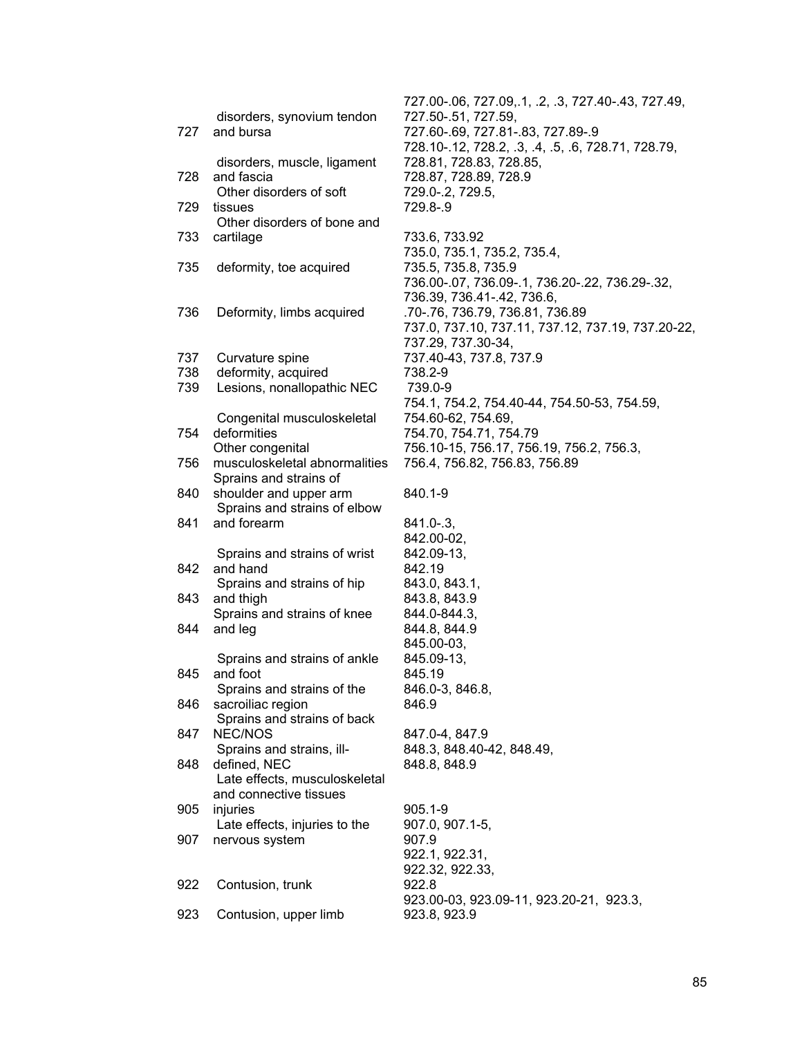| 727 | disorders, synovium tendon<br>and bursa                | 727.50-.51, 727<br>727.60-.69, 727                  |
|-----|--------------------------------------------------------|-----------------------------------------------------|
| 728 | disorders, muscle, ligament<br>and fascia              | 728.10-.12, 728<br>728.81, 728.83<br>728.87, 728.89 |
| 729 | Other disorders of soft<br>tissues                     | 729.0-.2, 729.5<br>729.8-.9                         |
|     | Other disorders of bone and                            |                                                     |
| 733 | cartilage                                              | 733.6, 733.92<br>735.0, 735.1, 7                    |
| 735 | deformity, toe acquired                                | 735.5, 735.8, 7                                     |
|     |                                                        | 736.00-.07, 736                                     |
|     |                                                        | 736.39, 736.41                                      |
| 736 | Deformity, limbs acquired                              | .70-.76, 736.79<br>737.0, 737.10,                   |
|     |                                                        | 737.29, 737.30                                      |
| 737 | Curvature spine                                        | 737.40-43, 737                                      |
| 738 | deformity, acquired                                    | 738.2-9                                             |
| 739 | Lesions, nonallopathic NEC                             | 739.0-9                                             |
|     | Congenital musculoskeletal                             | 754.1, 754.2, 7<br>754.60-62, 754                   |
| 754 | deformities                                            | 754.70, 754.71                                      |
|     | Other congenital                                       | 756.10-15, 756                                      |
| 756 | musculoskeletal abnormalities                          | 756.4, 756.82,                                      |
|     | Sprains and strains of                                 |                                                     |
| 840 | shoulder and upper arm<br>Sprains and strains of elbow | 840.1-9                                             |
| 841 | and forearm                                            | 841.0-.3,                                           |
|     |                                                        | 842.00-02,                                          |
|     | Sprains and strains of wrist                           | 842.09-13,                                          |
| 842 | and hand                                               | 842.19                                              |
| 843 | Sprains and strains of hip<br>and thigh                | 843.0, 843.1,<br>843.8, 843.9                       |
|     | Sprains and strains of knee                            | 844.0-844.3,                                        |
| 844 | and leg                                                | 844.8, 844.9                                        |
|     |                                                        | 845.00-03,                                          |
|     | Sprains and strains of ankle                           | 845.09-13,                                          |
| 845 | and foot<br>Sprains and strains of the                 | 845.19<br>846.0-3, 846.8,                           |
| 846 | sacroiliac region                                      | 846.9                                               |
|     | Sprains and strains of back                            |                                                     |
| 847 | <b>NEC/NOS</b>                                         | 847.0-4, 847.9                                      |
|     | Sprains and strains, ill-                              | 848.3, 848.40-4                                     |
| 848 | defined, NEC<br>Late effects, musculoskeletal          | 848.8, 848.9                                        |
|     | and connective tissues                                 |                                                     |
| 905 | injuries                                               | $905.1 - 9$                                         |
|     | Late effects, injuries to the                          | 907.0, 907.1-5,                                     |
| 907 | nervous system                                         | 907.9                                               |
|     |                                                        | 922.1, 922.31,<br>922.32, 922.33                    |
| 922 | Contusion, trunk                                       | 922.8                                               |
|     |                                                        | 923.00-03, 923                                      |
| 923 | Contusion, upper limb                                  | 923.8, 923.9                                        |

727.00-.06, 727.09,.1, .2, .3, 727.40-.43, 727.49, 727.50-.51, 727.59, 727.60-.69, 727.81-.83, 727.89-.9 728.10-.12, 728.2, .3, .4, .5, .6, 728.71, 728.79, 28.83, 728.85, 28.89, 728.9 729.5, 735.0, 735.1, 735.2, 735.4, 735.5, 735.8, 735.9 736.00-.07, 736.09-.1, 736.20-.22, 736.29-.32, 736.39, 736.41-.42, 736.6, .70-.76, 736.79, 736.81, 736.89 737.0, 737.10, 737.11, 737.12, 737.19, 737.20-22, 37.30-34, 8, 737.8, 737.9 754.1, 754.2, 754.40-44, 754.50-53, 754.59,  $2,754.69,$ 54.71, 754.79 756.10-15, 756.17, 756.19, 756.2, 756.3, 756.4, 756.82, 756.83, 756.89 842.00-02, 842.09-13,  $3.1,$  $3.9<sub>3</sub>$  $.3,$  $4.9<sup>2</sup>$  $^{\prime\prime},$ 845.09-13,  $846.8,$ 8.40-42, 848.49, 8.9  $7.1 - 5,$  $2.31.$  $22.33,$ 923.00-03, 923.09-11, 923.20-21, 923.3, 923.8, 923.9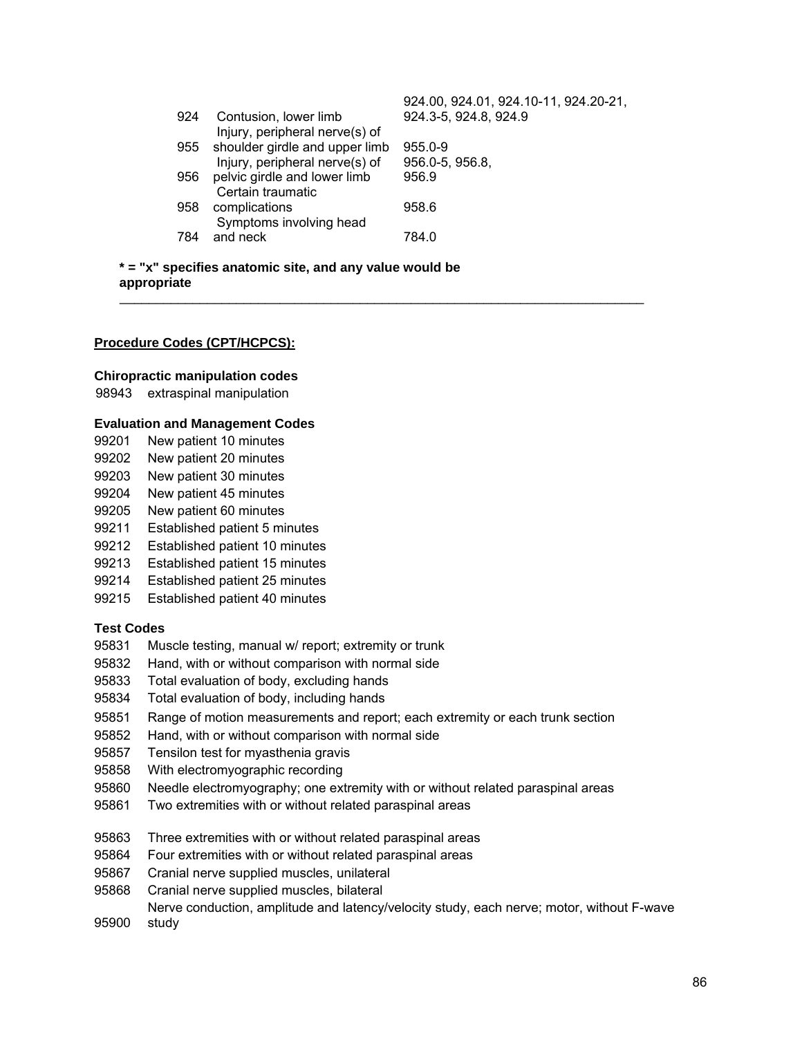|     |                                                   | 924.00, 924.01, 924.10-11, 924.20-21, |
|-----|---------------------------------------------------|---------------------------------------|
| 924 | Contusion, lower limb                             | 924.3-5, 924.8, 924.9                 |
|     | Injury, peripheral nerve(s) of                    |                                       |
| 955 | shoulder girdle and upper limb                    | $955.0 - 9$                           |
|     | Injury, peripheral nerve(s) of                    | 956.0-5, 956.8,                       |
| 956 | pelvic girdle and lower limb<br>Certain traumatic | 956.9                                 |
| 958 | complications<br>Symptoms involving head          | 958.6                                 |
| 784 | and neck                                          | 784.0                                 |

 $\mathcal{L} = \frac{1}{2} \sum_{i=1}^{n} \frac{1}{2} \sum_{j=1}^{n} \frac{1}{2} \sum_{j=1}^{n} \frac{1}{2} \sum_{j=1}^{n} \frac{1}{2} \sum_{j=1}^{n} \frac{1}{2} \sum_{j=1}^{n} \frac{1}{2} \sum_{j=1}^{n} \frac{1}{2} \sum_{j=1}^{n} \frac{1}{2} \sum_{j=1}^{n} \frac{1}{2} \sum_{j=1}^{n} \frac{1}{2} \sum_{j=1}^{n} \frac{1}{2} \sum_{j=1}^{n} \frac{1}{2} \sum$ 

**\* = "x" specifies anatomic site, and any value would be appropriate** 

#### **Procedure Codes (CPT/HCPCS):**

#### **Chiropractic manipulation codes**

98943 extraspinal manipulation

#### **Evaluation and Management Codes**

- 99201 New patient 10 minutes
- 99202 New patient 20 minutes
- 99203 New patient 30 minutes
- 99204 New patient 45 minutes
- 99205 New patient 60 minutes
- 99211 Established patient 5 minutes
- 99212 Established patient 10 minutes
- 99213 Established patient 15 minutes
- 99214 Established patient 25 minutes
- 99215 Established patient 40 minutes

#### **Test Codes**

- 95831 Muscle testing, manual w/ report; extremity or trunk
- 95832 Hand, with or without comparison with normal side
- 95833 Total evaluation of body, excluding hands
- 95834 Total evaluation of body, including hands
- 95851 Range of motion measurements and report; each extremity or each trunk section
- 95852 Hand, with or without comparison with normal side
- 95857 Tensilon test for myasthenia gravis
- 95858 With electromyographic recording
- 95860 Needle electromyography; one extremity with or without related paraspinal areas
- 95861 Two extremities with or without related paraspinal areas
- 95863 Three extremities with or without related paraspinal areas
- 95864 Four extremities with or without related paraspinal areas
- 95867 Cranial nerve supplied muscles, unilateral
- 95868 Cranial nerve supplied muscles, bilateral
- 95900 Nerve conduction, amplitude and latency/velocity study, each nerve; motor, without F-wave study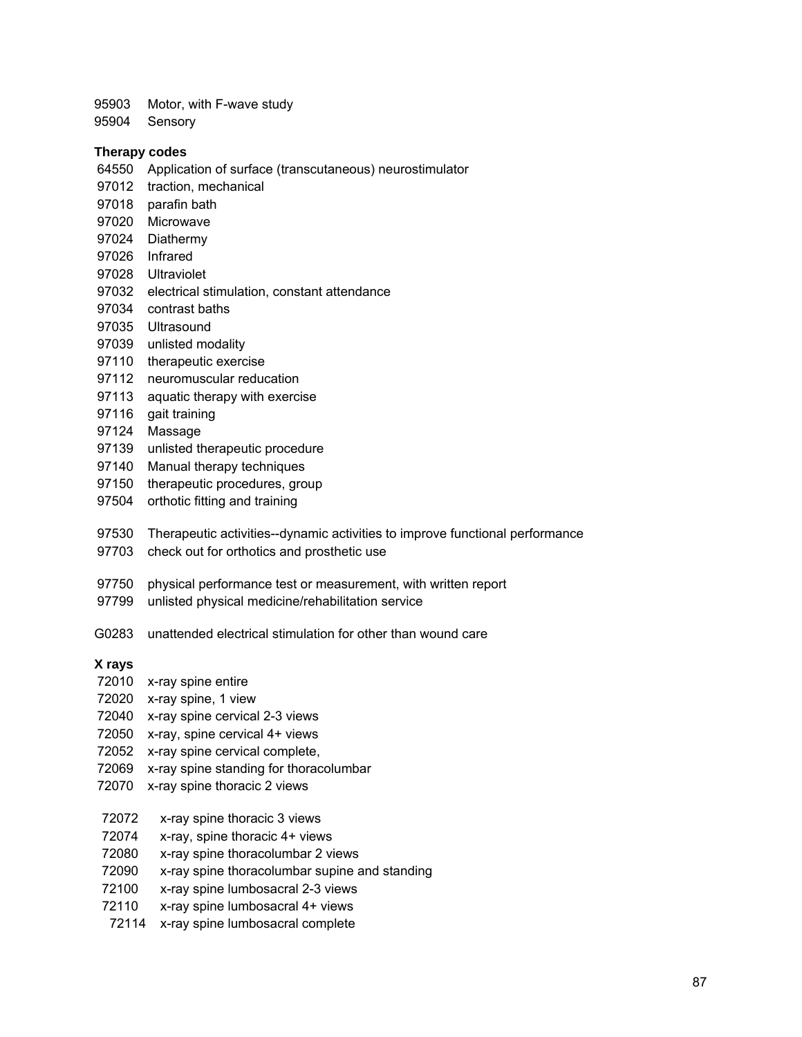95903 Motor, with F-wave study

95904 Sensory

#### **Therapy codes**

- 64550 Application of surface (transcutaneous) neurostimulator
- 97012 traction, mechanical
- 97018 parafin bath
- 97020 Microwave
- 97024 Diathermy
- 97026 Infrared
- 97028 Ultraviolet
- 97032 electrical stimulation, constant attendance
- 97034 contrast baths
- 97035 Ultrasound
- 97039 unlisted modality
- 97110 therapeutic exercise
- 97112 neuromuscular reducation
- 97113 aquatic therapy with exercise
- 97116 gait training
- 97124 Massage
- 97139 unlisted therapeutic procedure
- 97140 Manual therapy techniques
- 97150 therapeutic procedures, group
- 97504 orthotic fitting and training
- 97530 Therapeutic activities--dynamic activities to improve functional performance
- 97703 check out for orthotics and prosthetic use
- 97750 physical performance test or measurement, with written report
- 97799 unlisted physical medicine/rehabilitation service
- G0283 unattended electrical stimulation for other than wound care

#### **X rays**

- 72010 x-ray spine entire
- 72020 x-ray spine, 1 view
- 72040 x-ray spine cervical 2-3 views
- 72050 x-ray, spine cervical 4+ views
- 72052 x-ray spine cervical complete,
- 72069 x-ray spine standing for thoracolumbar
- 72070 x-ray spine thoracic 2 views
- 72072 x-ray spine thoracic 3 views
- 72074 x-ray, spine thoracic 4+ views
- 72080 x-ray spine thoracolumbar 2 views
- 72090 x-ray spine thoracolumbar supine and standing
- 72100 x-ray spine lumbosacral 2-3 views
- 72110 x-ray spine lumbosacral 4+ views
- 72114 x-ray spine lumbosacral complete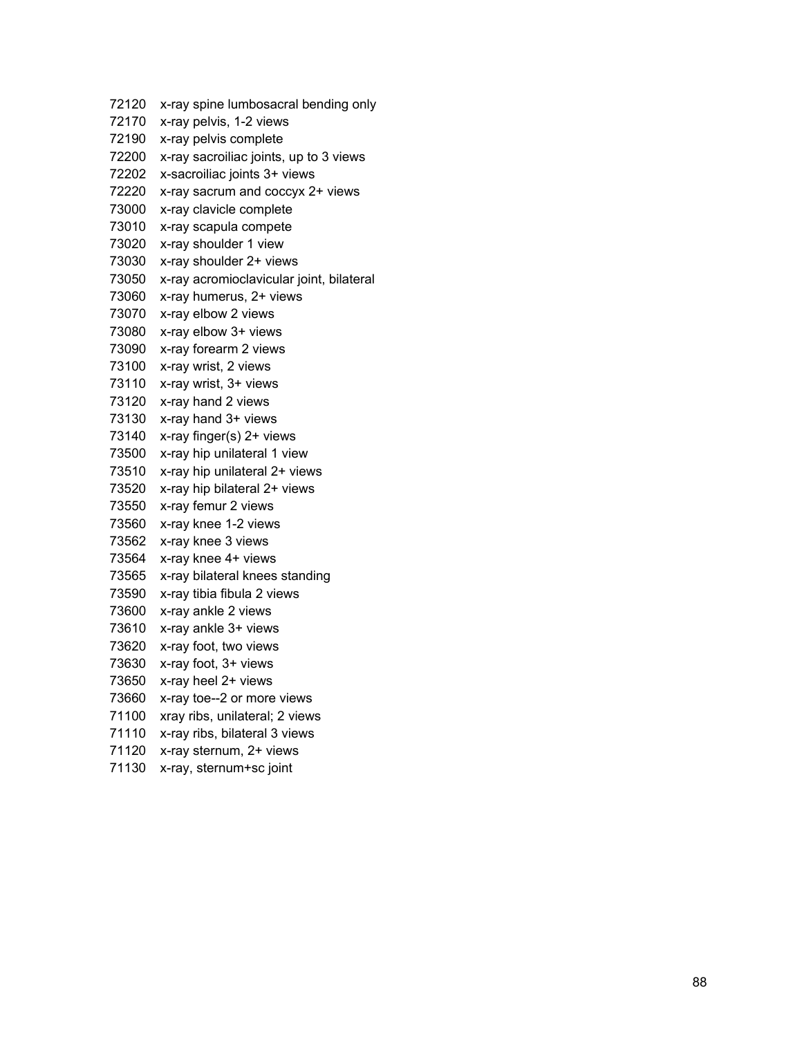| 72120 | x-ray spine lumbosacral bending only     |
|-------|------------------------------------------|
| 72170 | x-ray pelvis, 1-2 views                  |
| 72190 | x-ray pelvis complete                    |
| 72200 | x-ray sacroiliac joints, up to 3 views   |
| 72202 | x-sacroiliac joints 3+ views             |
| 72220 | x-ray sacrum and coccyx 2+ views         |
| 73000 | x-ray clavicle complete                  |
| 73010 | x-ray scapula compete                    |
| 73020 | x-ray shoulder 1 view                    |
| 73030 | x-ray shoulder 2+ views                  |
| 73050 | x-ray acromioclavicular joint, bilateral |
| 73060 | x-ray humerus, 2+ views                  |
| 73070 | x-ray elbow 2 views                      |
| 73080 | x-ray elbow 3+ views                     |
| 73090 | x-ray forearm 2 views                    |
| 73100 | x-ray wrist, 2 views                     |
| 73110 | x-ray wrist, 3+ views                    |
| 73120 | x-ray hand 2 views                       |
| 73130 | x-ray hand 3+ views                      |
| 73140 | x-ray finger(s) 2+ views                 |
| 73500 | x-ray hip unilateral 1 view              |
| 73510 | x-ray hip unilateral 2+ views            |
| 73520 | x-ray hip bilateral 2+ views             |
| 73550 | x-ray femur 2 views                      |
| 73560 | x-ray knee 1-2 views                     |
| 73562 | x-ray knee 3 views                       |
| 73564 | x-ray knee 4+ views                      |
| 73565 | x-ray bilateral knees standing           |
| 73590 | x-ray tibia fibula 2 views               |
| 73600 | x-ray ankle 2 views                      |
| 73610 | x-ray ankle 3+ views                     |
| 73620 | x-ray foot, two views                    |
| 73630 | x-ray foot, 3+ views                     |
| 73650 | x-ray heel 2+ views                      |
| 73660 | x-ray toe--2 or more views               |
| 71100 | xray ribs, unilateral; 2 views           |
| 71110 | x-ray ribs, bilateral 3 views            |
| 71120 | x-ray sternum, 2+ views                  |
| 71130 | x-ray, sternum+sc joint                  |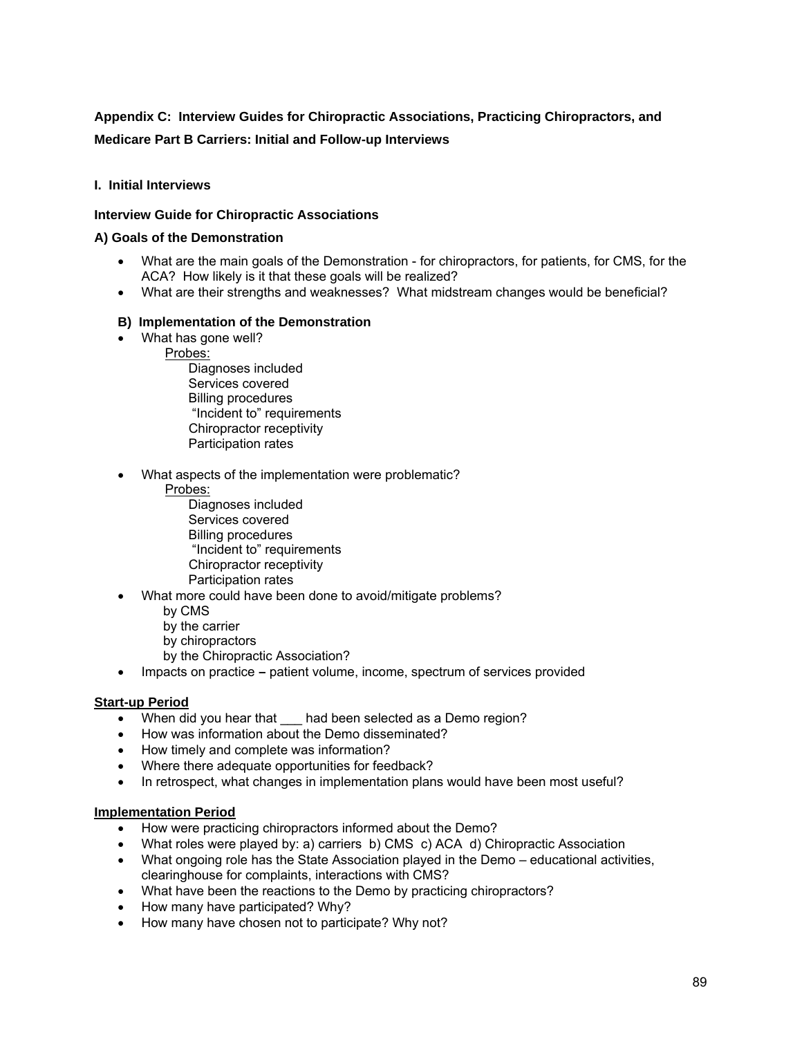# **Appendix C: Interview Guides for Chiropractic Associations, Practicing Chiropractors, and Medicare Part B Carriers: Initial and Follow-up Interviews**

## **I. Initial Interviews**

## **Interview Guide for Chiropractic Associations**

### **A) Goals of the Demonstration**

- What are the main goals of the Demonstration for chiropractors, for patients, for CMS, for the ACA? How likely is it that these goals will be realized?
- What are their strengths and weaknesses? What midstream changes would be beneficial?

### **B) Implementation of the Demonstration**

- What has gone well?
	- Probes:

 Diagnoses included Services covered Billing procedures "Incident to" requirements Chiropractor receptivity Participation rates

- What aspects of the implementation were problematic?
	- Probes:

 Diagnoses included Services covered Billing procedures "Incident to" requirements Chiropractor receptivity Participation rates

- What more could have been done to avoid/mitigate problems?
	- by CMS
	- by the carrier
	- by chiropractors
	- by the Chiropractic Association?
- Impacts on practicepatient volume, income, spectrum of services provided

## **Start-up Period**

- When did you hear that had been selected as a Demo region?
- How was information about the Demo disseminated?
- How timely and complete was information?
- Where there adequate opportunities for feedback?
- In retrospect, what changes in implementation plans would have been most useful?

#### **Implementation Period**

- How were practicing chiropractors informed about the Demo?
- What roles were played by: a) carriers b) CMS c) ACA d) Chiropractic Association
- What ongoing role has the State Association played in the Demo educational activities, clearinghouse for complaints, interactions with CMS?
- What have been the reactions to the Demo by practicing chiropractors?
- How many have participated? Why?
- How many have chosen not to participate? Why not?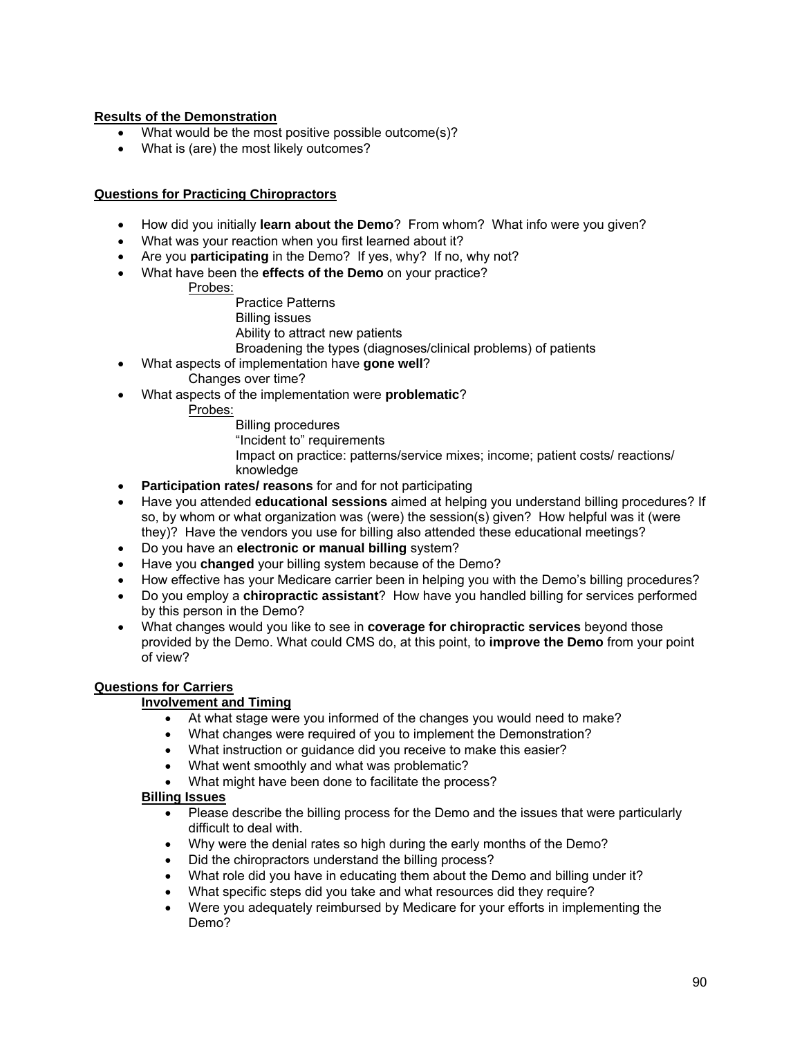## **Results of the Demonstration**

- What would be the most positive possible outcome(s)?
- What is (are) the most likely outcomes?

## **Questions for Practicing Chiropractors**

- How did you initially **learn about the Demo**? From whom? What info were you given?
- What was your reaction when you first learned about it?
- Are you **participating** in the Demo? If yes, why? If no, why not?
- What have been the **effects of the Demo** on your practice?
	- Probes:
		- Practice Patterns
		- Billing issues
		- Ability to attract new patients
		- Broadening the types (diagnoses/clinical problems) of patients
- What aspects of implementation have **gone well**?
	- Changes over time?
- What aspects of the implementation were **problematic**?
	- Probes:
		- Billing procedures "Incident to" requirements Impact on practice: patterns/service mixes; income; patient costs/ reactions/ knowledge
- **Participation rates/ reasons** for and for not participating
- Have you attended **educational sessions** aimed at helping you understand billing procedures? If so, by whom or what organization was (were) the session(s) given? How helpful was it (were they)? Have the vendors you use for billing also attended these educational meetings?
- Do you have an **electronic or manual billing** system?
- Have you **changed** your billing system because of the Demo?
- How effective has your Medicare carrier been in helping you with the Demo's billing procedures?
- Do you employ a **chiropractic assistant**? How have you handled billing for services performed by this person in the Demo?
- What changes would you like to see in **coverage for chiropractic services** beyond those provided by the Demo. What could CMS do, at this point, to **improve the Demo** from your point of view?

# **Questions for Carriers**

## **Involvement and Timing**

- At what stage were you informed of the changes you would need to make?
- What changes were required of you to implement the Demonstration?
- What instruction or guidance did you receive to make this easier?
- What went smoothly and what was problematic?
- What might have been done to facilitate the process?

## **Billing Issues**

- Please describe the billing process for the Demo and the issues that were particularly difficult to deal with.
- Why were the denial rates so high during the early months of the Demo?
- Did the chiropractors understand the billing process?
- What role did you have in educating them about the Demo and billing under it?
- What specific steps did you take and what resources did they require?
- Were you adequately reimbursed by Medicare for your efforts in implementing the Demo?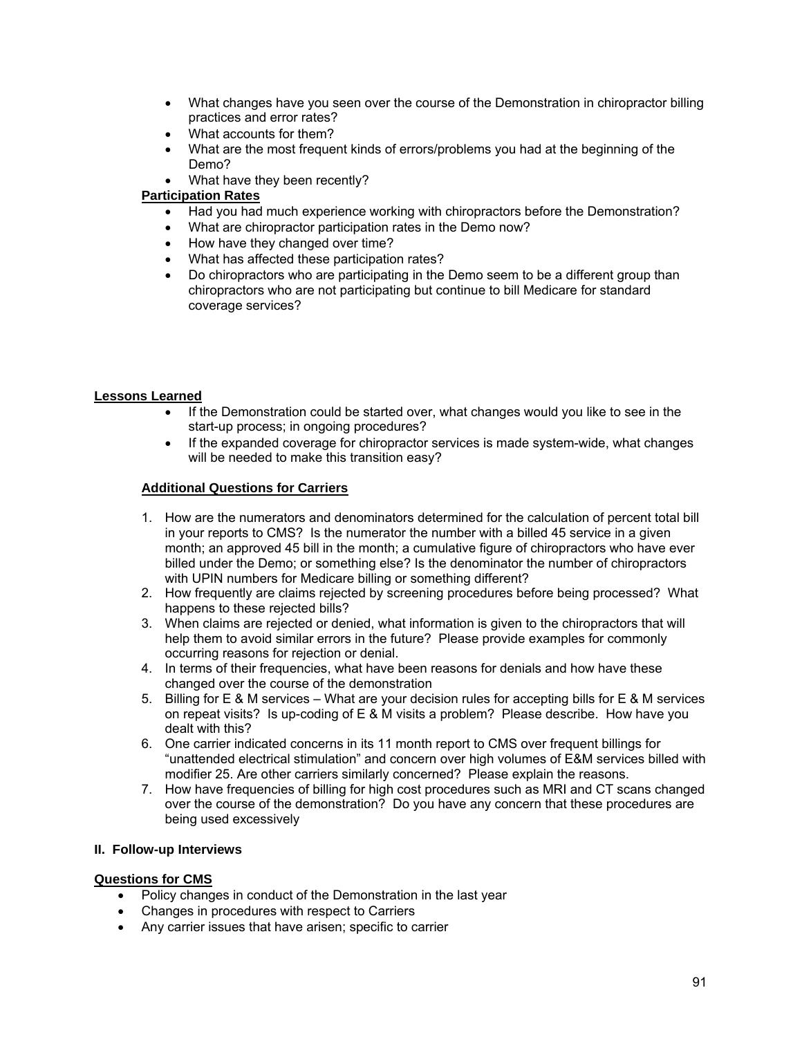- What changes have you seen over the course of the Demonstration in chiropractor billing practices and error rates?
- What accounts for them?
- What are the most frequent kinds of errors/problems you had at the beginning of the Demo?
- What have they been recently?

## **Participation Rates**

- Had you had much experience working with chiropractors before the Demonstration?
- What are chiropractor participation rates in the Demo now?
- How have they changed over time?
- What has affected these participation rates?
- Do chiropractors who are participating in the Demo seem to be a different group than chiropractors who are not participating but continue to bill Medicare for standard coverage services?

### **Lessons Learned**

- If the Demonstration could be started over, what changes would you like to see in the start-up process; in ongoing procedures?
- If the expanded coverage for chiropractor services is made system-wide, what changes will be needed to make this transition easy?

#### **Additional Questions for Carriers**

- 1. How are the numerators and denominators determined for the calculation of percent total bill in your reports to CMS? Is the numerator the number with a billed 45 service in a given month; an approved 45 bill in the month; a cumulative figure of chiropractors who have ever billed under the Demo; or something else? Is the denominator the number of chiropractors with UPIN numbers for Medicare billing or something different?
- 2. How frequently are claims rejected by screening procedures before being processed? What happens to these rejected bills?
- 3. When claims are rejected or denied, what information is given to the chiropractors that will help them to avoid similar errors in the future? Please provide examples for commonly occurring reasons for rejection or denial.
- 4. In terms of their frequencies, what have been reasons for denials and how have these changed over the course of the demonstration
- 5. Billing for E & M services What are your decision rules for accepting bills for E & M services on repeat visits? Is up-coding of E & M visits a problem? Please describe. How have you dealt with this?
- 6. One carrier indicated concerns in its 11 month report to CMS over frequent billings for "unattended electrical stimulation" and concern over high volumes of E&M services billed with modifier 25. Are other carriers similarly concerned? Please explain the reasons.
- 7. How have frequencies of billing for high cost procedures such as MRI and CT scans changed over the course of the demonstration? Do you have any concern that these procedures are being used excessively

#### **II. Follow-up Interviews**

## **Questions for CMS**

- Policy changes in conduct of the Demonstration in the last year
- Changes in procedures with respect to Carriers
- Any carrier issues that have arisen; specific to carrier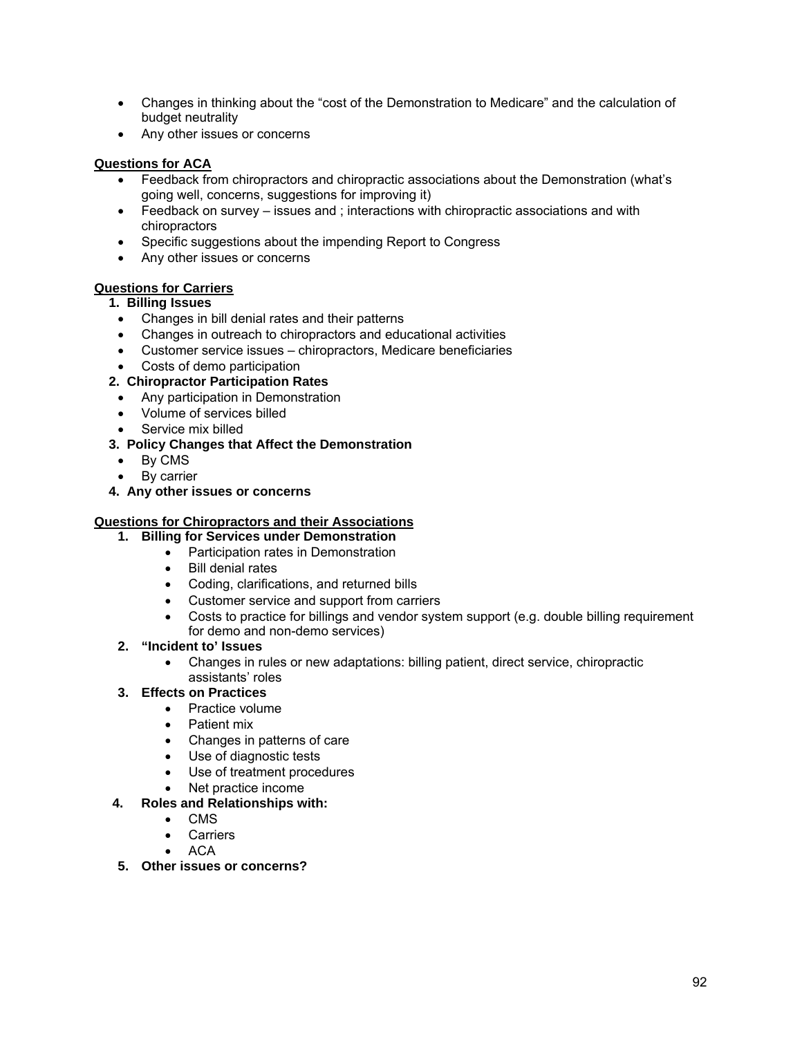- Changes in thinking about the "cost of the Demonstration to Medicare" and the calculation of budget neutrality
- Any other issues or concerns

## **Questions for ACA**

- Feedback from chiropractors and chiropractic associations about the Demonstration (what's going well, concerns, suggestions for improving it)
- Feedback on survey issues and ; interactions with chiropractic associations and with chiropractors
- Specific suggestions about the impending Report to Congress
- Any other issues or concerns

# **Questions for Carriers**

## **1. Billing Issues**

- Changes in bill denial rates and their patterns
- Changes in outreach to chiropractors and educational activities
- Customer service issues chiropractors, Medicare beneficiaries
- Costs of demo participation
- **2. Chiropractor Participation Rates** 
	- Any participation in Demonstration
	- Volume of services billed
	- Service mix billed

## **3. Policy Changes that Affect the Demonstration**

- By CMS
- By carrier
- **4. Any other issues or concerns**

## **Questions for Chiropractors and their Associations**

- **1. Billing for Services under Demonstration** 
	- Participation rates in Demonstration
	- Bill denial rates
	- Coding, clarifications, and returned bills
	- Customer service and support from carriers
	- Costs to practice for billings and vendor system support (e.g. double billing requirement for demo and non-demo services)

## **2. "Incident to' Issues**

- Changes in rules or new adaptations: billing patient, direct service, chiropractic assistants' roles
- **3. Effects on Practices** 
	- Practice volume
		- **•** Patient mix
		- Changes in patterns of care
		- Use of diagnostic tests
	- Use of treatment procedures
	- Net practice income

## **4. Roles and Relationships with:**

- CMS
- **•** Carriers
- ACA
- **5. Other issues or concerns?**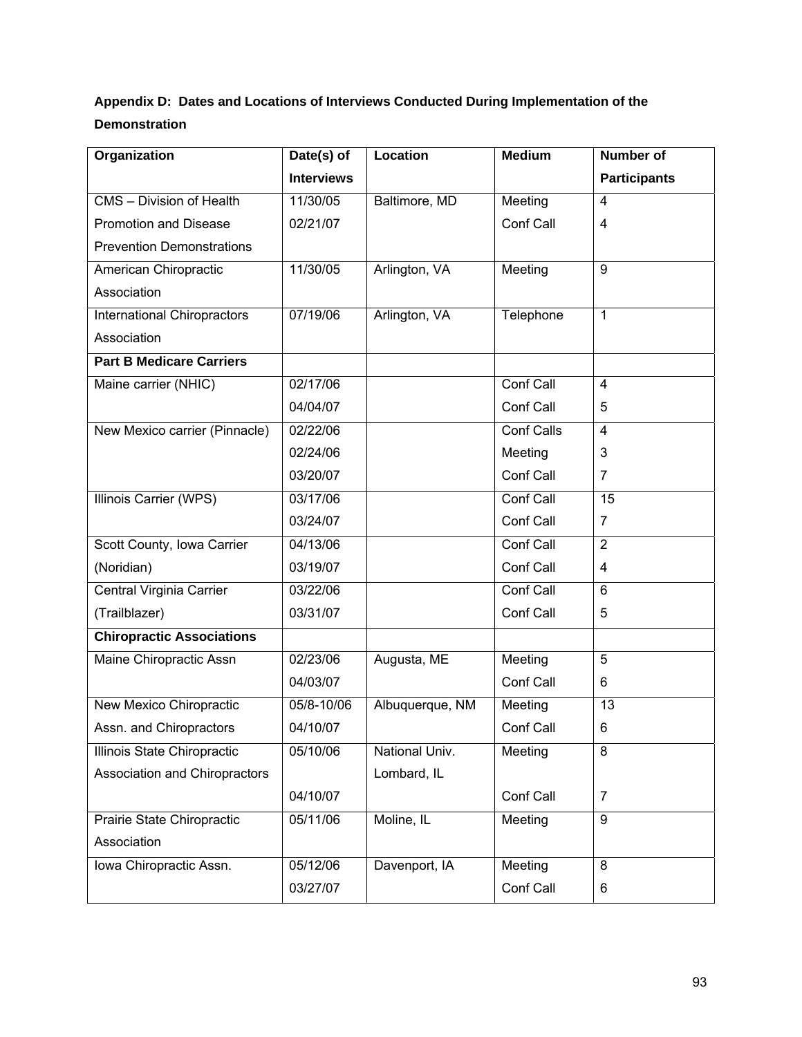# **Appendix D: Dates and Locations of Interviews Conducted During Implementation of the Demonstration**

|                                    | <b>Interviews</b> |                 |                   | <b>Participants</b> |
|------------------------------------|-------------------|-----------------|-------------------|---------------------|
| CMS - Division of Health           | 11/30/05          | Baltimore, MD   | Meeting           | $\overline{4}$      |
| <b>Promotion and Disease</b>       | 02/21/07          |                 | Conf Call         | $\overline{4}$      |
| <b>Prevention Demonstrations</b>   |                   |                 |                   |                     |
| American Chiropractic              | 11/30/05          | Arlington, VA   | Meeting           | 9                   |
| Association                        |                   |                 |                   |                     |
| <b>International Chiropractors</b> | 07/19/06          | Arlington, VA   | Telephone         | $\mathbf{1}$        |
| Association                        |                   |                 |                   |                     |
| <b>Part B Medicare Carriers</b>    |                   |                 |                   |                     |
| Maine carrier (NHIC)               | 02/17/06          |                 | Conf Call         | $\overline{4}$      |
|                                    | 04/04/07          |                 | Conf Call         | 5                   |
| New Mexico carrier (Pinnacle)      | 02/22/06          |                 | <b>Conf Calls</b> | $\overline{4}$      |
|                                    | 02/24/06          |                 | Meeting           | 3                   |
|                                    | 03/20/07          |                 | Conf Call         | $\overline{7}$      |
| Illinois Carrier (WPS)             | 03/17/06          |                 | Conf Call         | $\overline{15}$     |
|                                    | 03/24/07          |                 | Conf Call         | $\overline{7}$      |
| Scott County, Iowa Carrier         | 04/13/06          |                 | Conf Call         | $\overline{2}$      |
| (Noridian)                         | 03/19/07          |                 | Conf Call         | $\overline{4}$      |
| Central Virginia Carrier           | 03/22/06          |                 | Conf Call         | $6\phantom{1}$      |
| (Trailblazer)                      | 03/31/07          |                 | Conf Call         | 5                   |
| <b>Chiropractic Associations</b>   |                   |                 |                   |                     |
| Maine Chiropractic Assn            | 02/23/06          | Augusta, ME     | Meeting           | 5                   |
|                                    | 04/03/07          |                 | Conf Call         | 6                   |
| New Mexico Chiropractic            | 05/8-10/06        | Albuquerque, NM | Meeting           | 13                  |
| Assn. and Chiropractors            | 04/10/07          |                 | Conf Call         | 6                   |
| Illinois State Chiropractic        | 05/10/06          | National Univ.  | Meeting           | 8                   |
| Association and Chiropractors      |                   | Lombard, IL     |                   |                     |
|                                    | 04/10/07          |                 | Conf Call         | $\overline{7}$      |
| Prairie State Chiropractic         | 05/11/06          | Moline, IL      | Meeting           | $\boldsymbol{9}$    |
| Association                        |                   |                 |                   |                     |
| Iowa Chiropractic Assn.            | 05/12/06          | Davenport, IA   | Meeting           | 8                   |
|                                    | 03/27/07          |                 | Conf Call         | 6                   |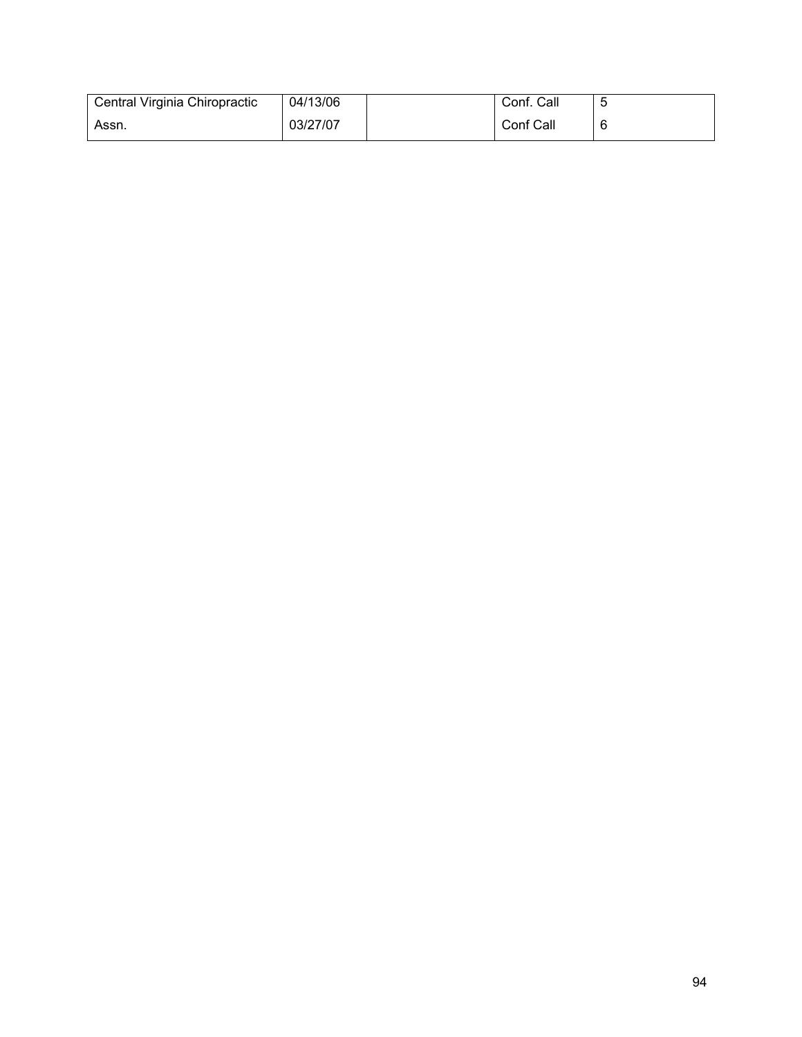| Central Virginia Chiropractic | 04/13/06 | Conf. Call |  |
|-------------------------------|----------|------------|--|
| Assn.                         | 03/27/07 | Conf Call  |  |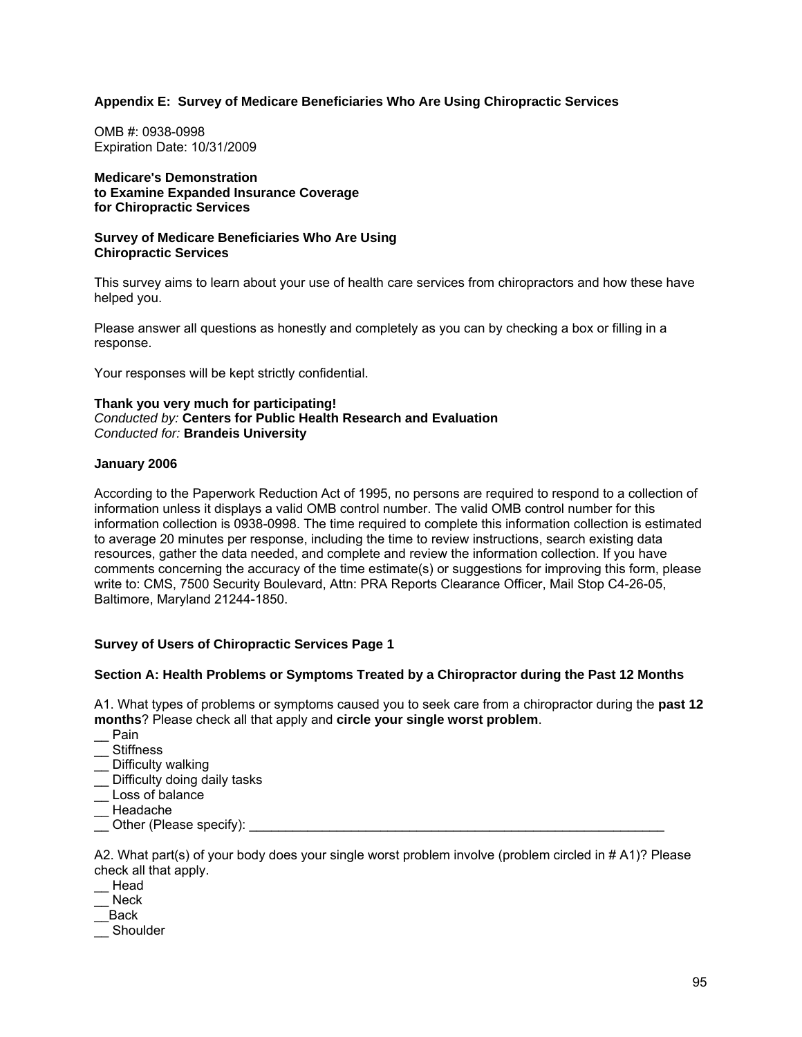## **Appendix E: Survey of Medicare Beneficiaries Who Are Using Chiropractic Services**

OMB #: 0938-0998 Expiration Date: 10/31/2009

**Medicare's Demonstration to Examine Expanded Insurance Coverage for Chiropractic Services** 

#### **Survey of Medicare Beneficiaries Who Are Using Chiropractic Services**

This survey aims to learn about your use of health care services from chiropractors and how these have helped you.

Please answer all questions as honestly and completely as you can by checking a box or filling in a response.

Your responses will be kept strictly confidential.

#### **Thank you very much for participating!**  *Conducted by:* **Centers for Public Health Research and Evaluation** *Conducted for:* **Brandeis University**

#### **January 2006**

According to the Paperwork Reduction Act of 1995, no persons are required to respond to a collection of information unless it displays a valid OMB control number. The valid OMB control number for this information collection is 0938-0998. The time required to complete this information collection is estimated to average 20 minutes per response, including the time to review instructions, search existing data resources, gather the data needed, and complete and review the information collection. If you have comments concerning the accuracy of the time estimate(s) or suggestions for improving this form, please write to: CMS, 7500 Security Boulevard, Attn: PRA Reports Clearance Officer, Mail Stop C4-26-05, Baltimore, Maryland 21244-1850.

#### **Survey of Users of Chiropractic Services Page 1**

#### **Section A: Health Problems or Symptoms Treated by a Chiropractor during the Past 12 Months**

A1. What types of problems or symptoms caused you to seek care from a chiropractor during the **past 12 months**? Please check all that apply and **circle your single worst problem**.

- \_\_ Pain
- \_\_ Stiffness
- Difficulty walking
- \_\_ Difficulty doing daily tasks
- \_\_ Loss of balance
- \_\_ Headache
- Other (Please specify):

A2. What part(s) of your body does your single worst problem involve (problem circled in # A1)? Please check all that apply.

- \_\_ Head
- \_\_ Neck
- \_\_Back
- \_\_ Shoulder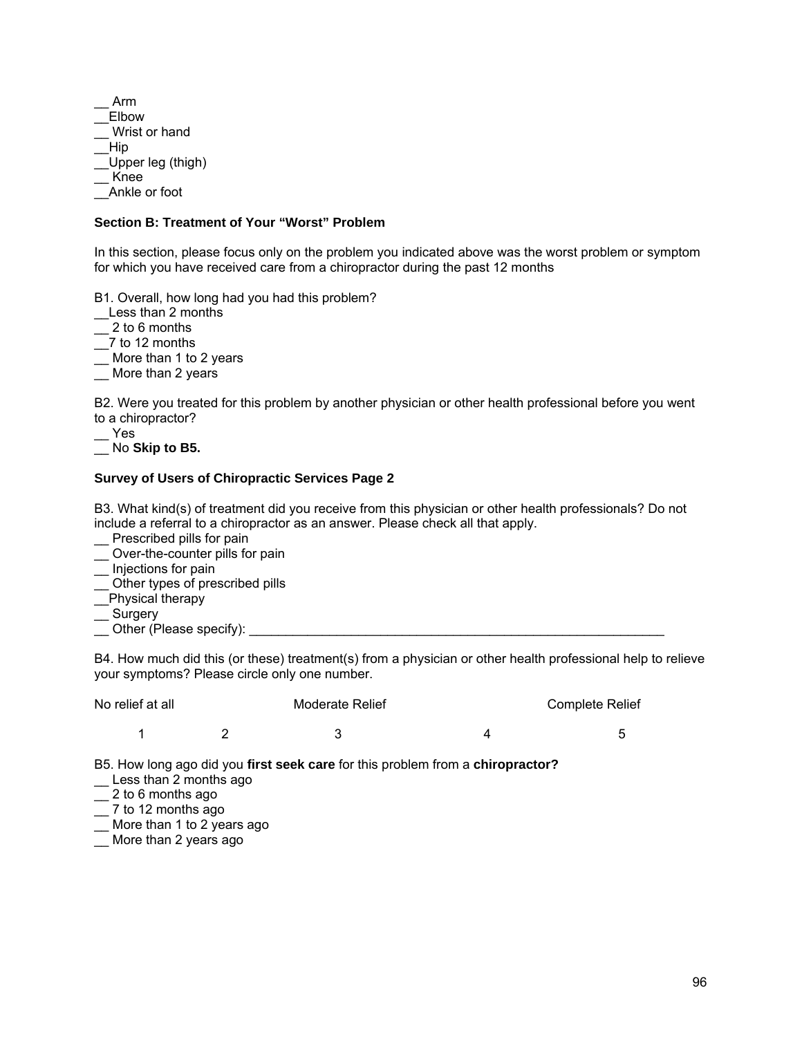\_\_ Arm \_\_Elbow \_\_ Wrist or hand \_\_Hip \_\_Upper leg (thigh) \_\_ Knee \_\_Ankle or foot

#### **Section B: Treatment of Your "Worst" Problem**

In this section, please focus only on the problem you indicated above was the worst problem or symptom for which you have received care from a chiropractor during the past 12 months

B1. Overall, how long had you had this problem?

\_\_Less than 2 months

 $2$  to 6 months

\_\_7 to 12 months

\_\_ More than 1 to 2 years

\_\_ More than 2 years

B2. Were you treated for this problem by another physician or other health professional before you went to a chiropractor?

\_\_ Yes

\_\_ No **Skip to B5.** 

## **Survey of Users of Chiropractic Services Page 2**

B3. What kind(s) of treatment did you receive from this physician or other health professionals? Do not include a referral to a chiropractor as an answer. Please check all that apply.

\_\_ Prescribed pills for pain

\_\_ Over-the-counter pills for pain

- \_\_ Injections for pain
- \_\_ Other types of prescribed pills
- Physical therapy

\_\_ Surgery

\_\_ Other (Please specify): \_\_\_\_\_\_\_\_\_\_\_\_\_\_\_\_\_\_\_\_\_\_\_\_\_\_\_\_\_\_\_\_\_\_\_\_\_\_\_\_\_\_\_\_\_\_\_\_\_\_\_\_\_\_\_\_\_

B4. How much did this (or these) treatment(s) from a physician or other health professional help to relieve your symptoms? Please circle only one number.

| No relief at all | Moderate Relief | <b>Complete Relief</b> |
|------------------|-----------------|------------------------|
|                  |                 |                        |

B5. How long ago did you **first seek care** for this problem from a **chiropractor?**

- Less than 2 months ago
- $\equiv$  2 to 6 months ago
- $\frac{3}{2}$  7 to 12 months ago
- \_\_ More than 1 to 2 years ago
- \_\_ More than 2 years ago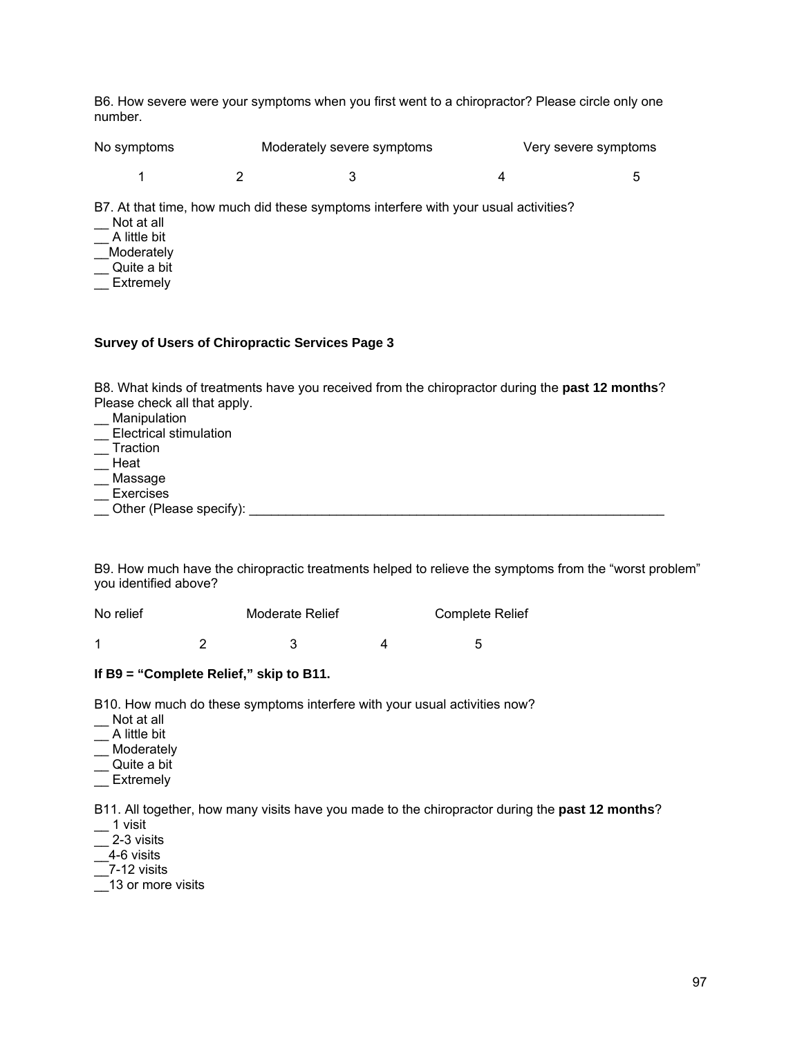B6. How severe were your symptoms when you first went to a chiropractor? Please circle only one number.

No symptoms Moderately severe symptoms Very severe symptoms 1 2 3 4 5

B7. At that time, how much did these symptoms interfere with your usual activities?

- \_\_ Not at all
- $\equiv$  A little bit
- \_\_Moderately
- Quite a bit
- $-$  Extremely

#### **Survey of Users of Chiropractic Services Page 3**

B8. What kinds of treatments have you received from the chiropractor during the **past 12 months**? Please check all that apply.

- **Manipulation**
- \_\_ Electrical stimulation
- **Traction**
- \_\_ Heat
- \_\_ Massage
- **Exercises**
- Other (Please specify):  $\Box$

B9. How much have the chiropractic treatments helped to relieve the symptoms from the "worst problem" you identified above?

| No relief | <b>Moderate Relief</b> | <b>Complete Relief</b> |
|-----------|------------------------|------------------------|
|           |                        |                        |

#### **If B9 = "Complete Relief," skip to B11.**

B10. How much do these symptoms interfere with your usual activities now?

- \_\_ Not at all
- $\overline{\phantom{a}}$  A little bit
- \_\_ Moderately
- \_\_ Quite a bit
- Extremely

B11. All together, how many visits have you made to the chiropractor during the **past 12 months**?

- $-$  1 visit
- $-$  2-3 visits
- $-4-6$  visits
- $\overline{2}$ 7-12 visits
- \_\_13 or more visits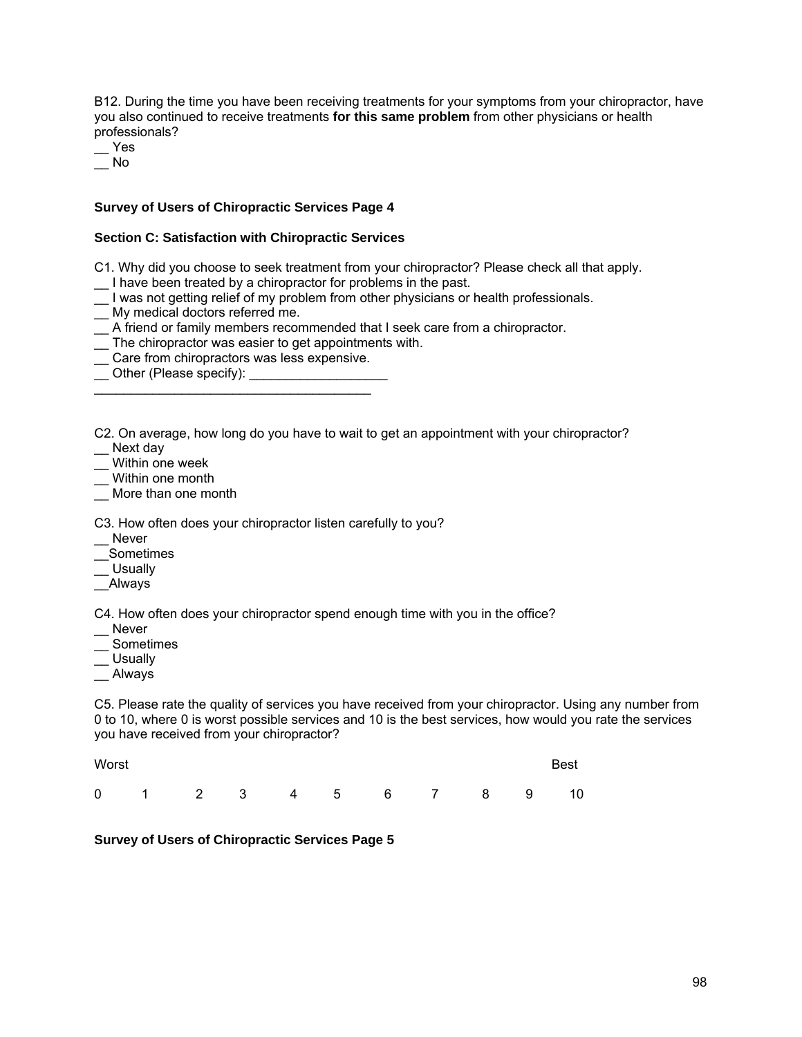B12. During the time you have been receiving treatments for your symptoms from your chiropractor, have you also continued to receive treatments **for this same problem** from other physicians or health professionals?

\_\_ Yes  $\overline{\phantom{0}}$  No

## **Survey of Users of Chiropractic Services Page 4**

#### **Section C: Satisfaction with Chiropractic Services**

- C1. Why did you choose to seek treatment from your chiropractor? Please check all that apply.
- \_\_ I have been treated by a chiropractor for problems in the past.
- \_\_ I was not getting relief of my problem from other physicians or health professionals.
- \_\_ My medical doctors referred me.
- \_\_ A friend or family members recommended that I seek care from a chiropractor.
- \_\_ The chiropractor was easier to get appointments with.
- \_\_ Care from chiropractors was less expensive.

\_\_\_\_\_\_\_\_\_\_\_\_\_\_\_\_\_\_\_\_\_\_\_\_\_\_\_\_\_\_\_\_\_\_\_\_\_\_

\_\_ Other (Please specify): \_\_\_\_\_\_\_\_\_\_\_\_\_\_\_\_\_\_\_

C2. On average, how long do you have to wait to get an appointment with your chiropractor? Next day

\_\_ Within one week

\_\_ Within one month

More than one month

C3. How often does your chiropractor listen carefully to you?

\_\_ Never

\_\_Sometimes

\_\_ Usually

\_\_Always

C4. How often does your chiropractor spend enough time with you in the office?

- \_\_ Never
- \_\_ Sometimes
- \_\_ Usually
- \_\_ Always

C5. Please rate the quality of services you have received from your chiropractor. Using any number from 0 to 10, where 0 is worst possible services and 10 is the best services, how would you rate the services you have received from your chiropractor?

| Worst |  |  |  |                        |  | Best |
|-------|--|--|--|------------------------|--|------|
|       |  |  |  | 0 1 2 3 4 5 6 7 8 9 10 |  |      |

**Survey of Users of Chiropractic Services Page 5**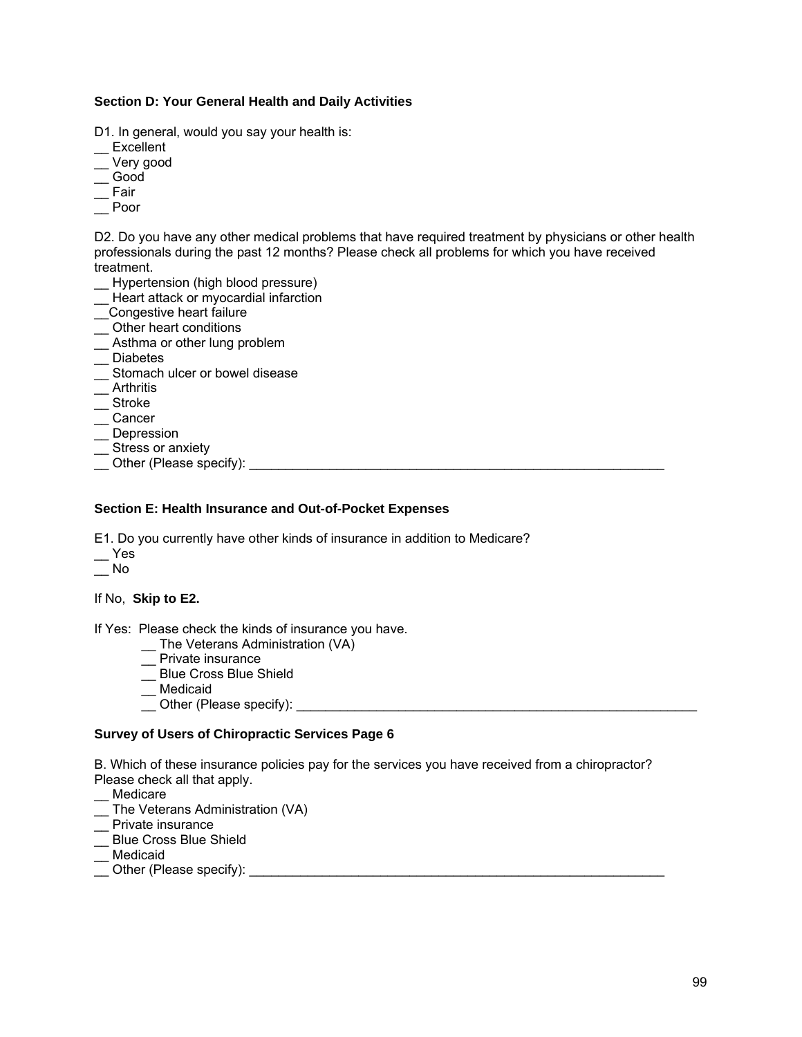## **Section D: Your General Health and Daily Activities**

D1. In general, would you say your health is:

- **Excellent**
- \_\_ Very good
- $\overline{\phantom{0}}$  Good
- $E$  Fair
- \_\_ Poor

D2. Do you have any other medical problems that have required treatment by physicians or other health professionals during the past 12 months? Please check all problems for which you have received treatment.

- \_\_ Hypertension (high blood pressure)
- \_\_ Heart attack or myocardial infarction
- \_\_Congestive heart failure
- \_\_ Other heart conditions
- \_\_ Asthma or other lung problem
- \_\_ Diabetes
- \_\_ Stomach ulcer or bowel disease
- \_\_ Arthritis
- \_\_ Stroke
- \_\_ Cancer
- $\overline{\phantom{a}}$  Depression
- \_\_ Stress or anxiety
- $\overline{\phantom{a}}$  Other (Please specify):

### **Section E: Health Insurance and Out-of-Pocket Expenses**

E1. Do you currently have other kinds of insurance in addition to Medicare?

- \_\_ Yes
- $\overline{\phantom{0}}$  No

If No, **Skip to E2.** 

If Yes: Please check the kinds of insurance you have.

- \_\_ The Veterans Administration (VA)
- \_\_ Private insurance
- \_\_ Blue Cross Blue Shield
- \_\_ Medicaid
- \_\_ Other (Please specify): \_\_\_\_\_\_\_\_\_\_\_\_\_\_\_\_\_\_\_\_\_\_\_\_\_\_\_\_\_\_\_\_\_\_\_\_\_\_\_\_\_\_\_\_\_\_\_\_\_\_\_\_\_\_\_

## **Survey of Users of Chiropractic Services Page 6**

B. Which of these insurance policies pay for the services you have received from a chiropractor? Please check all that apply.

- \_\_ Medicare
- \_\_ The Veterans Administration (VA)
- \_\_ Private insurance
- \_\_ Blue Cross Blue Shield
- \_\_ Medicaid
- \_\_ Other (Please specify): \_\_\_\_\_\_\_\_\_\_\_\_\_\_\_\_\_\_\_\_\_\_\_\_\_\_\_\_\_\_\_\_\_\_\_\_\_\_\_\_\_\_\_\_\_\_\_\_\_\_\_\_\_\_\_\_\_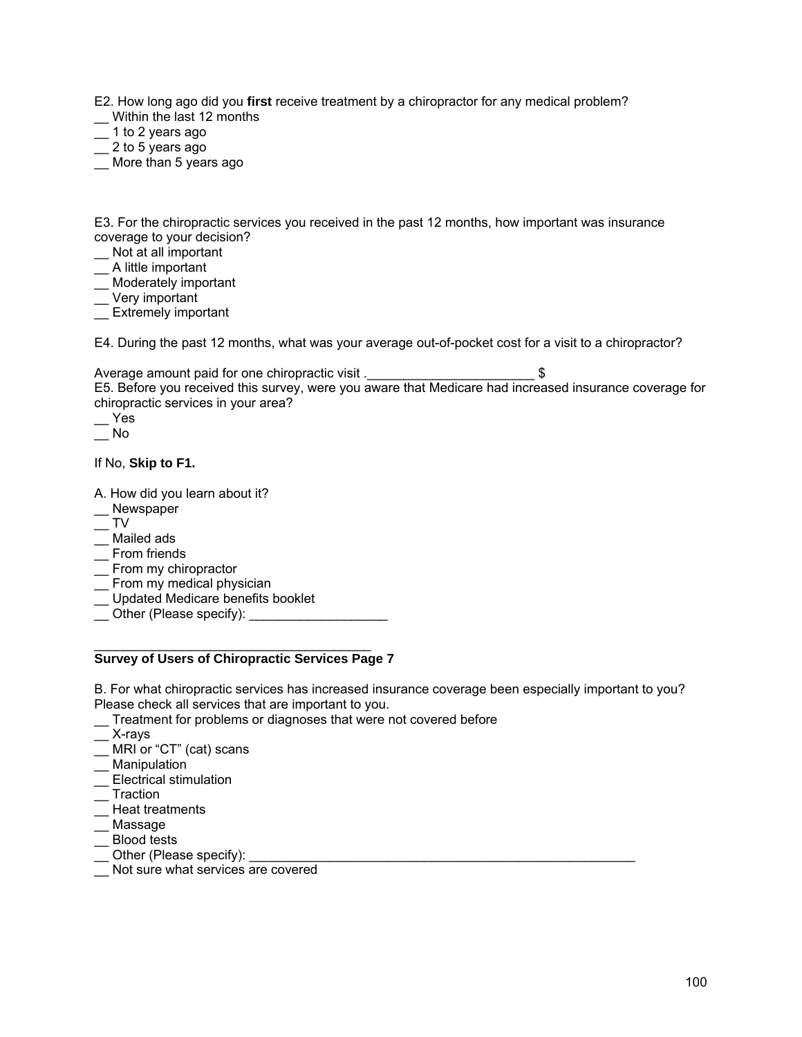E2. How long ago did you **first** receive treatment by a chiropractor for any medical problem?

- \_\_ Within the last 12 months
- \_\_ 1 to 2 years ago
- $\frac{1}{2}$  2 to 5 years ago
- \_\_ More than 5 years ago

E3. For the chiropractic services you received in the past 12 months, how important was insurance coverage to your decision?

- \_\_ Not at all important
- $\equiv$  A little important
- \_\_ Moderately important
- \_\_ Very important
- **Extremely important**

E4. During the past 12 months, what was your average out-of-pocket cost for a visit to a chiropractor?

Average amount paid for one chiropractic visit .  $\$ E5. Before you received this survey, were you aware that Medicare had increased insurance coverage for chiropractic services in your area?

\_\_ Yes

 $\overline{\phantom{0}}$  No

If No, **Skip to F1.** 

- A. How did you learn about it?
- \_\_ Newspaper
- $-$  TV
- \_\_ Mailed ads
- \_\_ From friends
- \_ From my chiropractor
- \_\_ From my medical physician
- \_\_ Updated Medicare benefits booklet
- \_\_ Other (Please specify): \_\_\_\_\_\_\_\_\_\_\_\_\_\_\_\_\_\_\_

#### $\mathcal{L}_\text{max}$  , and the set of the set of the set of the set of the set of the set of the set of the set of the set of the set of the set of the set of the set of the set of the set of the set of the set of the set of the **Survey of Users of Chiropractic Services Page 7**

B. For what chiropractic services has increased insurance coverage been especially important to you? Please check all services that are important to you.

- \_\_ Treatment for problems or diagnoses that were not covered before
- $\overline{\phantom{a}}$  X-rays
- \_\_ MRI or "CT" (cat) scans
- \_\_ Manipulation
- \_\_ Electrical stimulation
- \_\_ Traction
- \_\_ Heat treatments
- Massage
- \_\_ Blood tests
- $\equiv$  Other (Please specify):
- \_\_ Not sure what services are covered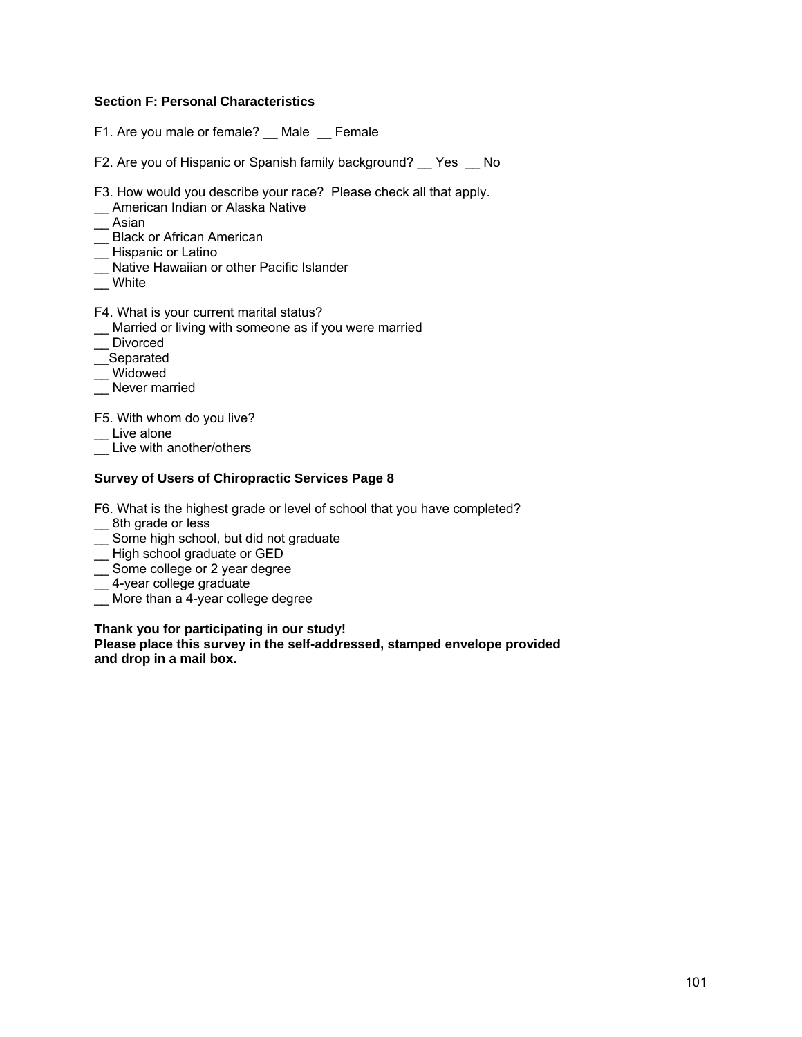## **Section F: Personal Characteristics**

- F1. Are you male or female? \_\_ Male \_\_ Female
- F2. Are you of Hispanic or Spanish family background? \_\_ Yes \_\_ No
- F3. How would you describe your race? Please check all that apply.
- \_\_ American Indian or Alaska Native
- $\equiv$  Asian
- Black or African American
- \_\_ Hispanic or Latino
- Native Hawaiian or other Pacific Islander
- $^-$  White
- F4. What is your current marital status?
- \_\_ Married or living with someone as if you were married
- \_\_ Divorced
- \_\_<br>\_\_Separated
- \_\_ Widowed
- \_\_ Never married

F5. With whom do you live?

- Live alone
- \_\_ Live with another/others

### **Survey of Users of Chiropractic Services Page 8**

F6. What is the highest grade or level of school that you have completed?

- \_ 8th grade or less
- \_\_ Some high school, but did not graduate
- \_\_ High school graduate or GED
- Some college or 2 year degree
- \_\_ 4-year college graduate
- \_\_ More than a 4-year college degree

#### **Thank you for participating in our study!**

**Please place this survey in the self-addressed, stamped envelope provided and drop in a mail box.**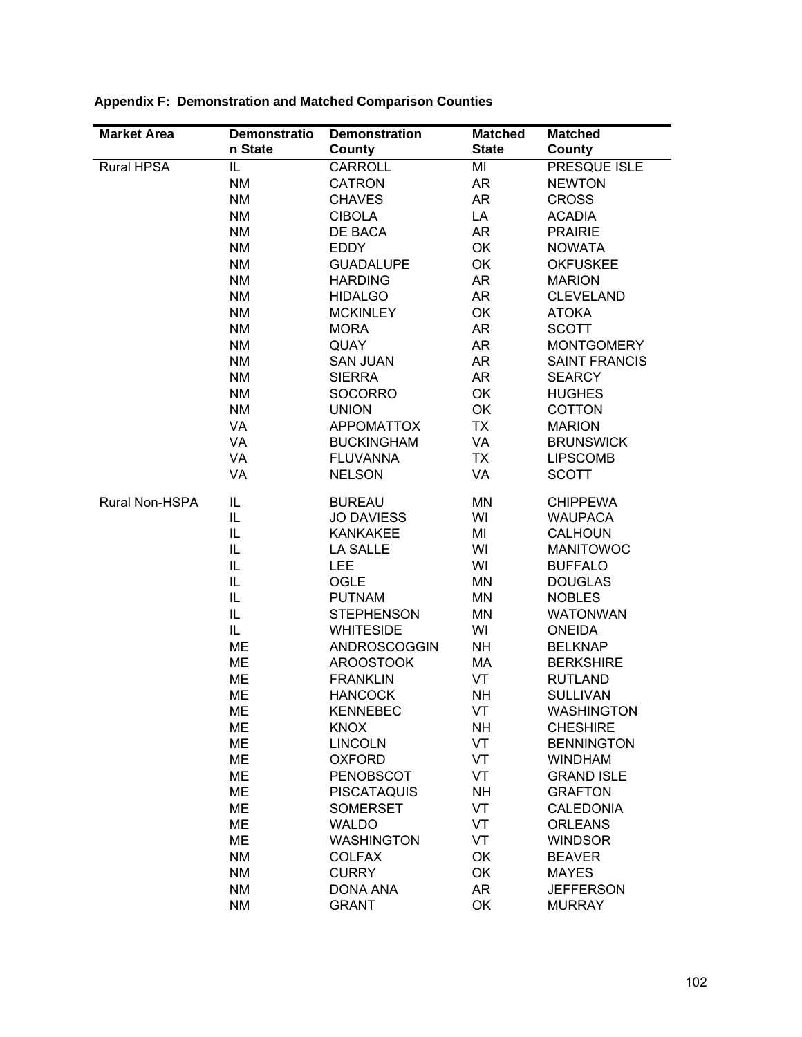| <b>Market Area</b> | <b>Demonstratio</b> | <b>Demonstration</b> | <b>Matched</b> | <b>Matched</b>       |
|--------------------|---------------------|----------------------|----------------|----------------------|
|                    | n State             | County               | <b>State</b>   | County               |
| <b>Rural HPSA</b>  | IL.                 | CARROLL              | MI             | PRESQUE ISLE         |
|                    | <b>NM</b>           | <b>CATRON</b>        | <b>AR</b>      | <b>NEWTON</b>        |
|                    | <b>NM</b>           | <b>CHAVES</b>        | AR             | <b>CROSS</b>         |
|                    | <b>NM</b>           | <b>CIBOLA</b>        | LA             | <b>ACADIA</b>        |
|                    | <b>NM</b>           | DE BACA              | AR             | <b>PRAIRIE</b>       |
|                    | <b>NM</b>           | <b>EDDY</b>          | OK             | <b>NOWATA</b>        |
|                    | <b>NM</b>           | <b>GUADALUPE</b>     | OK             | <b>OKFUSKEE</b>      |
|                    | <b>NM</b>           | <b>HARDING</b>       | AR             | <b>MARION</b>        |
|                    | <b>NM</b>           | <b>HIDALGO</b>       | AR             | <b>CLEVELAND</b>     |
|                    | <b>NM</b>           | <b>MCKINLEY</b>      | OK             | <b>ATOKA</b>         |
|                    | <b>NM</b>           | <b>MORA</b>          | AR             | <b>SCOTT</b>         |
|                    | <b>NM</b>           | <b>QUAY</b>          | AR             | <b>MONTGOMERY</b>    |
|                    | <b>NM</b>           | <b>SAN JUAN</b>      | AR             | <b>SAINT FRANCIS</b> |
|                    | <b>NM</b>           | <b>SIERRA</b>        | AR             | <b>SEARCY</b>        |
|                    | <b>NM</b>           | <b>SOCORRO</b>       | OK             | <b>HUGHES</b>        |
|                    | <b>NM</b>           | <b>UNION</b>         | OK             | <b>COTTON</b>        |
|                    | VA                  | <b>APPOMATTOX</b>    | <b>TX</b>      | <b>MARION</b>        |
|                    | VA                  | <b>BUCKINGHAM</b>    | VA             | <b>BRUNSWICK</b>     |
|                    | VA                  | <b>FLUVANNA</b>      | <b>TX</b>      | <b>LIPSCOMB</b>      |
|                    | VA                  | <b>NELSON</b>        | VA             | <b>SCOTT</b>         |
| Rural Non-HSPA     | IL                  | <b>BUREAU</b>        | MN             | <b>CHIPPEWA</b>      |
|                    | IL.                 | <b>JO DAVIESS</b>    | WI             | <b>WAUPACA</b>       |
|                    | IL                  | <b>KANKAKEE</b>      | MI             | <b>CALHOUN</b>       |
|                    | IL                  | <b>LA SALLE</b>      | WI             | <b>MANITOWOC</b>     |
|                    | IL                  | <b>LEE</b>           | WI             | <b>BUFFALO</b>       |
|                    | IL                  | <b>OGLE</b>          | MN             | <b>DOUGLAS</b>       |
|                    | IL                  | <b>PUTNAM</b>        | MN             | <b>NOBLES</b>        |
|                    | IL                  | <b>STEPHENSON</b>    | MN             | <b>WATONWAN</b>      |
|                    | IL.                 | <b>WHITESIDE</b>     | WI             | <b>ONEIDA</b>        |
|                    | ME                  | ANDROSCOGGIN         | <b>NH</b>      | <b>BELKNAP</b>       |
|                    | ME                  | <b>AROOSTOOK</b>     | МA             | <b>BERKSHIRE</b>     |
|                    | ME                  | <b>FRANKLIN</b>      | VT             | <b>RUTLAND</b>       |
|                    | <b>ME</b>           | <b>HANCOCK</b>       | <b>NH</b>      | <b>SULLIVAN</b>      |
|                    | ME                  | <b>KENNEBEC</b>      | VT             | <b>WASHINGTON</b>    |
|                    | ME                  | <b>KNOX</b>          | NΗ             | <b>CHESHIRE</b>      |
|                    | ME                  | <b>LINCOLN</b>       | VT             | <b>BENNINGTON</b>    |
|                    | ME                  | <b>OXFORD</b>        | VT             | <b>WINDHAM</b>       |
|                    | ME                  | PENOBSCOT            | VT             | <b>GRAND ISLE</b>    |
|                    | ME                  | <b>PISCATAQUIS</b>   | <b>NH</b>      | <b>GRAFTON</b>       |
|                    | ME                  | <b>SOMERSET</b>      | VT             | <b>CALEDONIA</b>     |
|                    | ME                  | <b>WALDO</b>         | VT             | <b>ORLEANS</b>       |
|                    | ME                  | <b>WASHINGTON</b>    | VT             | <b>WINDSOR</b>       |
|                    | <b>NM</b>           | <b>COLFAX</b>        | OK             | <b>BEAVER</b>        |
|                    | <b>NM</b>           | <b>CURRY</b>         | OK             | <b>MAYES</b>         |
|                    | <b>NM</b>           | <b>DONA ANA</b>      | <b>AR</b>      | <b>JEFFERSON</b>     |
|                    | <b>NM</b>           | <b>GRANT</b>         | OK             | <b>MURRAY</b>        |

# **Appendix F: Demonstration and Matched Comparison Counties**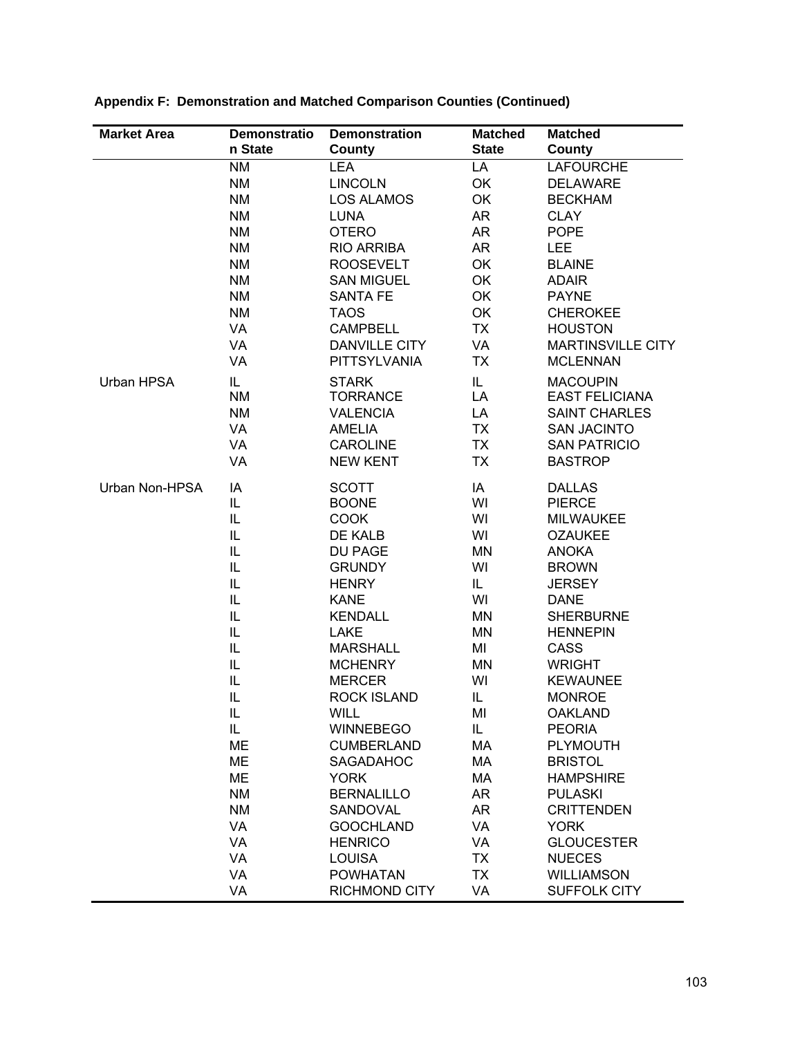| <b>Market Area</b> | <b>Demonstratio</b> | <b>Demonstration</b>                 | <b>Matched</b>  | <b>Matched</b>                              |
|--------------------|---------------------|--------------------------------------|-----------------|---------------------------------------------|
|                    | n State             | County                               | <b>State</b>    | County                                      |
|                    | <b>NM</b>           | <b>LEA</b>                           | LA              | <b>LAFOURCHE</b>                            |
|                    | <b>NM</b>           | <b>LINCOLN</b>                       | OK              | <b>DELAWARE</b>                             |
|                    | <b>NM</b>           | <b>LOS ALAMOS</b>                    | OK              | <b>BECKHAM</b>                              |
|                    | <b>NM</b>           | <b>LUNA</b>                          | AR              | <b>CLAY</b>                                 |
|                    | <b>NM</b>           | <b>OTERO</b>                         | AR              | <b>POPE</b>                                 |
|                    | <b>NM</b>           | <b>RIO ARRIBA</b>                    | AR              | <b>LEE</b>                                  |
|                    | <b>NM</b>           | <b>ROOSEVELT</b>                     | OK              | <b>BLAINE</b>                               |
|                    | <b>NM</b>           | <b>SAN MIGUEL</b>                    | OK              | <b>ADAIR</b>                                |
|                    | <b>NM</b>           | <b>SANTA FE</b>                      | OK              | <b>PAYNE</b>                                |
|                    | <b>NM</b>           | <b>TAOS</b>                          | OK              | <b>CHEROKEE</b>                             |
|                    | VA                  | <b>CAMPBELL</b>                      | <b>TX</b>       | <b>HOUSTON</b>                              |
|                    | VA<br>VA            | <b>DANVILLE CITY</b><br>PITTSYLVANIA | VA<br><b>TX</b> | <b>MARTINSVILLE CITY</b><br><b>MCLENNAN</b> |
|                    |                     |                                      |                 |                                             |
| Urban HPSA         | IL.                 | <b>STARK</b>                         | IL.             | <b>MACOUPIN</b>                             |
|                    | <b>NM</b>           | <b>TORRANCE</b><br><b>VALENCIA</b>   | LA              | <b>EAST FELICIANA</b>                       |
|                    | <b>NM</b><br>VA     | <b>AMELIA</b>                        | LA<br><b>TX</b> | <b>SAINT CHARLES</b><br><b>SAN JACINTO</b>  |
|                    | VA                  | <b>CAROLINE</b>                      | <b>TX</b>       | <b>SAN PATRICIO</b>                         |
|                    | VA                  | <b>NEW KENT</b>                      | <b>TX</b>       | <b>BASTROP</b>                              |
|                    |                     |                                      |                 |                                             |
| Urban Non-HPSA     | IA                  | <b>SCOTT</b>                         | IA              | <b>DALLAS</b>                               |
|                    | IL                  | <b>BOONE</b>                         | WI              | <b>PIERCE</b>                               |
|                    | IL                  | <b>COOK</b>                          | WI              | <b>MILWAUKEE</b>                            |
|                    | IL                  | DE KALB                              | WI              | <b>OZAUKEE</b>                              |
|                    | IL                  | DU PAGE                              | MN              | <b>ANOKA</b>                                |
|                    | IL                  | <b>GRUNDY</b>                        | WI              | <b>BROWN</b>                                |
|                    | IL                  | <b>HENRY</b>                         | IL              | <b>JERSEY</b>                               |
|                    | IL                  | <b>KANE</b>                          | WI              | <b>DANE</b>                                 |
|                    | IL<br>IL            | <b>KENDALL</b><br>LAKE               | MN<br><b>MN</b> | <b>SHERBURNE</b><br><b>HENNEPIN</b>         |
|                    | IL                  | <b>MARSHALL</b>                      | MI              | CASS                                        |
|                    | IL                  | <b>MCHENRY</b>                       | <b>MN</b>       | <b>WRIGHT</b>                               |
|                    | IL                  | <b>MERCER</b>                        | WI              | <b>KEWAUNEE</b>                             |
|                    | IL                  | <b>ROCK ISLAND</b>                   | IL              | <b>MONROE</b>                               |
|                    | IL                  | <b>WILL</b>                          | MI              | <b>OAKLAND</b>                              |
|                    | IL                  | <b>WINNEBEGO</b>                     | IL              | <b>PEORIA</b>                               |
|                    | <b>ME</b>           | <b>CUMBERLAND</b>                    | MA              | <b>PLYMOUTH</b>                             |
|                    | <b>ME</b>           | SAGADAHOC                            | MA              | <b>BRISTOL</b>                              |
|                    | ME                  | <b>YORK</b>                          | МA              | <b>HAMPSHIRE</b>                            |
|                    | <b>NM</b>           | <b>BERNALILLO</b>                    | AR              | <b>PULASKI</b>                              |
|                    | <b>NM</b>           | SANDOVAL                             | AR              | <b>CRITTENDEN</b>                           |
|                    | VA                  | <b>GOOCHLAND</b>                     | <b>VA</b>       | <b>YORK</b>                                 |
|                    | VA                  | <b>HENRICO</b>                       | VA              | <b>GLOUCESTER</b>                           |
|                    | VA                  | <b>LOUISA</b>                        | <b>TX</b>       | <b>NUECES</b>                               |
|                    | VA                  | <b>POWHATAN</b>                      | <b>TX</b>       | <b>WILLIAMSON</b>                           |
|                    | VA                  | <b>RICHMOND CITY</b>                 | VA              | SUFFOLK CITY                                |

**Appendix F: Demonstration and Matched Comparison Counties (Continued)**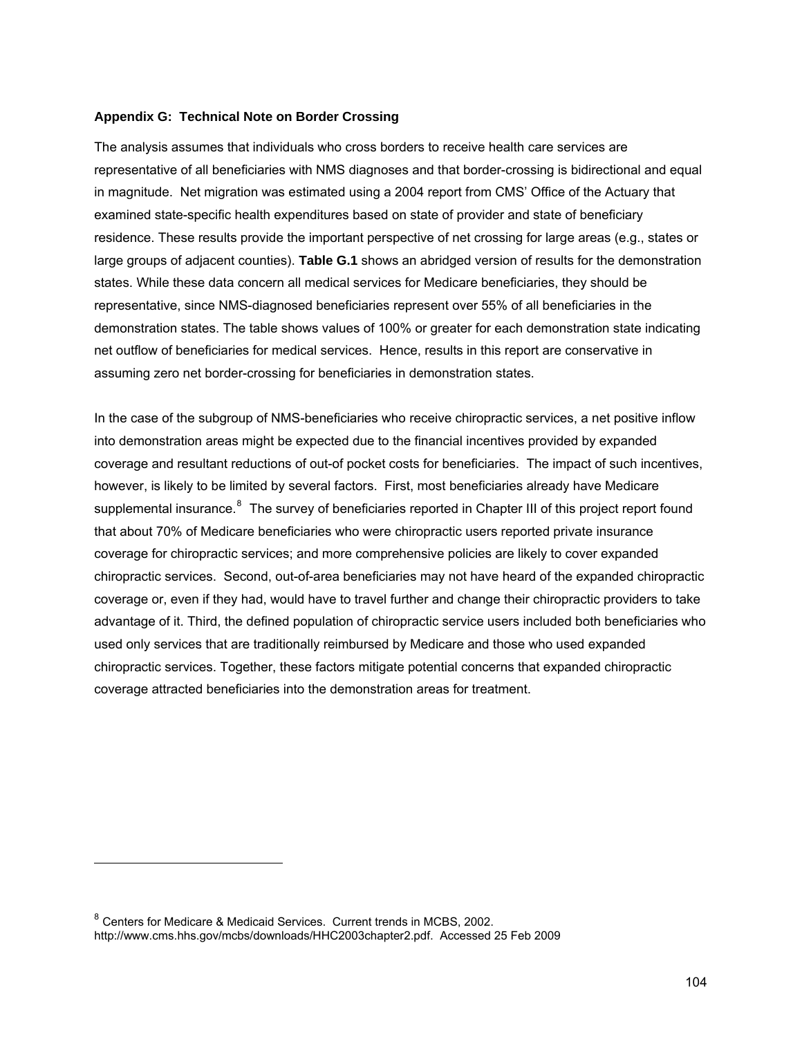#### **Appendix G: Technical Note on Border Crossing**

The analysis assumes that individuals who cross borders to receive health care services are representative of all beneficiaries with NMS diagnoses and that border-crossing is bidirectional and equal in magnitude. Net migration was estimated using a 2004 report from CMS' Office of the Actuary that examined state-specific health expenditures based on state of provider and state of beneficiary residence. These results provide the important perspective of net crossing for large areas (e.g., states or large groups of adjacent counties). **Table G.1** shows an abridged version of results for the demonstration states. While these data concern all medical services for Medicare beneficiaries, they should be representative, since NMS-diagnosed beneficiaries represent over 55% of all beneficiaries in the demonstration states. The table shows values of 100% or greater for each demonstration state indicating net outflow of beneficiaries for medical services. Hence, results in this report are conservative in assuming zero net border-crossing for beneficiaries in demonstration states.

In the case of the subgroup of NMS-beneficiaries who receive chiropractic services, a net positive inflow into demonstration areas might be expected due to the financial incentives provided by expanded coverage and resultant reductions of out-of pocket costs for beneficiaries. The impact of such incentives, however, is likely to be limited by several factors. First, most beneficiaries already have Medicare supplemental insurance.<sup>[8](#page-126-0)</sup> The survey of beneficiaries reported in Chapter III of this project report found that about 70% of Medicare beneficiaries who were chiropractic users reported private insurance coverage for chiropractic services; and more comprehensive policies are likely to cover expanded chiropractic services. Second, out-of-area beneficiaries may not have heard of the expanded chiropractic coverage or, even if they had, would have to travel further and change their chiropractic providers to take advantage of it. Third, the defined population of chiropractic service users included both beneficiaries who used only services that are traditionally reimbursed by Medicare and those who used expanded chiropractic services. Together, these factors mitigate potential concerns that expanded chiropractic coverage attracted beneficiaries into the demonstration areas for treatment.

l

<span id="page-126-0"></span><sup>8</sup> Centers for Medicare & Medicaid Services. Current trends in MCBS, 2002. http://www.cms.hhs.gov/mcbs/downloads/HHC2003chapter2.pdf. Accessed 25 Feb 2009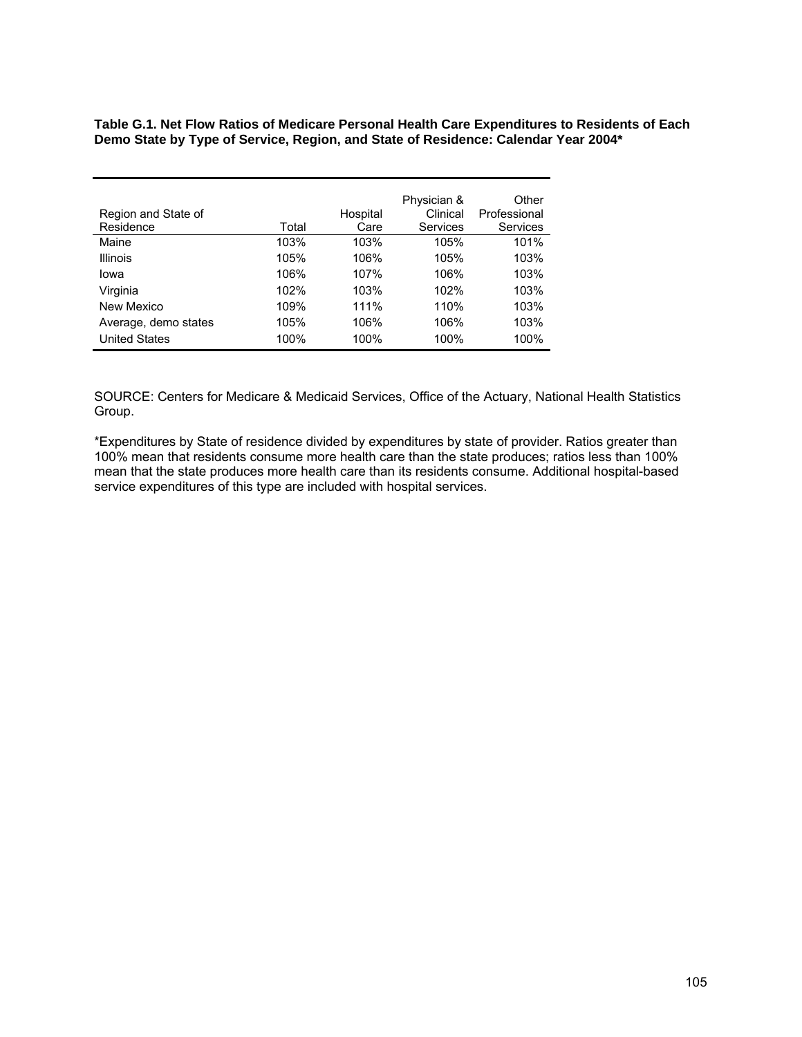**Table G.1. Net Flow Ratios of Medicare Personal Health Care Expenditures to Residents of Each Demo State by Type of Service, Region, and State of Residence: Calendar Year 2004\*** 

|                      |       |          | Physician & | Other        |
|----------------------|-------|----------|-------------|--------------|
| Region and State of  |       | Hospital | Clinical    | Professional |
| Residence            | Total | Care     | Services    | Services     |
| Maine                | 103%  | 103%     | 105%        | 101%         |
| Illinois             | 105%  | 106%     | 105%        | 103%         |
| lowa                 | 106%  | 107%     | 106%        | 103%         |
| Virginia             | 102%  | 103%     | 102%        | 103%         |
| New Mexico           | 109%  | 111%     | 110%        | 103%         |
| Average, demo states | 105%  | 106%     | 106%        | 103%         |
| <b>United States</b> | 100%  | 100%     | 100%        | 100%         |

SOURCE: Centers for Medicare & Medicaid Services, Office of the Actuary, National Health Statistics Group.

\*Expenditures by State of residence divided by expenditures by state of provider. Ratios greater than 100% mean that residents consume more health care than the state produces; ratios less than 100% mean that the state produces more health care than its residents consume. Additional hospital-based service expenditures of this type are included with hospital services.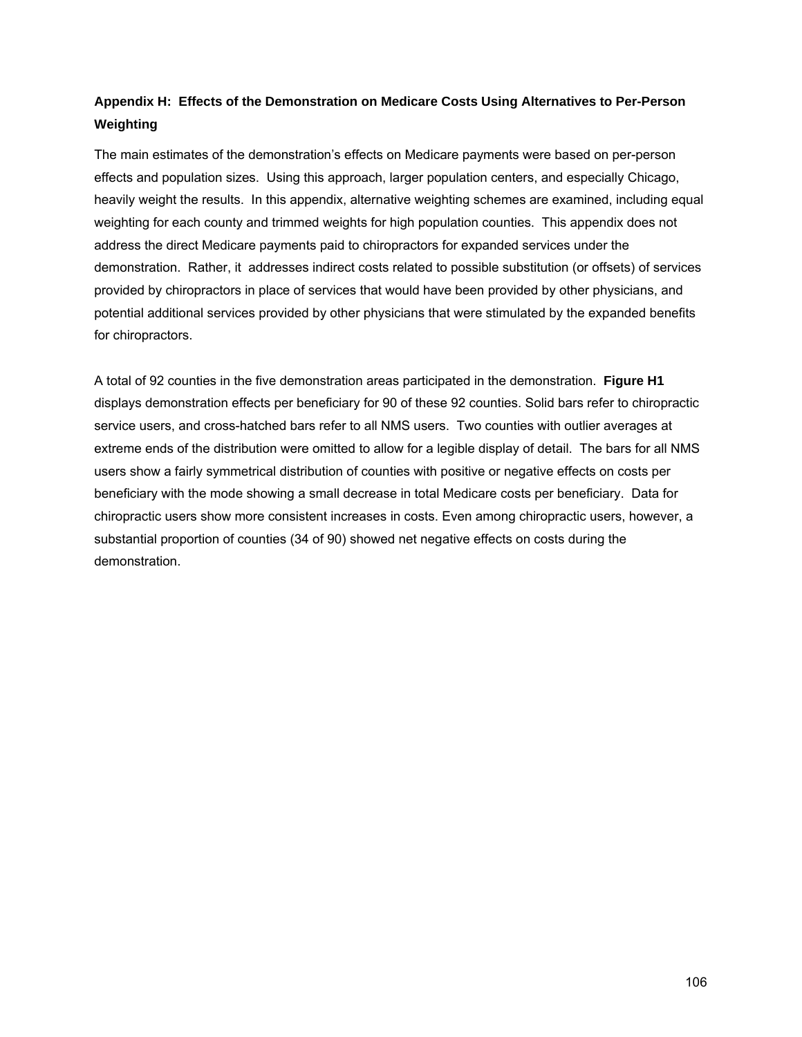# **Appendix H: Effects of the Demonstration on Medicare Costs Using Alternatives to Per-Person Weighting**

The main estimates of the demonstration's effects on Medicare payments were based on per-person effects and population sizes. Using this approach, larger population centers, and especially Chicago, heavily weight the results. In this appendix, alternative weighting schemes are examined, including equal weighting for each county and trimmed weights for high population counties. This appendix does not address the direct Medicare payments paid to chiropractors for expanded services under the demonstration. Rather, it addresses indirect costs related to possible substitution (or offsets) of services provided by chiropractors in place of services that would have been provided by other physicians, and potential additional services provided by other physicians that were stimulated by the expanded benefits for chiropractors.

A total of 92 counties in the five demonstration areas participated in the demonstration. **Figure H1**  displays demonstration effects per beneficiary for 90 of these 92 counties. Solid bars refer to chiropractic service users, and cross-hatched bars refer to all NMS users. Two counties with outlier averages at extreme ends of the distribution were omitted to allow for a legible display of detail. The bars for all NMS users show a fairly symmetrical distribution of counties with positive or negative effects on costs per beneficiary with the mode showing a small decrease in total Medicare costs per beneficiary. Data for chiropractic users show more consistent increases in costs. Even among chiropractic users, however, a substantial proportion of counties (34 of 90) showed net negative effects on costs during the demonstration.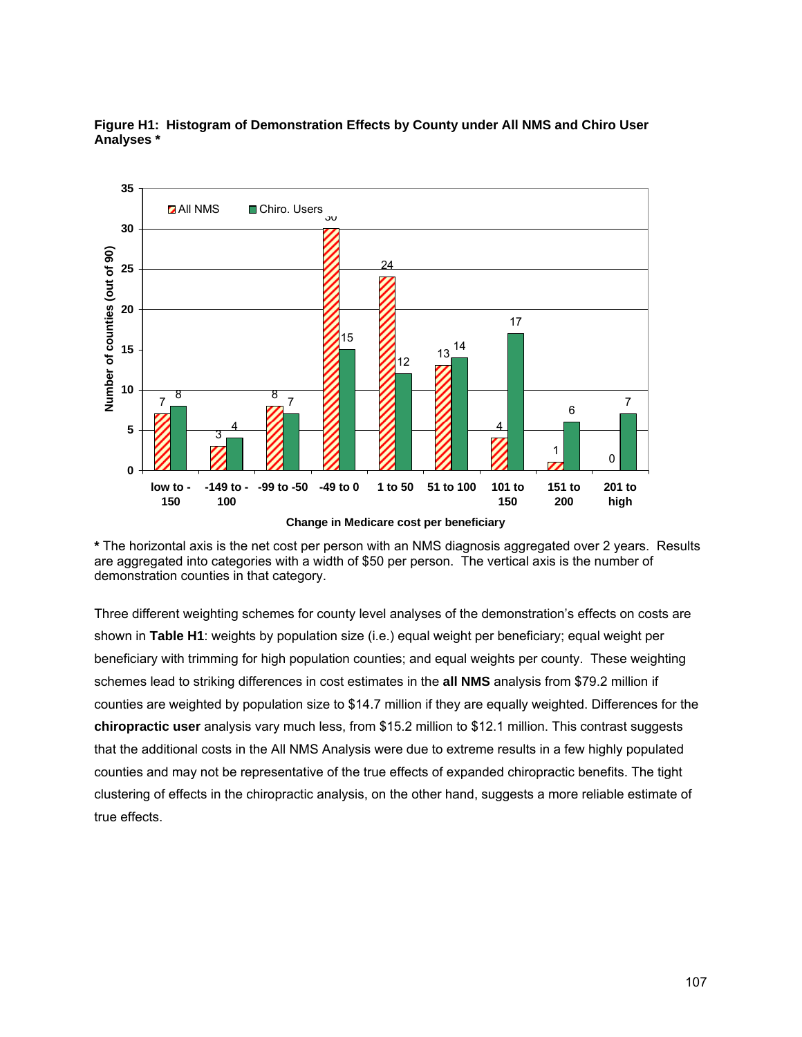



**Change in Medicare cost per beneficiary**

**\*** The horizontal axis is the net cost per person with an NMS diagnosis aggregated over 2 years. Results are aggregated into categories with a width of \$50 per person. The vertical axis is the number of demonstration counties in that category.

Three different weighting schemes for county level analyses of the demonstration's effects on costs are shown in **Table H1**: weights by population size (i.e.) equal weight per beneficiary; equal weight per beneficiary with trimming for high population counties; and equal weights per county. These weighting schemes lead to striking differences in cost estimates in the **all NMS** analysis from \$79.2 million if counties are weighted by population size to \$14.7 million if they are equally weighted. Differences for the **chiropractic user** analysis vary much less, from \$15.2 million to \$12.1 million. This contrast suggests that the additional costs in the All NMS Analysis were due to extreme results in a few highly populated counties and may not be representative of the true effects of expanded chiropractic benefits. The tight clustering of effects in the chiropractic analysis, on the other hand, suggests a more reliable estimate of true effects.